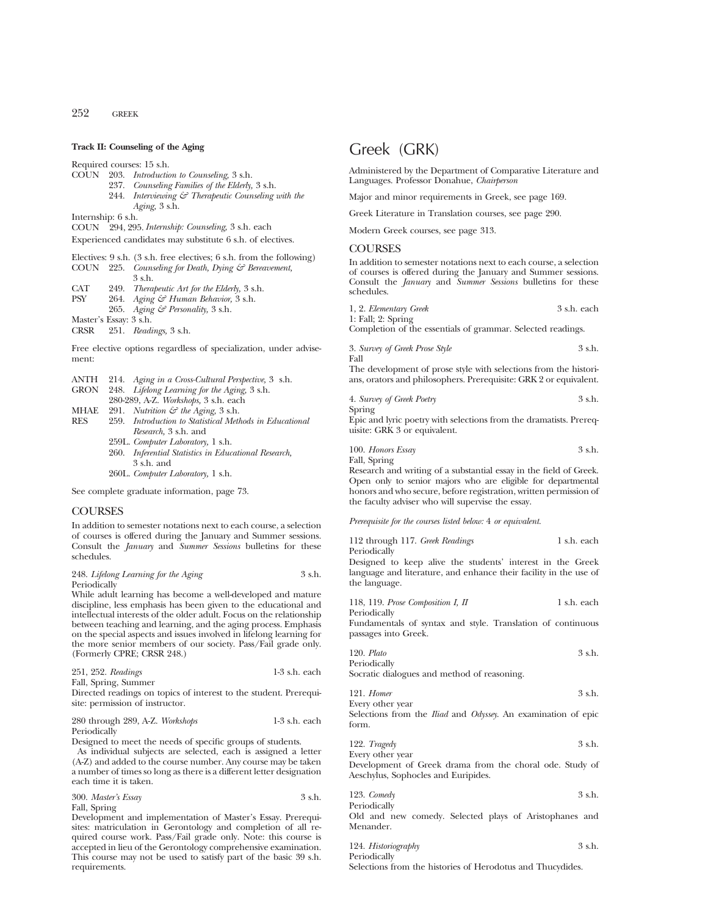# **Track II: Counseling of the Aging**

Required courses: 15 s.h.

- COUN 203. *Introduction to Counseling,* 3 s.h.
	- 237. *Counseling Families of the Elderly,* 3 s.h.
	- 244. *Interviewing & Therapeutic Counseling with the Aging,* 3 s.h.

Internship: 6 s.h.

COUN 294, 295.*Internship: Counseling,* 3 s.h. each

Experienced candidates may substitute 6 s.h. of electives.

- Electives: 9 s.h. (3 s.h. free electives; 6 s.h. from the following)
- COUN 225. *Counseling for Death, Dying & Bereavement,* 3 s.h.
- 
- CAT 249. *Therapeutic Art for the Elderly,* 3 s.h. PSY 264. *Aging & Human Behavior,* 3 s.h.
- 265. *Aging & Personality,* 3 s.h.
- Master's Essay: 3 s.h.<br>CRSR 251. Reads
- CRSR 251. *Readings,* 3 s.h.

Free elective options regardless of specialization, under advisement:

- ANTH 214. *Aging in a Cross-Cultural Perspective,* 3 s.h.
- GRON 248. *Lifelong Learning for the Aging,* 3 s.h.
- 280-289, A-Z. *Workshops,* 3 s.h. each
- MHAE 291. *Nutrition*  $\mathcal{F}$  *the Aging,* 3 s.h.<br>RFS 259 *Introduction to Statistical Meth*
- 259. *Introduction to Statistical Methods in Educational Research,* 3 s.h. and
	- 259L. *Computer Laboratory,* 1 s.h. 260. *Inferential Statistics in Educational Research,* 3 s.h. and
	- 260L. *Computer Laboratory,* 1 s.h.

See complete graduate information, page 73.

# **COURSES**

In addition to semester notations next to each course, a selection of courses is offered during the January and Summer sessions. Consult the *January* and *Summer Sessions* bulletins for these schedules.

## 248. *Lifelong Learning for the Aging* 3 s.h. Periodically

While adult learning has become a well-developed and mature discipline, less emphasis has been given to the educational and intellectual interests of the older adult. Focus on the relationship between teaching and learning, and the aging process. Emphasis on the special aspects and issues involved in lifelong learning for the more senior members of our society. Pass/Fail grade only. (Formerly CPRE; CRSR 248.)

| 251, 252. Readings   | $1-3$ s.h. each |
|----------------------|-----------------|
| Fall, Spring, Summer |                 |

Directed readings on topics of interest to the student. Prerequisite: permission of instructor.

# 280 through 289, A-Z. *Workshops* 1-3 s.h. each Periodically

Designed to meet the needs of specific groups of students.

As individual subjects are selected, each is assigned a letter (A-Z) and added to the course number. Any course may be taken a number of times so long as there is a different letter designation each time it is taken.

| 300. Master's Essay | 3 s.h. |
|---------------------|--------|
| Fall, Spring        |        |

Development and implementation of Master's Essay. Prerequisites: matriculation in Gerontology and completion of all required course work. Pass/Fail grade only. Note: this course is accepted in lieu of the Gerontology comprehensive examination. This course may not be used to satisfy part of the basic 39 s.h. requirements.

# Greek (GRK)

Administered by the Department of Comparative Literature and Languages. Professor Donahue, *Chairperson*

Major and minor requirements in Greek, see page 169.

Greek Literature in Translation courses, see page 290.

Modern Greek courses, see page 313.

# **COURSES**

In addition to semester notations next to each course, a selection of courses is offered during the January and Summer sessions. Consult the *January* and *Summer Sessions* bulletins for these schedules.

| 1, 2. Elementary Greek | 3 s.h. each |
|------------------------|-------------|
| $1:$ Fall; $2:$ Spring |             |

Completion of the essentials of grammar. Selected readings.

3. *Survey of Greek Prose Style* 3 s.h. Fall

The development of prose style with selections from the historians, orators and philosophers. Prerequisite: GRK 2 or equivalent.

| 4. Survey of Greek Poetry | 3 s.h. |
|---------------------------|--------|
| Spring                    |        |

Epic and lyric poetry with selections from the dramatists. Prerequisite: GRK 3 or equivalent.

100. *Honors Essay* 3 s.h. Fall, Spring

Research and writing of a substantial essay in the field of Greek. Open only to senior majors who are eligible for departmental honors and who secure, before registration, written permission of the faculty adviser who will supervise the essay.

*Prerequisite for the courses listed below:* 4 *or equivalent.*

| 112 through 117. Greek Readings | 1 s.h. each |
|---------------------------------|-------------|
| Periodically                    |             |

Designed to keep alive the students' interest in the Greek language and literature, and enhance their facility in the use of the language.

118, 119. *Prose Composition I, II* 1 s.h. each

Periodically Fundamentals of syntax and style. Translation of continuous passages into Greek.

120. *Plato* 3 s.h. Periodically

Socratic dialogues and method of reasoning.

| $121.$ Homer     | 3 s.h. |
|------------------|--------|
| Every other year |        |

Selections from the *Iliad* and *Odyssey*. An examination of epic form.

122. *Tragedy* 3 s.h.

Every other year Development of Greek drama from the choral ode. Study of Aeschylus, Sophocles and Euripides.

| 123. $Comedy$ | 3 s.h. |
|---------------|--------|
| Periodically  |        |

Old and new comedy. Selected plays of Aristophanes and Menander.

124. *Historiography* 3 s.h. Periodically Selections from the histories of Herodotus and Thucydides.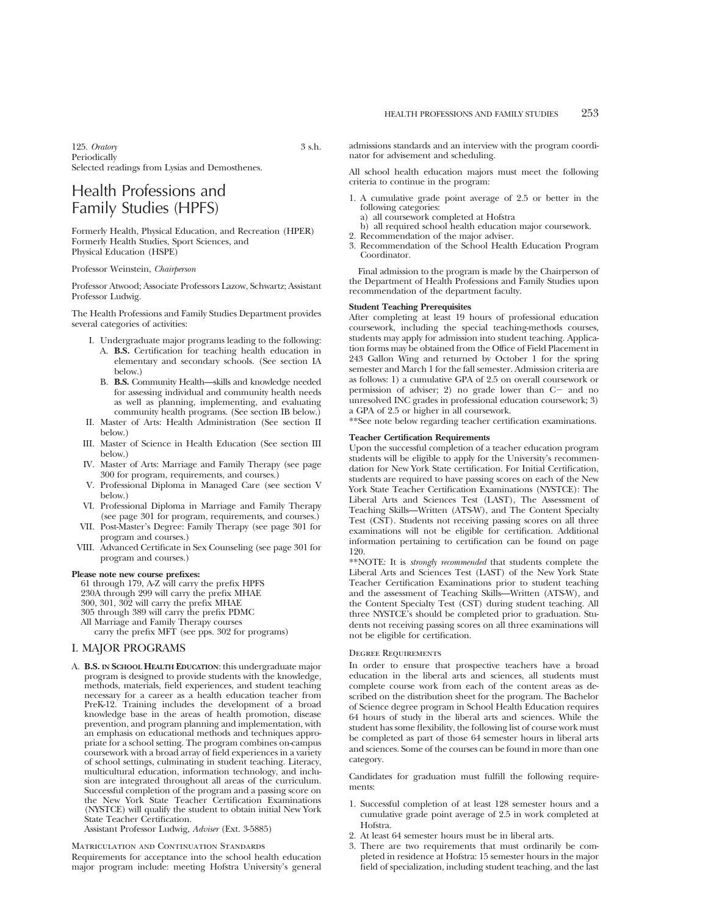125. *Oratory* 3 s.h. **Periodically** Selected readings from Lysias and Demosthenes.

# Health Professions and Family Studies (HPFS)

Formerly Health, Physical Education, and Recreation (HPER) Formerly Health Studies, Sport Sciences, and Physical Education (HSPE)

### Professor Weinstein, *Chairperson*

Professor Atwood; Associate Professors Lazow, Schwartz; Assistant Professor Ludwig.

The Health Professions and Family Studies Department provides several categories of activities:

- I. Undergraduate major programs leading to the following: A. **B.S.** Certification for teaching health education in elementary and secondary schools. (See section IA below.)
	- B. **B.S.** Community Health—skills and knowledge needed for assessing individual and community health needs as well as planning, implementing, and evaluating community health programs. (See section IB below.)
- II. Master of Arts: Health Administration (See section II below.)
- III. Master of Science in Health Education (See section III below.)
- IV. Master of Arts: Marriage and Family Therapy (see page 300 for program, requirements, and courses.)
- V. Professional Diploma in Managed Care (see section V below.)
- VI. Professional Diploma in Marriage and Family Therapy (see page 301 for program, requirements, and courses.)
- VII. Post-Master's Degree: Family Therapy (see page 301 for program and courses.)
- VIII. Advanced Certificate in Sex Counseling (see page 301 for program and courses.)

# **Please note new course prefixes:**

61 through 179, A-Z will carry the prefix HPFS 230A through 299 will carry the prefix MHAE 300, 301, 302 will carry the prefix MHAE 305 through 389 will carry the prefix PDMC All Marriage and Family Therapy courses carry the prefix MFT (see pps. 302 for programs)

# I. MAJOR PROGRAMS

A. **B.S. IN SCHOOL HEALTH EDUCATION**: this undergraduate major program is designed to provide students with the knowledge, methods, materials, field experiences, and student teaching necessary for a career as a health education teacher from PreK-12. Training includes the development of a broad knowledge base in the areas of health promotion, disease prevention, and program planning and implementation, with an emphasis on educational methods and techniques appropriate for a school setting. The program combines on-campus coursework with a broad array of field experiences in a variety of school settings, culminating in student teaching. Literacy, multicultural education, information technology, and inclusion are integrated throughout all areas of the curriculum. Successful completion of the program and a passing score on the New York State Teacher Certification Examinations (NYSTCE) will qualify the student to obtain initial New York State Teacher Certification.

Assistant Professor Ludwig, *Adviser* (Ext. 3-5885)

Matriculation and Continuation Standards

Requirements for acceptance into the school health education major program include: meeting Hofstra University's general admissions standards and an interview with the program coordinator for advisement and scheduling.

All school health education majors must meet the following criteria to continue in the program:

- 1. A cumulative grade point average of 2.5 or better in the following categories:
	- a) all coursework completed at Hofstra
	- b) all required school health education major coursework.
- 2. Recommendation of the major adviser.
- 3. Recommendation of the School Health Education Program Coordinator.

Final admission to the program is made by the Chairperson of the Department of Health Professions and Family Studies upon recommendation of the department faculty.

#### **Student Teaching Prerequisites**

After completing at least 19 hours of professional education coursework, including the special teaching-methods courses, students may apply for admission into student teaching. Application forms may be obtained from the Office of Field Placement in 243 Gallon Wing and returned by October 1 for the spring semester and March 1 for the fall semester. Admission criteria are as follows: 1) a cumulative GPA of 2.5 on overall coursework or permission of adviser; 2) no grade lower than  $C-$  and no unresolved INC grades in professional education coursework; 3) a GPA of 2.5 or higher in all coursework.

\*\*See note below regarding teacher certification examinations.

# **Teacher Certification Requirements**

Upon the successful completion of a teacher education program students will be eligible to apply for the University's recommendation for New York State certification. For Initial Certification, students are required to have passing scores on each of the New York State Teacher Certification Examinations (NYSTCE): The Liberal Arts and Sciences Test (LAST), The Assessment of Teaching Skills—Written (ATS-W), and The Content Specialty Test (CST). Students not receiving passing scores on all three examinations will not be eligible for certification. Additional information pertaining to certification can be found on page 120.

\*\*NOTE: It is *strongly recommended* that students complete the Liberal Arts and Sciences Test (LAST) of the New York State Teacher Certification Examinations prior to student teaching and the assessment of Teaching Skills—Written (ATS-W), and the Content Specialty Test (CST) during student teaching. All three NYSTCE's should be completed prior to graduation. Students not receiving passing scores on all three examinations will not be eligible for certification.

#### Degree Requirements

In order to ensure that prospective teachers have a broad education in the liberal arts and sciences, all students must complete course work from each of the content areas as described on the distribution sheet for the program. The Bachelor of Science degree program in School Health Education requires 64 hours of study in the liberal arts and sciences. While the student has some flexibility, the following list of course work must be completed as part of those 64 semester hours in liberal arts and sciences. Some of the courses can be found in more than one category.

Candidates for graduation must fulfill the following requirements:

- 1. Successful completion of at least 128 semester hours and a cumulative grade point average of 2.5 in work completed at Hofstra.
- 2. At least 64 semester hours must be in liberal arts.
- 3. There are two requirements that must ordinarily be completed in residence at Hofstra: 15 semester hours in the major field of specialization, including student teaching, and the last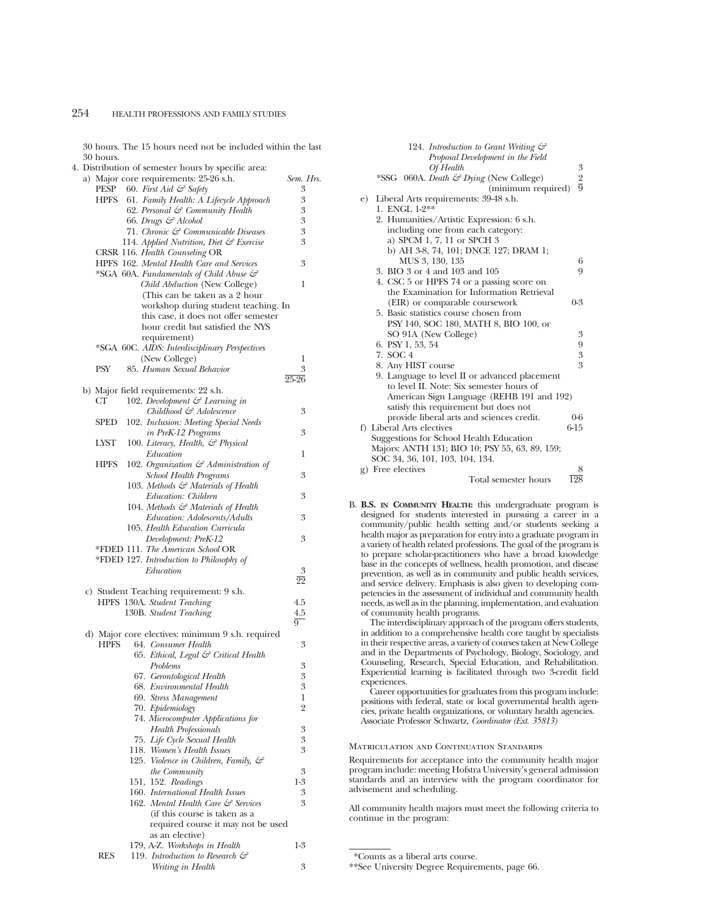30 hours. The 15 hours need not be included within the last 30 hours.

|  |             | 4. Distribution of semester hours by specific area:                          |                 |
|--|-------------|------------------------------------------------------------------------------|-----------------|
|  |             | a) Major core requirements: 25-26 s.h.                                       | Sem. Hrs.       |
|  | PESP        | 60. First Aid & Safety                                                       | 3               |
|  | <b>HPFS</b> | 61. Family Health: A Lifecycle Approach                                      | 3               |
|  |             | 62. Personal & Community Health                                              | 3               |
|  |             | 66. Drugs & Alcohol                                                          | 3               |
|  |             | 71. Chronic & Communicable Diseases                                          | 3               |
|  |             | 114. Applied Nutrition, Diet & Exercise                                      | 3               |
|  |             | CRSR 116. Health Counseling OR                                               |                 |
|  |             | HPFS 162. Mental Health Care and Services                                    | 3               |
|  |             | *SGA 60A. Fundamentals of Child Abuse &<br>Child Abduction (New College)     | 1               |
|  |             | (This can be taken as a 2 hour                                               |                 |
|  |             | workshop during student teaching. In                                         |                 |
|  |             | this case, it does not offer semester                                        |                 |
|  |             | hour credit but satisfied the NYS                                            |                 |
|  |             | requirement)                                                                 |                 |
|  |             | *SGA 60C. AIDS: Interdisciplinary Perspectives                               |                 |
|  |             | (New College)                                                                | 1               |
|  | <b>PSY</b>  | 85. Human Sexual Behavior                                                    | 3               |
|  |             |                                                                              | $25 - 26$       |
|  |             | b) Major field requirements: 22 s.h.                                         |                 |
|  | CТ          | 102. Development & Learning in                                               |                 |
|  |             | Childhood & Adolescence                                                      | 3               |
|  | <b>SPED</b> | 102. Inclusion: Meeting Special Needs                                        |                 |
|  |             | in PreK-12 Programs                                                          | 3               |
|  | LYST        | 100. Literacy, Health, & Physical                                            |                 |
|  |             | Education                                                                    | 1               |
|  | <b>HPFS</b> | 102. Organization & Administration of                                        | 3               |
|  |             | School Health Programs<br>103. Methods & Materials of Health                 |                 |
|  |             | Education: Children                                                          | 3               |
|  |             | 104. Methods & Materials of Health                                           |                 |
|  |             | Education: Adolescents/Adults                                                | 3               |
|  |             | 105. Health Education Curricula                                              |                 |
|  |             | Development: PreK-12                                                         | 3               |
|  |             | *FDED 111. The American School OR                                            |                 |
|  |             | *FDED 127. Introduction to Philosophy of                                     |                 |
|  |             | Education                                                                    | 3               |
|  |             |                                                                              | $\overline{22}$ |
|  |             | c) Student Teaching requirement: 9 s.h.                                      |                 |
|  |             | HPFS 130A. Student Teaching                                                  | 4.5             |
|  |             | 130B. Student Teaching                                                       | 4.5             |
|  |             |                                                                              | $\overline{9}$  |
|  |             | d) Major core electives: minimum 9 s.h. required                             |                 |
|  | HPFS        | 64. Consumer Health                                                          | 3               |
|  |             | 65. Ethical, Legal & Critical Health                                         |                 |
|  |             | Problems<br>67. Gerontological Health                                        | 3<br>3          |
|  |             | 68. Environmental Health                                                     | 3               |
|  |             | 69. Stress Management                                                        | 1               |
|  |             | 70. Epidemiology                                                             | $\overline{2}$  |
|  |             | 74. Microcomputer Applications for                                           |                 |
|  |             | <b>Health Professionals</b>                                                  | 3               |
|  |             | 75. Life Cycle Sexual Health                                                 | 3               |
|  |             | 118. Women's Health Issues                                                   | 3               |
|  |             | 125. Violence in Children, Family, &                                         |                 |
|  |             | the Community                                                                | 3               |
|  |             | 151, 152. Readings                                                           | $1-3$           |
|  |             | 160. International Health Issues                                             | 3               |
|  |             | 162. Mental Health Care & Services                                           | 3               |
|  |             | (if this course is taken as a                                                |                 |
|  |             | required course it may not be used                                           |                 |
|  |             | as an elective)                                                              |                 |
|  | RES         | 179, A-Z. Workshops in Health<br>119. Introduction to Research $\mathcal{C}$ | 1-3             |
|  |             | Writing in Health                                                            | 3               |
|  |             |                                                                              |                 |

|     | 124. Introduction to Grant Writing &           |                  |
|-----|------------------------------------------------|------------------|
|     | Proposal Development in the Field              |                  |
|     | Of Health                                      | 3                |
|     | *SSG 060A. Death & Dying (New College)         | $rac{2}{9}$      |
|     | (minimum required)                             |                  |
| e). | Liberal Arts requirements: 39-48 s.h.          |                  |
|     | 1. ENGL 1-2**                                  |                  |
|     | 2. Humanities/Artistic Expression: 6 s.h.      |                  |
|     | including one from each category:              |                  |
|     | a) SPCM 1, 7, 11 or SPCH 3                     |                  |
|     | b) AH 3-8, 74, 101; DNCE 127; DRAM 1;          |                  |
|     | MUS 3, 130, 135                                | 6                |
|     | 3. BIO 3 or 4 and 103 and 105                  | 9                |
|     | 4. CSC 5 or HPFS 74 or a passing score on      |                  |
|     | the Examination for Information Retrieval      |                  |
|     | (EIR) or comparable coursework                 | $0 - 3$          |
|     | 5. Basic statistics course chosen from         |                  |
|     | PSY 140, SOC 180, MATH 8, BIO 100, or          |                  |
|     | SO 91A (New College)                           | 3                |
|     | 6. PSY 1, 53, 54                               | 9                |
|     | 7. SOC 4                                       | 3                |
|     | 8. Any HIST course                             | 3                |
|     | 9. Language to level II or advanced placement  |                  |
|     | to level II. Note: Six semester hours of       |                  |
|     | American Sign Language (REHB 191 and 192)      |                  |
|     | satisfy this requirement but does not          |                  |
|     | provide liberal arts and sciences credit.      | $0 - 6$          |
|     | f) Liberal Arts electives                      | $6-15$           |
|     | Suggestions for School Health Education        |                  |
|     | Majors: ANTH 131; BIO 10; PSY 55, 63, 89, 159; |                  |
|     | SOC 34, 36, 101, 103, 104, 134.                |                  |
|     | g) Free electives                              | 8                |
|     | Total semester hours                           | $\overline{128}$ |
|     |                                                |                  |

B. **B.S. IN COMMUNITY HEALTH:** this undergraduate program is designed for students interested in pursuing a career in a community/public health setting and/or students seeking a health major as preparation for entry into a graduate program in a variety of health related professions. The goal of the program is to prepare scholar-practitioners who have a broad knowledge base in the concepts of wellness, health promotion, and disease prevention, as well as in community and public health services, and service delivery. Emphasis is also given to developing competencies in the assessment of individual and community health needs, as well as in the planning, implementation, and evaluation of community health programs.

The interdisciplinary approach of the program offers students, in addition to a comprehensive health core taught by specialists in their respective areas, a variety of courses taken at New College and in the Departments of Psychology, Biology, Sociology, and Counseling, Research, Special Education, and Rehabilitation. Experiential learning is facilitated through two 3-credit field experiences.

Career opportunities for graduates from this program include: positions with federal, state or local governmental health agencies, private health organizations, or voluntary health agencies. Associate Professor Schwartz, *Coordinator (Ext. 35813)*

# Matriculation and Continuation Standards

Requirements for acceptance into the community health major program include: meeting Hofstra University's general admission standards and an interview with the program coordinator for advisement and scheduling.

All community health majors must meet the following criteria to continue in the program:

<sup>\*</sup>Counts as a liberal arts course.

<sup>\*\*</sup>See University Degree Requirements, page 66.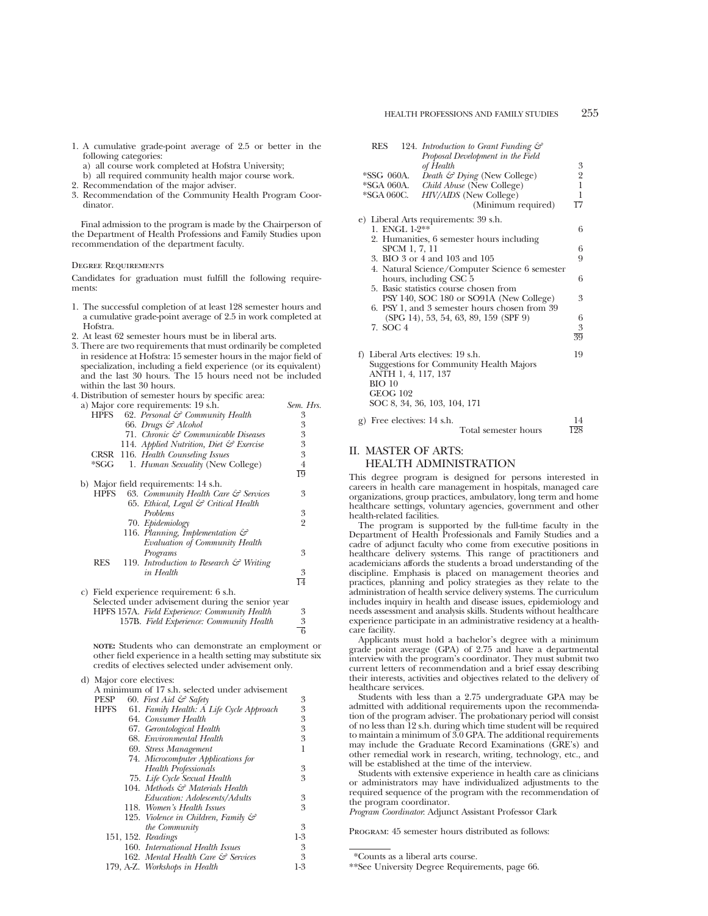- 1. A cumulative grade-point average of 2.5 or better in the following categories:
	- a) all course work completed at Hofstra University;
	- b) all required community health major course work.
- 2. Recommendation of the major adviser.
- 3. Recommendation of the Community Health Program Coordinator.

Final admission to the program is made by the Chairperson of the Department of Health Professions and Family Studies upon recommendation of the department faculty.

# Degree Requirements

Candidates for graduation must fulfill the following requirements:

- 1. The successful completion of at least 128 semester hours and a cumulative grade-point average of 2.5 in work completed at Hofstra.
- 2. At least 62 semester hours must be in liberal arts.
- 3. There are two requirements that must ordinarily be completed in residence at Hofstra: 15 semester hours in the major field of specialization, including a field experience (or its equivalent) and the last 30 hours. The 15 hours need not be included within the last 30 hours.
- 4. Distribution of semester hours by specific area:<br>a) Maior core requirements: 19 s.h.

|             | a) Major core requirements: 19 s.h.                | Sem. Hrs.       |
|-------------|----------------------------------------------------|-----------------|
| <b>HPFS</b> | 62. Personal & Community Health                    | 3               |
|             | 66. Drugs & Alcohol                                | 3               |
|             | 71. Chronic & Communicable Diseases                | 3               |
|             | 114. Applied Nutrition, Diet & Exercise            | 3               |
|             | CRSR 116. Health Counseling Issues                 | 3               |
| *SGG        | 1. Human Sexuality (New College)                   | 4               |
|             |                                                    | $\overline{19}$ |
|             | b) Major field requirements: 14 s.h.               |                 |
| <b>HPFS</b> | 63. Community Health Care $\mathcal G$ Services    | 3               |
|             | 65. Ethical, Legal & Critical Health               |                 |
|             | Problems                                           | 3               |
|             | 70. Epidemiology                                   | $\overline{2}$  |
|             | 116. Planning, Implementation &                    |                 |
|             | Evaluation of Community Health                     |                 |
|             | Programs                                           | 3               |
| <b>RES</b>  | 119. Introduction to Research $\mathcal O$ Writing |                 |
|             | in Health                                          | 3               |
|             |                                                    | $\overline{14}$ |
|             | c) Field experience requirement: 6 s.h.            |                 |
|             | Selected under advisement during the senior year   |                 |
|             | HPFS 157A. Field Experience: Community Health      | 3               |
|             | 157B. Field Experience: Community Health           | 3               |
|             |                                                    | $\overline{6}$  |
|             |                                                    |                 |

**NOTE:** Students who can demonstrate an employment or other field experience in a health setting may substitute six credits of electives selected under advisement only.

| d) Major core electives: |                                                |       |
|--------------------------|------------------------------------------------|-------|
|                          | A minimum of 17 s.h. selected under advisement |       |
| PESP                     | 60. First Aid $\mathcal{C}^{\circ}$ Safety     | 3     |
| <b>HPFS</b>              | 61. Family Health: A Life Cycle Approach       | 3     |
|                          | 64. Consumer Health                            | 3     |
|                          | 67. Gerontological Health                      | 3     |
|                          | 68. Environmental Health                       | 3     |
|                          | 69. Stress Management                          | 1     |
|                          | 74. Microcomputer Applications for             |       |
|                          | <b>Health Professionals</b>                    | 3     |
|                          | 75. Life Cycle Sexual Health                   | 3     |
|                          | 104. Methods & Materials Health                |       |
|                          | Education: Adolescents/Adults                  | 3     |
|                          | 118. Women's Health Issues                     | 3     |
|                          | 125. Violence in Children, Family &            |       |
|                          | <i>the Community</i>                           | 3     |
| 151, 152. Readings       |                                                | $1-3$ |
|                          | 160. International Health Issues               | 3     |
|                          | 162. Mental Health Care & Services             | 3     |
|                          | 179, A-Z. Workshops in Health                  | 1-3   |
|                          |                                                |       |

| <b>RES</b>      |               | 124. Introduction to Grant Funding &           |                 |
|-----------------|---------------|------------------------------------------------|-----------------|
|                 |               | Proposal Development in the Field              |                 |
|                 |               | of Health                                      | 3               |
| *SSG 060A.      |               | Death $\mathcal{C}$ Dying (New College)        |                 |
| *SGA 060A.      |               | Child Abuse (New College)                      | $\frac{2}{1}$   |
| *SGA 060C.      |               | HIV/AIDS (New College)                         | 1               |
|                 |               | (Minimum required)                             | 17              |
|                 |               | e) Liberal Arts requirements: 39 s.h.          |                 |
| 1. ENGL 1-2**   |               |                                                | 6               |
|                 |               | 2. Humanities, 6 semester hours including      |                 |
|                 | SPCM 1, 7, 11 |                                                | 6               |
|                 |               | 3. BIO 3 or 4 and 103 and 105                  | 9               |
|                 |               | 4. Natural Science/Computer Science 6 semester |                 |
|                 |               | hours, including CSC 5                         | 6               |
|                 |               | 5. Basic statistics course chosen from         |                 |
|                 |               | PSY 140, SOC 180 or SO91A (New College)        | 3               |
|                 |               | 6. PSY 1, and 3 semester hours chosen from 39  |                 |
|                 |               | (SPG 14), 53, 54, 63, 89, 159 (SPF 9)          | 6               |
| 7. SOC 4        |               |                                                | 3               |
|                 |               |                                                | $\overline{39}$ |
|                 |               | f) Liberal Arts electives: 19 s.h.             | 19              |
|                 |               | Suggestions for Community Health Majors        |                 |
|                 |               | ANTH 1, 4, 117, 137                            |                 |
| <b>BIO 10</b>   |               |                                                |                 |
| <b>GEOG 102</b> |               |                                                |                 |
|                 |               | SOC 8, 34, 36, 103, 104, 171                   |                 |
|                 |               |                                                |                 |

g) Free electives: 14 s.h.  $\frac{14}{198}$ Total semester hours

# II. MASTER OF ARTS: HEALTH ADMINISTRATION

This degree program is designed for persons interested in careers in health care management in hospitals, managed care organizations, group practices, ambulatory, long term and home healthcare settings, voluntary agencies, government and other health-related facilities.

The program is supported by the full-time faculty in the Department of Health Professionals and Family Studies and a cadre of adjunct faculty who come from executive positions in healthcare delivery systems. This range of practitioners and academicians affords the students a broad understanding of the discipline. Emphasis is placed on management theories and practices, planning and policy strategies as they relate to the administration of health service delivery systems. The curriculum includes inquiry in health and disease issues, epidemiology and needs assessment and analysis skills. Students without healthcare experience participate in an administrative residency at a healthcare facility.

Applicants must hold a bachelor's degree with a minimum grade point average (GPA) of 2.75 and have a departmental interview with the program's coordinator. They must submit two current letters of recommendation and a brief essay describing their interests, activities and objectives related to the delivery of healthcare services.

Students with less than a 2.75 undergraduate GPA may be admitted with additional requirements upon the recommendation of the program adviser. The probationary period will consist of no less than 12 s.h. during which time student will be required to maintain a minimum of 3.0 GPA. The additional requirements may include the Graduate Record Examinations (GRE's) and other remedial work in research, writing, technology, etc., and will be established at the time of the interview.

Students with extensive experience in health care as clinicians or administrators may have individualized adjustments to the required sequence of the program with the recommendation of the program coordinator.

*Program Coordinator*: Adjunct Assistant Professor Clark

Program: 45 semester hours distributed as follows:

<sup>\*</sup>Counts as a liberal arts course.

<sup>\*\*</sup>See University Degree Requirements, page 66.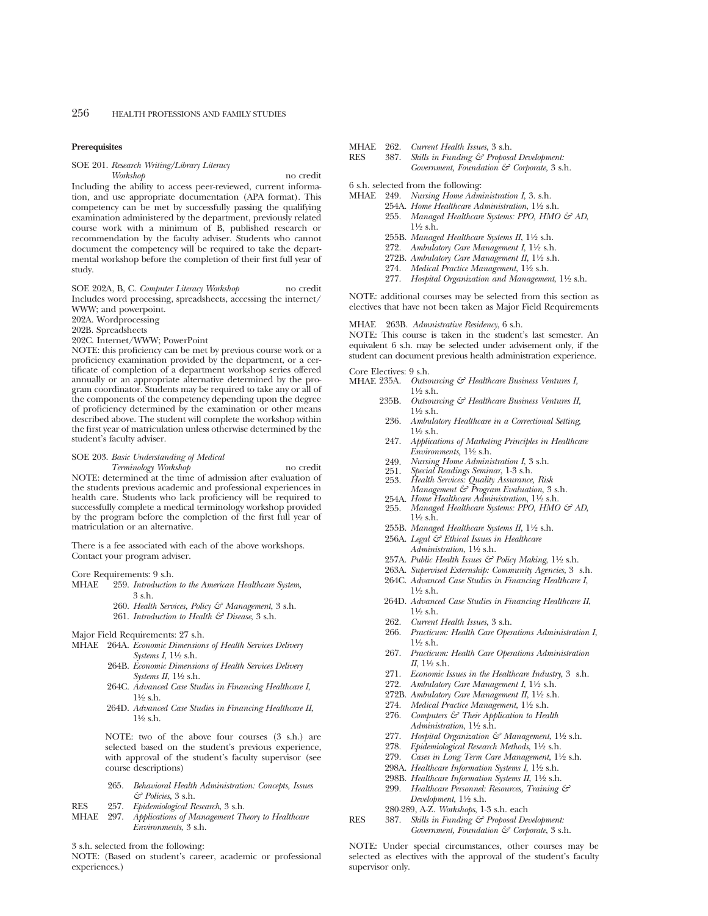### **Prerequisites**

# SOE 201. *Research Writing/Library Literacy*

*Workshop* no credit

Including the ability to access peer-reviewed, current information, and use appropriate documentation (APA format). This competency can be met by successfully passing the qualifying examination administered by the department, previously related course work with a minimum of B, published research or recommendation by the faculty adviser. Students who cannot document the competency will be required to take the departmental workshop before the completion of their first full year of study.

SOE 202A, B, C. *Computer Literacy Workshop* no credit Includes word processing, spreadsheets, accessing the internet/ WWW; and powerpoint.

202A. Wordprocessing

202B. Spreadsheets

202C. Internet/WWW; PowerPoint

NOTE: this proficiency can be met by previous course work or a proficiency examination provided by the department, or a certificate of completion of a department workshop series offered annually or an appropriate alternative determined by the program coordinator. Students may be required to take any or all of the components of the competency depending upon the degree of proficiency determined by the examination or other means described above. The student will complete the workshop within the first year of matriculation unless otherwise determined by the student's faculty adviser.

# SOE 203. *Basic Understanding of Medical*

*Terminology Workshop* no credit NOTE: determined at the time of admission after evaluation of the students previous academic and professional experiences in health care. Students who lack proficiency will be required to successfully complete a medical terminology workshop provided by the program before the completion of the first full year of matriculation or an alternative.

There is a fee associated with each of the above workshops. Contact your program adviser.

Core Requirements: 9 s.h.

- MHAE 259. *Introduction to the American Healthcare System,* 3 s.h.
	- 260. *Health Services, Policy & Management*, 3 s.h.
	- 261. *Introduction to Health & Disease*, 3 s.h.

Major Field Requirements: 27 s.h.

- MHAE 264A. *Economic Dimensions of Health Services Delivery Systems I*, 11⁄2 s.h.
	- 264B. *Economic Dimensions of Health Services Delivery Systems II*, 11⁄2 s.h.
	- 264C. *Advanced Case Studies in Financing Healthcare I*,  $1\frac{1}{2}$  s.h.
	- 264D. *Advanced Case Studies in Financing Healthcare II*,  $1\frac{1}{2}$  s.h.

NOTE: two of the above four courses (3 s.h.) are selected based on the student's previous experience, with approval of the student's faculty supervisor (see course descriptions)

- 265. *Behavioral Health Administration: Concepts, Issues & Policies*, 3 s.h.
- RES 257. *Epidemiological Research*, 3 s.h.
- MHAE 297. *Applications of Management Theory to Healthcare Environments*, 3 s.h.

NOTE: (Based on student's career, academic or professional experiences.)

MHAE 262. *Current Health Issues*, 3 s.h.

Skills in Funding & Proposal Development: *Government, Foundation & Corporate,* 3 s.h.

6 s.h. selected from the following:

- MHAE 249. *Nursing Home Administration I*, 3. s.h.
	- 254A. *Home Healthcare Administration*,  $1\frac{1}{2}$  s.h. 255. Managed Healthcare Systems: PPO, HMO & AD,  $1\frac{1}{2}$  s.h.
		- 255B. *Managed Healthcare Systems II*, 11⁄2 s.h.
		- 272. *Ambulatory Care Management I*, 11⁄2 s.h.
		- 272B. Ambulatory Care Management II,  $1\frac{1}{2}$  s.h.
		- 274. *Medical Practice Management*, 11⁄2 s.h.
		- 277. *Hospital Organization and Management*,  $1\frac{1}{2}$  s.h.

NOTE: additional courses may be selected from this section as electives that have not been taken as Major Field Requirements

MHAE 263B. *Admnistrative Residency*, 6 s.h.

NOTE: This course is taken in the student's last semester. An equivalent 6 s.h. may be selected under advisement only, if the student can document previous health administration experience.

# Core Electives: 9 s.h.<br>MHAE 235A. Outso

- Outsourcing & Healthcare Business Ventures I,  $1\frac{1}{2}$  s.h.
	- 235B. *Outsourcing & Healthcare Business Ventures II,*  $1\frac{1}{2}$  s.h.
	- 236. *Ambulatory Healthcare in a Correctional Setting,* 11⁄2 s.h.
	- 247. *Applications of Marketing Principles in Healthcare Environments,* 11⁄2 s.h.
	- 249. *Nursing Home Administration I*, 3 s.h.
	- 251. *Special Readings Seminar*, 1-3 s.h.
	- 253. *Health Services: Quality Assurance, Risk*
	- *Management & Program Evaluation*, 3 s.h.
	- 254A. *Home Healthcare Administration*, 1½ s.h.<br>255. *Managed Healthcare Systems: PPO, HMC* Managed Healthcare Systems: PPO, HMO & AD,  $1\frac{1}{2}$  s.h.
	- 255B. *Managed Healthcare Systems II*,  $1\frac{1}{2}$  s.h.
	- 256A. *Legal & Ethical Issues in Healthcare Administration*, 11⁄2 s.h.
	- 257A. *Public Health Issues & Policy Making*, 11⁄2 s.h.
	- 263A. *Supervised Externship: Community Agencies*, 3 s.h.
	- 264C. *Advanced Case Studies in Financing Healthcare I*,  $1\frac{1}{2}$  s.h.
	- 264D. *Advanced Case Studies in Financing Healthcare II*,  $1\frac{1}{2}$  s.h.
	- 262. *Current Health Issues*, 3 s.h.
	- 266. *Practicum: Health Care Operations Administration I*,  $1\frac{1}{2}$  s.h.
	- 267. *Practicum: Health Care Operations Administration II*, 11⁄2 s.h.
	- 271. *Economic Issues in the Healthcare Industry*, 3 s.h.
	- 272. *Ambulatory Care Management I*, 11⁄2 s.h.
	- 272B. Ambulatory Care Management II, 1<sup>1</sup>/2 s.h.
	- 274. *Medical Practice Management*,  $1\frac{1}{2}$  s.h.
	- 276. *Computers & Their Application to Health Administration*, 11⁄2 s.h.
	- 277. *Hospital Organization & Management*, 11⁄2 s.h.
	- 278. *Epidemiological Research Methods*, 11⁄2 s.h.
	- 279. *Cases in Long Term Care Management*, 11⁄2 s.h.
	- 298A. *Healthcare Information Systems I*, 11⁄2 s.h.
	- 298B. *Healthcare Information Systems II*, 11⁄2 s.h.
	- 299. *Healthcare Personnel: Resources, Training & Development*, 11⁄2 s.h.
- 280-289, A-Z. *Workshops*, 1-3 s.h. each
- RES 387. *Skills in Funding & Proposal Development: Government, Foundation & Corporate*, 3 s.h.

NOTE: Under special circumstances, other courses may be selected as electives with the approval of the student's faculty supervisor only.

<sup>3</sup> s.h. selected from the following: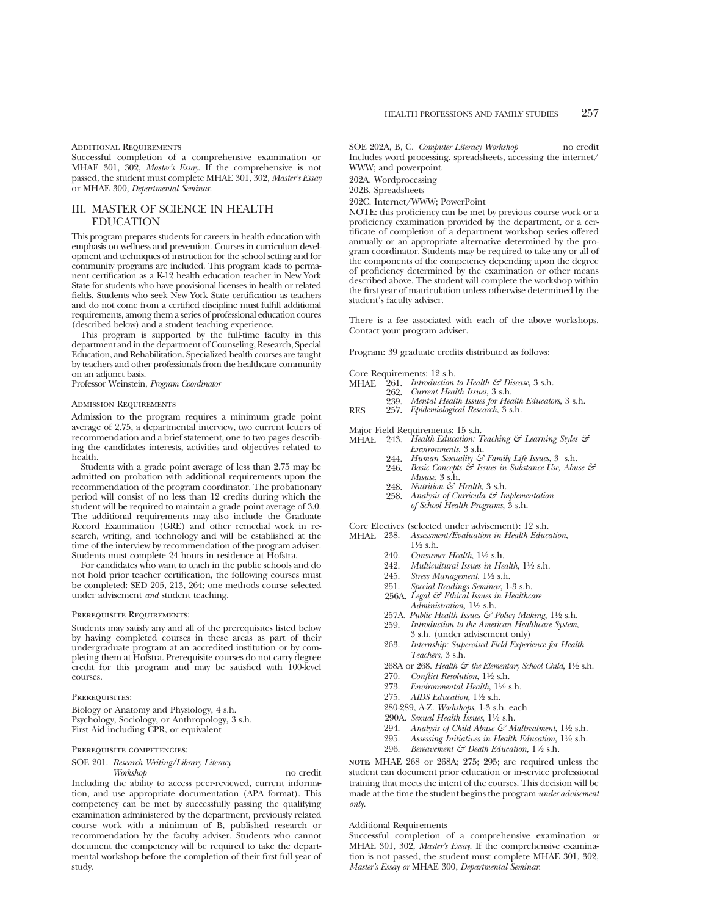#### ADDITIONAL REQUIREMENTS

Successful completion of a comprehensive examination or MHAE 301, 302, *Master's Essay*. If the comprehensive is not passed, the student must complete MHAE 301, 302, *Master's Essay* or MHAE 300, *Departmental Seminar*.

# III. MASTER OF SCIENCE IN HEALTH EDUCATION

This program prepares students for careers in health education with emphasis on wellness and prevention. Courses in curriculum development and techniques of instruction for the school setting and for community programs are included. This program leads to permanent certification as a K-12 health education teacher in New York State for students who have provisional licenses in health or related fields. Students who seek New York State certification as teachers and do not come from a certified discipline must fulfill additional requirements, among them a series of professional education coures (described below) and a student teaching experience.

This program is supported by the full-time faculty in this department and in the department of Counseling, Research, Special Education, and Rehabilitation. Specialized health courses are taught by teachers and other professionals from the healthcare community on an adjunct basis.

Professor Weinstein, *Program Coordinator*

#### Admission Requirements

Admission to the program requires a minimum grade point average of 2.75, a departmental interview, two current letters of recommendation and a brief statement, one to two pages describing the candidates interests, activities and objectives related to health.

Students with a grade point average of less than 2.75 may be admitted on probation with additional requirements upon the recommendation of the program coordinator. The probationary period will consist of no less than 12 credits during which the student will be required to maintain a grade point average of 3.0. The additional requirements may also include the Graduate Record Examination (GRE) and other remedial work in research, writing, and technology and will be established at the time of the interview by recommendation of the program adviser. Students must complete 24 hours in residence at Hofstra.

For candidates who want to teach in the public schools and do not hold prior teacher certification, the following courses must be completed: SED 205, 213, 264; one methods course selected under advisement *and* student teaching.

#### Prerequisite Requirements:

Students may satisfy any and all of the prerequisites listed below by having completed courses in these areas as part of their undergraduate program at an accredited institution or by completing them at Hofstra. Prerequisite courses do not carry degree credit for this program and may be satisfied with 100-level courses.

#### PREREQUISITES:

study.

Biology or Anatomy and Physiology, 4 s.h. Psychology, Sociology, or Anthropology, 3 s.h. First Aid including CPR, or equivalent

### Prerequisite competencies:

# SOE 201. *Research Writing/Library Literacy*

*Workshop* no credit Including the ability to access peer-reviewed, current information, and use appropriate documentation (APA format). This competency can be met by successfully passing the qualifying examination administered by the department, previously related course work with a minimum of B, published research or recommendation by the faculty adviser. Students who cannot document the competency will be required to take the departmental workshop before the completion of their first full year of

SOE 202A, B, C. *Computer Literacy Workshop* no credit Includes word processing, spreadsheets, accessing the internet/ WWW; and powerpoint.

202A. Wordprocessing

202B. Spreadsheets

202C. Internet/WWW; PowerPoint

NOTE: this proficiency can be met by previous course work or a proficiency examination provided by the department, or a certificate of completion of a department workshop series offered annually or an appropriate alternative determined by the program coordinator. Students may be required to take any or all of the components of the competency depending upon the degree of proficiency determined by the examination or other means described above. The student will complete the workshop within the first year of matriculation unless otherwise determined by the student's faculty adviser.

There is a fee associated with each of the above workshops. Contact your program adviser.

Program: 39 graduate credits distributed as follows:

- Core Requirements: 12 s.h.<br>MHAE 961 *Introduction*  $\frac{1}{2}61.$  *Introduction to Health G<sup>2</sup> Disease*, 3 s.h.<br>  $\frac{969}{2}$  *Current Health Issues* 3 s.h.
- 262. *Current Health Issues*, 3 s.h.
	- 239. *Mental Health Issues for Health Educators*, 3 s.h.
- RES 257. *Epidemiological Research*, 3 s.h.

Major Field Requirements: 15 s.h.

MHAE 243. *Health Education: Teaching & Learning Styles & Environments*, 3 s.h.

- 244. *Human Sexuality & Family Life Issues*, 3 s.h.
- 246. *Basic Concepts & Issues in Substance Use, Abuse & Misuse*, 3 s.h.
- 248. *Nutrition & Health*, 3 s.h.
- 258. *Analysis of Curricula & Implementation of School Health Programs*, 3 s.h.

Core Electives (selected under advisement): 12 s.h.<br>MHAE 238. Assessment/Evaluation in Health Educe MHAE 238. *Assessment/Evaluation in Health Education*,

- $1\frac{1}{6}$  s.h. 240. *Consumer Health*, 11⁄2 s.h.
- 
- 242. *Multicultural Issues in Health*,  $1\frac{1}{2}$  s.h.
- 245. *Stress Management*,  $1\frac{1}{2}$  s.h.
- 251. *Special Readings Seminar*, 1-3 s.h.
- 256A. *Legal & Ethical Issues in Healthcare Administration,* 11⁄2 s.h.
- 257A. *Public Health Issues & Policy Making*, 11⁄2 s.h.
- 259. *Introduction to the American Healthcare System*,
- 3 s.h. (under advisement only)
- 263. *Internship: Supervised Field Experience for Health Teachers*, 3 s.h.
- 268A or 268. *Health & the Elementary School Child*, 1<sup>1</sup>/2 s.h.
- 270. *Conflict Resolution*, 1<sup>1</sup>/<sub>2</sub> s.h.
- 273. *Environmental Health*, 11⁄2 s.h.
- 275. *AIDS Education*, 11⁄2 s.h.
- 280-289, A-Z. *Workshops,* 1-3 s.h. each
- 290A. *Sexual Health Issues*, 11⁄2 s.h.
- 294. *Analysis of Child Abuse & Maltreatment*, 11⁄2 s.h.
- 295. Assessing *Initiatives in Health Education*,  $1\frac{1}{2}$  s.h.
- 296. *Bereavement & Death Education,* 11⁄2 s.h.
- **NOTE:** MHAE 268 or 268A; 275; 295; are required unless the student can document prior education or in-service professional training that meets the intent of the courses. This decision will be made at the time the student begins the program *under advisement only.*

#### Additional Requirements

Successful completion of a comprehensive examination *or* MHAE 301, 302, *Master's Essay*. If the comprehensive examination is not passed, the student must complete MHAE 301, 302, *Master's Essay or* MHAE 300, *Departmental Seminar*.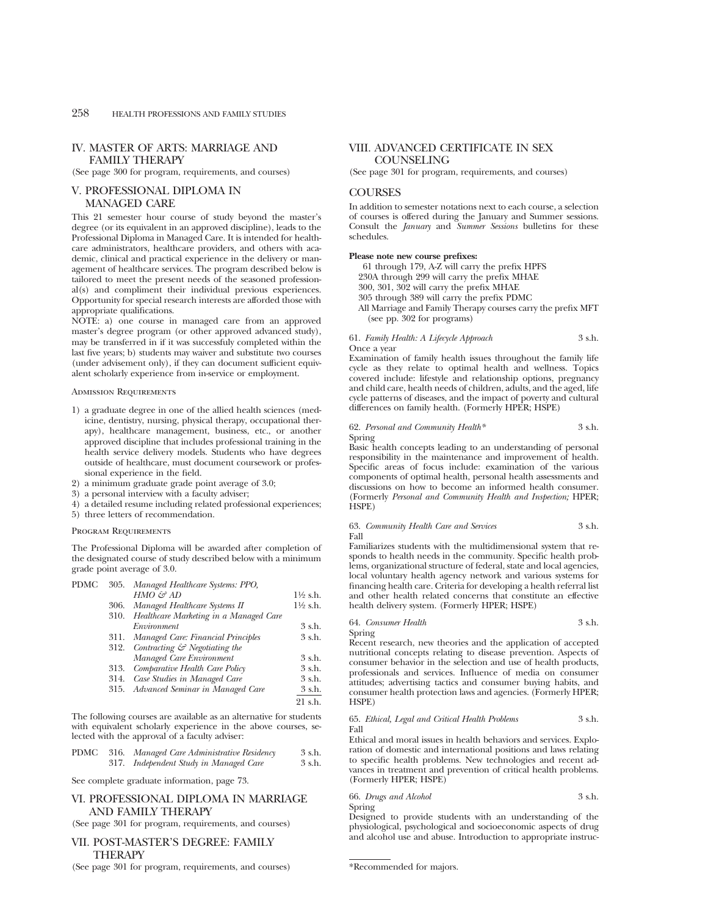# IV. MASTER OF ARTS: MARRIAGE AND FAMILY THERAPY

(See page 300 for program, requirements, and courses)

# V. PROFESSIONAL DIPLOMA IN MANAGED CARE

This 21 semester hour course of study beyond the master's degree (or its equivalent in an approved discipline), leads to the Professional Diploma in Managed Care. It is intended for healthcare administrators, healthcare providers, and others with academic, clinical and practical experience in the delivery or management of healthcare services. The program described below is tailored to meet the present needs of the seasoned professional(s) and compliment their individual previous experiences. Opportunity for special research interests are afforded those with appropriate qualifications.

NOTE: a) one course in managed care from an approved master's degree program (or other approved advanced study), may be transferred in if it was successfuly completed within the last five years; b) students may waiver and substitute two courses (under advisement only), if they can document sufficient equivalent scholarly experience from in-service or employment.

Admission Requirements

- 1) a graduate degree in one of the allied health sciences (medicine, dentistry, nursing, physical therapy, occupational therapy), healthcare management, business, etc., or another approved discipline that includes professional training in the health service delivery models. Students who have degrees outside of healthcare, must document coursework or professional experience in the field.
- 2) a minimum graduate grade point average of 3.0;
- 3) a personal interview with a faculty adviser;
- 4) a detailed resume including related professional experiences;
- 5) three letters of recommendation.

### Program Requirements

The Professional Diploma will be awarded after completion of the designated course of study described below with a minimum grade point average of 3.0.

| PDMC |      | 305. Managed Healthcare Systems: PPO,         |                     |
|------|------|-----------------------------------------------|---------------------|
|      |      | $HMO \n\mathcal{L}^2 AD$                      | $1\frac{1}{2}$ s.h. |
|      | 306. | Managed Healthcare Systems II                 | $1\frac{1}{2}$ s.h. |
|      | 310. | Healthcare Marketing in a Managed Care        |                     |
|      |      | Environment                                   | 3 s.h.              |
|      | 311. | Managed Care: Financial Principles            | 3 s.h.              |
|      |      | 312. Contracting $\mathcal G$ Negotiating the |                     |
|      |      | Managed Care Environment                      | 3 s.h.              |
|      | 313. | Comparative Health Care Policy                | 3 s.h.              |
|      | 314. | Case Studies in Managed Care                  | 3 s.h.              |
|      | 315. | Advanced Seminar in Managed Care              | 3 s.h.              |
|      |      |                                               | 21 s.h.             |
|      |      |                                               |                     |

The following courses are available as an alternative for students with equivalent scholarly experience in the above courses, selected with the approval of a faculty adviser:

|  | PDMC 316. Managed Care Administrative Residency | 3 s.h. |
|--|-------------------------------------------------|--------|
|  | 317. Independent Study in Managed Care          | 3 s.h. |

See complete graduate information, page 73.

# VI. PROFESSIONAL DIPLOMA IN MARRIAGE AND FAMILY THERAPY

(See page 301 for program, requirements, and courses)

# VII. POST-MASTER'S DEGREE: FAMILY THERAPY

(See page 301 for program, requirements, and courses)

# VIII. ADVANCED CERTIFICATE IN SEX **COUNSELING**

(See page 301 for program, requirements, and courses)

# **COURSES**

In addition to semester notations next to each course, a selection of courses is offered during the January and Summer sessions. Consult the *January* and *Summer Sessions* bulletins for these schedules.

#### **Please note new course prefixes:**

61 through 179, A-Z will carry the prefix HPFS 230A through 299 will carry the prefix MHAE 300, 301, 302 will carry the prefix MHAE

- 305 through 389 will carry the prefix PDMC
- All Marriage and Family Therapy courses carry the prefix MFT (see pp. 302 for programs)

61. *Family Health: A Lifecycle Approach* 3 s.h.

Once a year Examination of family health issues throughout the family life cycle as they relate to optimal health and wellness. Topics covered include: lifestyle and relationship options, pregnancy and child care, health needs of children, adults, and the aged, life

# 62. *Personal and Community Health\** 3 s.h. Spring

cycle patterns of diseases, and the impact of poverty and cultural differences on family health. (Formerly HPER; HSPE)

Basic health concepts leading to an understanding of personal responsibility in the maintenance and improvement of health. Specific areas of focus include: examination of the various components of optimal health, personal health assessments and discussions on how to become an informed health consumer. (Formerly *Personal and Community Health and Inspection;* HPER; HSPE)

#### 63. *Community Health Care and Services* 3 s.h. Fall

Familiarizes students with the multidimensional system that responds to health needs in the community. Specific health problems, organizational structure of federal, state and local agencies, local voluntary health agency network and various systems for financing health care. Criteria for developing a health referral list and other health related concerns that constitute an effective health delivery system. (Formerly HPER; HSPE)

# 64. *Consumer Health* 3 s.h.

Spring

Recent research, new theories and the application of accepted nutritional concepts relating to disease prevention. Aspects of consumer behavior in the selection and use of health products, professionals and services. Influence of media on consumer attitudes; advertising tactics and consumer buying habits, and consumer health protection laws and agencies. (Formerly HPER; HSPE)

#### 65. *Ethical, Legal and Critical Health Problems* 3 s.h. Fall

Ethical and moral issues in health behaviors and services. Exploration of domestic and international positions and laws relating to specific health problems. New technologies and recent advances in treatment and prevention of critical health problems. (Formerly HPER; HSPE)

66. *Drugs and Alcohol* 3 s.h. Spring

Designed to provide students with an understanding of the physiological, psychological and socioeconomic aspects of drug and alcohol use and abuse. Introduction to appropriate instruc-

<sup>\*</sup>Recommended for majors.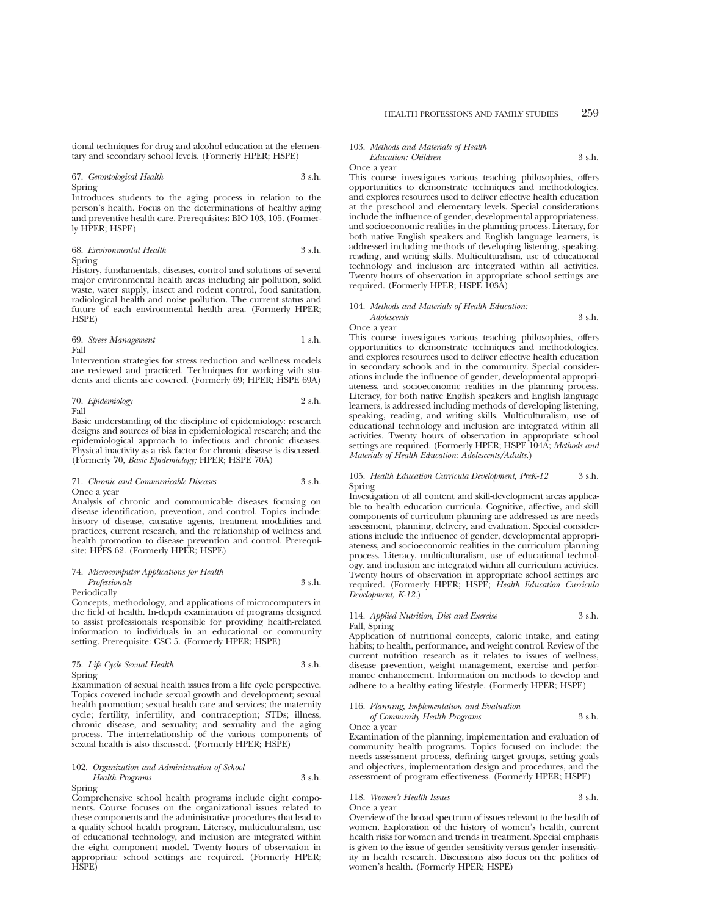tional techniques for drug and alcohol education at the elementary and secondary school levels. (Formerly HPER; HSPE)

# 67. *Gerontological Health* 3 s.h. Spring

Introduces students to the aging process in relation to the person's health. Focus on the determinations of healthy aging and preventive health care. Prerequisites: BIO 103, 105. (Formerly HPER; HSPE)

# 68. *Environmental Health* 3 s.h. Spring

History, fundamentals, diseases, control and solutions of several major environmental health areas including air pollution, solid waste, water supply, insect and rodent control, food sanitation, radiological health and noise pollution. The current status and future of each environmental health area. (Formerly HPER; HSPE)

#### 69. *Stress Management* 1 s.h. Fall

Intervention strategies for stress reduction and wellness models are reviewed and practiced. Techniques for working with students and clients are covered. (Formerly 69; HPER; HSPE 69A)

70. *Epidemiology* 2 s.h. Fall

Basic understanding of the discipline of epidemiology: research

designs and sources of bias in epidemiological research; and the epidemiological approach to infectious and chronic diseases. Physical inactivity as a risk factor for chronic disease is discussed. (Formerly 70, *Basic Epidemiology;* HPER; HSPE 70A)

# 71. *Chronic and Communicable Diseases* 3 s.h. Once a year

Analysis of chronic and communicable diseases focusing on disease identification, prevention, and control. Topics include: history of disease, causative agents, treatment modalities and practices, current research, and the relationship of wellness and health promotion to disease prevention and control. Prerequisite: HPFS 62. (Formerly HPER; HSPE)

# 74. *Microcomputer Applications for Health Professionals* 3 s.h.

Periodically

Concepts, methodology, and applications of microcomputers in the field of health. In-depth examination of programs designed to assist professionals responsible for providing health-related information to individuals in an educational or community setting. Prerequisite: CSC 5. (Formerly HPER; HSPE)

# 75. *Life Cycle Sexual Health* 3 s.h. Spring

Examination of sexual health issues from a life cycle perspective. Topics covered include sexual growth and development; sexual health promotion; sexual health care and services; the maternity cycle; fertility, infertility, and contraception; STDs; illness, chronic disease, and sexuality; and sexuality and the aging process. The interrelationship of the various components of sexual health is also discussed. (Formerly HPER; HSPE)

### 102. *Organization and Administration of School Health Programs* 3 s.h. Spring

Comprehensive school health programs include eight components. Course focuses on the organizational issues related to these components and the administrative procedures that lead to a quality school health program. Literacy, multiculturalism, use of educational technology, and inclusion are integrated within the eight component model. Twenty hours of observation in appropriate school settings are required. (Formerly HPER; HSPE)

# 103. *Methods and Materials of Health Education: Children* 3 s.h.

Once a year

This course investigates various teaching philosophies, offers opportunities to demonstrate techniques and methodologies, and explores resources used to deliver effective health education at the preschool and elementary levels. Special considerations include the influence of gender, developmental appropriateness, and socioeconomic realities in the planning process. Literacy, for both native English speakers and English language learners, is addressed including methods of developing listening, speaking, reading, and writing skills. Multiculturalism, use of educational technology and inclusion are integrated within all activities. Twenty hours of observation in appropriate school settings are required. (Formerly HPER; HSPE 103A)

#### 104. *Methods and Materials of Health Education:*

*Adolescents* 3 s.h.

#### Once a year

This course investigates various teaching philosophies, offers opportunities to demonstrate techniques and methodologies, and explores resources used to deliver effective health education in secondary schools and in the community. Special considerations include the influence of gender, developmental appropriateness, and socioeconomic realities in the planning process. Literacy, for both native English speakers and English language learners, is addressed including methods of developing listening, speaking, reading, and writing skills. Multiculturalism, use of educational technology and inclusion are integrated within all activities. Twenty hours of observation in appropriate school settings are required. (Formerly HPER; HSPE 104A; *Methods and Materials of Health Education: Adolescents/Adults.*)

# 105. *Health Education Curricula Development, PreK-12* 3 s.h. Spring

Investigation of all content and skill-development areas applicable to health education curricula. Cognitive, affective, and skill components of curriculum planning are addressed as are needs assessment, planning, delivery, and evaluation. Special considerations include the influence of gender, developmental appropriateness, and socioeconomic realities in the curriculum planning process. Literacy, multiculturalism, use of educational technology, and inclusion are integrated within all curriculum activities. Twenty hours of observation in appropriate school settings are required. (Formerly HPER; HSPE; *Health Education Curricula Development, K-12.*)

# 114. *Applied Nutrition, Diet and Exercise* 3 s.h. Fall, Spring

Application of nutritional concepts, caloric intake, and eating habits; to health, performance, and weight control. Review of the current nutrition research as it relates to issues of wellness, disease prevention, weight management, exercise and performance enhancement. Information on methods to develop and adhere to a healthy eating lifestyle. (Formerly HPER; HSPE)

# 116. *Planning, Implementation and Evaluation*

*of Community Health Programs* 3 s.h. Once a year

Examination of the planning, implementation and evaluation of community health programs. Topics focused on include: the needs assessment process, defining target groups, setting goals and objectives, implementation design and procedures, and the assessment of program effectiveness. (Formerly HPER; HSPE)

# 118. *Women's Health Issues* 3 s.h.

Once a year

Overview of the broad spectrum of issues relevant to the health of women. Exploration of the history of women's health, current health risks for women and trends in treatment. Special emphasis is given to the issue of gender sensitivity versus gender insensitivity in health research. Discussions also focus on the politics of women's health. (Formerly HPER; HSPE)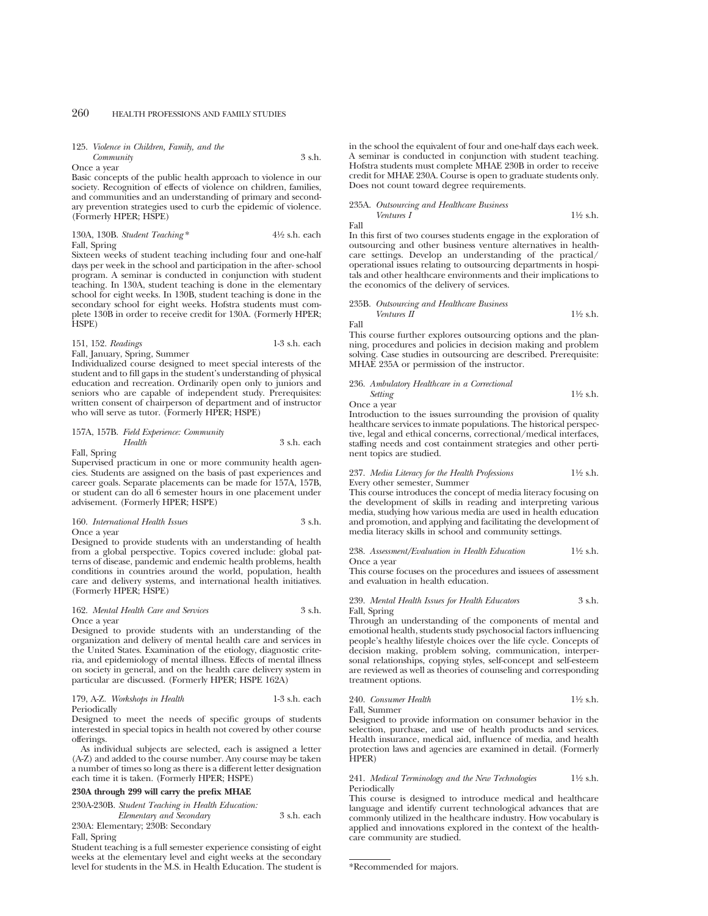# 125. *Violence in Children, Family, and the Community* 3 s.h.

Once a year

Basic concepts of the public health approach to violence in our society. Recognition of effects of violence on children, families, and communities and an understanding of primary and secondary prevention strategies used to curb the epidemic of violence. (Formerly HPER; HSPE)

# 130A, 130B. *Student Teaching* \* 41⁄2 s.h. each Fall, Spring

Sixteen weeks of student teaching including four and one-half days per week in the school and participation in the after- school program. A seminar is conducted in conjunction with student teaching. In 130A, student teaching is done in the elementary school for eight weeks. In 130B, student teaching is done in the secondary school for eight weeks. Hofstra students must complete 130B in order to receive credit for 130A. (Formerly HPER; HSPE)

### 151, 152. *Readings* 1-3 s.h. each Fall, January, Spring, Summer

Individualized course designed to meet special interests of the student and to fill gaps in the student's understanding of physical education and recreation. Ordinarily open only to juniors and seniors who are capable of independent study. Prerequisites: written consent of chairperson of department and of instructor who will serve as tutor. (Formerly HPER; HSPE)

157A, 157B. *Field Experience: Community Health* 3 s.h. each

Fall, Spring

Supervised practicum in one or more community health agencies. Students are assigned on the basis of past experiences and career goals. Separate placements can be made for 157A, 157B, or student can do all 6 semester hours in one placement under advisement. (Formerly HPER; HSPE)

# 160. *International Health Issues* 3 s.h. Once a year

Designed to provide students with an understanding of health from a global perspective. Topics covered include: global patterns of disease, pandemic and endemic health problems, health conditions in countries around the world, population, health care and delivery systems, and international health initiatives. (Formerly HPER; HSPE)

#### 162. *Mental Health Care and Services* 3 s.h. Once a year

Designed to provide students with an understanding of the organization and delivery of mental health care and services in the United States. Examination of the etiology, diagnostic criteria, and epidemiology of mental illness. Effects of mental illness on society in general, and on the health care delivery system in particular are discussed. (Formerly HPER; HSPE 162A)

# 179, A-Z. *Workshops in Health* 1-3 s.h. each Periodically

Designed to meet the needs of specific groups of students interested in special topics in health not covered by other course offerings.

As individual subjects are selected, each is assigned a letter (A-Z) and added to the course number. Any course may be taken a number of times so long as there is a different letter designation each time it is taken. (Formerly HPER; HSPE)

#### **230A through 299 will carry the prefix MHAE**

230A-230B. *Student Teaching in Health Education: Elementary and Secondary* 3 s.h. each 230A: Elementary; 230B: Secondary

Fall, Spring

Student teaching is a full semester experience consisting of eight weeks at the elementary level and eight weeks at the secondary level for students in the M.S. in Health Education. The student is in the school the equivalent of four and one-half days each week. A seminar is conducted in conjunction with student teaching. Hofstra students must complete MHAE 230B in order to receive credit for MHAE 230A. Course is open to graduate students only. Does not count toward degree requirements.

# 235A. *Outsourcing and Healthcare Business*

*Ventures I*  $\frac{11}{2}$  s.h. Fall

In this first of two courses students engage in the exploration of outsourcing and other business venture alternatives in healthcare settings. Develop an understanding of the practical/ operational issues relating to outsourcing departments in hospitals and other healthcare environments and their implications to the economics of the delivery of services.

#### 235B. *Outsourcing and Healthcare Business Ventures II*  $1\frac{1}{2}$  s.h.

Fall

This course further explores outsourcing options and the planning, procedures and policies in decision making and problem solving. Case studies in outsourcing are described. Prerequisite: MHAE 235A or permission of the instructor.

236. *Ambulatory Healthcare in a Correctional Setting* 11⁄2 s.h.

Once a year

Introduction to the issues surrounding the provision of quality healthcare services to inmate populations. The historical perspective, legal and ethical concerns, correctional/medical interfaces, staffing needs and cost containment strategies and other pertinent topics are studied.

#### 237. *Media Literacy for the Health Professions* 11⁄2 s.h. Every other semester, Summer

This course introduces the concept of media literacy focusing on the development of skills in reading and interpreting various media, studying how various media are used in health education and promotion, and applying and facilitating the development of media literacy skills in school and community settings.

### 238. *Assessment/Evaluation in Health Education* 11⁄2 s.h. Once a year

This course focuses on the procedures and issuees of assessment and evaluation in health education.

# 239. *Mental Health Issues for Health Educators* 3 s.h. Fall, Spring

Through an understanding of the components of mental and emotional health, students study psychosocial factors influencing people's healthy lifestyle choices over the life cycle. Concepts of decision making, problem solving, communication, interpersonal relationships, copying styles, self-concept and self-esteem are reviewed as well as theories of counseling and corresponding treatment options.

240. *Consumer Health* 11⁄2 s.h. Fall, Summer

Designed to provide information on consumer behavior in the selection, purchase, and use of health products and services. Health insurance, medical aid, influence of media, and health protection laws and agencies are examined in detail. (Formerly HPER)

# 241. *Medical Terminology and the New Technologies* 11⁄2 s.h. Periodically

This course is designed to introduce medical and healthcare language and identify current technological advances that are commonly utilized in the healthcare industry. How vocabulary is applied and innovations explored in the context of the healthcare community are studied.

<sup>\*</sup>Recommended for majors.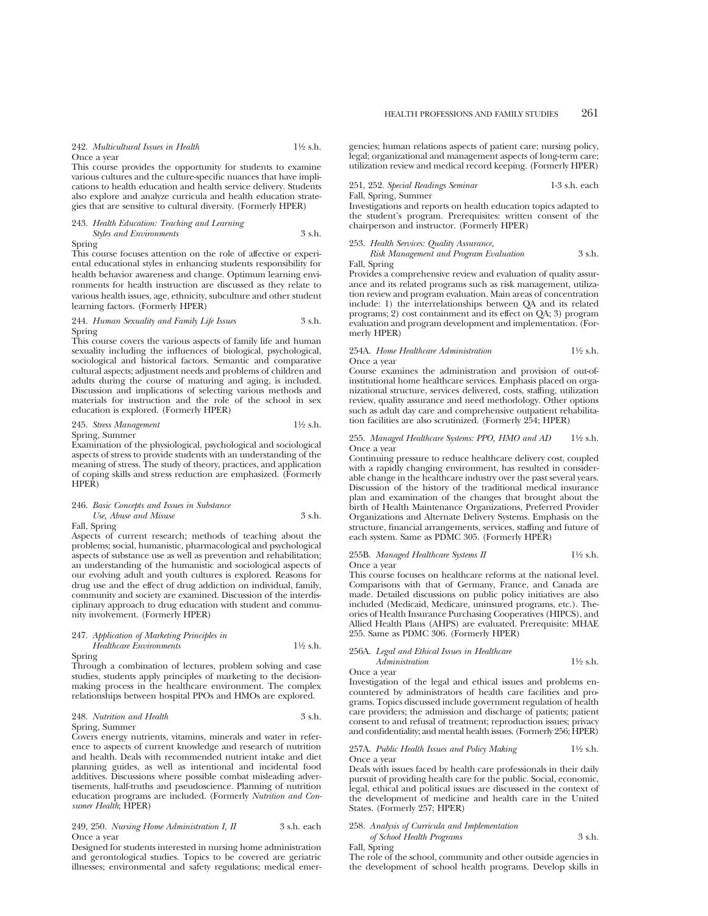242. *Multicultural Issues in Health* 11⁄2 s.h. Once a year

This course provides the opportunity for students to examine various cultures and the culture-specific nuances that have implications to health education and health service delivery. Students also explore and analyze curricula and health education strategies that are sensitive to cultural diversity. (Formerly HPER)

# 243. *Health Education: Teaching and Learning*

*Styles and Environments* 3 s.h. Spring

This course focuses attention on the role of affective or experiental educational styles in enhancing students responsibility for health behavior awareness and change. Optimum learning environments for health instruction are discussed as they relate to various health issues, age, ethnicity, subculture and other student learning factors. (Formerly HPER)

# 244. *Human Sexuality and Family Life Issues* 3 s.h. Spring

This course covers the various aspects of family life and human sexuality including the influences of biological, psychological, sociological and historical factors. Semantic and comparative cultural aspects; adjustment needs and problems of children and adults during the course of maturing and aging, is included. Discussion and implications of selecting various methods and materials for instruction and the role of the school in sex education is explored. (Formerly HPER)

# 245. *Stress Management* 11⁄2 s.h. Spring, Summer

Examination of the physiological, psychological and sociological aspects of stress to provide students with an understanding of the meaning of stress. The study of theory, practices, and application of coping skills and stress reduction are emphasized. (Formerly HPER)

# 246. *Basic Concepts and Issues in Substance Use, Abuse and Misuse* 3 s.h.

Fall, Spring

Aspects of current research; methods of teaching about the problems; social, humanistic, pharmacological and psychological aspects of substance use as well as prevention and rehabilitation; an understanding of the humanistic and sociological aspects of our evolving adult and youth cultures is explored. Reasons for drug use and the effect of drug addiction on individual, family, community and society are examined. Discussion of the interdisciplinary approach to drug education with student and community involvement. (Formerly HPER)

# 247. *Application of Marketing Principles in*

*Healthcare Environments* 11⁄2 s.h. Spring

Through a combination of lectures, problem solving and case studies, students apply principles of marketing to the decisionmaking process in the healthcare environment. The complex relationships between hospital PPOs and HMOs are explored.

### 248. *Nutrition and Health* 3 s.h. Spring, Summer

Covers energy nutrients, vitamins, minerals and water in reference to aspects of current knowledge and research of nutrition and health. Deals with recommended nutrient intake and diet planning guides, as well as intentional and incidental food additives. Discussions where possible combat misleading advertisements, half-truths and pseudoscience. Planning of nutrition education programs are included. (Formerly *Nutrition and Consumer Health*; HPER)

#### 249, 250. *Nursing Home Administration I, II* 3 s.h. each Once a year

Designed for students interested in nursing home administration and gerontological studies. Topics to be covered are geriatric illnesses; environmental and safety regulations; medical emer-

gencies; human relations aspects of patient care; nursing policy, legal; organizational and management aspects of long-term care; utilization review and medical record keeping. (Formerly HPER)

251, 252. *Special Readings Seminar* 1-3 s.h. each Fall, Spring, Summer

Investigations and reports on health education topics adapted to the student's program. Prerequisites: written consent of the chairperson and instructor. (Formerly HPER)

# 253. *Health Services: Quality Assurance,*

*Risk Management and Program Evaluation* 3 s.h. Fall, Spring

Provides a comprehensive review and evaluation of quality assurance and its related programs such as risk management, utilization review and program evaluation. Main areas of concentration include: 1) the interrelationships between QA and its related programs; 2) cost containment and its effect on QA; 3) program evaluation and program development and implementation. (Formerly HPER)

#### 254A. *Home Healthcare Administration* 11⁄2 s.h. Once a year

Course examines the administration and provision of out-ofinstitutional home healthcare services. Emphasis placed on organizational structure, services delivered, costs, staffing, utilization review, quality assurance and need methodology. Other options such as adult day care and comprehensive outpatient rehabilitation facilities are also scrutinized. (Formerly 254; HPER)

# 255. *Managed Healthcare Systems: PPO, HMO and AD* 11⁄2 s.h. Once a year

Continuing pressure to reduce healthcare delivery cost, coupled with a rapidly changing environment, has resulted in considerable change in the healthcare industry over the past several years. Discussion of the history of the traditional medical insurance plan and examination of the changes that brought about the birth of Health Maintenance Organizations, Preferred Provider Organizations and Alternate Delivery Systems. Emphasis on the structure, financial arrangements, services, staffing and future of each system. Same as PDMC 305. (Formerly HPER)

# 255B. *Managed Healthcare Systems II* 1<sup>1</sup>/2 s.h. Once a year

This course focuses on healthcare reforms at the national level. Comparisons with that of Germany, France, and Canada are made. Detailed discussions on public policy initiatives are also included (Medicaid, Medicare, uninsured programs, etc.). Theories of Health Insurance Purchasing Cooperatives (HIPCS), and Allied Health Plans (AHPS) are evaluated. Prerequisite: MHAE 255. Same as PDMC 306. (Formerly HPER)

# 256A. *Legal and Ethical Issues in Healthcare Administration* 1<sup>1</sup>⁄2 s.h.

Once a year

Investigation of the legal and ethical issues and problems encountered by administrators of health care facilities and programs. Topics discussed include government regulation of health care providers; the admission and discharge of patients; patient consent to and refusal of treatment; reproduction issues; privacy and confidentiality; and mental health issues. (Formerly 256; HPER)

#### 257A. *Public Health Issues and Policy Making* 11⁄2 s.h. Once a year

Deals with issues faced by health care professionals in their daily pursuit of providing health care for the public. Social, economic, legal, ethical and political issues are discussed in the context of the development of medicine and health care in the United States. (Formerly 257; HPER)

# 258. *Analysis of Curricula and Implementation of School Health Programs* 3 s.h.

Fall, Spring

The role of the school, community and other outside agencies in the development of school health programs. Develop skills in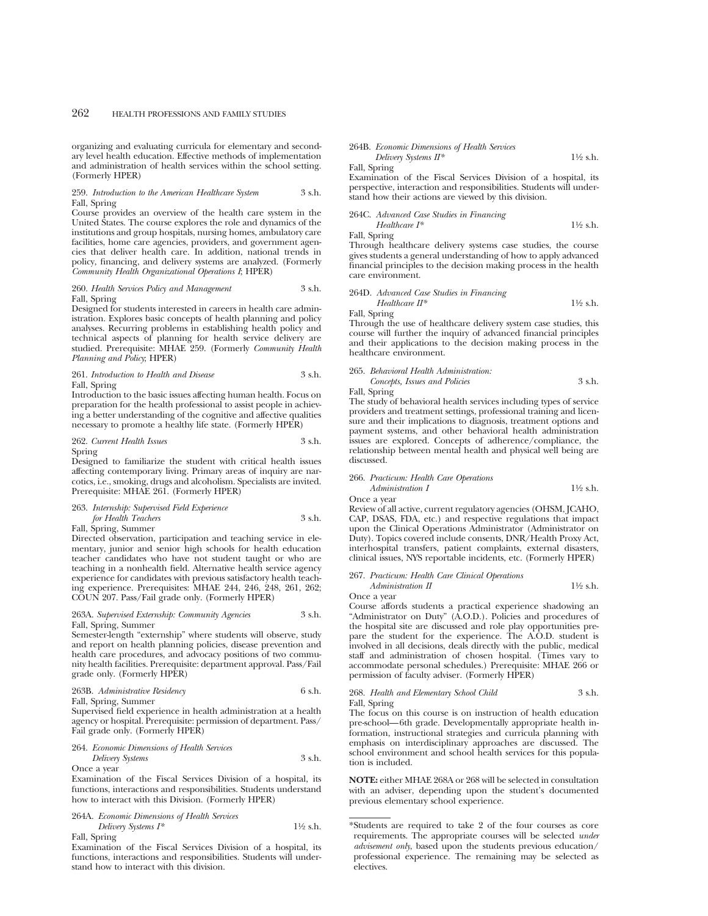organizing and evaluating curricula for elementary and secondary level health education. Effective methods of implementation and administration of health services within the school setting. (Formerly HPER)

#### 259. *Introduction to the American Healthcare System* 3 s.h. Fall, Spring

Course provides an overview of the health care system in the United States. The course explores the role and dynamics of the institutions and group hospitals, nursing homes, ambulatory care facilities, home care agencies, providers, and government agencies that deliver health care. In addition, national trends in policy, financing, and delivery systems are analyzed. (Formerly *Community Health Organizational Operations I*; HPER)

# 260. *Health Services Policy and Management* 3 s.h. Fall, Spring

Designed for students interested in careers in health care administration. Explores basic concepts of health planning and policy analyses. Recurring problems in establishing health policy and technical aspects of planning for health service delivery are studied. Prerequisite: MHAE 259. (Formerly *Community Health Planning and Policy*; HPER)

# 261. *Introduction to Health and Disease* 3 s.h. Fall, Spring

Introduction to the basic issues affecting human health. Focus on preparation for the health professional to assist people in achieving a better understanding of the cognitive and affective qualities necessary to promote a healthy life state. (Formerly HPER)

### 262. *Current Health Issues* 3 s.h. Spring

Designed to familiarize the student with critical health issues affecting contemporary living. Primary areas of inquiry are narcotics, i.e., smoking, drugs and alcoholism. Specialists are invited.

# 263. *Internship: Supervised Field Experience*

Prerequisite: MHAE 261. (Formerly HPER)

*for Health Teachers* 3 s.h. Fall, Spring, Summer

Directed observation, participation and teaching service in elementary, junior and senior high schools for health education teacher candidates who have not student taught or who are teaching in a nonhealth field. Alternative health service agency experience for candidates with previous satisfactory health teaching experience. Prerequisites: MHAE 244, 246, 248, 261, 262; COUN 207. Pass/Fail grade only. (Formerly HPER)

#### 263A. *Supervised Externship: Community Agencies* 3 s.h. Fall, Spring, Summer

Semester-length "externship" where students will observe, study and report on health planning policies, disease prevention and health care procedures, and advocacy positions of two community health facilities. Prerequisite: department approval. Pass/Fail grade only. (Formerly HPER)

|  | 263B. Administrative Residency |  |  | 6 s.h. |
|--|--------------------------------|--|--|--------|
|--|--------------------------------|--|--|--------|

Fall, Spring, Summer

Supervised field experience in health administration at a health agency or hospital. Prerequisite: permission of department. Pass/ Fail grade only. (Formerly HPER)

#### 264. *Economic Dimensions of Health Services*

*Delivery Systems* 3 s.h. Once a year

Examination of the Fiscal Services Division of a hospital, its functions, interactions and responsibilities. Students understand how to interact with this Division. (Formerly HPER)

# 264A. *Economic Dimensions of Health Services*

*Delivery Systems I\** 1<sup>1</sup>⁄2 s.h. Fall, Spring

Examination of the Fiscal Services Division of a hospital, its functions, interactions and responsibilities. Students will understand how to interact with this division.

#### 264B. *Economic Dimensions of Health Services Delivery Systems II\** 1<sup>1</sup>/2 s.h.

Fall, Spring

Examination of the Fiscal Services Division of a hospital, its perspective, interaction and responsibilities. Students will understand how their actions are viewed by this division.

264C. *Advanced Case Studies in Financing Healthcare I\** 11⁄2 s.h.

Fall, Spring

Through healthcare delivery systems case studies, the course gives students a general understanding of how to apply advanced financial principles to the decision making process in the health care environment.

264D. Advanced Case Studies in Financial  
\n
$$
H\text{e}^{*}
$$
 Healthcare  $H^*$ 

Fall, Spring

Through the use of healthcare delivery system case studies, this course will further the inquiry of advanced financial principles and their applications to the decision making process in the healthcare environment.

### 265. *Behavioral Health Administration: Concepts, Issues and Policies* 3 s.h.

Fall, Spring

The study of behavioral health services including types of service providers and treatment settings, professional training and licensure and their implications to diagnosis, treatment options and payment systems, and other behavioral health administration issues are explored. Concepts of adherence/compliance, the relationship between mental health and physical well being are discussed.

### 266. *Practicum: Health Care Operations*

*Administration I* 1<sup>1</sup>⁄2 s.h. Once a year

Review of all active, current regulatory agencies (OHSM, JCAHO, CAP, DSAS, FDA, etc.) and respective regulations that impact upon the Clinical Operations Administrator (Administrator on Duty). Topics covered include consents, DNR/Health Proxy Act, interhospital transfers, patient complaints, external disasters, clinical issues, NYS reportable incidents, etc. (Formerly HPER)

#### 267. *Practicum: Health Care Clinical Operations Administration II* 1<sup>1</sup>⁄2 s.h.

Once a year

Course affords students a practical experience shadowing an "Administrator on Duty" (A.O.D.). Policies and procedures of the hospital site are discussed and role play opportunities prepare the student for the experience. The A.O.D. student is involved in all decisions, deals directly with the public, medical staff and administration of chosen hospital. (Times vary to accommodate personal schedules.) Prerequisite: MHAE 266 or permission of faculty adviser. (Formerly HPER)

| 268. Health and Elementary School Child | 3 s.h. |
|-----------------------------------------|--------|
| Fall, Spring                            |        |

The focus on this course is on instruction of health education pre-school—6th grade. Developmentally appropriate health information, instructional strategies and curricula planning with emphasis on interdisciplinary approaches are discussed. The school environment and school health services for this population is included.

**NOTE:** either MHAE 268A or 268 will be selected in consultation with an adviser, depending upon the student's documented previous elementary school experience.

<sup>\*</sup>Students are required to take 2 of the four courses as core requirements. The appropriate courses will be selected *under advisement only*, based upon the students previous education/ professional experience. The remaining may be selected as electives.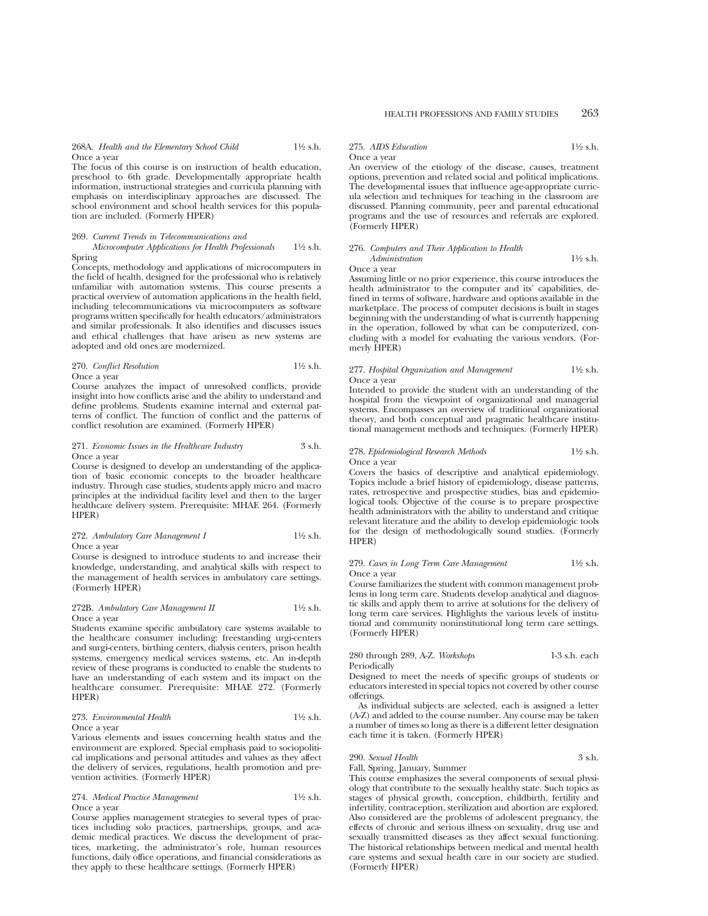268A. *Health and the Elementary School Child* 11⁄2 s.h. Once a year

The focus of this course is on instruction of health education, preschool to 6th grade. Developmentally appropriate health information, instructional strategies and curricula planning with emphasis on interdisciplinary approaches are discussed. The school environment and school health services for this population are included. (Formerly HPER)

#### 269. *Current Trends in Telecommunications and*

*Microcomputer Applications for Health Professionals* 1<sup>1</sup>/2 s.h. Spring

Concepts, methodology and applications of microcomputers in the field of health, designed for the professional who is relatively unfamiliar with automation systems. This course presents a practical overview of automation applications in the health field, including telecommunications via microcomputers as software programs written specifically for health educators/administrators and similar professionals. It also identifies and discusses issues and ethical challenges that have arisen as new systems are adopted and old ones are modernized.

# 270. *Conflict Resolution* 11⁄2 s.h. Once a year

Course analyzes the impact of unresolved conflicts, provide insight into how conflicts arise and the ability to understand and define problems. Students examine internal and external patterns of conflict. The function of conflict and the patterns of conflict resolution are examined. (Formerly HPER)

#### 271. *Economic Issues in the Healthcare Industry* 3 s.h. Once a year

Course is designed to develop an understanding of the application of basic economic concepts to the broader healthcare industry. Through case studies, students apply micro and macro principles at the individual facility level and then to the larger healthcare delivery system. Prerequisite: MHAE 264. (Formerly HPER)

### 272. *Ambulatory Care Management I* 1<sup>1</sup>/<sub>2</sub> s.h. Once a year

Course is designed to introduce students to and increase their knowledge, understanding, and analytical skills with respect to the management of health services in ambulatory care settings. (Formerly HPER)

# 272B. *Ambulatory Care Management II* 1<sup>1</sup>/2 s.h. Once a year

Students examine specific ambulatory care systems available to the healthcare consumer including: freestanding urgi-centers and surgi-centers, birthing centers, dialysis centers, prison health systems, emergency medical services systems, etc. An in-depth review of these programs is conducted to enable the students to have an understanding of each system and its impact on the healthcare consumer. Prerequisite: MHAE 272. (Formerly HPER)

### 273. *Environmental Health* 11⁄2 s.h. Once a year

Various elements and issues concerning health status and the environment are explored. Special emphasis paid to sociopolitical implications and personal attitudes and values as they affect the delivery of services, regulations, health promotion and prevention activities. (Formerly HPER)

# 274. *Medical Practice Management* 11⁄2 s.h. Once a year

Course applies management strategies to several types of practices including solo practices, partnerships, groups, and academic medical practices. We discuss the development of practices, marketing, the administrator's role, human resources functions, daily office operations, and financial considerations as they apply to these healthcare settings. (Formerly HPER)

275. *AIDS Education* 11⁄2 s.h.

# Once a year

An overview of the etiology of the disease, causes, treatment options, prevention and related social and political implications. The developmental issues that influence age-appropriate curricula selection and techniques for teaching in the classroom are discussed. Planning community, peer and parental educational programs and the use of resources and referrals are explored. (Formerly HPER)

# 276. *Computers and Their Application to Health*

*Administration* 1<sup>1</sup>⁄2 s.h. Once a year

Assuming little or no prior experience, this course introduces the health administrator to the computer and its' capabilities, defined in terms of software, hardware and options available in the marketplace. The process of computer decisions is built in stages beginning with the understanding of what is currently happening in the operation, followed by what can be computerized, concluding with a model for evaluating the various vendors. (Formerly HPER)

# 277. *Hospital Organization and Management* 11⁄2 s.h. Once a year

Intended to provide the student with an understanding of the hospital from the viewpoint of organizational and managerial systems. Encompasses an overview of traditional organizational theory, and both conceptual and pragmatic healthcare institutional management methods and techniques. (Formerly HPER)

### 278. *Epidemiological Research Methods* 11⁄2 s.h. Once a year

Covers the basics of descriptive and analytical epidemiology. Topics include a brief history of epidemiology, disease patterns, rates, retrospective and prospective studies, bias and epidemio-

logical tools. Objective of the course is to prepare prospective health administrators with the ability to understand and critique relevant literature and the ability to develop epidemiologic tools for the design of methodologically sound studies. (Formerly HPER)

#### 279. *Cases in Long Term Care Management* 11⁄2 s.h. Once a year

Course familiarizes the student with common management problems in long term care. Students develop analytical and diagnostic skills and apply them to arrive at solutions for the delivery of long term care services. Highlights the various levels of institutional and community noninstitutional long term care settings. (Formerly HPER)

# 280 through 289, A-Z. *Workshops* 1-3 s.h. each Periodically

Designed to meet the needs of specific groups of students or educators interested in special topics not covered by other course offerings.

As individual subjects are selected, each is assigned a letter (A-Z) and added to the course number. Any course may be taken a number of times so long as there is a different letter designation each time it is taken. (Formerly HPER)

# 290. *Sexual Health* 3 s.h.

Fall, Spring, January, Summer

(Formerly HPER)

This course emphasizes the several components of sexual physiology that contribute to the sexually healthy state. Such topics as stages of physical growth, conception, childbirth, fertility and infertility, contraception, sterilization and abortion are explored. Also considered are the problems of adolescent pregnancy, the effects of chronic and serious illness on sexuality, drug use and sexually transmitted diseases as they affect sexual functioning. The historical relationships between medical and mental health care systems and sexual health care in our society are studied.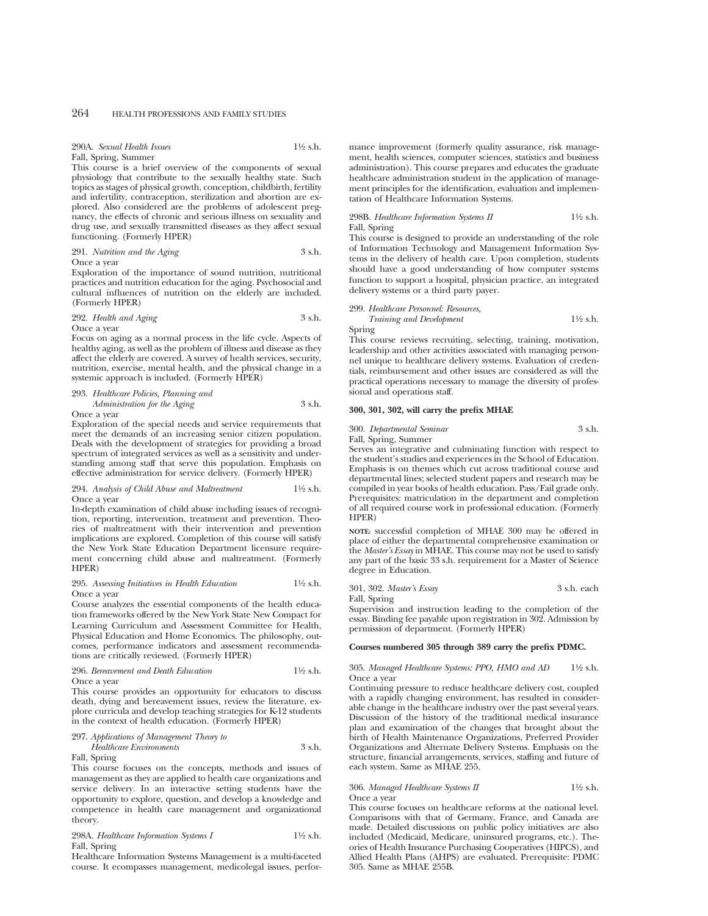| 290A. Sexual Health Issues | $1\frac{1}{2}$ s.h. |
|----------------------------|---------------------|
| Fall, Spring, Summer       |                     |

This course is a brief overview of the components of sexual physiology that contribute to the sexually healthy state. Such topics as stages of physical growth, conception, childbirth, fertility and infertility, contraception, sterilization and abortion are explored. Also considered are the problems of adolescent pregnancy, the effects of chronic and serious illness on sexuality and drug use, and sexually transmitted diseases as they affect sexual functioning. (Formerly HPER)

291. *Nutrition and the Aging* 3 s.h. Once a year

Exploration of the importance of sound nutrition, nutritional practices and nutrition education for the aging. Psychosocial and cultural influences of nutrition on the elderly are included. (Formerly HPER)

# 292. *Health and Aging* 3 s.h. Once a year

Focus on aging as a normal process in the life cycle. Aspects of healthy aging, as well as the problem of illness and disease as they affect the elderly are covered. A survey of health services, security, nutrition, exercise, mental health, and the physical change in a systemic approach is included. (Formerly HPER)

293. *Healthcare Policies, Planning and Administration for the Aging* 3 s.h.

Once a year

Exploration of the special needs and service requirements that meet the demands of an increasing senior citizen population. Deals with the development of strategies for providing a broad spectrum of integrated services as well as a sensitivity and understanding among staff that serve this population. Emphasis on effective administration for service delivery. (Formerly HPER)

#### 294. *Analysis of Child Abuse and Maltreatment* 11⁄2 s.h. Once a year

In-depth examination of child abuse including issues of recognition, reporting, intervention, treatment and prevention. Theories of maltreatment with their intervention and prevention implications are explored. Completion of this course will satisfy the New York State Education Department licensure requirement concerning child abuse and maltreatment. (Formerly HPER)

#### 295. *Assessing Initiatives in Health Education* 11⁄2 s.h. Once a year

Course analyzes the essential components of the health education frameworks offered by the New York State New Compact for Learning Curriculum and Assessment Committee for Health, Physical Education and Home Economics. The philosophy, outcomes, performance indicators and assessment recommendations are critically reviewed. (Formerly HPER)

# 296. *Bereavement and Death Education* 11⁄2 s.h. Once a year

This course provides an opportunity for educators to discuss death, dying and bereavement issues, review the literature, explore curricula and develop teaching strategies for K-12 students in the context of health education. (Formerly HPER)

# 297. *Applications of Management Theory to*

*Healthcare Environments* 3 s.h.

Fall, Spring

This course focuses on the concepts, methods and issues of management as they are applied to health care organizations and service delivery. In an interactive setting students have the opportunity to explore, question, and develop a knowledge and competence in health care management and organizational theory.

298A. *Healthcare Information Systems I* 11⁄2 s.h. Fall, Spring

Healthcare Information Systems Management is a multi-faceted course. It ecompasses management, medicolegal issues, perfor-

mance improvement (formerly quality assurance, risk management, health sciences, computer sciences, statistics and business administration). This course prepares and educates the graduate healthcare administration student in the application of management principles for the identification, evaluation and implementation of Healthcare Information Systems.

# 298B. *Healthcare Information Systems II* 11⁄2 s.h. Fall, Spring

This course is designed to provide an understanding of the role of Information Technology and Management Information Systems in the delivery of health care. Upon completion, students should have a good understanding of how computer systems function to support a hospital, physician practice, an integrated delivery systems or a third party payer.

# 299. *Healthcare Personnel: Resources, Training and Development* 1<sup>1</sup>⁄2 s.h.

Spring

This course reviews recruiting, selecting, training, motivation, leadership and other activities associated with managing personnel unique to healthcare delivery systems. Evaluation of credentials, reimbursement and other issues are considered as will the practical operations necessary to manage the diversity of professional and operations staff.

# **300, 301, 302, will carry the prefix MHAE**

300. *Departmental Seminar* 3 s.h. Fall, Spring, Summer

Serves an integrative and culminating function with respect to the student's studies and experiences in the School of Education. Emphasis is on themes which cut across traditional course and departmental lines; selected student papers and research may be compiled in year books of health education. Pass/Fail grade only. Prerequisites: matriculation in the department and completion of all required course work in professional education. (Formerly HPER)

**NOTE:** successful completion of MHAE 300 may be offered in place of either the departmental comprehensive examination or the *Master's Essay* in MHAE. This course may not be used to satisfy any part of the basic 33 s.h. requirement for a Master of Science degree in Education.

|  |  | 301, 302. Master's Essay | 3 s.h. each |
|--|--|--------------------------|-------------|
|--|--|--------------------------|-------------|

Fall, Spring

Supervision and instruction leading to the completion of the essay. Binding fee payable upon registration in 302. Admission by permission of department. (Formerly HPER)

# **Courses numbered 305 through 389 carry the prefix PDMC.**

# 305. *Managed Healthcare Systems: PPO, HMO and AD* 11⁄2 s.h. Once a year

Continuing pressure to reduce healthcare delivery cost, coupled with a rapidly changing environment, has resulted in considerable change in the healthcare industry over the past several years. Discussion of the history of the traditional medical insurance plan and examination of the changes that brought about the birth of Health Maintenance Organizations, Preferred Provider Organizations and Alternate Delivery Systems. Emphasis on the structure, financial arrangements, services, staffing and future of each system. Same as MHAE 255.

# 306. *Managed Healthcare Systems II* 11⁄2 s.h. Once a year

This course focuses on healthcare reforms at the national level. Comparisons with that of Germany, France, and Canada are made. Detailed discussions on public policy initiatives are also included (Medicaid, Medicare, uninsured programs, etc.). Theories of Health Insurance Purchasing Cooperatives (HIPCS), and Allied Health Plans (AHPS) are evaluated. Prerequisite: PDMC 305. Same as MHAE 255B.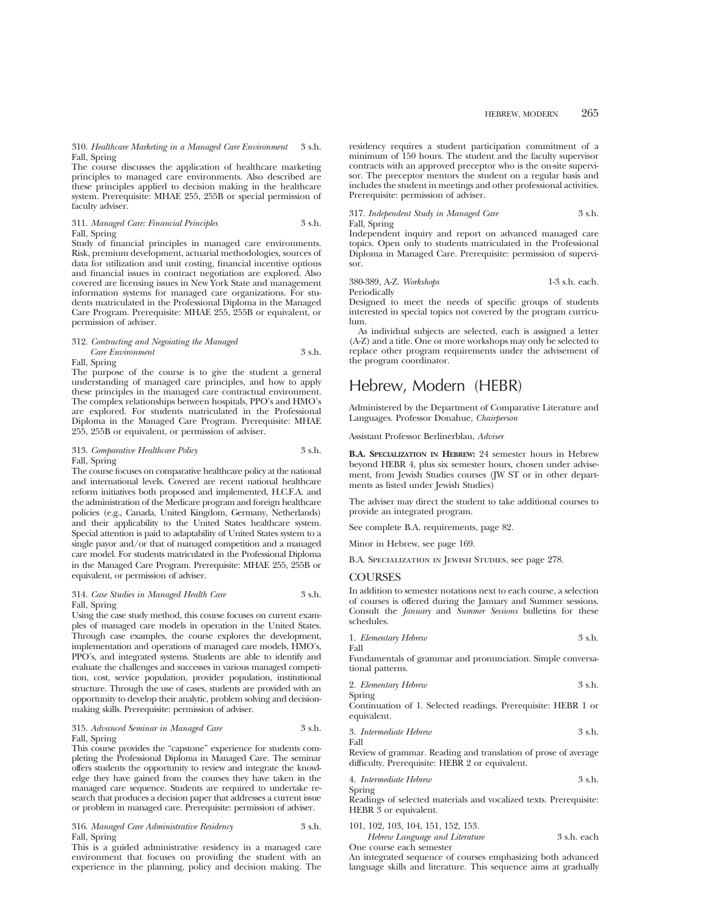310. *Healthcare Marketing in a Managed Care Environment* 3 s.h. Fall, Spring

The course discusses the application of healthcare marketing principles to managed care environments. Also described are these principles applied to decision making in the healthcare system. Prerequisite: MHAE 255, 255B or special permission of faculty adviser.

311. *Managed Care: Financial Principles* 3 s.h. Fall, Spring

Study of financial principles in managed care environments. Risk, premium development, actuarial methodologies, sources of data for utilization and unit costing, financial incentive options and financial issues in contract negotiation are explored. Also covered are licensing issues in New York State and management information systems for managed care organizations. For students matriculated in the Professional Diploma in the Managed Care Program. Prerequisite: MHAE 255, 255B or equivalent, or permission of adviser.

# 312. *Contracting and Negoiating the Managed Care Environment* 3 s.h.

Fall, Spring

The purpose of the course is to give the student a general understanding of managed care principles, and how to apply these principles in the managed care contractual environment. The complex relationships between hospitals, PPO's and HMO's are explored. For students matriculated in the Professional Diploma in the Managed Care Program. Prerequisite: MHAE 255, 255B or equivalent, or permission of adviser.

# 313. *Comparative Healthcare Policy* 3 s.h. Fall, Spring

The course focuses on comparative healthcare policy at the national and international levels. Covered are recent national healthcare reform initiatives both proposed and implemented, H.C.F.A. and the administration of the Medicare program and foreign healthcare policies (e.g., Canada, United Kingdom, Germany, Netherlands) and their applicability to the United States healthcare system. Special attention is paid to adaptability of United States system to a single payor and/or that of managed competition and a managed care model. For students matriculated in the Professional Diploma in the Managed Care Program. Prerequisite: MHAE 255, 255B or equivalent, or permission of adviser.

# 314. *Case Studies in Managed Health Care* 3 s.h. Fall, Spring

Using the case study method, this course focuses on current examples of managed care models in operation in the United States. Through case examples, the course explores the development, implementation and operations of managed care models, HMO's, PPO's, and integrated systems. Students are able to identify and evaluate the challenges and successes in various managed competition, cost, service population, provider population, institutional structure. Through the use of cases, students are provided with an opportunity to develop their analytic, problem solving and decisionmaking skills. Prerequisite: permission of adviser.

# 315. *Advanced Seminar in Managed Care* 3 s.h. Fall, Spring

This course provides the "capstone" experience for students completing the Professional Diploma in Managed Care. The seminar offers students the opportunity to review and integrate the knowledge they have gained from the courses they have taken in the managed care sequence. Students are required to undertake research that produces a decision paper that addresses a current issue or problem in managed care. Prerequisite: permission of adviser.

# 316. *Managed Care Administrative Residency* 3 s.h. Fall, Spring

This is a guided administrative residency in a managed care environment that focuses on providing the student with an experience in the planning, policy and decision making. The residency requires a student participation commitment of a minimum of 150 hours. The student and the faculty supervisor contracts with an approved preceptor who is the on-site supervisor. The preceptor mentors the student on a regular basis and includes the student in meetings and other professional activities. Prerequisite: permission of adviser.

# 317. *Independent Study in Managed Care* 3 s.h. Fall, Spring

Independent inquiry and report on advanced managed care topics. Open only to students matriculated in the Professional Diploma in Managed Care. Prerequisite: permission of supervisor.

# 380-389, A-Z. *Workshops* 1-3 s.h. each.

Periodically

Designed to meet the needs of specific groups of students interested in special topics not covered by the program curriculum.

As individual subjects are selected, each is assigned a letter (A-Z) and a title. One or more workshops may only be selected to replace other program requirements under the advisement of the program coordinator.

# Hebrew, Modern (HEBR)

Administered by the Department of Comparative Literature and Languages. Professor Donahue, *Chairperson*

Assistant Professor Berlinerblau, *Adviser*

**B.A. SPECIALIZATION IN HEBREW:** 24 semester hours in Hebrew beyond HEBR 4, plus six semester hours, chosen under advisement, from Jewish Studies courses (JW ST or in other departments as listed under Jewish Studies)

The adviser may direct the student to take additional courses to provide an integrated program.

See complete B.A. requirements, page 82.

Minor in Hebrew, see page 169.

B.A. Specialization in Jewish Studies, see page 278.

# COURSES

In addition to semester notations next to each course, a selection of courses is offered during the January and Summer sessions. Consult the *January* and *Summer Sessions* bulletins for these schedules.

1. *Elementary Hebrew* 3 s.h.

Fundamentals of grammar and pronunciation. Simple conversational patterns.

2. *Elementary Hebrew* 3 s.h. Spring

Continuation of 1. Selected readings. Prerequisite: HEBR 1 or equivalent.

3. *Intermediate Hebrew* 3 s.h.

Fall

Fall

Review of grammar. Reading and translation of prose of average difficulty. Prerequisite: HEBR 2 or equivalent.

4. *Intermediate Hebrew* 3 s.h.

Spring Readings of selected materials and vocalized texts. Prerequisite: HEBR  $\overline{3}$  or equivalent.

101, 102, 103, 104, 151, 152, 153.

*Hebrew Language and Literature* 3 s.h. each

One course each semester

An integrated sequence of courses emphasizing both advanced language skills and literature. This sequence aims at gradually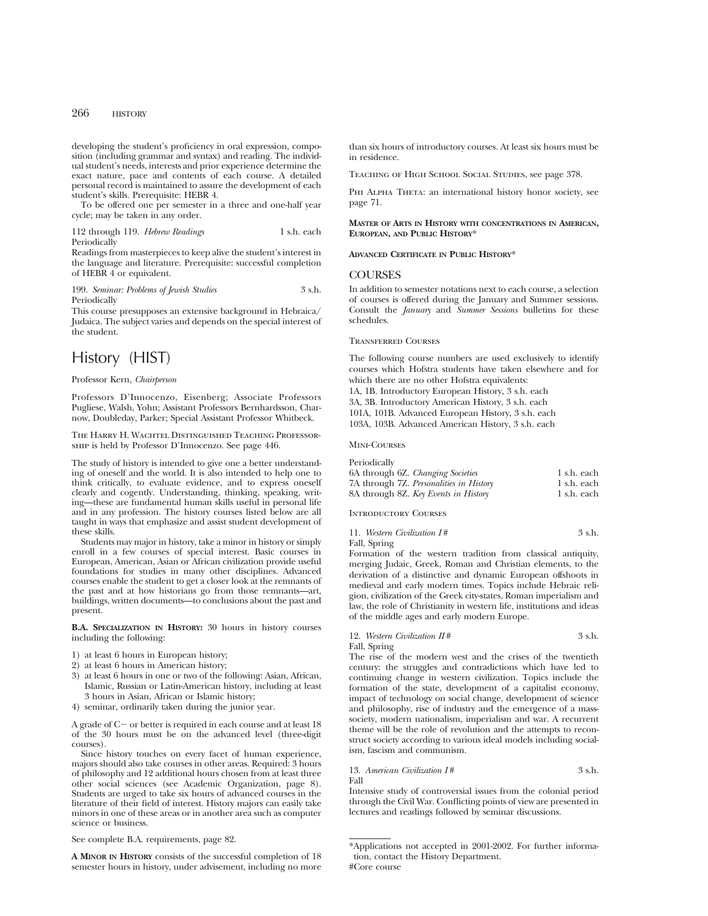developing the student's proficiency in oral expression, composition (including grammar and syntax) and reading. The individual student's needs, interests and prior experience determine the exact nature, pace and contents of each course. A detailed personal record is maintained to assure the development of each student's skills. Prerequisite: HEBR 4.

To be offered one per semester in a three and one-half year cycle; may be taken in any order.

112 through 119. *Hebrew Readings* 1 s.h. each Periodically

Readings from masterpieces to keep alive the student's interest in the language and literature. Prerequisite: successful completion of HEBR 4 or equivalent.

199. *Seminar: Problems of Jewish Studies* 3 s.h. Periodically

This course presupposes an extensive background in Hebraica/ Judaica. The subject varies and depends on the special interest of the student.

# History (HIST)

### Professor Kern, *Chairperson*

Professors D'Innocenzo, Eisenberg; Associate Professors Pugliese, Walsh, Yohn; Assistant Professors Bernhardsson, Charnow, Doubleday, Parker; Special Assistant Professor Whitbeck.

The Harry H. Wachtel Distinguished Teaching Professorship is held by Professor D'Innocenzo. See page 446.

The study of history is intended to give one a better understanding of oneself and the world. It is also intended to help one to think critically, to evaluate evidence, and to express oneself clearly and cogently. Understanding, thinking, speaking, writing—these are fundamental human skills useful in personal life and in any profession. The history courses listed below are all taught in ways that emphasize and assist student development of these skills.

Students may major in history, take a minor in history or simply enroll in a few courses of special interest. Basic courses in European, American, Asian or African civilization provide useful foundations for studies in many other disciplines. Advanced courses enable the student to get a closer look at the remnants of the past and at how historians go from those remnants—art, buildings, written documents—to conclusions about the past and present.

**B.A. SPECIALIZATION IN HISTORY:** 30 hours in history courses including the following:

- 1) at least 6 hours in European history;
- 2) at least 6 hours in American history;
- 3) at least 6 hours in one or two of the following: Asian, African, Islamic, Russian or Latin-American history, including at least 3 hours in Asian, African or Islamic history;
- 4) seminar, ordinarily taken during the junior year.

A grade of  $C$  – or better is required in each course and at least 18 of the 30 hours must be on the advanced level (three-digit courses).

Since history touches on every facet of human experience, majors should also take courses in other areas. Required: 3 hours of philosophy and 12 additional hours chosen from at least three other social sciences (see Academic Organization, page 8). Students are urged to take six hours of advanced courses in the literature of their field of interest. History majors can easily take minors in one of these areas or in another area such as computer science or business.

See complete B.A. requirements, page 82.

**A MINOR IN HISTORY** consists of the successful completion of 18 semester hours in history, under advisement, including no more than six hours of introductory courses. At least six hours must be in residence.

Teaching of High School Social Studies, see page 378.

PHI ALPHA THETA: an international history honor society, see page 71.

**MASTER OF ARTS IN HISTORY WITH CONCENTRATIONS IN AMERICAN, EUROPEAN, AND PUBLIC HISTORY**\*

# **ADVANCED CERTIFICATE IN PUBLIC HISTORY**\*

# **COURSES**

In addition to semester notations next to each course, a selection of courses is offered during the January and Summer sessions. Consult the *January* and *Summer Sessions* bulletins for these schedules.

#### Transferred Courses

The following course numbers are used exclusively to identify courses which Hofstra students have taken elsewhere and for which there are no other Hofstra equivalents: 1A, 1B. Introductory European History, 3 s.h. each 3A, 3B. Introductory American History, 3 s.h. each 101A, 101B. Advanced European History, 3 s.h. each 103A, 103B. Advanced American History, 3 s.h. each

Mini-Courses

| Periodically                            |             |
|-----------------------------------------|-------------|
| 6A through 6Z. Changing Societies       | 1 s.h. each |
| 7A through 7Z. Personalities in History | 1 s.h. each |
| 8A through 8Z. Key Events in History    | 1 s.h. each |

Introductory Courses

| 11. Western Civilization I# | 3 s.h. |
|-----------------------------|--------|
| Fall, Spring                |        |

Formation of the western tradition from classical antiquity, merging Judaic, Greek, Roman and Christian elements, to the derivation of a distinctive and dynamic European offshoots in medieval and early modern times. Topics include Hebraic religion, civilization of the Greek city-states, Roman imperialism and law, the role of Christianity in western life, institutions and ideas of the middle ages and early modern Europe.

# 12. *Western Civilization II* # 3 s.h.

Fall, Spring

The rise of the modern west and the crises of the twentieth century: the struggles and contradictions which have led to continuing change in western civilization. Topics include the formation of the state, development of a capitalist economy, impact of technology on social change, development of science and philosophy, rise of industry and the emergence of a masssociety, modern nationalism, imperialism and war. A recurrent theme will be the role of revolution and the attempts to reconstruct society according to various ideal models including socialism, fascism and communism.

#### 13. *American Civilization I* # 3 s.h. Fall

Intensive study of controversial issues from the colonial period through the Civil War. Conflicting points of view are presented in lectures and readings followed by seminar discussions.

<sup>\*</sup>Applications not accepted in 2001-2002. For further information, contact the History Department. #Core course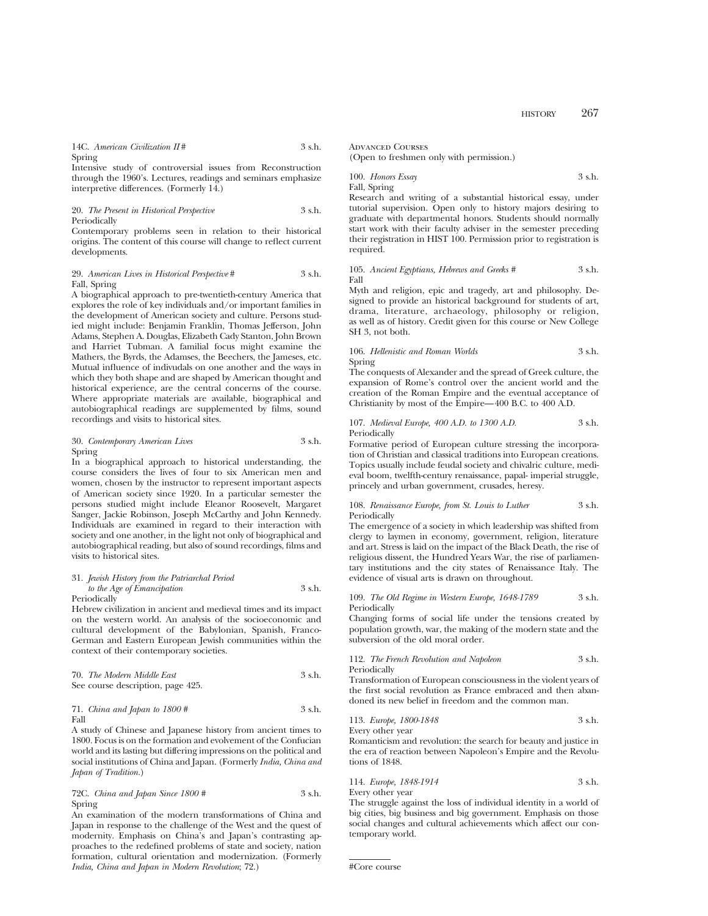14C. *American Civilization II* # 3 s.h. Spring

Intensive study of controversial issues from Reconstruction through the 1960's. Lectures, readings and seminars emphasize interpretive differences. (Formerly 14.)

# 20. *The Present in Historical Perspective* 3 s.h. Periodically

Contemporary problems seen in relation to their historical origins. The content of this course will change to reflect current developments.

# 29. *American Lives in Historical Perspective* # 3 s.h. Fall, Spring

A biographical approach to pre-twentieth-century America that explores the role of key individuals and/or important families in the development of American society and culture. Persons studied might include: Benjamin Franklin, Thomas Jefferson, John Adams, Stephen A. Douglas, Elizabeth Cady Stanton, John Brown and Harriet Tubman. A familial focus might examine the Mathers, the Byrds, the Adamses, the Beechers, the Jameses, etc. Mutual influence of indivudals on one another and the ways in which they both shape and are shaped by American thought and historical experience, are the central concerns of the course. Where appropriate materials are available, biographical and autobiographical readings are supplemented by films, sound recordings and visits to historical sites.

# 30. *Contemporary American Lives* 3 s.h. Spring

In a biographical approach to historical understanding, the course considers the lives of four to six American men and women, chosen by the instructor to represent important aspects of American society since 1920. In a particular semester the persons studied might include Eleanor Roosevelt, Margaret Sanger, Jackie Robinson, Joseph McCarthy and John Kennedy. Individuals are examined in regard to their interaction with society and one another, in the light not only of biographical and autobiographical reading, but also of sound recordings, films and visits to historical sites.

# 31. *Jewish History from the Patriarchal Period to the Age of Emancipation* 3 s.h.

Periodically

Hebrew civilization in ancient and medieval times and its impact on the western world. An analysis of the socioeconomic and cultural development of the Babylonian, Spanish, Franco-German and Eastern European Jewish communities within the context of their contemporary societies.

| 70. The Modern Middle East        | 3 s.h. |
|-----------------------------------|--------|
| See course description, page 425. |        |

# 71. *China and Japan to 1800 #* 3 s.h. Fall

A study of Chinese and Japanese history from ancient times to 1800. Focus is on the formation and evolvement of the Confucian world and its lasting but differing impressions on the political and social institutions of China and Japan. (Formerly *India, China and Japan of Tradition.*)

72C. *China and Japan Since 1800 #* 3 s.h. Spring

An examination of the modern transformations of China and Japan in response to the challenge of the West and the quest of modernity. Emphasis on China's and Japan's contrasting approaches to the redefined problems of state and society, nation formation, cultural orientation and modernization. (Formerly *India, China and Japan in Modern Revolution*; 72.)

Advanced Courses

(Open to freshmen only with permission.)

100. *Honors Essay* 3 s.h. Fall, Spring

Research and writing of a substantial historical essay, under tutorial supervision. Open only to history majors desiring to graduate with departmental honors. Students should normally start work with their faculty adviser in the semester preceding their registration in HIST 100. Permission prior to registration is required.

105. *Ancient Egyptians, Hebrews and Greeks #* 3 s.h. Fall

Myth and religion, epic and tragedy, art and philosophy. Designed to provide an historical background for students of art, drama, literature, archaeology, philosophy or religion, as well as of history. Credit given for this course or New College SH 3, not both.

# 106. *Hellenistic and Roman Worlds* 3 s.h. Spring

The conquests of Alexander and the spread of Greek culture, the expansion of Rome's control over the ancient world and the creation of the Roman Empire and the eventual acceptance of Christianity by most of the Empire—400 B.C. to 400 A.D.

# 107. *Medieval Europe, 400 A.D. to 1300 A.D.* 3 s.h. Periodically

Formative period of European culture stressing the incorporation of Christian and classical traditions into European creations. Topics usually include feudal society and chivalric culture, medieval boom, twelfth-century renaissance, papal- imperial struggle, princely and urban government, crusades, heresy.

108. *Renaissance Europe, from St. Louis to Luther* 3 s.h. Periodically

The emergence of a society in which leadership was shifted from clergy to laymen in economy, government, religion, literature and art. Stress is laid on the impact of the Black Death, the rise of religious dissent, the Hundred Years War, the rise of parliamentary institutions and the city states of Renaissance Italy. The evidence of visual arts is drawn on throughout.

109. *The Old Regime in Western Europe, 1648-1789* 3 s.h. Periodically

Changing forms of social life under the tensions created by population growth, war, the making of the modern state and the subversion of the old moral order.

112. *The French Revolution and Napoleon* 3 s.h. Periodically

Transformation of European consciousness in the violent years of the first social revolution as France embraced and then abandoned its new belief in freedom and the common man.

113. *Europe, 1800-1848* 3 s.h. Every other year

Romanticism and revolution: the search for beauty and justice in the era of reaction between Napoleon's Empire and the Revolutions of 1848.

114. *Europe, 1848-1914* 3 s.h.

Every other year

The struggle against the loss of individual identity in a world of big cities, big business and big government. Emphasis on those social changes and cultural achievements which affect our contemporary world.

#Core course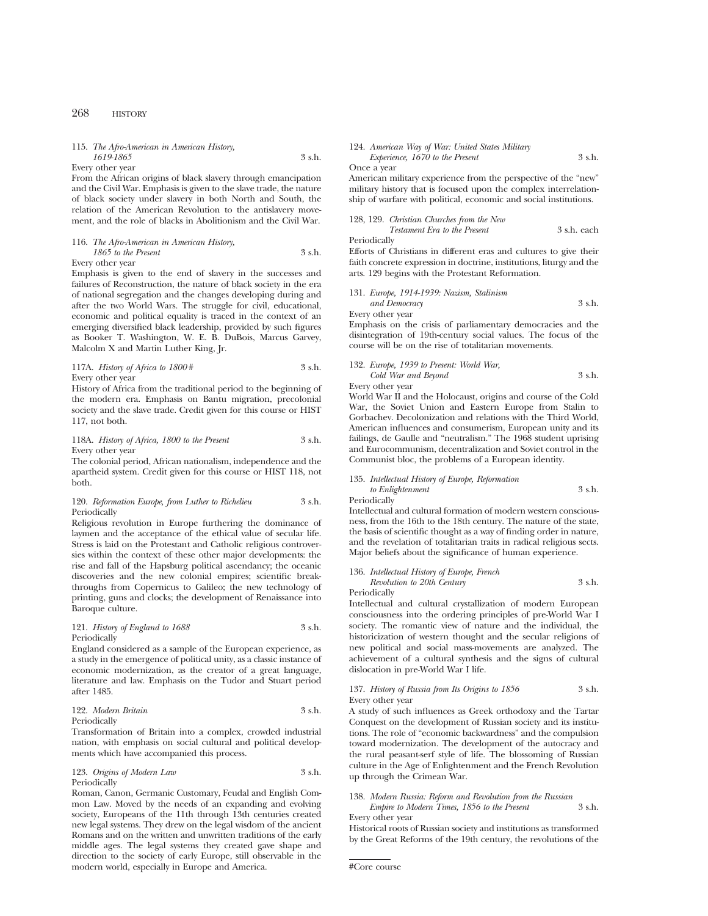# 115. *The Afro-American in American History, 1619-1865* 3 s.h.

Every other year

From the African origins of black slavery through emancipation and the Civil War. Emphasis is given to the slave trade, the nature of black society under slavery in both North and South, the relation of the American Revolution to the antislavery movement, and the role of blacks in Abolitionism and the Civil War.

# 116. *The Afro-American in American History, 1865 to the Present* 3 s.h.

Every other year

Emphasis is given to the end of slavery in the successes and failures of Reconstruction, the nature of black society in the era of national segregation and the changes developing during and after the two World Wars. The struggle for civil, educational, economic and political equality is traced in the context of an emerging diversified black leadership, provided by such figures as Booker T. Washington, W. E. B. DuBois, Marcus Garvey, Malcolm X and Martin Luther King, Jr.

# 117A. *History of Africa to 1800* # 3 s.h. Every other year

History of Africa from the traditional period to the beginning of the modern era. Emphasis on Bantu migration, precolonial society and the slave trade. Credit given for this course or HIST 117, not both.

118A. *History of Africa, 1800 to the Present* 3 s.h. Every other year

The colonial period, African nationalism, independence and the apartheid system. Credit given for this course or HIST 118, not both.

# 120. *Reformation Europe, from Luther to Richelieu* 3 s.h. Periodically

Religious revolution in Europe furthering the dominance of laymen and the acceptance of the ethical value of secular life. Stress is laid on the Protestant and Catholic religious controversies within the context of these other major developments: the rise and fall of the Hapsburg political ascendancy; the oceanic discoveries and the new colonial empires; scientific breakthroughs from Copernicus to Galileo; the new technology of printing, guns and clocks; the development of Renaissance into Baroque culture.

# 121. *History of England to 1688* 3 s.h. Periodically

England considered as a sample of the European experience, as a study in the emergence of political unity, as a classic instance of economic modernization, as the creator of a great language, literature and law. Emphasis on the Tudor and Stuart period after 1485.

# 122. *Modern Britain* 3 s.h. Periodically

Transformation of Britain into a complex, crowded industrial nation, with emphasis on social cultural and political developments which have accompanied this process.

# 123. *Origins of Modern Law* 3 s.h. Periodically

Roman, Canon, Germanic Customary, Feudal and English Common Law. Moved by the needs of an expanding and evolving society, Europeans of the 11th through 13th centuries created new legal systems. They drew on the legal wisdom of the ancient Romans and on the written and unwritten traditions of the early middle ages. The legal systems they created gave shape and direction to the society of early Europe, still observable in the modern world, especially in Europe and America.

# 124. *American Way of War: United States Military Experience, 1670 to the Present* 3 s.h.

Once a year

American military experience from the perspective of the "new" military history that is focused upon the complex interrelationship of warfare with political, economic and social institutions.

128, 129. *Christian Churches from the New Testament Era to the Present* 3 s.h. each

Periodically

Efforts of Christians in different eras and cultures to give their faith concrete expression in doctrine, institutions, liturgy and the arts. 129 begins with the Protestant Reformation.

131. *Europe, 1914-1939: Nazism, Stalinism and Democracy* 3 s.h. Every other year

Emphasis on the crisis of parliamentary democracies and the disintegration of 19th-century social values. The focus of the course will be on the rise of totalitarian movements.

132. *Europe, 1939 to Present: World War, Cold War and Beyond* 3 s.h.

Every other year

World War II and the Holocaust, origins and course of the Cold War, the Soviet Union and Eastern Europe from Stalin to Gorbachev. Decolonization and relations with the Third World, American influences and consumerism, European unity and its failings, de Gaulle and "neutralism." The 1968 student uprising and Eurocommunism, decentralization and Soviet control in the Communist bloc, the problems of a European identity.

# 135. *Intellectual History of Europe, Reformation*

*to Enlightenment* 3 s.h. **Periodically** 

Intellectual and cultural formation of modern western consciousness, from the 16th to the 18th century. The nature of the state, the basis of scientific thought as a way of finding order in nature, and the revelation of totalitarian traits in radical religious sects. Major beliefs about the significance of human experience.

# 136. *Intellectual History of Europe, French Revolution to 20th Century* 3 s.h.

Periodically

Intellectual and cultural crystallization of modern European consciousness into the ordering principles of pre-World War I society. The romantic view of nature and the individual, the historicization of western thought and the secular religions of new political and social mass-movements are analyzed. The achievement of a cultural synthesis and the signs of cultural dislocation in pre-World War I life.

# 137. *History of Russia from Its Origins to 1856* 3 s.h. Every other year

A study of such influences as Greek orthodoxy and the Tartar Conquest on the development of Russian society and its institutions. The role of "economic backwardness" and the compulsion toward modernization. The development of the autocracy and the rural peasant-serf style of life. The blossoming of Russian culture in the Age of Enlightenment and the French Revolution up through the Crimean War.

138. *Modern Russia: Reform and Revolution from the Russian*

*Empire to Modern Times, 1856 to the Present* 3 s.h. Every other year

Historical roots of Russian society and institutions as transformed by the Great Reforms of the 19th century, the revolutions of the

<sup>#</sup>Core course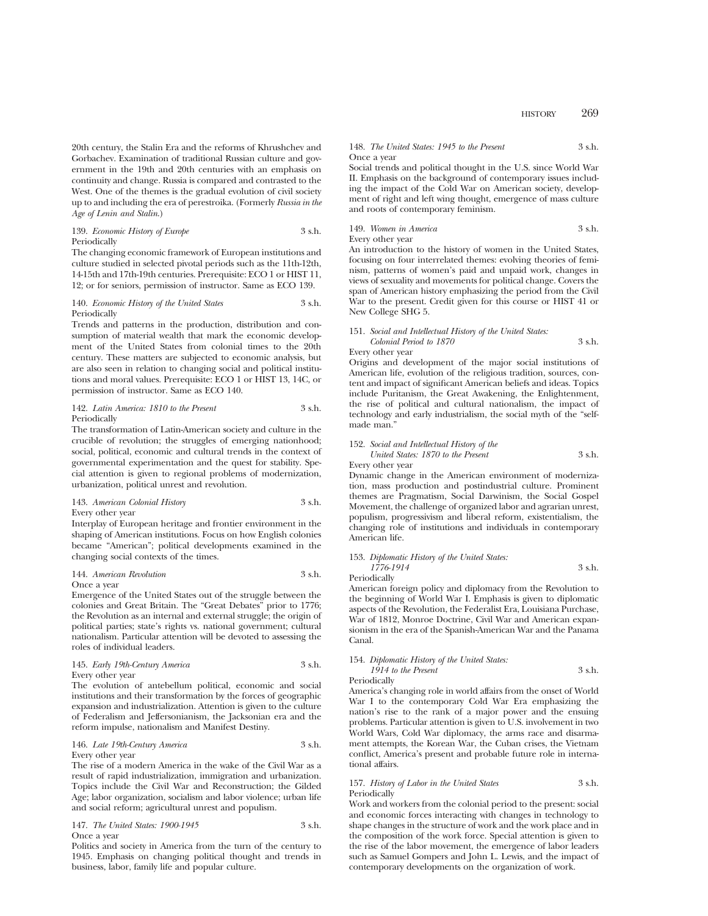20th century, the Stalin Era and the reforms of Khrushchev and Gorbachev. Examination of traditional Russian culture and government in the 19th and 20th centuries with an emphasis on continuity and change. Russia is compared and contrasted to the West. One of the themes is the gradual evolution of civil society up to and including the era of perestroika. (Formerly *Russia in the Age of Lenin and Stalin*.)

# 139. *Economic History of Europe* 3 s.h. Periodically

The changing economic framework of European institutions and culture studied in selected pivotal periods such as the 11th-12th, 14-15th and 17th-19th centuries. Prerequisite: ECO 1 or HIST 11, 12; or for seniors, permission of instructor. Same as ECO 139.

#### 140. *Economic History of the United States* 3 s.h. Periodically

Trends and patterns in the production, distribution and consumption of material wealth that mark the economic development of the United States from colonial times to the 20th century. These matters are subjected to economic analysis, but are also seen in relation to changing social and political institutions and moral values. Prerequisite: ECO 1 or HIST 13, 14C, or permission of instructor. Same as ECO 140.

# 142. *Latin America: 1810 to the Present* 3 s.h. Periodically

The transformation of Latin-American society and culture in the crucible of revolution; the struggles of emerging nationhood; social, political, economic and cultural trends in the context of governmental experimentation and the quest for stability. Special attention is given to regional problems of modernization, urbanization, political unrest and revolution.

# 143. *American Colonial History* 3 s.h. Every other year

Interplay of European heritage and frontier environment in the shaping of American institutions. Focus on how English colonies became "American"; political developments examined in the changing social contexts of the times.

### 144. *American Revolution* 3 s.h. Once a year

Emergence of the United States out of the struggle between the colonies and Great Britain. The "Great Debates" prior to 1776; the Revolution as an internal and external struggle; the origin of political parties; state's rights vs. national government; cultural nationalism. Particular attention will be devoted to assessing the roles of individual leaders.

145. *Early 19th-Century America* 3 s.h. Every other year

The evolution of antebellum political, economic and social institutions and their transformation by the forces of geographic expansion and industrialization. Attention is given to the culture of Federalism and Jeffersonianism, the Jacksonian era and the reform impulse, nationalism and Manifest Destiny.

# 146. *Late 19th-Century America* 3 s.h. Every other year

The rise of a modern America in the wake of the Civil War as a result of rapid industrialization, immigration and urbanization. Topics include the Civil War and Reconstruction; the Gilded Age; labor organization, socialism and labor violence; urban life and social reform; agricultural unrest and populism.

# 147. *The United States: 1900-1945* 3 s.h. Once a year

Politics and society in America from the turn of the century to 1945. Emphasis on changing political thought and trends in business, labor, family life and popular culture.

# 148. *The United States: 1945 to the Present* 3 s.h. Once a year

Social trends and political thought in the U.S. since World War II. Emphasis on the background of contemporary issues including the impact of the Cold War on American society, development of right and left wing thought, emergence of mass culture and roots of contemporary feminism.

149. *Women in America* 3 s.h. Every other year

An introduction to the history of women in the United States, focusing on four interrelated themes: evolving theories of feminism, patterns of women's paid and unpaid work, changes in views of sexuality and movements for political change. Covers the span of American history emphasizing the period from the Civil War to the present. Credit given for this course or HIST 41 or New College SHG 5.

# 151. *Social and Intellectual History of the United States: Colonial Period to 1870* 3 s.h.

# Every other year Origins and development of the major social institutions of American life, evolution of the religious tradition, sources, content and impact of significant American beliefs and ideas. Topics include Puritanism, the Great Awakening, the Enlightenment, the rise of political and cultural nationalism, the impact of technology and early industrialism, the social myth of the "selfmade man."

# 152. *Social and Intellectual History of the United States: 1870 to the Present* 3 s.h. Every other year

Dynamic change in the American environment of modernization, mass production and postindustrial culture. Prominent themes are Pragmatism, Social Darwinism, the Social Gospel Movement, the challenge of organized labor and agrarian unrest, populism, progressivism and liberal reform, existentialism, the changing role of institutions and individuals in contemporary American life.

# 153. *Diplomatic History of the United States: 1776-1914* 3 s.h. Periodically

American foreign policy and diplomacy from the Revolution to the beginning of World War I. Emphasis is given to diplomatic aspects of the Revolution, the Federalist Era, Louisiana Purchase, War of 1812, Monroe Doctrine, Civil War and American expansionism in the era of the Spanish-American War and the Panama Canal.

### 154. *Diplomatic History of the United States: 1914 to the Present* 3 s.h. Periodically

America's changing role in world affairs from the onset of World War I to the contemporary Cold War Era emphasizing the nation's rise to the rank of a major power and the ensuing problems. Particular attention is given to U.S. involvement in two World Wars, Cold War diplomacy, the arms race and disarmament attempts, the Korean War, the Cuban crises, the Vietnam conflict, America's present and probable future role in international affairs.

# 157. *History of Labor in the United States* 3 s.h. Periodically

Work and workers from the colonial period to the present: social and economic forces interacting with changes in technology to shape changes in the structure of work and the work place and in the composition of the work force. Special attention is given to the rise of the labor movement, the emergence of labor leaders such as Samuel Gompers and John L. Lewis, and the impact of contemporary developments on the organization of work.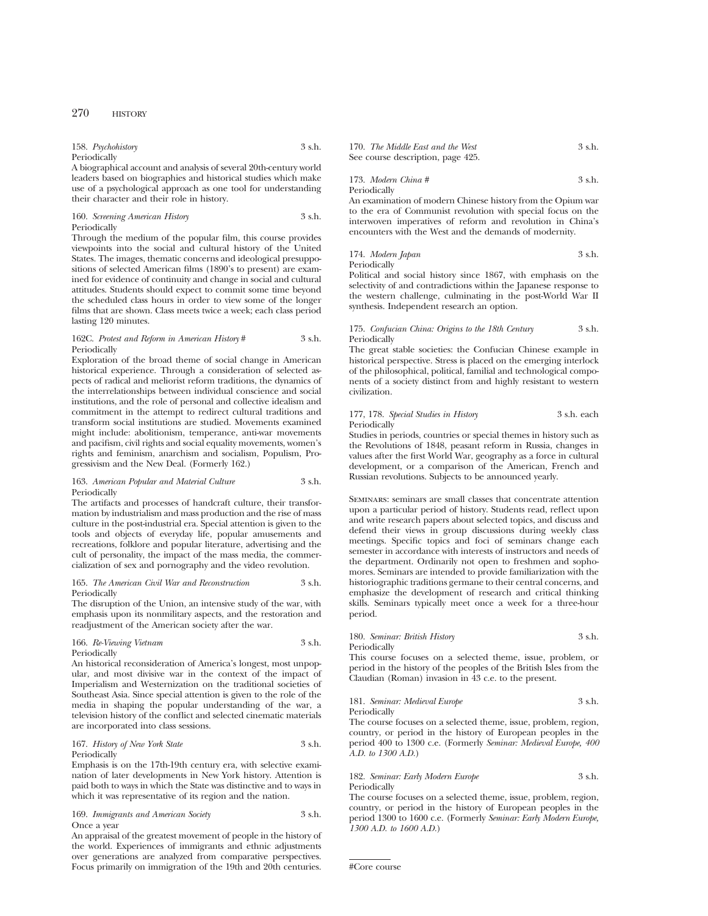| 158. Psychohistory | 3 s.h. |
|--------------------|--------|
| Periodically       |        |

A biographical account and analysis of several 20th-century world leaders based on biographies and historical studies which make use of a psychological approach as one tool for understanding their character and their role in history.

# 160. *Screening American History* 3 s.h. Periodically

Through the medium of the popular film, this course provides viewpoints into the social and cultural history of the United States. The images, thematic concerns and ideological presuppositions of selected American films (1890's to present) are examined for evidence of continuity and change in social and cultural attitudes. Students should expect to commit some time beyond the scheduled class hours in order to view some of the longer films that are shown. Class meets twice a week; each class period lasting 120 minutes.

# 162C. *Protest and Reform in American History* # 3 s.h. Periodically

Exploration of the broad theme of social change in American historical experience. Through a consideration of selected aspects of radical and meliorist reform traditions, the dynamics of the interrelationships between individual conscience and social institutions, and the role of personal and collective idealism and commitment in the attempt to redirect cultural traditions and transform social institutions are studied. Movements examined might include: abolitionism, temperance, anti-war movements and pacifism, civil rights and social equality movements, women's rights and feminism, anarchism and socialism, Populism, Progressivism and the New Deal. (Formerly 162.)

# 163. *American Popular and Material Culture* 3 s.h. Periodically

The artifacts and processes of handcraft culture, their transformation by industrialism and mass production and the rise of mass culture in the post-industrial era. Special attention is given to the tools and objects of everyday life, popular amusements and recreations, folklore and popular literature, advertising and the cult of personality, the impact of the mass media, the commercialization of sex and pornography and the video revolution.

### 165. *The American Civil War and Reconstruction* 3 s.h. Periodically

The disruption of the Union, an intensive study of the war, with emphasis upon its nonmilitary aspects, and the restoration and readjustment of the American society after the war.

# 166. *Re-Viewing Vietnam* 3 s.h. Periodically

An historical reconsideration of America's longest, most unpopular, and most divisive war in the context of the impact of Imperialism and Westernization on the traditional societies of Southeast Asia. Since special attention is given to the role of the media in shaping the popular understanding of the war, a television history of the conflict and selected cinematic materials are incorporated into class sessions.

# 167. *History of New York State* 3 s.h. Periodically

Emphasis is on the 17th-19th century era, with selective examination of later developments in New York history. Attention is paid both to ways in which the State was distinctive and to ways in which it was representative of its region and the nation.

# 169. *Immigrants and American Society* 3 s.h. Once a year

An appraisal of the greatest movement of people in the history of the world. Experiences of immigrants and ethnic adjustments over generations are analyzed from comparative perspectives. Focus primarily on immigration of the 19th and 20th centuries.

170. *The Middle East and the West* 3 s.h. See course description, page 425.

173. *Modern China #* 3 s.h. Periodically

An examination of modern Chinese history from the Opium war to the era of Communist revolution with special focus on the interwoven imperatives of reform and revolution in China's encounters with the West and the demands of modernity.

174. *Modern Japan* 3 s.h. Periodically

Political and social history since 1867, with emphasis on the selectivity of and contradictions within the Japanese response to the western challenge, culminating in the post-World War II synthesis. Independent research an option.

# 175. *Confucian China: Origins to the 18th Century* 3 s.h. Periodically

The great stable societies: the Confucian Chinese example in historical perspective. Stress is placed on the emerging interlock of the philosophical, political, familial and technological components of a society distinct from and highly resistant to western civilization.

# 177, 178. *Special Studies in History* 3 s.h. each **Periodically**

Studies in periods, countries or special themes in history such as the Revolutions of 1848, peasant reform in Russia, changes in values after the first World War, geography as a force in cultural development, or a comparison of the American, French and Russian revolutions. Subjects to be announced yearly.

Seminars: seminars are small classes that concentrate attention upon a particular period of history. Students read, reflect upon and write research papers about selected topics, and discuss and defend their views in group discussions during weekly class meetings. Specific topics and foci of seminars change each semester in accordance with interests of instructors and needs of the department. Ordinarily not open to freshmen and sophomores. Seminars are intended to provide familiarization with the historiographic traditions germane to their central concerns, and emphasize the development of research and critical thinking skills. Seminars typically meet once a week for a three-hour period.

# 180. *Seminar: British History* 3 s.h. Periodically

This course focuses on a selected theme, issue, problem, or period in the history of the peoples of the British Isles from the Claudian (Roman) invasion in 43 c.e. to the present.

181. *Seminar: Medieval Europe* 3 s.h. Periodically

The course focuses on a selected theme, issue, problem, region, country, or period in the history of European peoples in the period 400 to 1300 c.e. (Formerly *Seminar: Medieval Europe, 400 A.D. to 1300 A.D.*)

# 182. *Seminar: Early Modern Europe* 3 s.h. Periodically

The course focuses on a selected theme, issue, problem, region, country, or period in the history of European peoples in the period 1300 to 1600 c.e. (Formerly *Seminar: Early Modern Europe, 1300 A.D. to 1600 A.D.*)

```
#Core course
```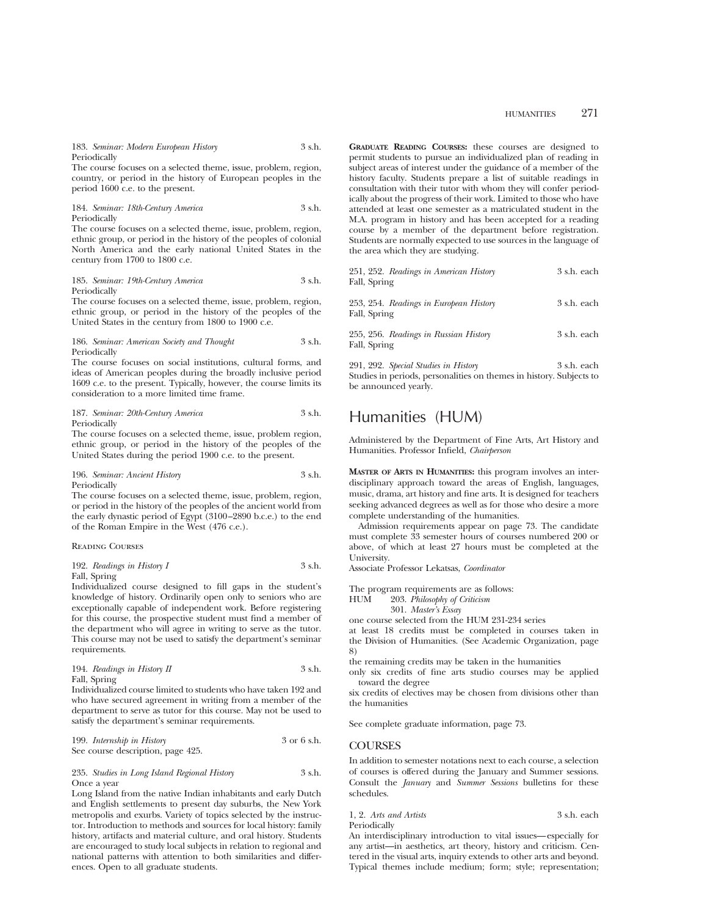183. *Seminar: Modern European History* 3 s.h. Periodically

The course focuses on a selected theme, issue, problem, region, country, or period in the history of European peoples in the period 1600 c.e. to the present.

184. *Seminar: 18th-Century America* 3 s.h. Periodically

The course focuses on a selected theme, issue, problem, region, ethnic group, or period in the history of the peoples of colonial North America and the early national United States in the century from 1700 to 1800 c.e.

#### 185. *Seminar: 19th-Century America* 3 s.h. Periodically

The course focuses on a selected theme, issue, problem, region, ethnic group, or period in the history of the peoples of the United States in the century from 1800 to 1900 c.e.

#### 186. *Seminar: American Society and Thought* 3 s.h. Periodically

The course focuses on social institutions, cultural forms, and ideas of American peoples during the broadly inclusive period 1609 c.e. to the present. Typically, however, the course limits its consideration to a more limited time frame.

# 187. *Seminar: 20th-Century America* 3 s.h. Periodically

The course focuses on a selected theme, issue, problem region, ethnic group, or period in the history of the peoples of the United States during the period 1900 c.e. to the present.

# 196. *Seminar: Ancient History* 3 s.h. Periodically

The course focuses on a selected theme, issue, problem, region, or period in the history of the peoples of the ancient world from the early dynastic period of Egypt (3100–2890 b.c.e.) to the end of the Roman Empire in the West (476 c.e.).

Reading Courses

| 192. Readings in History I | - 3 s.h. |
|----------------------------|----------|
| Fall, Spring               |          |

Individualized course designed to fill gaps in the student's knowledge of history. Ordinarily open only to seniors who are exceptionally capable of independent work. Before registering for this course, the prospective student must find a member of the department who will agree in writing to serve as the tutor. This course may not be used to satisfy the department's seminar requirements.

194. *Readings in History II* 3 s.h. Fall, Spring

Individualized course limited to students who have taken 192 and who have secured agreement in writing from a member of the department to serve as tutor for this course. May not be used to satisfy the department's seminar requirements.

199. *Internship in History* 3 or 6 s.h. See course description, page 425.

235. *Studies in Long Island Regional History* 3 s.h. Once a year

Long Island from the native Indian inhabitants and early Dutch and English settlements to present day suburbs, the New York metropolis and exurbs. Variety of topics selected by the instructor. Introduction to methods and sources for local history: family history, artifacts and material culture, and oral history. Students are encouraged to study local subjects in relation to regional and national patterns with attention to both similarities and differences. Open to all graduate students.

**GRADUATE READING COURSES:** these courses are designed to permit students to pursue an individualized plan of reading in subject areas of interest under the guidance of a member of the history faculty. Students prepare a list of suitable readings in consultation with their tutor with whom they will confer periodically about the progress of their work. Limited to those who have attended at least one semester as a matriculated student in the M.A. program in history and has been accepted for a reading course by a member of the department before registration. Students are normally expected to use sources in the language of the area which they are studying.

| 251, 252. Readings in American History<br>Fall, Spring                  | 3 s.h. each |
|-------------------------------------------------------------------------|-------------|
| 253, 254. Readings in European History<br>Fall, Spring                  | 3 s.h. each |
| 255, 256. Readings in Russian History<br>Fall, Spring                   | 3 s.h. each |
| 291, 292. Special Studies in History<br>$\alpha$ is the set of $\alpha$ | 3 s.h. each |

Studies in periods, personalities on themes in history. Subjects to be announced yearly.

# Humanities (HUM)

Administered by the Department of Fine Arts, Art History and Humanities. Professor Infield, *Chairperson*

**MASTER OF ARTS IN HUMANITIES:** this program involves an interdisciplinary approach toward the areas of English, languages, music, drama, art history and fine arts. It is designed for teachers seeking advanced degrees as well as for those who desire a more complete understanding of the humanities.

Admission requirements appear on page 73. The candidate must complete 33 semester hours of courses numbered 200 or above, of which at least 27 hours must be completed at the University.

Associate Professor Lekatsas, *Coordinator*

The program requirements are as follows:<br>HUM 203. Philosophy of Criticism

203. Philosophy of Criticism

301. *Master's Essay*

one course selected from the HUM 231-234 series

at least 18 credits must be completed in courses taken in the Division of Humanities. (See Academic Organization, page 8)

the remaining credits may be taken in the humanities

only six credits of fine arts studio courses may be applied toward the degree

six credits of electives may be chosen from divisions other than the humanities

See complete graduate information, page 73.

# **COURSES**

In addition to semester notations next to each course, a selection of courses is offered during the January and Summer sessions. Consult the *January* and *Summer Sessions* bulletins for these schedules.

1, 2. *Arts and Artists* 3 s.h. each Periodically

An interdisciplinary introduction to vital issues—especially for any artist—in aesthetics, art theory, history and criticism. Centered in the visual arts, inquiry extends to other arts and beyond. Typical themes include medium; form; style; representation;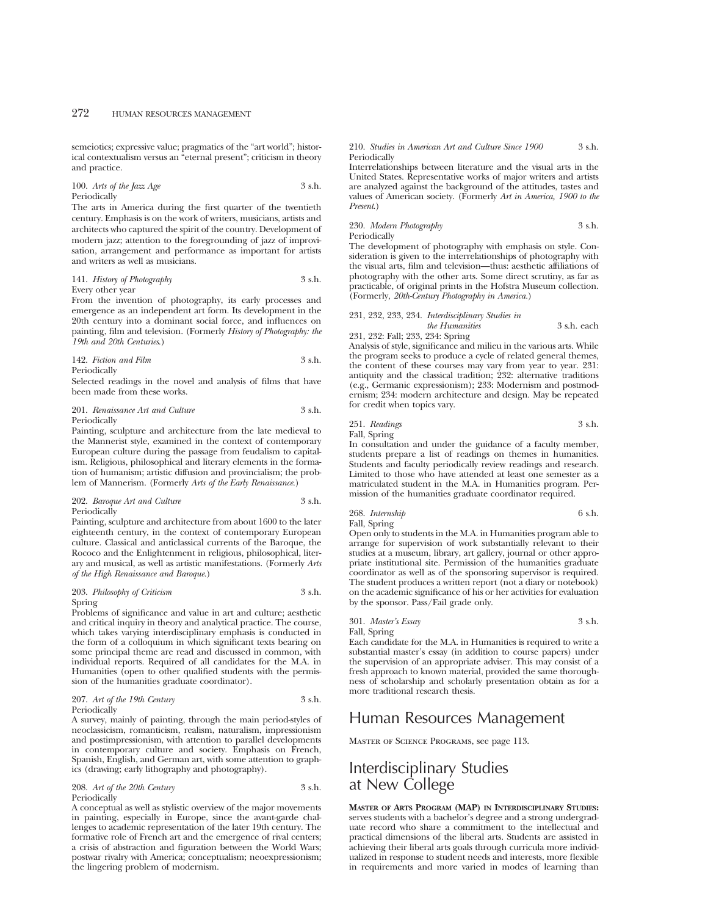semeiotics; expressive value; pragmatics of the "art world"; historical contextualism versus an "eternal present"; criticism in theory and practice.

100. *Arts of the Jazz Age* 3 s.h. Periodically

The arts in America during the first quarter of the twentieth century. Emphasis is on the work of writers, musicians, artists and architects who captured the spirit of the country. Development of modern jazz; attention to the foregrounding of jazz of improvisation, arrangement and performance as important for artists and writers as well as musicians.

141. *History of Photography* 3 s.h. Every other year

From the invention of photography, its early processes and emergence as an independent art form. Its development in the 20th century into a dominant social force, and influences on painting, film and television. (Formerly *History of Photography: the 19th and 20th Centuries*.)

142. *Fiction and Film* 3 s.h. Periodically

Selected readings in the novel and analysis of films that have been made from these works.

201. *Renaissance Art and Culture* 3 s.h. Periodically

Painting, sculpture and architecture from the late medieval to the Mannerist style, examined in the context of contemporary European culture during the passage from feudalism to capitalism. Religious, philosophical and literary elements in the formation of humanism; artistic diffusion and provincialism; the problem of Mannerism. (Formerly *Arts of the Early Renaissance.*)

# 202. *Baroque Art and Culture* 3 s.h. Periodically

Painting, sculpture and architecture from about 1600 to the later eighteenth century, in the context of contemporary European culture. Classical and anticlassical currents of the Baroque, the Rococo and the Enlightenment in religious, philosophical, literary and musical, as well as artistic manifestations. (Formerly *Arts of the High Renaissance and Baroque.*)

### 203. *Philosophy of Criticism* 3 s.h. Spring

Problems of significance and value in art and culture; aesthetic and critical inquiry in theory and analytical practice. The course, which takes varying interdisciplinary emphasis is conducted in the form of a colloquium in which significant texts bearing on some principal theme are read and discussed in common, with individual reports. Required of all candidates for the M.A. in Humanities (open to other qualified students with the permission of the humanities graduate coordinator).

# 207. Art of the 19th Century 3 s.h. Periodically

A survey, mainly of painting, through the main period-styles of neoclassicism, romanticism, realism, naturalism, impressionism and postimpressionism, with attention to parallel developments in contemporary culture and society. Emphasis on French, Spanish, English, and German art, with some attention to graphics (drawing; early lithography and photography).

208. Art of the 20th Century 3 s.h. Periodically

A conceptual as well as stylistic overview of the major movements in painting, especially in Europe, since the avant-garde challenges to academic representation of the later 19th century. The formative role of French art and the emergence of rival centers; a crisis of abstraction and figuration between the World Wars; postwar rivalry with America; conceptualism; neoexpressionism; the lingering problem of modernism.

### 210. *Studies in American Art and Culture Since 1900* 3 s.h. Periodically

Interrelationships between literature and the visual arts in the United States. Representative works of major writers and artists are analyzed against the background of the attitudes, tastes and values of American society. (Formerly *Art in America, 1900 to the Present*.)

# 230. *Modern Photography* 3 s.h. Periodically

The development of photography with emphasis on style. Consideration is given to the interrelationships of photography with the visual arts, film and television—thus: aesthetic affiliations of photography with the other arts. Some direct scrutiny, as far as practicable, of original prints in the Hofstra Museum collection. (Formerly, *20th-Century Photography in America.*)

# 231, 232, 233, 234. *Interdisciplinary Studies in the Humanities* 3 s.h. each 231, 232: Fall; 233, 234: Spring

Analysis of style, significance and milieu in the various arts. While the program seeks to produce a cycle of related general themes, the content of these courses may vary from year to year. 231: antiquity and the classical tradition; 232: alternative traditions (e.g., Germanic expressionism); 233: Modernism and postmodernism; 234: modern architecture and design. May be repeated for credit when topics vary.

# 251. *Readings* 3 s.h.

Fall, Spring

In consultation and under the guidance of a faculty member, students prepare a list of readings on themes in humanities. Students and faculty periodically review readings and research. Limited to those who have attended at least one semester as a matriculated student in the M.A. in Humanities program. Permission of the humanities graduate coordinator required.

268. *Internship* 6 s.h. Fall, Spring

Open only to students in the M.A. in Humanities program able to arrange for supervision of work substantially relevant to their studies at a museum, library, art gallery, journal or other appropriate institutional site. Permission of the humanities graduate coordinator as well as of the sponsoring supervisor is required. The student produces a written report (not a diary or notebook) on the academic significance of his or her activities for evaluation by the sponsor. Pass/Fail grade only.

# 301. *Master's Essay* 3 s.h. Fall, Spring

Each candidate for the M.A. in Humanities is required to write a substantial master's essay (in addition to course papers) under the supervision of an appropriate adviser. This may consist of a fresh approach to known material, provided the same thoroughness of scholarship and scholarly presentation obtain as for a more traditional research thesis.

# Human Resources Management

Master of Science Programs, see page 113.

# Interdisciplinary Studies at New College

**MASTER OF ARTS PROGRAM (MAP) IN INTERDISCIPLINARY STUDIES:** serves students with a bachelor's degree and a strong undergraduate record who share a commitment to the intellectual and practical dimensions of the liberal arts. Students are assisted in achieving their liberal arts goals through curricula more individualized in response to student needs and interests, more flexible in requirements and more varied in modes of learning than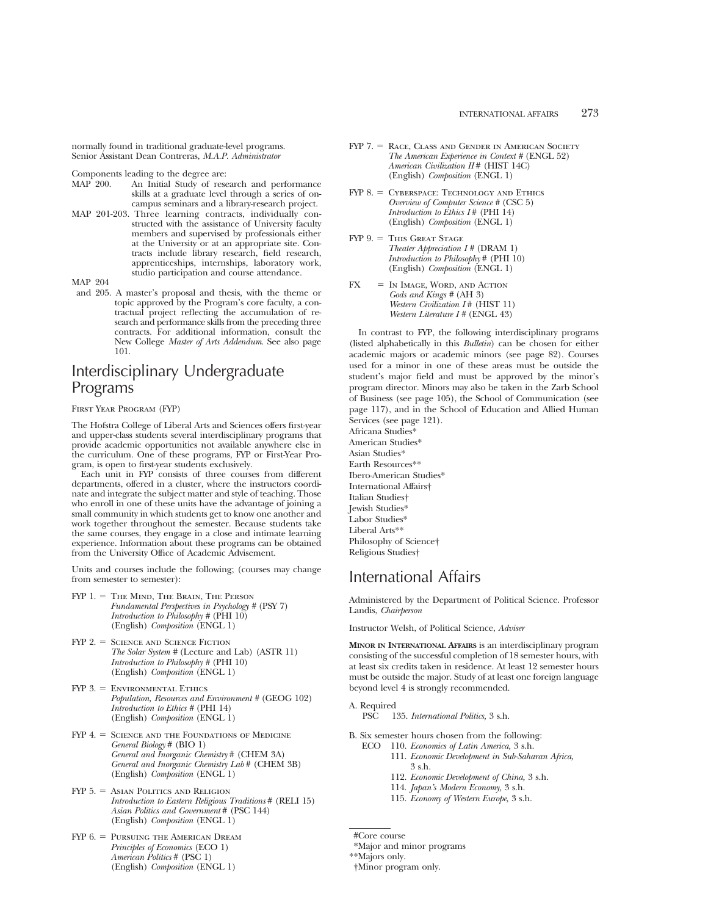normally found in traditional graduate-level programs. Senior Assistant Dean Contreras, *M.A.P. Administrator*

Components leading to the degree are:<br>MAP 200. An Initial Study of rese

- An Initial Study of research and performance skills at a graduate level through a series of oncampus seminars and a library-research project.
- MAP 201-203. Three learning contracts, individually constructed with the assistance of University faculty members and supervised by professionals either at the University or at an appropriate site. Contracts include library research, field research, apprenticeships, internships, laboratory work, studio participation and course attendance.

MAP 204

and 205. A master's proposal and thesis, with the theme or topic approved by the Program's core faculty, a contractual project reflecting the accumulation of research and performance skills from the preceding three contracts. For additional information, consult the New College *Master of Arts Addendum*. See also page 101.

# Interdisciplinary Undergraduate Programs

# First Year Program (FYP)

The Hofstra College of Liberal Arts and Sciences offers first-year and upper-class students several interdisciplinary programs that provide academic opportunities not available anywhere else in the curriculum. One of these programs, FYP or First-Year Program, is open to first-year students exclusively.

Each unit in FYP consists of three courses from different departments, offered in a cluster, where the instructors coordinate and integrate the subject matter and style of teaching. Those who enroll in one of these units have the advantage of joining a small community in which students get to know one another and work together throughout the semester. Because students take the same courses, they engage in a close and intimate learning experience. Information about these programs can be obtained from the University Office of Academic Advisement.

Units and courses include the following; (courses may change from semester to semester):

- $FYP$  1.  $=$  The Mind, The Brain, The Person *Fundamental Perspectives in Psychology #* (PSY 7) *Introduction to Philosophy* # (PHI 10) (English) *Composition* (ENGL 1)
- FYP 2. = SCIENCE AND SCIENCE FICTION *The Solar System #* (Lecture and Lab) (ASTR 11) *Introduction to Philosophy #* (PHI 10) (English) *Composition* (ENGL 1)
- $FYP$  3.  $=$  Environmental Ethics *Population, Resources and Environment #* (GEOG 102) *Introduction to Ethics #* (PHI 14) (English) *Composition* (ENGL 1)
- $FYP$  4.  $=$  Science and the Foundations of Medicine *General Biology* # (BIO 1) *General and Inorganic Chemistry* # (CHEM 3A) *General and Inorganic Chemistry Lab* # (CHEM 3B) (English) *Composition* (ENGL 1)
- $FYP 5. =$  Asian Politics and Religion *Introduction to Eastern Religious Traditions* # (RELI 15) *Asian Politics and Government* # (PSC 144) (English) *Composition* (ENGL 1)
- FYP 6. = PURSUING THE AMERICAN DREAM *Principles of Economics* (ECO 1) *American Politics* # (PSC 1) (English) *Composition* (ENGL 1)
- FYP 7. = RACE, CLASS AND GENDER IN AMERICAN SOCIETY *The American Experience in Context #* (ENGL 52) *American Civilization II* # (HIST 14C) (English) *Composition* (ENGL 1)
- FYP 8. = CYBERSPACE: TECHNOLOGY AND ETHICS *Overview of Computer Science #* (CSC 5) *Introduction to Ethics I* # (PHI 14) (English) *Composition* (ENGL 1)
- FYP 9. = This Great Stage *Theater Appreciation I #* (DRAM 1) *Introduction to Philosophy* # (PHI 10) (English) *Composition* (ENGL 1)
- $FX = IN IMAGE, WORD, AND ACTION$ *Gods and Kings #* (AH 3) *Western Civilization I* # (HIST 11) *Western Literature I #* (ENGL 43)

In contrast to FYP, the following interdisciplinary programs (listed alphabetically in this *Bulletin*) can be chosen for either academic majors or academic minors (see page 82). Courses used for a minor in one of these areas must be outside the student's major field and must be approved by the minor's program director. Minors may also be taken in the Zarb School of Business (see page 105), the School of Communication (see page 117), and in the School of Education and Allied Human Services (see page 121).

Africana Studies\* American Studies\* Asian Studies\* Earth Resources\*\* Ibero-American Studies\* International Affairs† Italian Studies† Jewish Studies\* Labor Studies\* Liberal Arts\*\* Philosophy of Science† Religious Studies†

# International Affairs

Administered by the Department of Political Science. Professor Landis, *Chairperson*

Instructor Welsh, of Political Science, *Adviser*

**MINOR IN INTERNATIONAL AFFAIRS** is an interdisciplinary program consisting of the successful completion of 18 semester hours, with at least six credits taken in residence. At least 12 semester hours must be outside the major. Study of at least one foreign language beyond level 4 is strongly recommended.

A. Required

PSC 135. *International Politics,* 3 s.h.

B. Six semester hours chosen from the following:

- ECO 110. *Economics of Latin America,* 3 s.h.
	- 111. *Economic Development in Sub-Saharan Africa,* 3 s.h.
	- 112. *Economic Development of China,* 3 s.h.
	- 114. *Japan's Modern Economy,* 3 s.h.
	- 115. *Economy of Western Europe,* 3 s.h.

<sup>#</sup>Core course

<sup>\*</sup>Major and minor programs

<sup>\*\*</sup>Majors only.

<sup>†</sup>Minor program only.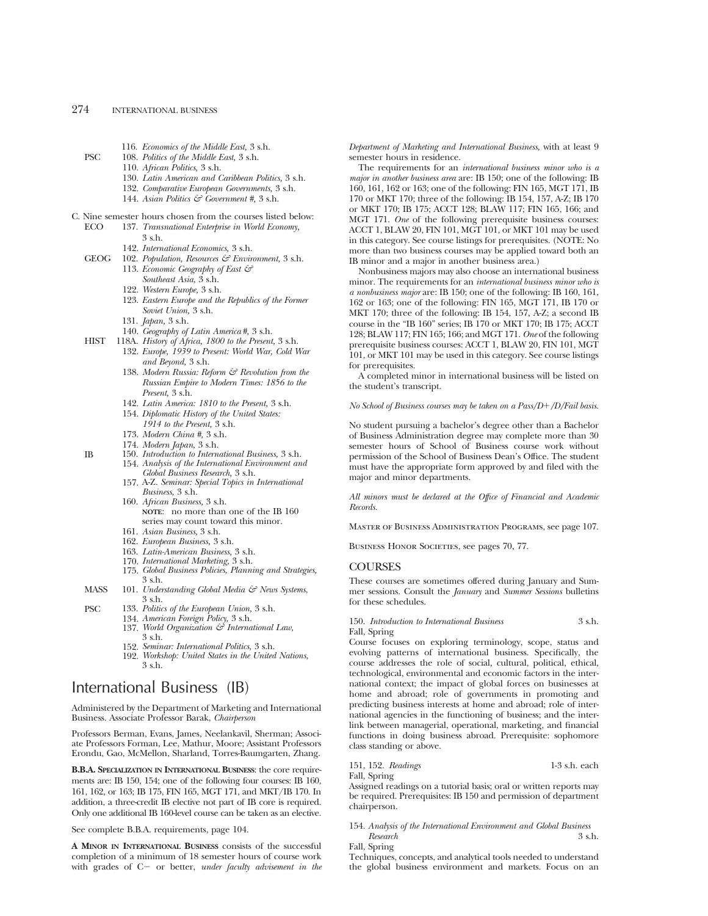- 116. *Economics of the Middle East,* 3 s.h.
- PSC 108. *Politics of the Middle East,* 3 s.h.
	- 110. *African Politics,* 3 s.h.
	- 130. *Latin American and Caribbean Politics,* 3 s.h.
	- 132. *Comparative European Governments,* 3 s.h.
	- 144. *Asian Politics & Government #,* 3 s.h.
- C. Nine semester hours chosen from the courses listed below:
	- ECO 137. *Transnational Enterprise in World Economy,* 3 s.h.
		- 142. *International Economics,* 3 s.h.
	- GEOG 102. *Population, Resources & Environment,* 3 s.h.
		- 113. *Economic Geography of East & Southeast Asia,* 3 s.h.
		- 122. *Western Europe,* 3 s.h.
		- 123. *Eastern Europe and the Republics of the Former Soviet Union,* 3 s.h.
		- 131. *Japan,* 3 s.h.
		- 140. *Geography of Latin America#,* 3 s.h.
	- HIST 118A. *History of Africa, 1800 to the Present,* 3 s.h.
		- 132. *Europe, 1939 to Present: World War, Cold War and Beyond,* 3 s.h.
		- 138. *Modern Russia: Reform & Revolution from the Russian Empire to Modern Times: 1856 to the Present,* 3 s.h.
		- 142. *Latin America: 1810 to the Present,* 3 s.h.
		- 154. *Diplomatic History of the United States: 1914 to the Present,* 3 s.h.
		- 173. *Modern China #,* 3 s.h.
		- 174. *Modern Japan,* 3 s.h.
	- IB 150. *Introduction to International Business,* 3 s.h. 154. *Analysis of the International Environment and Global Business Research,* 3 s.h.
		- 157. A-Z. *Seminar: Special Topics in International Business,* 3 s.h.
		- 160. *African Business,* 3 s.h. **NOTE**: no more than one of the IB 160 series may count toward this minor.
		- 161. *Asian Business,* 3 s.h.
		- 162. *European Business,* 3 s.h.
		- 163. *Latin-American Business,* 3 s.h.
		- 170. *International Marketing,* 3 s.h.
		- 175. *Global Business Policies, Planning and Strategies,* 3 s.h.
	- MASS 101. *Understanding Global Media & News Systems*, 3 s.h.
	- PSC 133. *Politics of the European Union,* 3 s.h.
		- 134. *American Foreign Policy,* 3 s.h.
		- 137. *World Organization & International Law,* 3 s.h.
		- 152. *Seminar: International Politics,* 3 s.h.
		- 192. *Workshop: United States in the United Nations,* 3 s.h.

# International Business (IB)

Administered by the Department of Marketing and International Business. Associate Professor Barak, *Chairperson*

Professors Berman, Evans, James, Neelankavil, Sherman; Associate Professors Forman, Lee, Mathur, Moore; Assistant Professors Erondu, Gao, McMellon, Sharland, Torres-Baumgarten, Zhang.

**B.B.A. SPECIALIZATION IN INTERNATIONAL BUSINESS**: the core requirements are: IB 150, 154; one of the following four courses: IB 160, 161, 162, or 163; IB 175, FIN 165, MGT 171, and MKT/IB 170. In addition, a three-credit IB elective not part of IB core is required. Only one additional IB 160-level course can be taken as an elective.

See complete B.B.A. requirements, page 104.

**A MINOR IN INTERNATIONAL BUSINESS** consists of the successful completion of a minimum of 18 semester hours of course work with grades of C- or better, *under faculty advisement in the*  *Department of Marketing and International Business,* with at least 9 semester hours in residence.

The requirements for an *international business minor who is a major in another business area* are: IB 150; one of the following: IB 160, 161, 162 or 163; one of the following: FIN 165, MGT 171, IB 170 or MKT 170; three of the following: IB 154, 157, A-Z; IB 170 or MKT 170; IB 175; ACCT 128; BLAW 117; FIN 165, 166; and MGT 171. *One* of the following prerequisite business courses: ACCT 1, BLAW 20, FIN 101, MGT 101, or MKT 101 may be used in this category. See course listings for prerequisites. (NOTE: No more than two business courses may be applied toward both an IB minor and a major in another business area.)

Nonbusiness majors may also choose an international business minor. The requirements for an *international business minor who is a nonbusiness major* are: IB 150; one of the following: IB 160, 161, 162 or 163; one of the following: FIN 165, MGT 171, IB 170 or MKT 170; three of the following: IB 154, 157, A-Z; a second IB course in the "IB 160" series; IB 170 or MKT 170; IB 175; ACCT 128; BLAW 117; FIN 165; 166; and MGT 171. *One* of the following prerequisite business courses: ACCT 1, BLAW 20, FIN 101, MGT 101, or MKT 101 may be used in this category. See course listings for prerequisites.

A completed minor in international business will be listed on the student's transcript.

*No School of Business courses may be taken on a Pass/D+/D/Fail basis.* 

No student pursuing a bachelor's degree other than a Bachelor of Business Administration degree may complete more than 30 semester hours of School of Business course work without permission of the School of Business Dean's Office. The student must have the appropriate form approved by and filed with the major and minor departments.

*All minors must be declared at the Office of Financial and Academic Records.*

Master of Business Administration Programs, see page 107.

BUSINESS HONOR SOCIETIES, see pages 70, 77.

# COURSES

These courses are sometimes offered during January and Summer sessions. Consult the *January* and *Summer Sessions* bulletins for these schedules.

# 150. *Introduction to International Business* 3 s.h. Fall, Spring

Course focuses on exploring terminology, scope, status and evolving patterns of international business. Specifically, the course addresses the role of social, cultural, political, ethical, technological, environmental and economic factors in the international context; the impact of global forces on businesses at home and abroad; role of governments in promoting and predicting business interests at home and abroad; role of international agencies in the functioning of business; and the interlink between managerial, operational, marketing, and financial functions in doing business abroad. Prerequisite: sophomore class standing or above.

# 151, 152. *Readings* 1-3 s.h. each Fall, Spring

Assigned readings on a tutorial basis; oral or written reports may be required. Prerequisites: IB 150 and permission of department chairperson.

154. *Analysis of the International Environment and Global Business Research* 3 s.h.

Fall, Spring

Techniques, concepts, and analytical tools needed to understand the global business environment and markets. Focus on an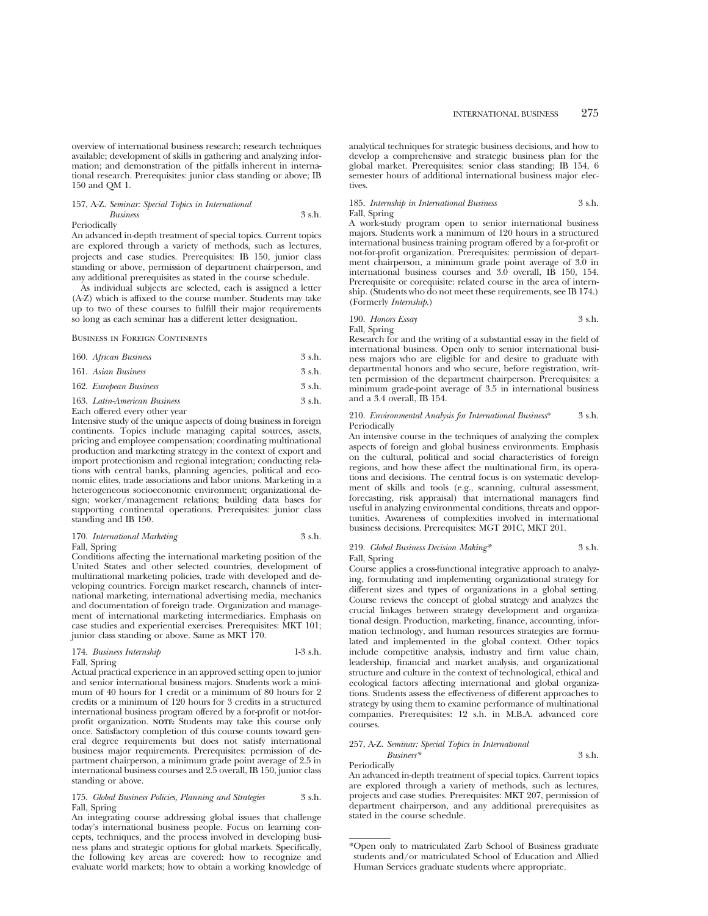overview of international business research; research techniques available; development of skills in gathering and analyzing information; and demonstration of the pitfalls inherent in international research. Prerequisites: junior class standing or above; IB 150 and QM 1.

### 157, A-Z. *Seminar: Special Topics in International*

#### *Business* 3 s.h. Periodically

An advanced in-depth treatment of special topics. Current topics are explored through a variety of methods, such as lectures, projects and case studies. Prerequisites: IB 150, junior class standing or above, permission of department chairperson, and any additional prerequisites as stated in the course schedule.

As individual subjects are selected, each is assigned a letter (A-Z) which is affixed to the course number. Students may take up to two of these courses to fulfill their major requirements so long as each seminar has a different letter designation.

#### Business in Foreign Continents

| 160. African Business | $3 \,$ s.h. |
|-----------------------|-------------|
| 161. Asian Business   | $3 \,$ s.h. |

#### 162. *European Business* 3 s.h.

163. *Latin-American Business* 3 s.h.

# Each offered every other year

Intensive study of the unique aspects of doing business in foreign continents. Topics include managing capital sources, assets, pricing and employee compensation; coordinating multinational production and marketing strategy in the context of export and import protectionism and regional integration; conducting relations with central banks, planning agencies, political and economic elites, trade associations and labor unions. Marketing in a heterogeneous socioeconomic environment; organizational design; worker/management relations; building data bases for supporting continental operations. Prerequisites: junior class standing and IB 150.

# 170. *International Marketing* 3 s.h. Fall, Spring

Conditions affecting the international marketing position of the United States and other selected countries, development of multinational marketing policies, trade with developed and developing countries. Foreign market research, channels of international marketing, international advertising media, mechanics and documentation of foreign trade. Organization and management of international marketing intermediaries. Emphasis on case studies and experiential exercises. Prerequisites: MKT 101; junior class standing or above. Same as MKT 170.

#### 174. *Business Internship* 1-3 s.h. Fall, Spring

Actual practical experience in an approved setting open to junior and senior international business majors. Students work a minimum of 40 hours for 1 credit or a minimum of 80 hours for 2 credits or a minimum of 120 hours for 3 credits in a structured international business program offered by a for-profit or not-forprofit organization. **NOTE:** Students may take this course only once. Satisfactory completion of this course counts toward general degree requirements but does not satisfy international business major requirements. Prerequisites: permission of department chairperson, a minimum grade point average of 2.5 in international business courses and 2.5 overall, IB 150, junior class standing or above.

# 175. *Global Business Policies, Planning and Strategies* 3 s.h. Fall, Spring

An integrating course addressing global issues that challenge today's international business people. Focus on learning concepts, techniques, and the process involved in developing business plans and strategic options for global markets. Specifically, the following key areas are covered: how to recognize and evaluate world markets; how to obtain a working knowledge of analytical techniques for strategic business decisions, and how to develop a comprehensive and strategic business plan for the global market. Prerequisites: senior class standing; IB 154, 6 semester hours of additional international business major electives.

# 185. *Internship in International Business* 3 s.h. Fall, Spring

A work-study program open to senior international business majors. Students work a minimum of 120 hours in a structured international business training program offered by a for-profit or not-for-profit organization. Prerequisites: permission of department chairperson, a minimum grade point average of 3.0 in international business courses and 3.0 overall, IB 150, 154. Prerequisite or corequisite: related course in the area of internship. (Students who do not meet these requirements, see IB 174.) (Formerly *Internship.*)

190. *Honors Essay* 3 s.h. Fall, Spring

Research for and the writing of a substantial essay in the field of international business. Open only to senior international business majors who are eligible for and desire to graduate with departmental honors and who secure, before registration, written permission of the department chairperson. Prerequisites: a minimum grade-point average of 3.5 in international business and a 3.4 overall, IB 154.

### 210. *Environmental Analysis for International Business*\* 3 s.h. Periodically

An intensive course in the techniques of analyzing the complex aspects of foreign and global business environments. Emphasis on the cultural, political and social characteristics of foreign regions, and how these affect the multinational firm, its operations and decisions. The central focus is on systematic development of skills and tools (e.g., scanning, cultural assessment, forecasting, risk appraisal) that international managers find useful in analyzing environmental conditions, threats and opportunities. Awareness of complexities involved in international business decisions. Prerequisites: MGT 201C, MKT 201.

### 219. *Global Business Decision Making\** 3 s.h. Fall, Spring

Course applies a cross-functional integrative approach to analyzing, formulating and implementing organizational strategy for different sizes and types of organizations in a global setting. Course reviews the concept of global strategy and analyzes the crucial linkages between strategy development and organizational design. Production, marketing, finance, accounting, information technology, and human resources strategies are formulated and implemented in the global context. Other topics include competitive analysis, industry and firm value chain, leadership, financial and market analysis, and organizational structure and culture in the context of technological, ethical and ecological factors affecting international and global organizations. Students assess the effectiveness of different approaches to strategy by using them to examine performance of multinational companies. Prerequisites: 12 s.h. in M.B.A. advanced core courses.

# 257, A-Z. *Seminar: Special Topics in International*

*Business\** 3 s.h. Periodically

An advanced in-depth treatment of special topics. Current topics are explored through a variety of methods, such as lectures, projects and case studies. Prerequisites: MKT 207, permission of department chairperson, and any additional prerequisites as stated in the course schedule.

<sup>\*</sup>Open only to matriculated Zarb School of Business graduate students and/or matriculated School of Education and Allied Human Services graduate students where appropriate.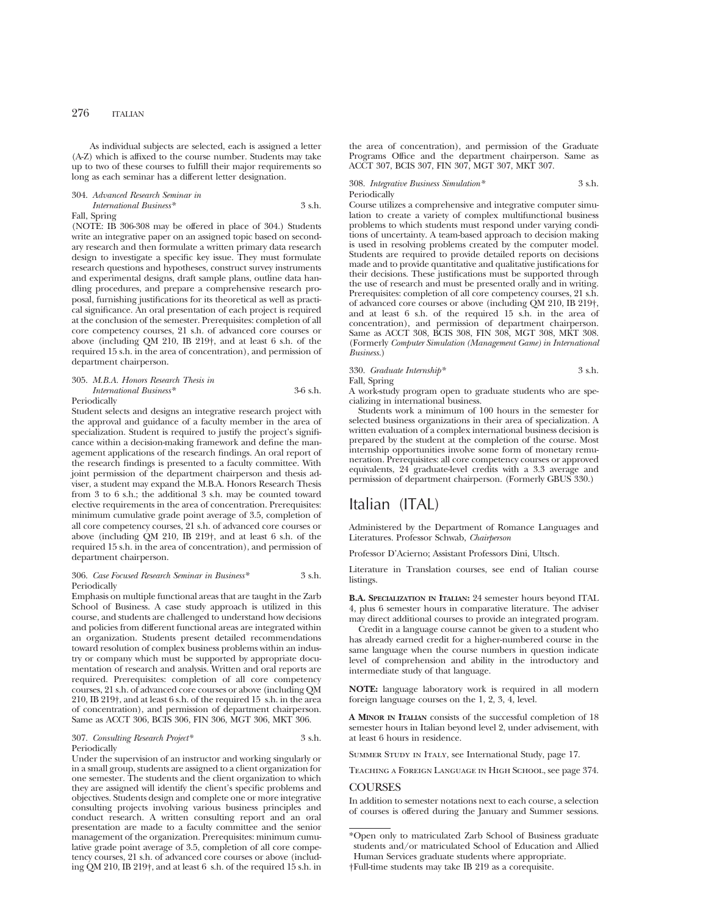As individual subjects are selected, each is assigned a letter (A-Z) which is affixed to the course number. Students may take up to two of these courses to fulfill their major requirements so long as each seminar has a different letter designation.

# 304. *Advanced Research Seminar in International Business\** 3 s.h. Fall, Spring

(NOTE: IB 306-308 may be offered in place of 304.) Students write an integrative paper on an assigned topic based on secondary research and then formulate a written primary data research design to investigate a specific key issue. They must formulate research questions and hypotheses, construct survey instruments and experimental designs, draft sample plans, outline data handling procedures, and prepare a comprehensive research proposal, furnishing justifications for its theoretical as well as practical significance. An oral presentation of each project is required at the conclusion of the semester. Prerequisites: completion of all core competency courses, 21 s.h. of advanced core courses or above (including QM 210, IB 219†, and at least 6 s.h. of the required 15 s.h. in the area of concentration), and permission of department chairperson.

# 305. *M.B.A. Honors Research Thesis in International Business\** 3-6 s.h. Periodically

Student selects and designs an integrative research project with the approval and guidance of a faculty member in the area of specialization. Student is required to justify the project's significance within a decision-making framework and define the management applications of the research findings. An oral report of the research findings is presented to a faculty committee. With joint permission of the department chairperson and thesis adviser, a student may expand the M.B.A. Honors Research Thesis from 3 to 6 s.h.; the additional 3 s.h. may be counted toward elective requirements in the area of concentration. Prerequisites: minimum cumulative grade point average of 3.5, completion of all core competency courses, 21 s.h. of advanced core courses or above (including QM 210, IB 219†, and at least 6 s.h. of the required 15 s.h. in the area of concentration), and permission of department chairperson.

### 306. *Case Focused Research Seminar in Business\** 3 s.h. Periodically

Emphasis on multiple functional areas that are taught in the Zarb School of Business. A case study approach is utilized in this course, and students are challenged to understand how decisions and policies from different functional areas are integrated within an organization. Students present detailed recommendations toward resolution of complex business problems within an industry or company which must be supported by appropriate documentation of research and analysis. Written and oral reports are required. Prerequisites: completion of all core competency courses, 21 s.h. of advanced core courses or above (including QM 210, IB 219†, and at least 6 s.h. of the required 15 s.h. in the area of concentration), and permission of department chairperson. Same as ACCT 306, BCIS 306, FIN 306, MGT 306, MKT 306.

#### 307. *Consulting Research Project\** 3 s.h. Periodically

Under the supervision of an instructor and working singularly or in a small group, students are assigned to a client organization for one semester. The students and the client organization to which they are assigned will identify the client's specific problems and objectives. Students design and complete one or more integrative consulting projects involving various business principles and conduct research. A written consulting report and an oral presentation are made to a faculty committee and the senior management of the organization. Prerequisites: minimum cumulative grade point average of 3.5, completion of all core competency courses, 21 s.h. of advanced core courses or above (including QM 210, IB 219†, and at least 6 s.h. of the required 15 s.h. in

the area of concentration), and permission of the Graduate Programs Office and the department chairperson. Same as ACCT 307, BCIS 307, FIN 307, MGT 307, MKT 307.

308. *Integrative Business Simulation\** 3 s.h. Periodically

Course utilizes a comprehensive and integrative computer simulation to create a variety of complex multifunctional business problems to which students must respond under varying conditions of uncertainty. A team-based approach to decision making is used in resolving problems created by the computer model. Students are required to provide detailed reports on decisions made and to provide quantitative and qualitative justifications for their decisions. These justifications must be supported through the use of research and must be presented orally and in writing. Prerequisites: completion of all core competency courses, 21 s.h. of advanced core courses or above (including QM 210, IB 219†, and at least 6 s.h. of the required 15 s.h. in the area of concentration), and permission of department chairperson. Same as ACCT 308, BCIS 308, FIN 308, MGT 308, MKT 308. (Formerly *Computer Simulation (Management Game) in International Business.*)

# 330. *Graduate Internship\** 3 s.h.

Fall, Spring

A work-study program open to graduate students who are specializing in international business.

Students work a minimum of 100 hours in the semester for selected business organizations in their area of specialization. A written evaluation of a complex international business decision is prepared by the student at the completion of the course. Most internship opportunities involve some form of monetary remuneration. Prerequisites: all core competency courses or approved equivalents, 24 graduate-level credits with a 3.3 average and permission of department chairperson. (Formerly GBUS 330.)

# Italian (ITAL)

Administered by the Department of Romance Languages and Literatures. Professor Schwab, *Chairperson*

Professor D'Acierno; Assistant Professors Dini, Ultsch.

Literature in Translation courses, see end of Italian course listings.

**B.A. SPECIALIZATION IN ITALIAN:** 24 semester hours beyond ITAL 4, plus 6 semester hours in comparative literature. The adviser may direct additional courses to provide an integrated program.

Credit in a language course cannot be given to a student who has already earned credit for a higher-numbered course in the same language when the course numbers in question indicate level of comprehension and ability in the introductory and intermediate study of that language.

**NOTE:** language laboratory work is required in all modern foreign language courses on the 1, 2, 3, 4, level.

**A MINOR IN ITALIAN** consists of the successful completion of 18 semester hours in Italian beyond level 2, under advisement, with at least 6 hours in residence.

Summer Study in Italy, see International Study, page 17.

Teaching a Foreign Language in High School, see page 374.

# **COURSES**

In addition to semester notations next to each course, a selection of courses is offered during the January and Summer sessions.

<sup>\*</sup>Open only to matriculated Zarb School of Business graduate students and/or matriculated School of Education and Allied Human Services graduate students where appropriate.

<sup>†</sup>Full-time students may take IB 219 as a corequisite.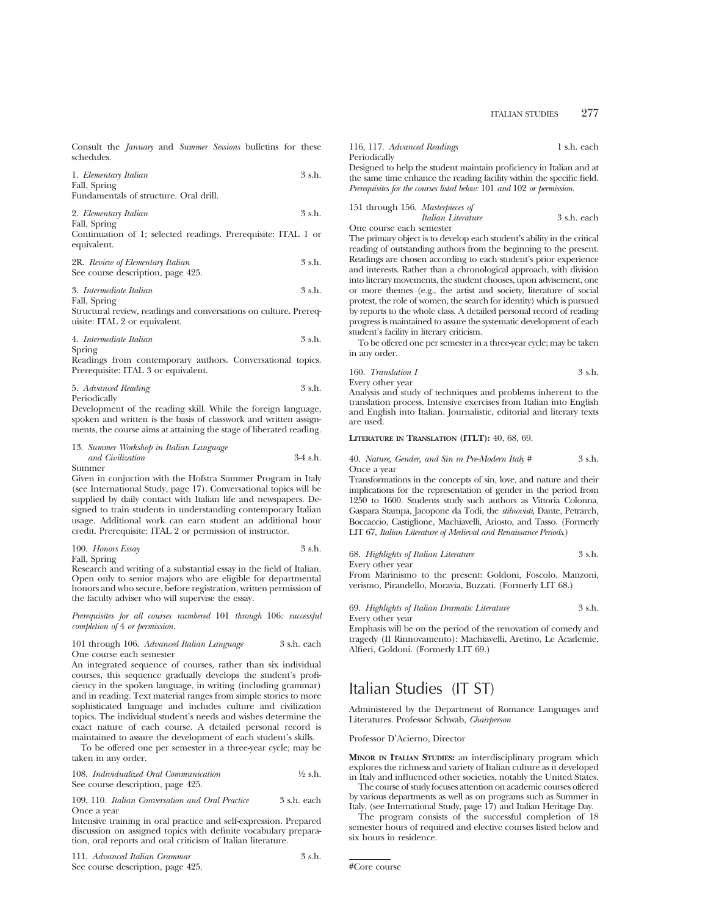Consult the *January* and *Summer Sessions* bulletins for these schedules.

| 1. Elementary Italian | 3 s.h. |
|-----------------------|--------|
| Fall, Spring          |        |

Fundamentals of structure. Oral drill.

2. *Elementary Italian* 3 s.h. Fall, Spring

Continuation of 1; selected readings. Prerequisite: ITAL 1 or equivalent.

| 2R. Review of Elementary Italian  | 3 s.h. |
|-----------------------------------|--------|
| See course description, page 425. |        |

3. *Intermediate Italian* 3 s.h. Fall, Spring

Structural review, readings and conversations on culture. Prerequisite: ITAL 2 or equivalent.

4. *Intermediate Italian* 3 s.h. Spring

Readings from contemporary authors. Conversational topics. Prerequisite: ITAL 3 or equivalent.

| 5. Advanced Reading | 3 s.h. |
|---------------------|--------|
| Periodically        |        |

Development of the reading skill. While the foreign language, spoken and written is the basis of classwork and written assignments, the course aims at attaining the stage of liberated reading.

13. *Summer Workshop in Italian Language and Civilization* 3-4 s.h. Summer

Given in conjuction with the Hofstra Summer Program in Italy (see International Study, page 17). Conversational topics will be supplied by daily contact with Italian life and newspapers. Designed to train students in understanding contemporary Italian usage. Additional work can earn student an additional hour credit. Prerequisite: ITAL 2 or permission of instructor.

| 100. Honors Essay | 3 s.h. |
|-------------------|--------|
|                   |        |

Fall, Spring

Research and writing of a substantial essay in the field of Italian. Open only to senior majors who are eligible for departmental honors and who secure, before registration, written permission of the faculty adviser who will supervise the essay.

*Prerequisites for all courses numbered* 101 *through* 106*: successful completion of* 4 *or permission.*

#### 101 through 106. *Advanced Italian Language* 3 s.h. each One course each semester

An integrated sequence of courses, rather than six individual courses, this sequence gradually develops the student's proficiency in the spoken language, in writing (including grammar) and in reading. Text material ranges from simple stories to more sophisticated language and includes culture and civilization topics. The individual student's needs and wishes determine the exact nature of each course. A detailed personal record is maintained to assure the development of each student's skills.

To be offered one per semester in a three-year cycle; may be taken in any order.

108. *Individualized Oral Communication* <sup>1</sup>/<sub>2</sub> s.h. See course description, page 425.

109, 110. *Italian Conversation and Oral Practice* 3 s.h. each Once a year

Intensive training in oral practice and self-expression. Prepared discussion on assigned topics with definite vocabulary preparation, oral reports and oral criticism of Italian literature.

111. *Advanced Italian Grammar* 3 s.h. See course description, page 425.

| 116, 117. Advanced Readings                                                               | 1 s.h. each |
|-------------------------------------------------------------------------------------------|-------------|
| Periodically                                                                              |             |
| Designed to help the student maintain proficiency in Italian and at                       |             |
| the same time enhance the reading facility within the specific field.                     |             |
| <i>Prerequisites for the courses listed below:</i> $101$ and $102$ or <i>bermission</i> . |             |

| 151 through 156. Masterpieces of |                    |             |
|----------------------------------|--------------------|-------------|
|                                  | Italian Literature | 3 s.h. each |

One course each semester

The primary object is to develop each student's ability in the critical reading of outstanding authors from the beginning to the present. Readings are chosen according to each student's prior experience and interests. Rather than a chronological approach, with division into literary movements, the student chooses, upon advisement, one or more themes (e.g., the artist and society, literature of social protest, the role of women, the search for identity) which is pursued by reports to the whole class. A detailed personal record of reading progress is maintained to assure the systematic development of each student's facility in literary criticism.

To be offered one per semester in a three-year cycle; may be taken in any order.

160. *Translation I* 3 s.h. Every other year

Analysis and study of techniques and problems inherent to the translation process. Intensive exercises from Italian into English and English into Italian. Journalistic, editorial and literary texts are used.

# **LITERATURE IN TRANSLATION (ITLT):** 40, 68, 69.

40. *Nature, Gender, and Sin in Pre-Modern Italy #* 3 s.h. Once a year

Transformations in the concepts of sin, love, and nature and their implications for the representation of gender in the period from 1250 to 1600. Students study such authors as Vittoria Colonna, Gaspara Stampa, Jacopone da Todi, the *stilnovisti*, Dante, Petrarch, Boccaccio, Castiglione, Machiavelli, Ariosto, and Tasso. (Formerly LIT 67, *Italian Literature of Medieval and Renaissance Periods*.)

|  | 68. Highlights of Italian Literature |  |  | 3 s.h. |
|--|--------------------------------------|--|--|--------|
|--|--------------------------------------|--|--|--------|

Every other year

From Marinismo to the present: Goldoni, Foscolo, Manzoni, verismo, Pirandello, Moravia, Buzzati. (Formerly LIT 68.)

69. *Highlights of Italian Dramatic Literature* 3 s.h. Every other year

Emphasis will be on the period of the renovation of comedy and tragedy (II Rinnovamento): Machiavelli, Aretino, Le Academie, Alfieri, Goldoni. (Formerly LIT 69.)

# Italian Studies (IT ST)

Administered by the Department of Romance Languages and Literatures. Professor Schwab, *Chairperson*

Professor D'Acierno, Director

**MINOR IN ITALIAN STUDIES:** an interdisciplinary program which explores the richness and variety of Italian culture as it developed in Italy and influenced other societies, notably the United States.

The course of study focuses attention on academic courses offered by various departments as well as on programs such as Summer in Italy, (see International Study, page 17) and Italian Heritage Day.

The program consists of the successful completion of 18 semester hours of required and elective courses listed below and six hours in residence.

#Core course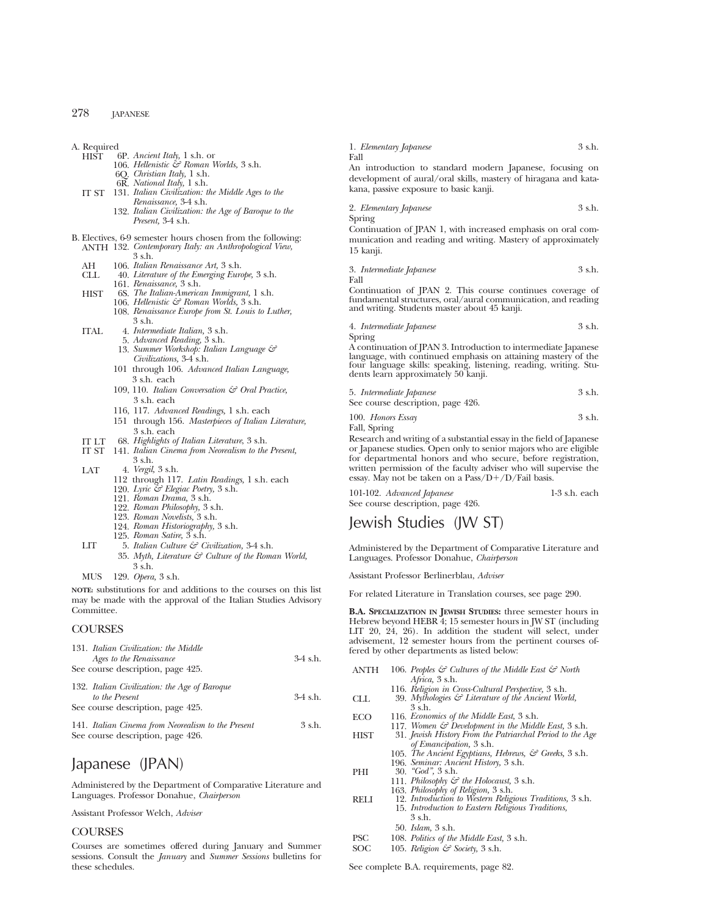A. Required<br>HIST 6 6P. *Ancient Italy*, 1 s.h. or 106. *Hellenistic & Roman Worlds,* 3 s.h. 6Q. *Christian Italy,* 1 s.h. 6R. *National Italy,* 1 s.h. IT ST 131. *Italian Civilization: the Middle Ages to the Renaissance,* 3-4 s.h. 132. *Italian Civilization: the Age of Baroque to the Present,* 3-4 s.h. B. Electives, 6-9 semester hours chosen from the following: ANTH 132. *Contemporary Italy: an Anthropological View,* 3 s.h. AH 106. *Italian Renaissance Art,* 3 s.h. CLL 40. *Literature of the Emerging Europe,* 3 s.h. 161. *Renaissance,* 3 s.h. HIST 6S. *The Italian-American Immigrant,* 1 s.h. 106. *Hellenistic & Roman Worlds,* 3 s.h. 108. *Renaissance Europe from St. Louis to Luther,* 3 s.h. ITAL 4. *Intermediate Italian,* 3 s.h. 5. *Advanced Reading,* 3 s.h. 13. *Summer Workshop: Italian Language & Civilizations,* 3-4 s.h. 101 through 106. *Advanced Italian Language,* 3 s.h. each 109, 110. *Italian Conversation & Oral Practice,* 3 s.h. each 116, 117. *Advanced Readings,* 1 s.h. each 151 through 156. *Masterpieces of Italian Literature,* 3 s.h. each IT LT 68. *Highlights of Italian Literature*, 3 s.h. Fall Spring Fall

IT ST 141. *Italian Cinema from Neorealism to the Present,* 3 s.h.

LAT 4. *Vergil,* 3 s.h.

- 112 through 117. *Latin Readings,* 1 s.h. each
- 120. *Lyric & Elegiac Poetry,* 3 s.h.
- 121. *Roman Drama,* 3 s.h.
- 122. *Roman Philosophy,* 3 s.h.
- 123. *Roman Novelists,* 3 s.h.
- 124. *Roman Historiography,* 3 s.h.
- 125. *Roman Satire,* 3 s.h.
- LIT 5. *Italian Culture & Civilization,* 3-4 s.h.
	- 35. *Myth, Literature & Culture of the Roman World,* 3 s.h.
- MUS 129. *Opera,* 3 s.h.

**NOTE:** substitutions for and additions to the courses on this list may be made with the approval of the Italian Studies Advisory Committee.

# COURSES

| 131. Italian Civilization: the Middle              |            |
|----------------------------------------------------|------------|
| Ages to the Renaissance                            | $3-4$ s.h. |
| See course description, page 425.                  |            |
| 132. Italian Civilization: the Age of Baroque      |            |
| to the Present                                     | $3-4$ s.h. |
| See course description, page 425.                  |            |
| 141. Italian Cinema from Neorealism to the Present | $3$ s.h.   |
| See course description, page 426.                  |            |

# Japanese (JPAN)

Administered by the Department of Comparative Literature and Languages. Professor Donahue, *Chairperson*

Assistant Professor Welch, *Adviser*

# **COURSES**

Courses are sometimes offered during January and Summer sessions. Consult the *January* and *Summer Sessions* bulletins for these schedules.

1. *Elementary Japanese* 3 s.h.

An introduction to standard modern Japanese, focusing on development of aural/oral skills, mastery of hiragana and katakana, passive exposure to basic kanji.

2. *Elementary Japanese* 3 s.h.

Continuation of JPAN 1, with increased emphasis on oral communication and reading and writing. Mastery of approximately 15 kanji.

3. *Intermediate Japanese* 3 s.h.

Continuation of JPAN 2. This course continues coverage of fundamental structures, oral/aural communication, and reading and writing. Students master about 45 kanji.

4. *Intermediate Japanese* 3 s.h. Spring

A continuation of JPAN 3. Introduction to intermediate Japanese language, with continued emphasis on attaining mastery of the four language skills: speaking, listening, reading, writing. Students learn approximately 50 kanji.

| 5. Intermediate Japanese          | 3 s.h. |
|-----------------------------------|--------|
| See course description, page 426. |        |

100. *Honors Essay* 3 s.h. Fall, Spring

Research and writing of a substantial essay in the field of Japanese or Japanese studies. Open only to senior majors who are eligible for departmental honors and who secure, before registration, written permission of the faculty adviser who will supervise the essay. May not be taken on a  $Pass/D+/D/Fall$  basis.

| 101-102. Advanced Japanese        | $1-3$ s.h. each |
|-----------------------------------|-----------------|
| See course description, page 426. |                 |

# Jewish Studies (JW ST)

Administered by the Department of Comparative Literature and Languages. Professor Donahue, *Chairperson*

Assistant Professor Berlinerblau, *Adviser*

For related Literature in Translation courses, see page 290.

**B.A. SPECIALIZATION IN JEWISH STUDIES:** three semester hours in Hebrew beyond HEBR 4; 15 semester hours in JW ST (including LIT 20, 24, 26). In addition the student will select, under advisement, 12 semester hours from the pertinent courses offered by other departments as listed below:

| <b>ANTH</b> | 106. Peoples & Cultures of the Middle East & North              |
|-------------|-----------------------------------------------------------------|
|             | Africa, 3 s.h.                                                  |
|             | 116. Religion in Cross-Cultural Perspective, 3 s.h.             |
| CLL         | 39. Mythologies $\mathcal{C}$ Literature of the Ancient World,  |
|             | 3 s.h.                                                          |
| <b>ECO</b>  | 116. Economics of the Middle East, 3 s.h.                       |
|             | 117. Women $\mathcal{C}$ Development in the Middle East, 3 s.h. |
| <b>HIST</b> | 31. Jewish History From the Patriarchal Period to the Age       |
|             | of Emancipation, 3 s.h.                                         |
|             | 105. The Ancient Egyptians, Hebrews, & Greeks, 3 s.h.           |
|             | 196. Seminar: Ancient History, 3 s.h.                           |
| PHI         | $30.$ "God", $3 \text{ s.h.}$                                   |
|             | 111. Philosophy $\mathcal{C}$ the Holocaust, 3 s.h.             |
|             | 163. Philosophy of Religion, 3 s.h.                             |
| <b>RELI</b> | 12. Introduction to Western Religious Traditions, 3 s.h.        |
|             | 15. Introduction to Eastern Religious Traditions,               |
|             | 3 s.h.                                                          |
|             | 50. <i>Islam</i> , 3 s.h.                                       |
| <b>PSC</b>  | 108. Politics of the Middle East, 3 s.h.                        |

SOC 105. *Religion*  $\mathcal{C}$  Society, 3 s.h.

See complete B.A. requirements, page 82.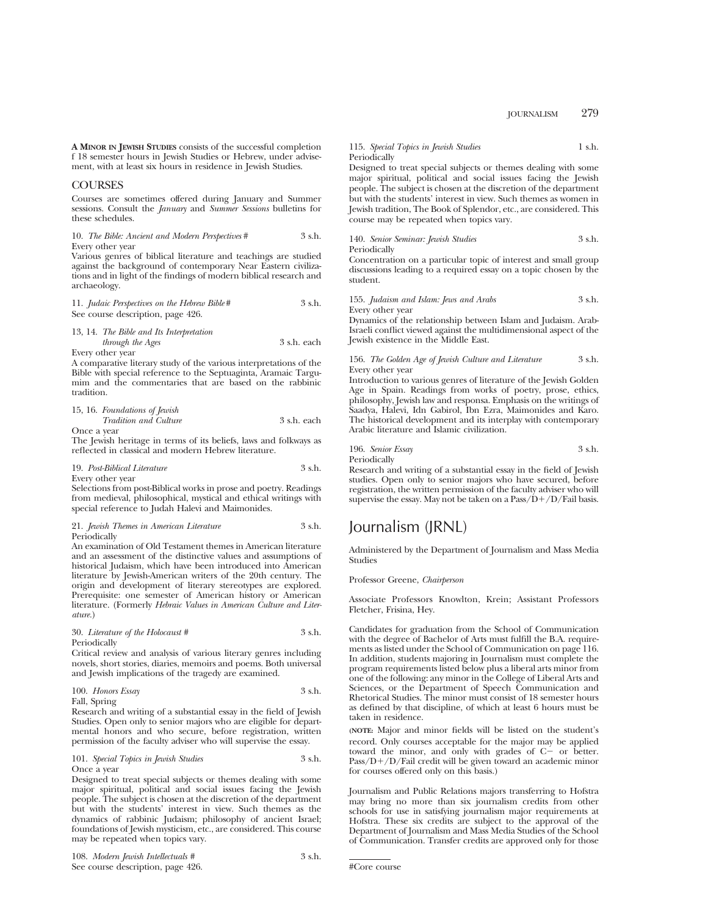**A MINOR IN JEWISH STUDIES** consists of the successful completion f 18 semester hours in Jewish Studies or Hebrew, under advisement, with at least six hours in residence in Jewish Studies.

# **COURSES**

Courses are sometimes offered during January and Summer sessions. Consult the *January* and *Summer Sessions* bulletins for these schedules.

#### 10. *The Bible: Ancient and Modern Perspectives* # 3 s.h. Every other year

Various genres of biblical literature and teachings are studied against the background of contemporary Near Eastern civilizations and in light of the findings of modern biblical research and archaeology.

11. *Judaic Perspectives on the Hebrew Bible#* 3 s.h. See course description, page 426.

### 13, 14. *The Bible and Its Interpretation*

*through the Ages* 3 s.h. each Every other year

A comparative literary study of the various interpretations of the Bible with special reference to the Septuaginta, Aramaic Targumim and the commentaries that are based on the rabbinic tradition.

# 15, 16. *Foundations of Jewish Tradition and Culture* 3 s.h. each Once a year

The Jewish heritage in terms of its beliefs, laws and folkways as reflected in classical and modern Hebrew literature.

19. *Post-Biblical Literature* 3 s.h. Every other year

Selections from post-Biblical works in prose and poetry. Readings from medieval, philosophical, mystical and ethical writings with special reference to Judah Halevi and Maimonides.

### 21. *Jewish Themes in American Literature* 3 s.h. Periodically

An examination of Old Testament themes in American literature and an assessment of the distinctive values and assumptions of historical Judaism, which have been introduced into American literature by Jewish-American writers of the 20th century. The origin and development of literary stereotypes are explored. Prerequisite: one semester of American history or American literature. (Formerly *Hebraic Values in American Culture and Literature.*)

# 30. *Literature of the Holocaust #* 3 s.h. Periodically

Critical review and analysis of various literary genres including novels, short stories, diaries, memoirs and poems. Both universal and Jewish implications of the tragedy are examined.

100. *Honors Essay* 3 s.h.

Fall, Spring

Research and writing of a substantial essay in the field of Jewish Studies. Open only to senior majors who are eligible for departmental honors and who secure, before registration, written permission of the faculty adviser who will supervise the essay.

# 101. *Special Topics in Jewish Studies* 3 s.h. Once a year

Designed to treat special subjects or themes dealing with some major spiritual, political and social issues facing the Jewish people. The subject is chosen at the discretion of the department but with the students' interest in view. Such themes as the dynamics of rabbinic Judaism; philosophy of ancient Israel; foundations of Jewish mysticism, etc., are considered. This course may be repeated when topics vary.

| 108. Modern Jewish Intellectuals # | 3 s.h. |
|------------------------------------|--------|
| See course description, page 426.  |        |

# 115. *Special Topics in Jewish Studies* 1 s.h. Periodically

Designed to treat special subjects or themes dealing with some major spiritual, political and social issues facing the Jewish people. The subject is chosen at the discretion of the department but with the students' interest in view. Such themes as women in Jewish tradition, The Book of Splendor, etc., are considered. This course may be repeated when topics vary.

140. *Senior Seminar: Jewish Studies* 3 s.h.

Periodically

Concentration on a particular topic of interest and small group discussions leading to a required essay on a topic chosen by the student.

155. *Judaism and Islam: Jews and Arabs* 3 s.h.

Every other year

Dynamics of the relationship between Islam and Judaism. Arab-Israeli conflict viewed against the multidimensional aspect of the Jewish existence in the Middle East.

### 156. *The Golden Age of Jewish Culture and Literature* 3 s.h. Every other year

Introduction to various genres of literature of the Jewish Golden Age in Spain. Readings from works of poetry, prose, ethics, philosophy, Jewish law and responsa. Emphasis on the writings of Saadya, Halevi, Idn Gabirol, Ibn Ezra, Maimonides and Karo. The historical development and its interplay with contemporary Arabic literature and Islamic civilization.

196. *Senior Essay* 3 s.h. Periodically

Research and writing of a substantial essay in the field of Jewish studies. Open only to senior majors who have secured, before registration, the written permission of the faculty adviser who will supervise the essay. May not be taken on a  $Pass/\dot{D}+/D/Fail$  basis.

# Journalism (JRNL)

Administered by the Department of Journalism and Mass Media Studies

# Professor Greene, *Chairperson*

Associate Professors Knowlton, Krein; Assistant Professors Fletcher, Frisina, Hey.

Candidates for graduation from the School of Communication with the degree of Bachelor of Arts must fulfill the B.A. requirements as listed under the School of Communication on page 116. In addition, students majoring in Journalism must complete the program requirements listed below plus a liberal arts minor from one of the following: any minor in the College of Liberal Arts and Sciences, or the Department of Speech Communication and Rhetorical Studies. The minor must consist of 18 semester hours as defined by that discipline, of which at least 6 hours must be taken in residence.

**(NOTE:** Major and minor fields will be listed on the student's record. Only courses acceptable for the major may be applied toward the minor, and only with grades of C- or better.  $Pass/D+/D/Fail credit will be given toward an academic minor$ for courses offered only on this basis.)

Journalism and Public Relations majors transferring to Hofstra may bring no more than six journalism credits from other schools for use in satisfying journalism major requirements at Hofstra. These six credits are subject to the approval of the Department of Journalism and Mass Media Studies of the School of Communication. Transfer credits are approved only for those

<sup>#</sup>Core course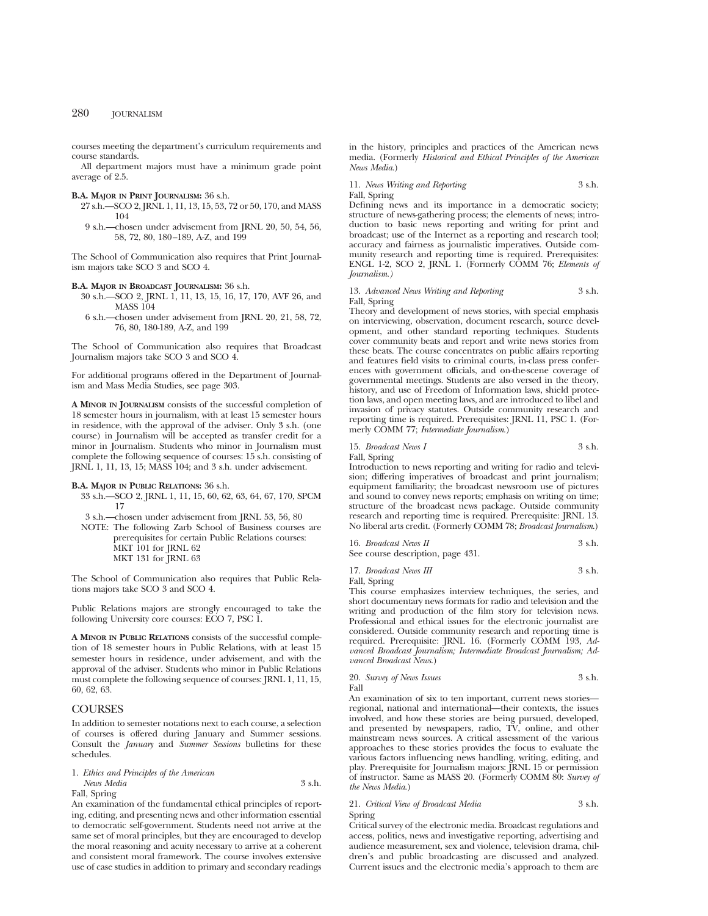courses meeting the department's curriculum requirements and course standards.

All department majors must have a minimum grade point average of 2.5.

# **B.A. MAJOR IN PRINT JOURNALISM:** 36 s.h.

- 27 s.h.—SCO 2, JRNL 1, 11, 13, 15, 53, 72 or 50, 170, and MASS 104
- 9 s.h.—chosen under advisement from JRNL 20, 50, 54, 56, 58, 72, 80, 180–189, A-Z, and 199

The School of Communication also requires that Print Journalism majors take SCO 3 and SCO 4.

#### **B.A. MAJOR IN BROADCAST JOURNALISM:** 36 s.h.

- 30 s.h.—SCO 2, JRNL 1, 11, 13, 15, 16, 17, 170, AVF 26, and MASS 104
- 6 s.h.—chosen under advisement from JRNL 20, 21, 58, 72, 76, 80, 180-189, A-Z, and 199

The School of Communication also requires that Broadcast Journalism majors take SCO 3 and SCO 4.

For additional programs offered in the Department of Journalism and Mass Media Studies, see page 303.

**A MINOR IN JOURNALISM** consists of the successful completion of 18 semester hours in journalism, with at least 15 semester hours in residence, with the approval of the adviser. Only 3 s.h. (one course) in Journalism will be accepted as transfer credit for a minor in Journalism. Students who minor in Journalism must complete the following sequence of courses: 15 s.h. consisting of JRNL 1, 11, 13, 15; MASS 104; and 3 s.h. under advisement.

# **B.A. MAJOR IN PUBLIC RELATIONS:** 36 s.h.

- 33 s.h.—SCO 2, JRNL 1, 11, 15, 60, 62, 63, 64, 67, 170, SPCM 17
- 3 s.h.—chosen under advisement from JRNL 53, 56, 80
- NOTE: The following Zarb School of Business courses are prerequisites for certain Public Relations courses: MKT 101 for JRNL 62 MKT 131 for JRNL 63

The School of Communication also requires that Public Relations majors take SCO 3 and SCO 4.

Public Relations majors are strongly encouraged to take the following University core courses: ECO 7, PSC 1.

**A MINOR IN PUBLIC RELATIONS** consists of the successful completion of 18 semester hours in Public Relations, with at least 15 semester hours in residence, under advisement, and with the approval of the adviser. Students who minor in Public Relations must complete the following sequence of courses: JRNL 1, 11, 15, 60, 62, 63.

# **COURSES**

In addition to semester notations next to each course, a selection of courses is offered during January and Summer sessions. Consult the *January* and *Summer Sessions* bulletins for these schedules.

1. *Ethics and Principles of the American News Media* 3 s.h. Fall, Spring

An examination of the fundamental ethical principles of reporting, editing, and presenting news and other information essential to democratic self-government. Students need not arrive at the same set of moral principles, but they are encouraged to develop the moral reasoning and acuity necessary to arrive at a coherent and consistent moral framework. The course involves extensive use of case studies in addition to primary and secondary readings in the history, principles and practices of the American news media. (Formerly *Historical and Ethical Principles of the American News Media*.)

11. *News Writing and Reporting* 3 s.h. Fall, Spring

Defining news and its importance in a democratic society; structure of news-gathering process; the elements of news; introduction to basic news reporting and writing for print and broadcast; use of the Internet as a reporting and research tool; accuracy and fairness as journalistic imperatives. Outside community research and reporting time is required. Prerequisites: ENGL 1-2, SCO 2, JRNL 1. (Formerly COMM 76; *Elements of Journalism.)*

### 13. *Advanced News Writing and Reporting* 3 s.h. Fall, Spring

Theory and development of news stories, with special emphasis on interviewing, observation, document research, source development, and other standard reporting techniques. Students cover community beats and report and write news stories from these beats. The course concentrates on public affairs reporting and features field visits to criminal courts, in-class press conferences with government officials, and on-the-scene coverage of governmental meetings. Students are also versed in the theory, history, and use of Freedom of Information laws, shield protection laws, and open meeting laws, and are introduced to libel and invasion of privacy statutes. Outside community research and reporting time is required. Prerequisites: JRNL 11, PSC 1. (Formerly COMM 77; *Intermediate Journalism*.)

# 15. *Broadcast News I* 3 s.h.

Fall, Spring

Introduction to news reporting and writing for radio and television; differing imperatives of broadcast and print journalism; equipment familiarity; the broadcast newsroom use of pictures and sound to convey news reports; emphasis on writing on time; structure of the broadcast news package. Outside community research and reporting time is required. Prerequisite: JRNL 13. No liberal arts credit. (Formerly COMM 78; *Broadcast Journalism*.)

| 16. Broadcast News II             | 3 s.h. |
|-----------------------------------|--------|
| See course description, page 431. |        |

17. *Broadcast News III* 3 s.h.

Fall, Spring

This course emphasizes interview techniques, the series, and short documentary news formats for radio and television and the writing and production of the film story for television news. Professional and ethical issues for the electronic journalist are considered. Outside community research and reporting time is required. Prerequisite: JRNL 16. (Formerly COMM 193, *Advanced Broadcast Journalism; Intermediate Broadcast Journalism; Advanced Broadcast News*.)

20. *Survey of News Issues* 3 s.h. Fall

An examination of six to ten important, current news stories regional, national and international—their contexts, the issues involved, and how these stories are being pursued, developed, and presented by newspapers, radio, TV, online, and other mainstream news sources. A critical assessment of the various approaches to these stories provides the focus to evaluate the various factors influencing news handling, writing, editing, and play. Prerequisite for Journalism majors: JRNL 15 or permission of instructor. Same as MASS 20. (Formerly COMM 80: *Survey of the News Media*.)

# 21. *Critical View of Broadcast Media* 3 s.h. Spring

Critical survey of the electronic media. Broadcast regulations and access, politics, news and investigative reporting, advertising and audience measurement, sex and violence, television drama, children's and public broadcasting are discussed and analyzed. Current issues and the electronic media's approach to them are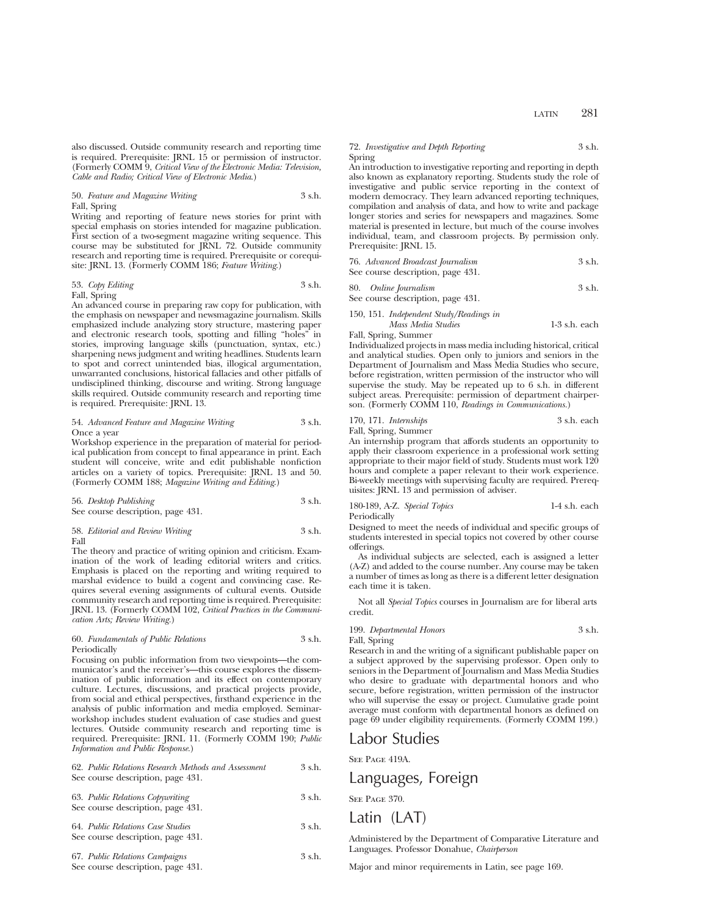also discussed. Outside community research and reporting time is required. Prerequisite: JRNL 15 or permission of instructor. (Formerly COMM 9, *Critical View of the Electronic Media: Television, Cable and Radio; Critical View of Electronic Media*.)

# 50. *Feature and Magazine Writing* 3 s.h. Fall, Spring

Writing and reporting of feature news stories for print with special emphasis on stories intended for magazine publication. First section of a two-segment magazine writing sequence. This course may be substituted for JRNL 72. Outside community research and reporting time is required. Prerequisite or corequisite: JRNL 13. (Formerly COMM 186; *Feature Writing*.)

| 53. Copy Editing | 3 s.h. |
|------------------|--------|
| Fall, Spring     |        |

An advanced course in preparing raw copy for publication, with the emphasis on newspaper and newsmagazine journalism. Skills emphasized include analyzing story structure, mastering paper and electronic research tools, spotting and filling "holes" in stories, improving language skills (punctuation, syntax, etc.) sharpening news judgment and writing headlines. Students learn to spot and correct unintended bias, illogical argumentation, unwarranted conclusions, historical fallacies and other pitfalls of undisciplined thinking, discourse and writing. Strong language skills required. Outside community research and reporting time is required. Prerequisite: JRNL 13.

# 54. *Advanced Feature and Magazine Writing* 3 s.h. Once a year

Workshop experience in the preparation of material for periodical publication from concept to final appearance in print. Each student will conceive, write and edit publishable nonfiction articles on a variety of topics. Prerequisite: JRNL 13 and 50. (Formerly COMM 188; *Magazine Writing and Editing*.)

56. *Desktop Publishing* 3 s.h. See course description, page 431.

# 58. *Editorial and Review Writing* 3 s.h. Fall

The theory and practice of writing opinion and criticism. Examination of the work of leading editorial writers and critics. Emphasis is placed on the reporting and writing required to marshal evidence to build a cogent and convincing case. Requires several evening assignments of cultural events. Outside community research and reporting time is required. Prerequisite: JRNL 13. (Formerly COMM 102, *Critical Practices in the Communication Arts; Review Writing.*)

# 60. *Fundamentals of Public Relations* 3 s.h. Periodically

Focusing on public information from two viewpoints—the communicator's and the receiver's—this course explores the dissemination of public information and its effect on contemporary culture. Lectures, discussions, and practical projects provide, from social and ethical perspectives, firsthand experience in the analysis of public information and media employed. Seminarworkshop includes student evaluation of case studies and guest lectures. Outside community research and reporting time is required. Prerequisite: JRNL 11. (Formerly COMM 190; *Public Information and Public Response.*)

| 62. Public Relations Research Methods and Assessment | $3$ s.h. |
|------------------------------------------------------|----------|
| See course description, page 431.                    |          |
|                                                      |          |

| 63. Public Relations Copywriting  | 3 s.h. |
|-----------------------------------|--------|
| See course description, page 431. |        |

64. *Public Relations Case Studies* 3 s.h. See course description, page 431.

67. *Public Relations Campaigns* 3 s.h. See course description, page 431.

# 72. *Investigative and Depth Reporting* 3 s.h. Spring

An introduction to investigative reporting and reporting in depth also known as explanatory reporting. Students study the role of investigative and public service reporting in the context of modern democracy. They learn advanced reporting techniques, compilation and analysis of data, and how to write and package longer stories and series for newspapers and magazines. Some material is presented in lecture, but much of the course involves individual, team, and classroom projects. By permission only. Prerequisite: JRNL 15.

| 76. Advanced Broadcast Journalism | 3 s.h. |
|-----------------------------------|--------|
| See course description, page 431. |        |

80. *Online Journalism* 3 s.h.

See course description, page 431.

150, 151. *Independent Study/Readings in Mass Media Studies* 1-3 s.h. each Fall, Spring, Summer

Individualized projects in mass media including historical, critical and analytical studies. Open only to juniors and seniors in the Department of Journalism and Mass Media Studies who secure, before registration, written permission of the instructor who will supervise the study. May be repeated up to 6 s.h. in different subject areas. Prerequisite: permission of department chairperson. (Formerly COMM 110, *Readings in Communications.*)

170, 171. *Internships* 3 s.h. each Fall, Spring, Summer

An internship program that affords students an opportunity to apply their classroom experience in a professional work setting appropriate to their major field of study. Students must work 120 hours and complete a paper relevant to their work experience. Bi-weekly meetings with supervising faculty are required. Prerequisites: JRNL 13 and permission of adviser.

180-189, A-Z. *Special Topics* 1-4 s.h. each Periodically

Designed to meet the needs of individual and specific groups of students interested in special topics not covered by other course offerings.

As individual subjects are selected, each is assigned a letter (A-Z) and added to the course number. Any course may be taken a number of times as long as there is a different letter designation each time it is taken.

Not all *Special Topics* courses in Journalism are for liberal arts credit.

199. *Departmental Honors* 3 s.h. Fall, Spring

Research in and the writing of a significant publishable paper on a subject approved by the supervising professor. Open only to seniors in the Department of Journalism and Mass Media Studies who desire to graduate with departmental honors and who secure, before registration, written permission of the instructor who will supervise the essay or project. Cumulative grade point average must conform with departmental honors as defined on page 69 under eligibility requirements. (Formerly COMM 199.)

# Labor Studies

See Page 419A.

# Languages, Foreign

SEE PAGE 370.

# Latin (LAT)

Administered by the Department of Comparative Literature and Languages. Professor Donahue, *Chairperson*

Major and minor requirements in Latin, see page 169.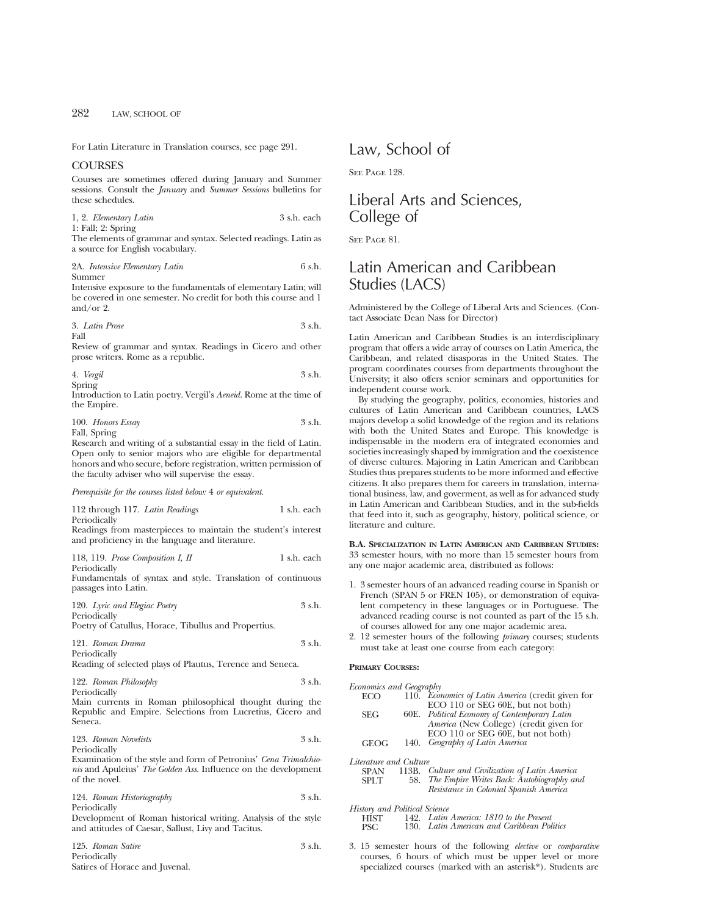For Latin Literature in Translation courses, see page 291.

# **COURSES**

Courses are sometimes offered during January and Summer sessions. Consult the *January* and *Summer Sessions* bulletins for these schedules.

1, 2. *Elementary Latin* 3 s.h. each 1: Fall; 2: Spring

The elements of grammar and syntax. Selected readings. Latin as a source for English vocabulary.

2A. *Intensive Elementary Latin* 6 s.h. Summer

Intensive exposure to the fundamentals of elementary Latin; will be covered in one semester. No credit for both this course and 1 and/or 2.

3. *Latin Prose* 3 s.h. Fall

Review of grammar and syntax. Readings in Cicero and other prose writers. Rome as a republic.

4. *Vergil* 3 s.h. Spring

Introduction to Latin poetry. Vergil's *Aeneid.* Rome at the time of the Empire.

100. *Honors Essay* 3 s.h. Fall, Spring

Research and writing of a substantial essay in the field of Latin. Open only to senior majors who are eligible for departmental honors and who secure, before registration, written permission of the faculty adviser who will supervise the essay.

*Prerequisite for the courses listed below:* 4 *or equivalent.*

112 through 117. *Latin Readings* 1 s.h. each Periodically

Readings from masterpieces to maintain the student's interest and proficiency in the language and literature.

118, 119. *Prose Composition I, II* 1 s.h. each Periodically

Fundamentals of syntax and style. Translation of continuous passages into Latin.

120. *Lyric and Elegiac Poetry* 3 s.h. Periodically Poetry of Catullus, Horace, Tibullus and Propertius.

121. *Roman Drama* 3 s.h. Periodically Reading of selected plays of Plautus, Terence and Seneca.

122. *Roman Philosophy* 3 s.h. Periodically

Main currents in Roman philosophical thought during the Republic and Empire. Selections from Lucretius, Cicero and Seneca.

123. *Roman Novelists* 3 s.h. Periodically

Examination of the style and form of Petronius' *Cena Trimalchionis* and Apuleius' *The Golden Ass.* Influence on the development of the novel.

124. *Roman Historiography* 3 s.h. Periodically

Development of Roman historical writing. Analysis of the style and attitudes of Caesar, Sallust, Livy and Tacitus.

125. *Roman Satire* 3 s.h. Periodically Satires of Horace and Juvenal.

# Law, School of

SEE PAGE 128.

# Liberal Arts and Sciences, College of

SEE PAGE 81.

# Latin American and Caribbean Studies (LACS)

Administered by the College of Liberal Arts and Sciences. (Contact Associate Dean Nass for Director)

Latin American and Caribbean Studies is an interdisciplinary program that offers a wide array of courses on Latin America, the Caribbean, and related disasporas in the United States. The program coordinates courses from departments throughout the University; it also offers senior seminars and opportunities for independent course work.

By studying the geography, politics, economies, histories and cultures of Latin American and Caribbean countries, LACS majors develop a solid knowledge of the region and its relations with both the United States and Europe. This knowledge is indispensable in the modern era of integrated economies and societies increasingly shaped by immigration and the coexistence of diverse cultures. Majoring in Latin American and Caribbean Studies thus prepares students to be more informed and effective citizens. It also prepares them for careers in translation, international business, law, and goverment, as well as for advanced study in Latin American and Caribbean Studies, and in the sub-fields that feed into it, such as geography, history, political science, or literature and culture.

**B.A. SPECIALIZATION IN LATIN AMERICAN AND CARIBBEAN STUDIES:** 33 semester hours, with no more than 15 semester hours from any one major academic area, distributed as follows:

- 1. 3 semester hours of an advanced reading course in Spanish or French (SPAN 5 or FREN 105), or demonstration of equivalent competency in these languages or in Portuguese. The advanced reading course is not counted as part of the 15 s.h. of courses allowed for any one major academic area.
- 2. 12 semester hours of the following *primary* courses; students must take at least one course from each category:

# **PRIMARY COURSES:**

| Economics and Geography       |      |                                                          |
|-------------------------------|------|----------------------------------------------------------|
| ECO –                         |      | 110. <i>Economics of Latin America</i> (credit given for |
|                               |      | ECO 110 or SEG 60E, but not both)                        |
| <b>SEG</b>                    |      | <b>60E.</b> Political Economy of Contemporary Latin      |
|                               |      | America (New College) (credit given for                  |
|                               |      | ECO 110 or SEG 60E, but not both)                        |
| <b>GEOG</b>                   | 140. | Geography of Latin America                               |
| Literature and Culture        |      |                                                          |
| SPAN                          |      | 113B. Culture and Civilization of Latin America          |
| <b>SPLT</b>                   | 58.  | The Empire Writes Back: Autobiography and                |
|                               |      | Resistance in Colonial Spanish America                   |
| History and Political Science |      |                                                          |
| <b>TITCT</b>                  |      | $149$ Latin America: $1810$ to the Descent               |

HIST 142. *Latin America: 1810 to the Present* PSC 130. *Latin American and Caribbean Politics*

3. 15 semester hours of the following *elective* or *comparative* courses, 6 hours of which must be upper level or more specialized courses (marked with an asterisk\*). Students are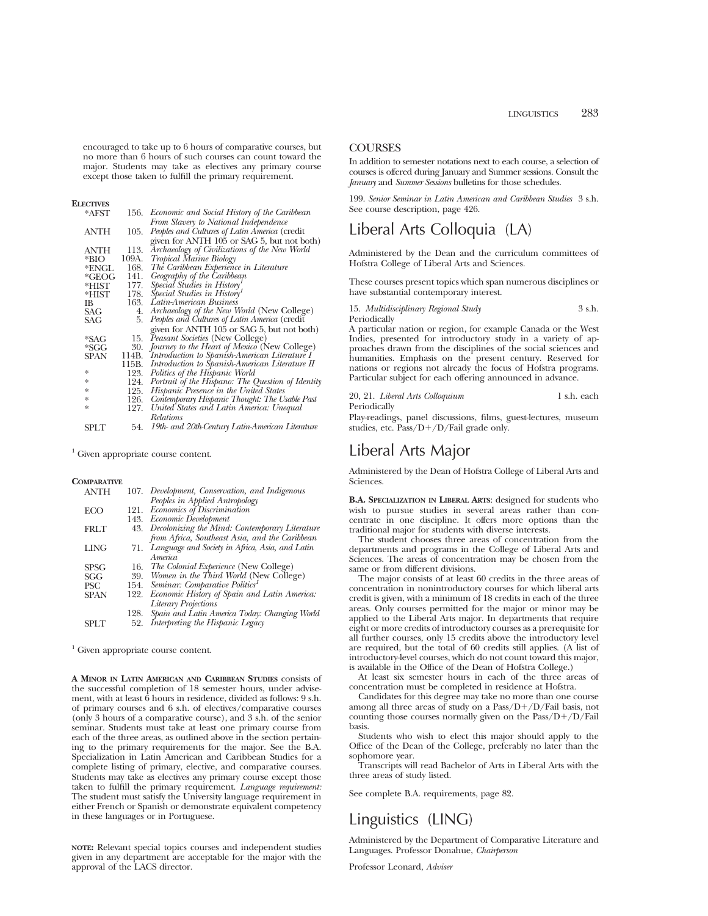encouraged to take up to 6 hours of comparative courses, but no more than 6 hours of such courses can count toward the major. Students may take as electives any primary course except those taken to fulfill the primary requirement.

# **ELECTIVES**

| *AFST       | 156.  | Economic and Social History of the Caribbean         |
|-------------|-------|------------------------------------------------------|
|             |       | From Slavery to National Independence                |
| <b>ANTH</b> | 105.  | Peoples and Cultures of Latin America (credit        |
|             |       | given for ANTH 105 or SAG 5, but not both)           |
| <b>ANTH</b> | 113.  | Archaeology of Civilizations of the New World        |
| $*$ BIO     | 109A. | <b>Tropical Marine Biology</b>                       |
| *ENGL       | 168.  | The Caribbean Experience in Literature               |
| $*GEOG$     | 141.  | Geography of the Caribbean                           |
| $*HIST$     | 177.  | Special Studies in History                           |
| $*HIST$     | 178.  | Special Studies in History <sup>1</sup>              |
| IB          | 163.  | Latin-American Business                              |
| SAG         | 4.    | Archaeology of the New World (New College)           |
| SAG         | 5.    | Peoples and Cultures of Latin America (credit        |
|             |       | given for ANTH 105 or SAG 5, but not both)           |
| *SAG        | 15.   | Peasant Societies (New College)                      |
| $*SGG$      | 30.   | Journey to the Heart of Mexico (New College)         |
| <b>SPAN</b> | 114B. | Introduction to Spanish-American Literature I        |
|             |       | 115B. Introduction to Spanish-American Literature II |
| ×.          | 123.  | Politics of the Hispanic World                       |
| ×.          | 124.  | Portrait of the Hispano: The Question of Identity    |
| ×.          | 125.  | Hispanic Presence in the United States               |
| *           |       | 126. Contemporary Hispanic Thought: The Usable Past  |
| ×.          | 127.  | United States and Latin America: Unequal             |
|             |       | <b>Relations</b>                                     |
| SPLT        | 54.   | 19th- and 20th-Century Latin-American Literature     |

 $1$  Given appropriate course content.

#### **COMPARATIVE**

| <b>ANTH</b> |      | 107. Development, Conservation, and Indigenous      |
|-------------|------|-----------------------------------------------------|
|             |      | Peoples in Applied Antropology                      |
| <b>ECO</b>  |      | 121. Economics of Discrimination                    |
|             | 143. | Economic Development                                |
| <b>FRLT</b> |      | 43. Decolonizing the Mind: Contemporary Literature  |
|             |      | from Africa, Southeast Asia, and the Caribbean      |
| <b>LING</b> |      | 71. Language and Society in Africa, Asia, and Latin |
|             |      | America                                             |
| <b>SPSG</b> |      | 16. The Colonial Experience (New College)           |
| SGG         |      | 39. Women in the Third World (New College)          |
| <b>PSC</b>  | 154. | Seminar: Comparative Politics <sup>1</sup>          |
| <b>SPAN</b> | 122. | Economic History of Spain and Latin America:        |
|             |      | <b>Literary Projections</b>                         |
|             | 128. | Spain and Latin America Today: Changing World       |
| SPLT        | 52.  | Interpreting the Hispanic Legacy                    |

<sup>1</sup> Given appropriate course content.

**A MINOR IN LATIN AMERICAN AND CARIBBEAN STUDIES** consists of the successful completion of 18 semester hours, under advisement, with at least 6 hours in residence, divided as follows: 9 s.h. of primary courses and 6 s.h. of electives/comparative courses (only 3 hours of a comparative course), and 3 s.h. of the senior seminar. Students must take at least one primary course from each of the three areas, as outlined above in the section pertaining to the primary requirements for the major. See the B.A. Specialization in Latin American and Caribbean Studies for a complete listing of primary, elective, and comparative courses. Students may take as electives any primary course except those taken to fulfill the primary requirement. *Language requirement:* The student must satisfy the University language requirement in either French or Spanish or demonstrate equivalent competency in these languages or in Portuguese.

**NOTE:** Relevant special topics courses and independent studies given in any department are acceptable for the major with the approval of the LACS director.

# **COURSES**

In addition to semester notations next to each course, a selection of courses is offered during January and Summer sessions. Consult the *January* and *Summer Sessions* bulletins for those schedules.

199. *Senior Seminar in Latin American and Caribbean Studies* 3 s.h. See course description, page 426.

# Liberal Arts Colloquia (LA)

Administered by the Dean and the curriculum committees of Hofstra College of Liberal Arts and Sciences.

These courses present topics which span numerous disciplines or have substantial contemporary interest.

15. *Multidisciplinary Regional Study* 3 s.h. Periodically

A particular nation or region, for example Canada or the West Indies, presented for introductory study in a variety of approaches drawn from the disciplines of the social sciences and humanities. Emphasis on the present century. Reserved for nations or regions not already the focus of Hofstra programs. Particular subject for each offering announced in advance.

20, 21. *Liberal Arts Colloquium* 1 s.h. each Periodically

Play-readings, panel discussions, films, guest-lectures, museum studies, etc.  $Pass/D+/D/Fall grade$  only.

# Liberal Arts Major

Administered by the Dean of Hofstra College of Liberal Arts and Sciences.

**B.A. SPECIALIZATION IN LIBERAL ARTS**: designed for students who wish to pursue studies in several areas rather than concentrate in one discipline. It offers more options than the traditional major for students with diverse interests.

The student chooses three areas of concentration from the departments and programs in the College of Liberal Arts and Sciences. The areas of concentration may be chosen from the same or from different divisions.

The major consists of at least 60 credits in the three areas of concentration in nonintroductory courses for which liberal arts credit is given, with a minimum of 18 credits in each of the three areas. Only courses permitted for the major or minor may be applied to the Liberal Arts major. In departments that require eight or more credits of introductory courses as a prerequisite for all further courses, only 15 credits above the introductory level are required, but the total of 60 credits still applies. (A list of introductory-level courses, which do not count toward this major, is available in the Office of the Dean of Hofstra College.)

At least six semester hours in each of the three areas of concentration must be completed in residence at Hofstra.

Candidates for this degree may take no more than one course among all three areas of study on a  $Pass/D+/D/Fall$  basis, not counting those courses normally given on the  $Pass/D+/D/Fail$ basis.

Students who wish to elect this major should apply to the Office of the Dean of the College, preferably no later than the sophomore year.

Transcripts will read Bachelor of Arts in Liberal Arts with the three areas of study listed.

See complete B.A. requirements, page 82.

# Linguistics (LING)

Administered by the Department of Comparative Literature and Languages. Professor Donahue, *Chairperson*

Professor Leonard, *Adviser*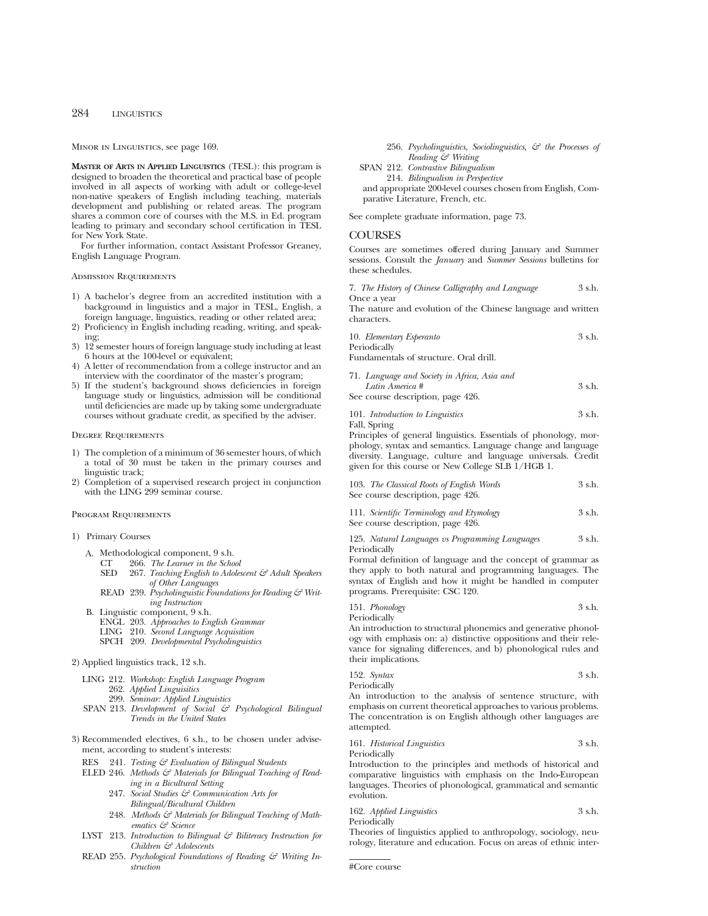Minor in Linguistics, see page 169.

**MASTER OF ARTS IN APPLIED LINGUISTICS** (TESL): this program is designed to broaden the theoretical and practical base of people involved in all aspects of working with adult or college-level non-native speakers of English including teaching, materials development and publishing or related areas. The program shares a common core of courses with the M.S. in Ed. program leading to primary and secondary school certification in TESL for New York State.

For further information, contact Assistant Professor Greaney, English Language Program.

# Admission Requirements

- 1) A bachelor's degree from an accredited institution with a background in linguistics and a major in TESL, English, a foreign language, linguistics, reading or other related area;
- 2) Proficiency in English including reading, writing, and speaking;
- 3) 12 semester hours of foreign language study including at least 6 hours at the 100-level or equivalent;
- 4) A letter of recommendation from a college instructor and an interview with the coordinator of the master's program;
- 5) If the student's background shows deficiencies in foreign language study or linguistics, admission will be conditional until deficiencies are made up by taking some undergraduate courses without graduate credit, as specified by the adviser.

#### Degree Requirements

- 1) The completion of a minimum of 36 semester hours, of which a total of 30 must be taken in the primary courses and linguistic track;
- 2) Completion of a supervised research project in conjunction with the LING 299 seminar course.

# Program Requirements

### 1) Primary Courses

- A. Methodological component, 9 s.h.
	- CT 266. *The Learner in the School*
		- 267. *Teaching English to Adolescent & Adult Speakers of Other Languages*
	- READ 239. *Psycholinguistic Foundations for Reading & Writing Instruction*
- B. Linguistic component, 9 s.h.
	- ENGL 203. *Approaches to English Grammar*
	- LING 210. *Second Language Acquisition*
	- SPCH 209. *Developmental Psycholinguistics*

# 2) Applied linguistics track, 12 s.h.

- LING 212. *Workshop: English Language Program*
	- 262. *Applied Linguisitics*
	- 299. *Seminar: Applied Linguistics*
- SPAN 213. *Development of Social & Psychological Bilingual Trends in the United States*
- 3) Recommended electives, 6 s.h., to be chosen under advisement, according to student's interests:
	- RES 241. *Testing & Evaluation of Bilingual Students*
	- ELED 246. Methods & Materials for Bilingual Teaching of Read*ing in a Bicultural Setting*
		- 247. *Social Studies & Communication Arts for Bilingual/Bicultural Children*
		- 248. Methods & Materials for Bilingual Teaching of Math*ematics & Science*
	- LYST 213. *Introduction to Bilingual & Biliteracy Instruction for Children & Adolescents*
	- READ 255. *Psychological Foundations of Reading & Writing Instruction*
- 256. *Psycholinguistics, Sociolinguistics, & the Processes of Reading & Writing*
- SPAN 212. *Contrastive Bilingualism* 214. *Bilingualism in Perspective* and appropriate 200-level courses chosen from English, Com-

parative Literature, French, etc.

See complete graduate information, page 73.

# COURSES

Courses are sometimes offered during January and Summer sessions. Consult the *January* and *Summer Sessions* bulletins for these schedules.

7. *The History of Chinese Calligraphy and Language* 3 s.h. Once a year

The nature and evolution of the Chinese language and written characters.

| 10. Elementary Esperanto |  | 3 s.h. |
|--------------------------|--|--------|
| Periodically             |  |        |

Fundamentals of structure. Oral drill.

| 71. Language and Society in Africa, Asia and |        |
|----------------------------------------------|--------|
| Latin America #                              | 3 s.h. |
| See course description, page 426.            |        |

101. *Introduction to Linguistics* 3 s.h. Fall, Spring

Principles of general linguistics. Essentials of phonology, morphology, syntax and semantics. Language change and language diversity. Language, culture and language universals. Credit given for this course or New College SLB 1/HGB 1.

| 103. The Classical Roots of English Words | 3 s.h. |
|-------------------------------------------|--------|
| See course description, page 426.         |        |

| 111. Scientific Terminology and Etymology | 3 s.h. |
|-------------------------------------------|--------|
| See course description, page 426.         |        |

125. *Natural Languages vs Programming Languages* 3 s.h. Periodically

Formal definition of language and the concept of grammar as they apply to both natural and programming languages. The syntax of English and how it might be handled in computer programs. Prerequisite: CSC 120.

| 151. Phonology | 3 s.h. |
|----------------|--------|
|----------------|--------|

Periodically

An introduction to structural phonemics and generative phonology with emphasis on: a) distinctive oppositions and their relevance for signaling differences, and b) phonological rules and their implications.

$$
152. \text{ Syntax} \qquad \qquad 3 \text{ s.h.}
$$

Periodically

An introduction to the analysis of sentence structure, with emphasis on current theoretical approaches to various problems. The concentration is on English although other languages are attempted.

161. *Historical Linguistics* 3 s.h. Periodically

Introduction to the principles and methods of historical and comparative linguistics with emphasis on the Indo-European languages. Theories of phonological, grammatical and semantic evolution.

162. *Applied Linguistics* 3 s.h. Periodically

Theories of linguistics applied to anthropology, sociology, neurology, literature and education. Focus on areas of ethnic inter-

#Core course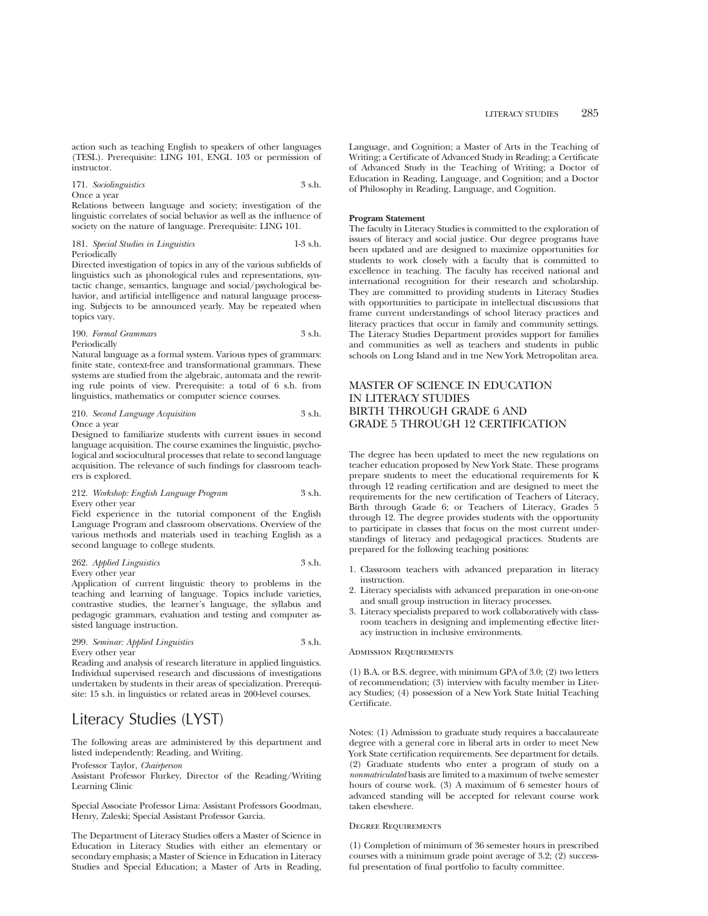action such as teaching English to speakers of other languages (TESL). Prerequisite: LING 101, ENGL 103 or permission of instructor.

171. *Sociolinguistics* 3 s.h. Once a year

Relations between language and society; investigation of the linguistic correlates of social behavior as well as the influence of society on the nature of language. Prerequisite: LING 101.

181. *Special Studies in Linguistics* 1-3 s.h. Periodically

Directed investigation of topics in any of the various subfields of linguistics such as phonological rules and representations, syntactic change, semantics, language and social/psychological behavior, and artificial intelligence and natural language processing. Subjects to be announced yearly. May be repeated when topics vary.

# 190. *Formal Grammars* 3 s.h. Periodically

Natural language as a formal system. Various types of grammars: finite state, context-free and transformational grammars. These systems are studied from the algebraic, automata and the rewriting rule points of view. Prerequisite: a total of 6 s.h. from linguistics, mathematics or computer science courses.

210. *Second Language Acquisition* 3 s.h. Once a year

Designed to familiarize students with current issues in second language acquisition. The course examines the linguistic, psychological and sociocultural processes that relate to second language acquisition. The relevance of such findings for classroom teachers is explored.

# 212. *Workshop: English Language Program* 3 s.h. Every other year

Field experience in the tutorial component of the English Language Program and classroom observations. Overview of the various methods and materials used in teaching English as a second language to college students.

# 262. *Applied Linguistics* 3 s.h. Every other year

Application of current linguistic theory to problems in the teaching and learning of language. Topics include varieties, contrastive studies, the learner's language, the syllabus and pedagogic grammars, evaluation and testing and computer assisted language instruction.

# 299. *Seminar: Applied Linguistics* 3 s.h. Every other year

Reading and analysis of research literature in applied linguistics. Individual supervised research and discussions of investigations undertaken by students in their areas of specialization. Prerequisite: 15 s.h. in linguistics or related areas in 200-level courses.

# Literacy Studies (LYST)

The following areas are administered by this department and listed independently: Reading, and Writing.

Professor Taylor, *Chairperson*

Assistant Professor Flurkey, Director of the Reading/Writing Learning Clinic

Special Associate Professor Lima: Assistant Professors Goodman, Henry, Zaleski; Special Assistant Professor Garcia.

The Department of Literacy Studies offers a Master of Science in Education in Literacy Studies with either an elementary or secondary emphasis; a Master of Science in Education in Literacy Studies and Special Education; a Master of Arts in Reading, Language, and Cognition; a Master of Arts in the Teaching of Writing; a Certificate of Advanced Study in Reading; a Certificate of Advanced Study in the Teaching of Writing; a Doctor of Education in Reading, Language, and Cognition; and a Doctor of Philosophy in Reading, Language, and Cognition.

# **Program Statement**

The faculty in Literacy Studies is committed to the exploration of issues of literacy and social justice. Our degree programs have been updated and are designed to maximize opportunities for students to work closely with a faculty that is committed to excellence in teaching. The faculty has received national and international recognition for their research and scholarship. They are committed to providing students in Literacy Studies with opportunities to participate in intellectual discussions that frame current understandings of school literacy practices and literacy practices that occur in family and community settings. The Literacy Studies Department provides support for families and communities as well as teachers and students in public schools on Long Island and in tne New York Metropolitan area.

# MASTER OF SCIENCE IN EDUCATION IN LITERACY STUDIES BIRTH THROUGH GRADE 6 AND GRADE 5 THROUGH 12 CERTIFICATION

The degree has been updated to meet the new regulations on teacher education proposed by New York State. These programs prepare students to meet the educational requirements for K through 12 reading certification and are designed to meet the requirements for the new certification of Teachers of Literacy, Birth through Grade 6; or Teachers of Literacy, Grades 5 through 12. The degree provides students with the opportunity to participate in classes that focus on the most current understandings of literacy and pedagogical practices. Students are prepared for the following teaching positions:

- 1. Classroom teachers with advanced preparation in literacy instruction.
- 2. Literacy specialists with advanced preparation in one-on-one and small group instruction in literacy processes.
- 3. Literacy specialists prepared to work collaboratively with classroom teachers in designing and implementing effective literacy instruction in inclusive environments.

# Admission Requirements

(1) B.A. or B.S. degree, with minimum GPA of 3.0; (2) two letters of recommendation; (3) interview with faculty member in Literacy Studies; (4) possession of a New York State Initial Teaching Certificate.

Notes: (1) Admission to graduate study requires a baccalaureate degree with a general core in liberal arts in order to meet New York State certification requirements. See department for details. (2) Graduate students who enter a program of study on a *nonmatriculated* basis are limited to a maximum of twelve semester hours of course work. (3) A maximum of 6 semester hours of advanced standing will be accepted for relevant course work taken elsewhere.

#### Degree Requirements

(1) Completion of minimum of 36 semester hours in prescribed courses with a minimum grade point average of 3.2; (2) successful presentation of final portfolio to faculty committee.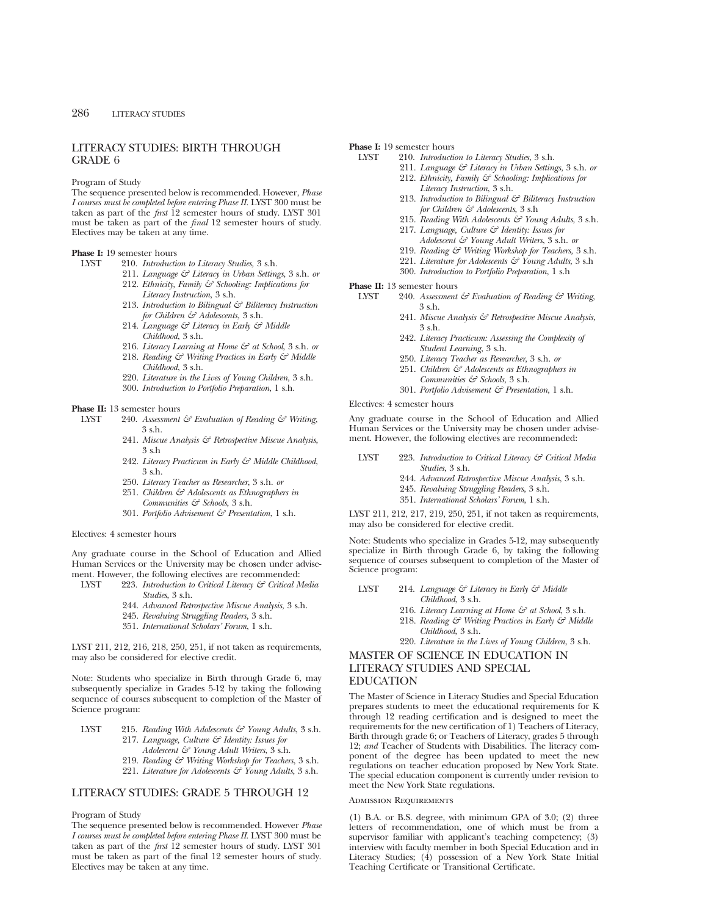# LITERACY STUDIES: BIRTH THROUGH GRADE 6

Program of Study

The sequence presented below is recommended. However, *Phase I courses must be completed before entering Phase II.* LYST 300 must be taken as part of the *first* 12 semester hours of study. LYST 301 must be taken as part of the *final* 12 semester hours of study. Electives may be taken at any time.

# **Phase I:** 19 semester hours

- LYST 210. *Introduction to Literacy Studies,* 3 s.h.
	- 211. *Language & Literacy in Urban Settings*, 3 s.h. *or*
	- 212. *Ethnicity, Family & Schooling: Implications for Literacy Instruction*, 3 s.h.
	- 213. *Introduction to Bilingual & Biliteracy Instruction for Children & Adolescents,* 3 s.h.
	- 214. *Language & Literacy in Early & Middle Childhood*, 3 s.h.
	- 216. *Literacy Learning at Home & at School*, 3 s.h. *or*
	- 218. *Reading & Writing Practices in Early & Middle Childhood*, 3 s.h.
	- 220. *Literature in the Lives of Young Children*, 3 s.h.
	- 300. *Introduction to Portfolio Preparation*, 1 s.h.

### **Phase II:** 13 semester hours

- LYST 240. *Assessment & Evaluation of Reading & Writing*, 3 s.h.
	- 241. *Miscue Analysis & Retrospective Miscue Analysis*, 3 s.h
	- 242. *Literacy Practicum in Early & Middle Childhood*,  $3$  sh.
	- 250. *Literacy Teacher as Researcher*, 3 s.h. *or*
	- 251. *Children & Adolescents as Ethnographers in Communities & Schools*, 3 s.h.
	- 301. *Portfolio Advisement & Presentation*, 1 s.h.

#### Electives: 4 semester hours

Any graduate course in the School of Education and Allied Human Services or the University may be chosen under advisement. However, the following electives are recommended:

- LYST 223. *Introduction to Critical Literacy & Critical Media Studies*, 3 s.h.
	- 244. *Advanced Retrospective Miscue Analysis*, 3 s.h.
	- 245. *Revaluing Struggling Readers,* 3 s.h.
	- 351. *International Scholars' Forum*, 1 s.h.

LYST 211, 212, 216, 218, 250, 251, if not taken as requirements, may also be considered for elective credit.

Note: Students who specialize in Birth through Grade 6, may subsequently specialize in Grades 5-12 by taking the following sequence of courses subsequent to completion of the Master of Science program:

- LYST 215. *Reading With Adolescents & Young Adults*, 3 s.h. 217. *Language, Culture & Identity: Issues for*
	- *Adolescent & Young Adult Writers*, 3 s.h.
	- 219. *Reading & Writing Workshop for Teachers*, 3 s.h.
	- 221. *Literature for Adolescents & Young Adults*, 3 s.h.

# LITERACY STUDIES: GRADE 5 THROUGH 12

# Program of Study

The sequence presented below is recommended. However *Phase I courses must be completed before entering Phase II*. LYST 300 must be taken as part of the *first* 12 semester hours of study. LYST 301 must be taken as part of the final 12 semester hours of study. Electives may be taken at any time.

# **Phase I:** 19 semester hours<br>INST 210 *Introduction*

- LYST 210. *Introduction to Literacy Studies*, 3 s.h.
	- 211. *Language & Literacy in Urban Settings*, 3 s.h. *or*
	- 212. *Ethnicity, Family & Schooling: Implications for Literacy Instruction*, 3 s.h.
	- 213. *Introduction to Bilingual & Biliteracy Instruction for Children & Adolescents*, 3 s.h
	- 215. *Reading With Adolescents & Young Adults*, 3 s.h.
	- 217. *Language, Culture & Identity: Issues for*
		- *Adolescent & Young Adult Writers*, 3 s.h. *or*
	- 219. *Reading & Writing Workshop for Teachers,* 3 s.h.
	- 221. *Literature for Adolescents & Young Adults*, 3 s.h 300. *Introduction to Portfolio Preparation*, 1 s.h

# **Phase II:** 13 semester hours<br>IVST 240 Assessment

- LYST 240. *Assessment & Evaluation of Reading & Writing*, 3 s.h.
	- 241. *Miscue Analysis & Retrospective Miscue Analysis*, 3 s.h.
	- 242. *Literacy Practicum: Assessing the Complexity of Student Learning*, 3 s.h.
	- 250. *Literacy Teacher as Researcher*, 3 s.h. *or*
	- 251. *Children & Adolescents as Ethnographers in Communities & Schools*, 3 s.h.
	- 301. *Portfolio Advisement & Presentation*, 1 s.h.

Electives: 4 semester hours

Any graduate course in the School of Education and Allied Human Services or the University may be chosen under advisement. However, the following electives are recommended:

- LYST 223. *Introduction to Critical Literacy & Critical Media Studies*, 3 s.h.
	- 244. *Advanced Retrospective Miscue Analysis*, 3 s.h.
	- 245. *Revaluing Struggling Readers*, 3 s.h.
	- 351. *International Scholars' Forum*, 1 s.h.

LYST 211, 212, 217, 219, 250, 251, if not taken as requirements, may also be considered for elective credit.

Note: Students who specialize in Grades 5-12, may subsequently specialize in Birth through Grade 6, by taking the following sequence of courses subsequent to completion of the Master of Science program:

LYST 214. *Language & Literacy in Early & Middle Childhood*, 3 s.h.

- 216. *Literacy Learning at Home & at School*, 3 s.h.
- 218. *Reading & Writing Practices in Early & Middle Childhood*, 3 s.h.
- 220. *Literature in the Lives of Young Children*, 3 s.h.

# MASTER OF SCIENCE IN EDUCATION IN LITERACY STUDIES AND SPECIAL EDUCATION

The Master of Science in Literacy Studies and Special Education prepares students to meet the educational requirements for K through 12 reading certification and is designed to meet the requirements for the new certification of 1) Teachers of Literacy, Birth through grade 6; or Teachers of Literacy, grades 5 through 12; *and* Teacher of Students with Disabilities. The literacy component of the degree has been updated to meet the new regulations on teacher education proposed by New York State. The special education component is currently under revision to meet the New York State regulations.

# Admission Requirements

(1) B.A. or B.S. degree, with minimum GPA of 3.0; (2) three letters of recommendation, one of which must be from a supervisor familiar with applicant's teaching competency; (3) interview with faculty member in both Special Education and in Literacy Studies; (4) possession of a New York State Initial Teaching Certificate or Transitional Certificate.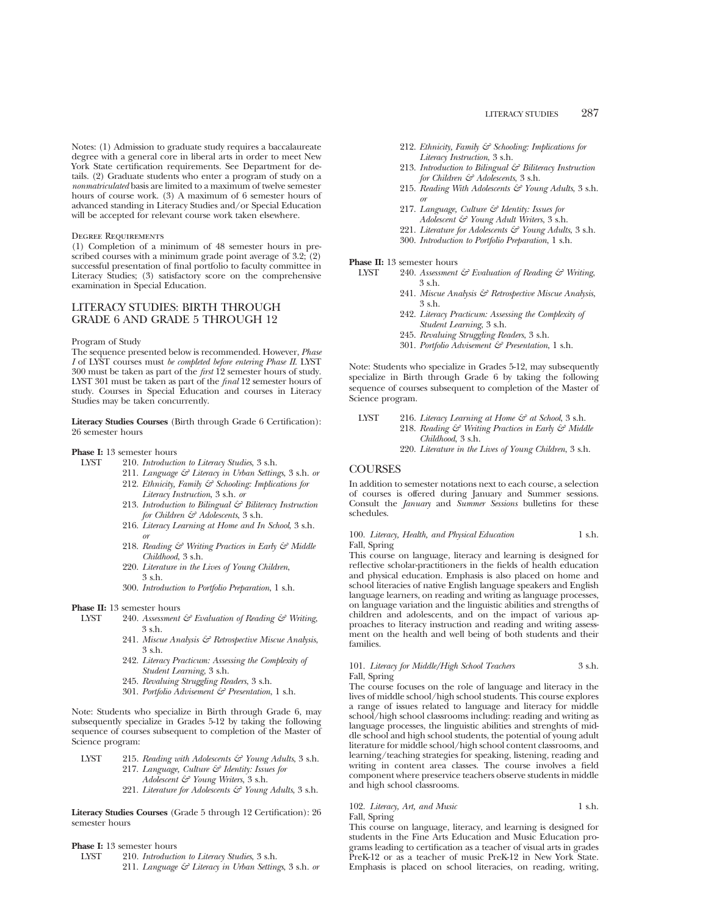Notes: (1) Admission to graduate study requires a baccalaureate degree with a general core in liberal arts in order to meet New York State certification requirements. See Department for details. (2) Graduate students who enter a program of study on a *nonmatriculated* basis are limited to a maximum of twelve semester hours of course work. (3) A maximum of 6 semester hours of advanced standing in Literacy Studies and/or Special Education will be accepted for relevant course work taken elsewhere.

### Degree Requirements

(1) Completion of a minimum of 48 semester hours in prescribed courses with a minimum grade point average of 3.2; (2) successful presentation of final portfolio to faculty committee in Literacy Studies; (3) satisfactory score on the comprehensive examination in Special Education.

# LITERACY STUDIES: BIRTH THROUGH GRADE 6 AND GRADE 5 THROUGH 12

#### Program of Study

The sequence presented below is recommended. However, *Phase I* of LYST courses must *be completed before entering Phase II*. LYST 300 must be taken as part of the *first* 12 semester hours of study. LYST 301 must be taken as part of the *final* 12 semester hours of study. Courses in Special Education and courses in Literacy Studies may be taken concurrently.

**Literacy Studies Courses** (Birth through Grade 6 Certification): 26 semester hours

# **Phase I:** 13 semester hours<br>INST 210 *Introducts*

- LYST 210. *Introduction to Literacy Studies*, 3 s.h.
	- 211. *Language & Literacy in Urban Settings*, 3 s.h. *or* 212. *Ethnicity, Family & Schooling: Implications for*
	- *Literacy Instruction*, 3 s.h. *or* 213. *Introduction to Bilingual & Biliteracy Instruction for Children & Adolescents*, 3 s.h.
	- 216. *Literacy Learning at Home and In School*, 3 s.h. *or*
	- 218. *Reading & Writing Practices in Early & Middle Childhood*, 3 s.h.
	- 220. *Literature in the Lives of Young Children*, 3 s.h.
	- 300. *Introduction to Portfolio Preparation*, 1 s.h.

# **Phase II:** 13 semester hours<br>LYST 240. Assessment

- 240. Assessment & Evaluation of Reading & Writing, 3 s.h.
	- 241. *Miscue Analysis & Retrospective Miscue Analysis*, 3 s.h.
	- 242. *Literacy Practicum: Assessing the Complexity of Student Learning*, 3 s.h.
	- 245. *Revaluing Struggling Readers*, 3 s.h.
	- 301. *Portfolio Advisement & Presentation*, 1 s.h.

Note: Students who specialize in Birth through Grade 6, may subsequently specialize in Grades 5-12 by taking the following sequence of courses subsequent to completion of the Master of Science program:

| LYST | 215. Reading with Adolescents $\mathcal{C}$ Young Adults, 3 s.h. |
|------|------------------------------------------------------------------|
|      | 217. Language, Culture $\mathcal G$ Identity: Issues for         |
|      | $\sim$ $\sim$ $\sim$ $\sim$ $\sim$ $\sim$ $\sim$ $\sim$          |

- *Adolescent & Young Writers*, 3 s.h.
- 221. *Literature for Adolescents & Young Adults*, 3 s.h.

**Literacy Studies Courses** (Grade 5 through 12 Certification): 26 semester hours

**Phase I:** 13 semester hours<br>LYST 210. *Introduction* 

LYST 210. *Introduction to Literacy Studies*, 3 s.h. 211. *Language & Literacy in Urban Settings*, 3 s.h. *or*

- 212. *Ethnicity, Family & Schooling: Implications for Literacy Instruction*, 3 s.h.
- 213. *Introduction to Bilingual & Biliteracy Instruction for Children & Adolescents*, 3 s.h.
- 215. *Reading With Adolescents & Young Adults*, 3 s.h. *or*
- 217. *Language, Culture & Identity: Issues for*
- *Adolescent & Young Adult Writers*, 3 s.h.
- 221. *Literature for Adolescents & Young Adults*, 3 s.h.
- 300. *Introduction to Portfolio Preparation*, 1 s.h.

# **Phase II:** 13 semester hours<br>IVST 240 Assessment

- LYST 240. *Assessment & Evaluation of Reading & Writing*, 3 s.h.
	- 241. *Miscue Analysis & Retrospective Miscue Analysis*,  $3$  s.h.
	- 242. *Literacy Practicum: Assessing the Complexity of Student Learning*, 3 s.h.
	- 245. *Revaluing Struggling Readers*, 3 s.h.
	- 301. *Portfolio Advisement & Presentation*, 1 s.h.

Note: Students who specialize in Grades 5-12, may subsequently specialize in Birth through Grade 6 by taking the following sequence of courses subsequent to completion of the Master of Science program.

LYST 216. *Literacy Learning at Home & at School*, 3 s.h. 218. *Reading & Writing Practices in Early & Middle Childhood*, 3 s.h. 220. *Literature in the Lives of Young Children*, 3 s.h.

# **COURSES**

In addition to semester notations next to each course, a selection of courses is offered during January and Summer sessions. Consult the *January* and *Summer Sessions* bulletins for these schedules.

100. *Literacy, Health, and Physical Education* 1 s.h. Fall, Spring

This course on language, literacy and learning is designed for reflective scholar-practitioners in the fields of health education and physical education. Emphasis is also placed on home and school literacies of native English language speakers and English language learners, on reading and writing as language processes, on language variation and the linguistic abilities and strengths of children and adolescents, and on the impact of various approaches to literacy instruction and reading and writing assessment on the health and well being of both students and their families.

# 101. *Literacy for Middle/High School Teachers* 3 s.h. Fall, Spring

The course focuses on the role of language and literacy in the lives of middle school/high school students. This course explores a range of issues related to language and literacy for middle school/high school classrooms including: reading and writing as language processes, the linguistic abilities and strenghts of middle school and high school students, the potential of young adult literature for middle school/high school content classrooms, and learning/teaching strategies for speaking, listening, reading and writing in content area classes. The course involves a field component where preservice teachers observe students in middle and high school classrooms.

# 102. *Literacy, Art, and Music* 1 s.h. Fall, Spring

This course on language, literacy, and learning is designed for students in the Fine Arts Education and Music Education programs leading to certification as a teacher of visual arts in grades PreK-12 or as a teacher of music PreK-12 in New York State. Emphasis is placed on school literacies, on reading, writing,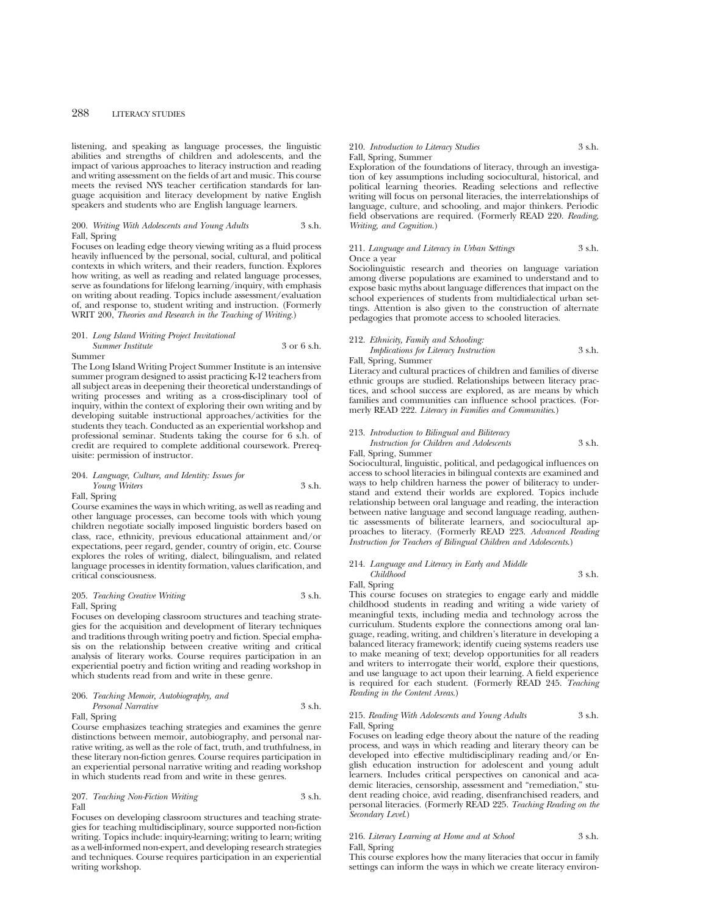listening, and speaking as language processes, the linguistic abilities and strengths of children and adolescents, and the impact of various approaches to literacy instruction and reading and writing assessment on the fields of art and music. This course meets the revised NYS teacher certification standards for language acquisition and literacy development by native English speakers and students who are English language learners.

# 200. *Writing With Adolescents and Young Adults* 3 s.h. Fall, Spring

Focuses on leading edge theory viewing writing as a fluid process heavily influenced by the personal, social, cultural, and political contexts in which writers, and their readers, function. Explores how writing, as well as reading and related language processes, serve as foundations for lifelong learning/inquiry, with emphasis on writing about reading. Topics include assessment/evaluation of, and response to, student writing and instruction. (Formerly WRIT 200, *Theories and Research in the Teaching of Writing.*)

#### 201. *Long Island Writing Project Invitational Summer Institute* 3 or 6 s.h. Summer

The Long Island Writing Project Summer Institute is an intensive summer program designed to assist practicing K-12 teachers from all subject areas in deepening their theoretical understandings of writing processes and writing as a cross-disciplinary tool of inquiry, within the context of exploring their own writing and by developing suitable instructional approaches/activities for the students they teach. Conducted as an experiential workshop and professional seminar. Students taking the course for 6 s.h. of credit are required to complete additional coursework. Prerequisite: permission of instructor.

# 204. *Language, Culture, and Identity: Issues for Young Writers* 3 s.h. Fall, Spring

Course examines the ways in which writing, as well as reading and other language processes, can become tools with which young children negotiate socially imposed linguistic borders based on class, race, ethnicity, previous educational attainment and/or expectations, peer regard, gender, country of origin, etc. Course explores the roles of writing, dialect, bilingualism, and related language processes in identity formation, values clarification, and critical consciousness.

# 205. *Teaching Creative Writing* 3 s.h. Fall, Spring

Focuses on developing classroom structures and teaching strategies for the acquisition and development of literary techniques and traditions through writing poetry and fiction. Special emphasis on the relationship between creative writing and critical analysis of literary works. Course requires participation in an experiential poetry and fiction writing and reading workshop in which students read from and write in these genre.

# 206. *Teaching Memoir, Autobiography, and Personal Narrative* 3 s.h.

Fall, Spring Course emphasizes teaching strategies and examines the genre distinctions between memoir, autobiography, and personal narrative writing, as well as the role of fact, truth, and truthfulness, in these literary non-fiction genres. Course requires participation in an experiential personal narrative writing and reading workshop

in which students read from and write in these genres.

# 207. *Teaching Non-Fiction Writing* 3 s.h. Fall

Focuses on developing classroom structures and teaching strategies for teaching multidisciplinary, source supported non-fiction writing. Topics include: inquiry-learning; writing to learn; writing as a well-informed non-expert, and developing research strategies and techniques. Course requires participation in an experiential writing workshop.

### 210. *Introduction to Literacy Studies* 3 s.h. Fall, Spring, Summer

Exploration of the foundations of literacy, through an investigation of key assumptions including sociocultural, historical, and political learning theories. Reading selections and reflective writing will focus on personal literacies, the interrelationships of language, culture, and schooling, and major thinkers. Periodic field observations are required. (Formerly READ 220. *Reading, Writing, and Cognition*.)

# 211. *Language and Literacy in Urban Settings* 3 s.h. Once a year

Sociolinguistic research and theories on language variation among diverse populations are examined to understand and to expose basic myths about language differences that impact on the school experiences of students from multidialectical urban settings. Attention is also given to the construction of alternate pedagogies that promote access to schooled literacies.

# 212. *Ethnicity, Family and Schooling:*

*Implications for Literacy Instruction* 3 s.h. Fall, Spring, Summer

Literacy and cultural practices of children and families of diverse ethnic groups are studied. Relationships between literacy practices, and school success are explored, as are means by which families and communities can influence school practices. (Formerly READ 222. *Literacy in Families and Communities*.)

# 213. *Introduction to Bilingual and Biliteracy Instruction for Children and Adolescents* 3 s.h.

# Fall, Spring, Summer

Sociocultural, linguistic, political, and pedagogical influences on access to school literacies in bilingual contexts are examined and ways to help children harness the power of biliteracy to understand and extend their worlds are explored. Topics include relationship between oral language and reading, the interaction between native language and second language reading, authentic assessments of biliterate learners, and sociocultural approaches to literacy. (Formerly READ 223. *Advanced Reading Instruction for Teachers of Bilingual Children and Adolescents*.)

# 214. *Language and Literacy in Early and Middle*

# *Childhood* 3 s.h.

Fall, Spring This course focuses on strategies to engage early and middle childhood students in reading and writing a wide variety of meaningful texts, including media and technology across the curriculum. Students explore the connections among oral language, reading, writing, and children's literature in developing a balanced literacy framework; identify cueing systems readers use to make meaning of text; develop opportunities for all readers and writers to interrogate their world, explore their questions, and use language to act upon their learning. A field experience is required for each student. (Formerly READ 245. *Teaching Reading in the Content Areas*.)

# 215. *Reading With Adolescents and Young Adults* 3 s.h. Fall, Spring

Focuses on leading edge theory about the nature of the reading process, and ways in which reading and literary theory can be developed into effective multidisciplinary reading and/or English education instruction for adolescent and young adult learners. Includes critical perspectives on canonical and academic literacies, censorship, assessment and "remediation," student reading choice, avid reading, disenfranchised readers, and personal literacies. (Formerly READ 225. *Teaching Reading on the Secondary Level*.)

### 216. *Literacy Learning at Home and at School* 3 s.h. Fall, Spring

This course explores how the many literacies that occur in family settings can inform the ways in which we create literacy environ-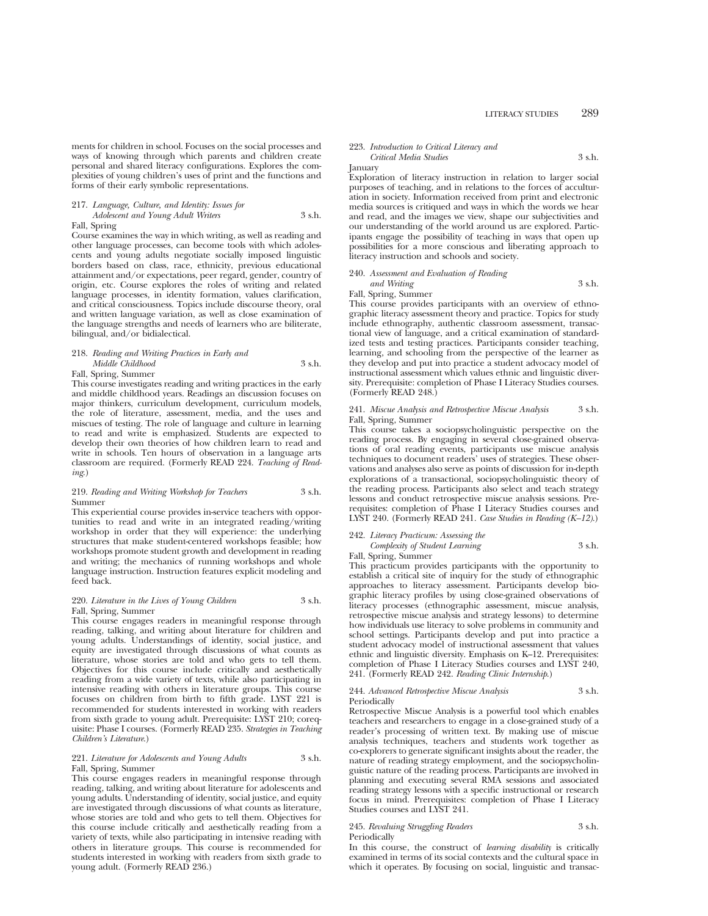ments for children in school. Focuses on the social processes and ways of knowing through which parents and children create personal and shared literacy configurations. Explores the complexities of young children's uses of print and the functions and forms of their early symbolic representations.

# 217. *Language, Culture, and Identity: Issues for*

*Adolescent and Young Adult Writers* 3 s.h. Fall, Spring

Course examines the way in which writing, as well as reading and other language processes, can become tools with which adolescents and young adults negotiate socially imposed linguistic borders based on class, race, ethnicity, previous educational attainment and/or expectations, peer regard, gender, country of origin, etc. Course explores the roles of writing and related language processes, in identity formation, values clarification, and critical consciousness. Topics include discourse theory, oral and written language variation, as well as close examination of the language strengths and needs of learners who are biliterate, bilingual, and/or bidialectical.

# 218. *Reading and Writing Practices in Early and Middle Childhood* 3 s.h.

Fall, Spring, Summer

This course investigates reading and writing practices in the early and middle childhood years. Readings an discussion focuses on major thinkers, curriculum development, curriculum models, the role of literature, assessment, media, and the uses and miscues of testing. The role of language and culture in learning to read and write is emphasized. Students are expected to develop their own theories of how children learn to read and write in schools. Ten hours of observation in a language arts classroom are required. (Formerly READ 224. *Teaching of Reading*.)

# 219. *Reading and Writing Workshop for Teachers* 3 s.h. Summer

This experiential course provides in-service teachers with opportunities to read and write in an integrated reading/writing workshop in order that they will experience: the underlying structures that make student-centered workshops feasible; how workshops promote student growth and development in reading and writing; the mechanics of running workshops and whole language instruction. Instruction features explicit modeling and feed back.

### 220. *Literature in the Lives of Young Children* 3 s.h. Fall, Spring, Summer

This course engages readers in meaningful response through reading, talking, and writing about literature for children and young adults. Understandings of identity, social justice, and equity are investigated through discussions of what counts as literature, whose stories are told and who gets to tell them. Objectives for this course include critically and aesthetically reading from a wide variety of texts, while also participating in intensive reading with others in literature groups. This course focuses on children from birth to fifth grade. LYST 221 is recommended for students interested in working with readers from sixth grade to young adult. Prerequisite: LYST 210; corequisite: Phase I courses. (Formerly READ 235. *Strategies in Teaching Children's Literature*.)

# 221. *Literature for Adolescents and Young Adults* 3 s.h. Fall, Spring, Summer

This course engages readers in meaningful response through reading, talking, and writing about literature for adolescents and young adults. Understanding of identity, social justice, and equity are investigated through discussions of what counts as literature, whose stories are told and who gets to tell them. Objectives for this course include critically and aesthetically reading from a variety of texts, while also participating in intensive reading with others in literature groups. This course is recommended for students interested in working with readers from sixth grade to young adult. (Formerly READ 236.)

#### 223. *Introduction to Critical Literacy and Critical Media Studies* 3 s.h.

January

Exploration of literacy instruction in relation to larger social purposes of teaching, and in relations to the forces of acculturation in society. Information received from print and electronic media sources is critiqued and ways in which the words we hear and read, and the images we view, shape our subjectivities and our understanding of the world around us are explored. Participants engage the possibility of teaching in ways that open up possibilities for a more conscious and liberating approach to literacy instruction and schools and society.

# 240. *Assessment and Evaluation of Reading and Writing* 3 s.h.

Fall, Spring, Summer

This course provides participants with an overview of ethnographic literacy assessment theory and practice. Topics for study include ethnography, authentic classroom assessment, transactional view of language, and a critical examination of standardized tests and testing practices. Participants consider teaching, learning, and schooling from the perspective of the learner as they develop and put into practice a student advocacy model of instructional assessment which values ethnic and linguistic diversity. Prerequisite: completion of Phase I Literacy Studies courses. (Formerly READ 248.)

# 241. *Miscue Analysis and Retrospective Miscue Analysis* 3 s.h. Fall, Spring, Summer

This course takes a sociopsycholinguistic perspective on the reading process. By engaging in several close-grained observations of oral reading events, participants use miscue analysis techniques to document readers' uses of strategies. These observations and analyses also serve as points of discussion for in-depth explorations of a transactional, sociopsycholinguistic theory of the reading process. Participants also select and teach strategy lessons and conduct retrospective miscue analysis sessions. Prerequisites: completion of Phase I Literacy Studies courses and LYST 240. (Formerly READ 241. *Case Studies in Reading (K–12)*.)

# 242. *Literacy Practicum: Assessing the Complexity of Student Learning* 3 s.h.

Fall, Spring, Summer

This practicum provides participants with the opportunity to establish a critical site of inquiry for the study of ethnographic approaches to literacy assessment. Participants develop biographic literacy profiles by using close-grained observations of literacy processes (ethnographic assessment, miscue analysis, retrospective miscue analysis and strategy lessons) to determine how individuals use literacy to solve problems in community and school settings. Participants develop and put into practice a student advocacy model of instructional assessment that values ethnic and linguistic diversity. Emphasis on K–12. Prerequisites: completion of Phase I Literacy Studies courses and LYST 240, 241. (Formerly READ 242. *Reading Clinic Internship*.)

### 244. *Advanced Retrospective Miscue Analysis* 3 s.h. Periodically

Retrospective Miscue Analysis is a powerful tool which enables teachers and researchers to engage in a close-grained study of a reader's processing of written text. By making use of miscue analysis techniques, teachers and students work together as co-explorers to generate significant insights about the reader, the nature of reading strategy employment, and the sociopsycholinguistic nature of the reading process. Participants are involved in planning and executing several RMA sessions and associated reading strategy lessons with a specific instructional or research focus in mind. Prerequisites: completion of Phase I Literacy Studies courses and LYST 241.

#### 245. *Revaluing Struggling Readers* 3 s.h. Periodically

In this course, the construct of *learning disability* is critically examined in terms of its social contexts and the cultural space in which it operates. By focusing on social, linguistic and transac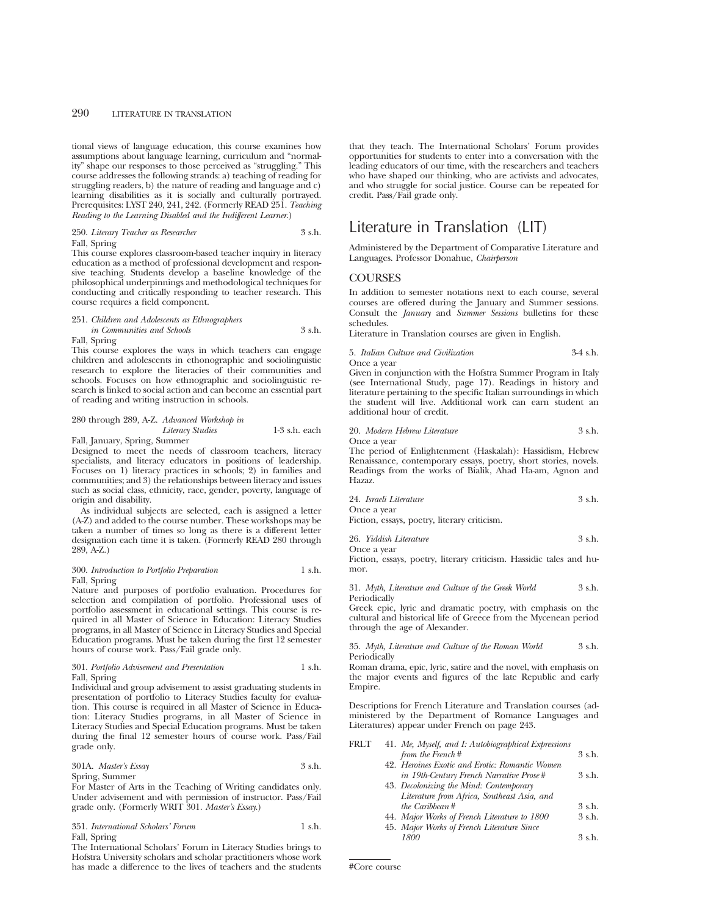tional views of language education, this course examines how assumptions about language learning, curriculum and "normality" shape our responses to those perceived as "struggling." This course addresses the following strands: a) teaching of reading for struggling readers, b) the nature of reading and language and c) learning disabilities as it is socially and culturally portrayed. Prerequisites: LYST 240, 241, 242. (Formerly READ 251. *Teaching Reading to the Learning Disabled and the Indifferent Learner*.)

### 250. *Literary Teacher as Researcher* 3 s.h. Fall, Spring

This course explores classroom-based teacher inquiry in literacy education as a method of professional development and responsive teaching. Students develop a baseline knowledge of the philosophical underpinnings and methodological techniques for conducting and critically responding to teacher research. This course requires a field component.

# 251. *Children and Adolescents as Ethnographers in Communities and Schools* 3 s.h. Fall, Spring

This course explores the ways in which teachers can engage children and adolescents in ethonographic and sociolinguistic research to explore the literacies of their communities and schools. Focuses on how ethnographic and sociolinguistic research is linked to social action and can become an essential part of reading and writing instruction in schools.

# 280 through 289, A-Z. *Advanced Workshop in*

*Literacy Studies* 1-3 s.h. each

Fall, January, Spring, Summer

Designed to meet the needs of classroom teachers, literacy specialists, and literacy educators in positions of leadership. Focuses on 1) literacy practices in schools; 2) in families and communities; and 3) the relationships between literacy and issues such as social class, ethnicity, race, gender, poverty, language of origin and disability.

As individual subjects are selected, each is assigned a letter (A-Z) and added to the course number. These workshops may be taken a number of times so long as there is a different letter designation each time it is taken. (Formerly READ 280 through 289, A-Z.)

# 300. *Introduction to Portfolio Preparation* 1 s.h. Fall, Spring

Nature and purposes of portfolio evaluation. Procedures for selection and compilation of portfolio. Professional uses of portfolio assessment in educational settings. This course is required in all Master of Science in Education: Literacy Studies programs, in all Master of Science in Literacy Studies and Special Education programs. Must be taken during the first 12 semester hours of course work. Pass/Fail grade only.

# 301. *Portfolio Advisement and Presentation* 1 s.h. Fall, Spring

Individual and group advisement to assist graduating students in presentation of portfolio to Literacy Studies faculty for evaluation. This course is required in all Master of Science in Education: Literacy Studies programs, in all Master of Science in Literacy Studies and Special Education programs. Must be taken during the final 12 semester hours of course work. Pass/Fail grade only.

# 301A. *Master's Essay* 3 s.h. Spring, Summer

For Master of Arts in the Teaching of Writing candidates only. Under advisement and with permission of instructor. Pass/Fail grade only. (Formerly WRIT 301. *Master's Essay*.)

351. *International Scholars' Forum* 1 s.h. Fall, Spring

The International Scholars' Forum in Literacy Studies brings to Hofstra University scholars and scholar practitioners whose work has made a difference to the lives of teachers and the students

that they teach. The International Scholars' Forum provides opportunities for students to enter into a conversation with the leading educators of our time, with the researchers and teachers who have shaped our thinking, who are activists and advocates, and who struggle for social justice. Course can be repeated for credit. Pass/Fail grade only.

# Literature in Translation (LIT)

Administered by the Department of Comparative Literature and Languages. Professor Donahue, *Chairperson*

# **COURSES**

In addition to semester notations next to each course, several courses are offered during the January and Summer sessions. Consult the *January* and *Summer Sessions* bulletins for these schedules.

Literature in Translation courses are given in English.

# 5. *Italian Culture and Civilization* 3-4 s.h.

Once a year

Given in conjunction with the Hofstra Summer Program in Italy (see International Study, page 17). Readings in history and literature pertaining to the specific Italian surroundings in which the student will live. Additional work can earn student an additional hour of credit.

| 20. Modern Hebrew Literature | 3 s.h. |
|------------------------------|--------|
| Once a vear                  |        |

The period of Enlightenment (Haskalah): Hassidism, Hebrew Renaissance, contemporary essays, poetry, short stories, novels. Readings from the works of Bialik, Ahad Ha-am, Agnon and Hazaz.

| 24. Israeli Literature | 3 s.h. |
|------------------------|--------|
| Once a vear            |        |

Fiction, essays, poetry, literary criticism.

| 26. Yiddish Literature | 3 s.h. |
|------------------------|--------|
| Once a year            |        |

Fiction, essays, poetry, literary criticism. Hassidic tales and humor.

31. *Myth, Literature and Culture of the Greek World* 3 s.h. Periodically

Greek epic, lyric and dramatic poetry, with emphasis on the cultural and historical life of Greece from the Mycenean period through the age of Alexander.

35. *Myth, Literature and Culture of the Roman World* 3 s.h. Periodically

Roman drama, epic, lyric, satire and the novel, with emphasis on the major events and figures of the late Republic and early Empire.

Descriptions for French Literature and Translation courses (administered by the Department of Romance Languages and Literatures) appear under French on page 243.

| FRLT | 41. Me, Myself, and I: Autobiographical Expressions |        |
|------|-----------------------------------------------------|--------|
|      | from the French#                                    | 3 s.h. |
|      | 42. Heroines Exotic and Erotic: Romantic Women      |        |
|      | in 19th-Century French Narrative Prose#             | 3 s.h. |
|      | 43. Decolonizing the Mind: Contemporary             |        |
|      | Literature from Africa, Southeast Asia, and         |        |
|      | the Caribbean #                                     | 3 s.h. |
|      | 44. Major Works of French Literature to 1800        | 3 s.h. |
|      | 45. Major Works of French Literature Since          |        |
|      | 1800                                                | 3 s.h. |
|      |                                                     |        |

#Core course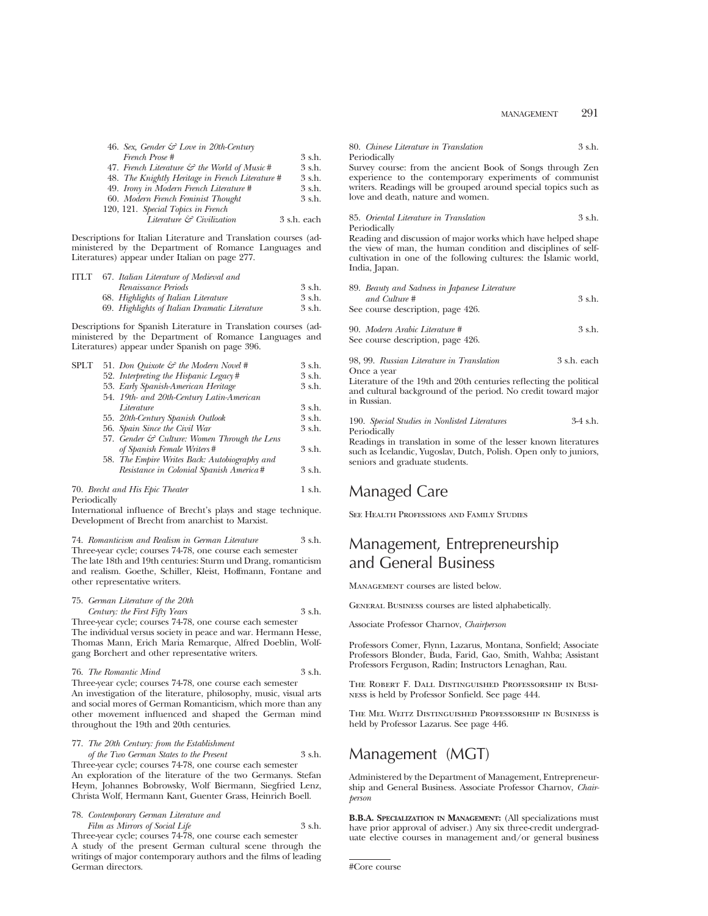| 46. Sex, Gender & Love in 20th-Century                   |             |
|----------------------------------------------------------|-------------|
| French Prose #                                           | $3 \,$ s.h. |
| 47. French Literature $\mathcal{C}$ the World of Music # | 3 s.h.      |
| 48. The Knightly Heritage in French Literature #         | 3 s.h.      |
| 49. Irony in Modern French Literature #                  | 3 s.h.      |
| 60. Modern French Feminist Thought                       | $3 \,$ s.h. |
| 120, 121. Special Topics in French                       |             |
| Literature & Civilization                                | 3 s.h. each |

Descriptions for Italian Literature and Translation courses (administered by the Department of Romance Languages and Literatures) appear under Italian on page 277.

| <b>ITLT</b> | 67. Italian Literature of Medieval and        |        |  |  |  |
|-------------|-----------------------------------------------|--------|--|--|--|
|             | Renaissance Periods                           | 3 s.h. |  |  |  |
|             | 68. Highlights of Italian Literature          | 3 s.h. |  |  |  |
|             | 69. Highlights of Italian Dramatic Literature | 3 s.h. |  |  |  |
|             |                                               |        |  |  |  |

Descriptions for Spanish Literature in Translation courses (administered by the Department of Romance Languages and Literatures) appear under Spanish on page 396.

|                                         | 3 s.h.                                                                                                                                                                                                                                                                                                                                  |
|-----------------------------------------|-----------------------------------------------------------------------------------------------------------------------------------------------------------------------------------------------------------------------------------------------------------------------------------------------------------------------------------------|
|                                         | 3 s.h.                                                                                                                                                                                                                                                                                                                                  |
|                                         | 3 s.h.                                                                                                                                                                                                                                                                                                                                  |
|                                         |                                                                                                                                                                                                                                                                                                                                         |
| Literature                              | 3 s.h.                                                                                                                                                                                                                                                                                                                                  |
|                                         | 3 s.h.                                                                                                                                                                                                                                                                                                                                  |
|                                         | 3 s.h.                                                                                                                                                                                                                                                                                                                                  |
|                                         |                                                                                                                                                                                                                                                                                                                                         |
| of Spanish Female Writers#              | 3 s.h.                                                                                                                                                                                                                                                                                                                                  |
|                                         |                                                                                                                                                                                                                                                                                                                                         |
| Resistance in Colonial Spanish America# | 3 s.h.                                                                                                                                                                                                                                                                                                                                  |
|                                         |                                                                                                                                                                                                                                                                                                                                         |
|                                         | 51. Don Quixote & the Modern Novel #<br>52. Interpreting the Hispanic Legacy#<br>53. Early Spanish-American Heritage<br>54. 19th- and 20th-Century Latin-American<br>55. 20th-Century Spanish Outlook<br>56. Spain Since the Civil War<br>57. Gender & Culture: Women Through the Lens<br>58. The Empire Writes Back: Autobiography and |

# 70. *Brecht and His Epic Theater* 1 s.h. Periodically

International influence of Brecht's plays and stage technique. Development of Brecht from anarchist to Marxist.

74. *Romanticism and Realism in German Literature* 3 s.h.

Three-year cycle; courses 74-78, one course each semester The late 18th and 19th centuries: Sturm und Drang, romanticism and realism. Goethe, Schiller, Kleist, Hoffmann, Fontane and other representative writers.

75. *German Literature of the 20th Century: the First Fifty Years* 3 s.h.

Three-year cycle; courses 74-78, one course each semester The individual versus society in peace and war. Hermann Hesse, Thomas Mann, Erich Maria Remarque, Alfred Doeblin, Wolfgang Borchert and other representative writers.

| 76. The Romantic Mind | 3 s.h. |
|-----------------------|--------|
|-----------------------|--------|

Three-year cycle; courses 74-78, one course each semester An investigation of the literature, philosophy, music, visual arts and social mores of German Romanticism, which more than any other movement influenced and shaped the German mind throughout the 19th and 20th centuries.

# 77. *The 20th Century: from the Establishment of the Two German States to the Present* 3 s.h.

Three-year cycle; courses 74-78, one course each semester An exploration of the literature of the two Germanys. Stefan Heym, Johannes Bobrowsky, Wolf Biermann, Siegfried Lenz, Christa Wolf, Hermann Kant, Guenter Grass, Heinrich Boell.

# 78. *Contemporary German Literature and Film as Mirrors of Social Life* 3 s.h.

Three-year cycle; courses 74-78, one course each semester A study of the present German cultural scene through the writings of major contemporary authors and the films of leading German directors.

| 80. Chinese Literature in Translation | $3$ s.h. |
|---------------------------------------|----------|
| Periodically                          |          |

Survey course: from the ancient Book of Songs through Zen experience to the contemporary experiments of communist writers. Readings will be grouped around special topics such as love and death, nature and women.

#### 85. *Oriental Literature in Translation* 3 s.h. Periodically

Reading and discussion of major works which have helped shape the view of man, the human condition and disciplines of selfcultivation in one of the following cultures: the Islamic world, India, Japan.

| 89. Beauty and Sadness in Japanese Literature<br>and Culture #      | 3 s.h. |
|---------------------------------------------------------------------|--------|
| See course description, page 426.                                   |        |
| 90. Modern Arabic Literature #<br>See course description, page 426. | 3 s.h. |

98, 99. *Russian Literature in Translation* 3 s.h. each Once a year

Literature of the 19th and 20th centuries reflecting the political and cultural background of the period. No credit toward major in Russian.

190. *Special Studies in Nonlisted Literatures* 3-4 s.h. Periodically

Readings in translation in some of the lesser known literatures such as Icelandic, Yugoslav, Dutch, Polish. Open only to juniors, seniors and graduate students.

# Managed Care

See Health Professions and Family Studies

# Management, Entrepreneurship and General Business

Management courses are listed below.

General Business courses are listed alphabetically.

Associate Professor Charnov, *Chairperson*

Professors Comer, Flynn, Lazarus, Montana, Sonfield; Associate Professors Blonder, Buda, Farid, Gao, Smith, Wahba; Assistant Professors Ferguson, Radin; Instructors Lenaghan, Rau.

The Robert F. Dall Distinguished Professorship in Business is held by Professor Sonfield. See page 444.

The Mel Weitz Distinguished Professorship in Business is held by Professor Lazarus. See page 446.

# Management (MGT)

Administered by the Department of Management, Entrepreneurship and General Business. Associate Professor Charnov, *Chairperson*

**B.B.A. SPECIALIZATION IN MANAGEMENT:** (All specializations must have prior approval of adviser.) Any six three-credit undergraduate elective courses in management and/or general business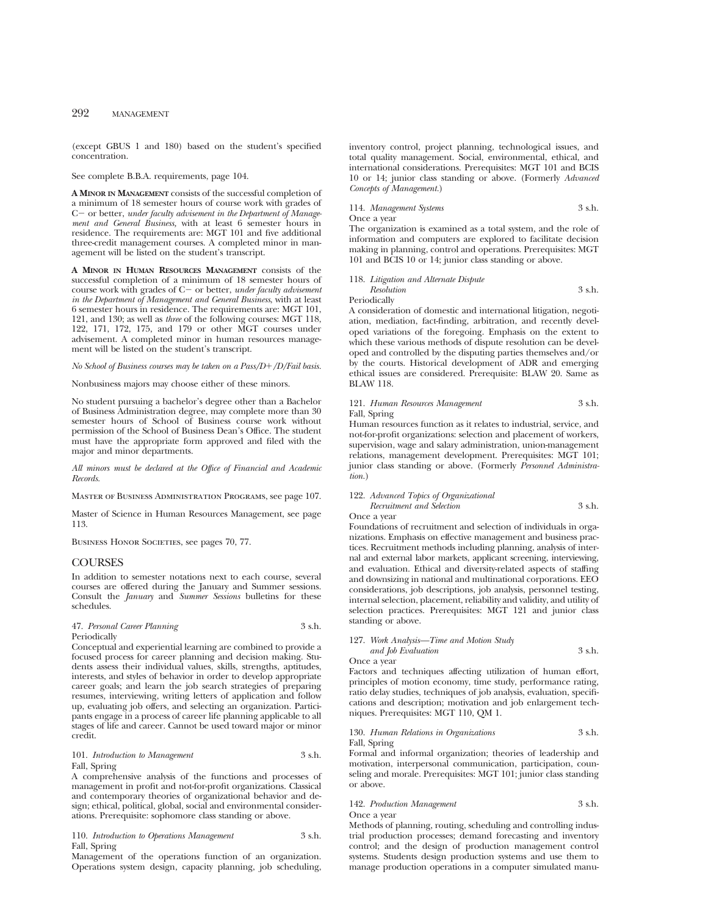(except GBUS 1 and 180) based on the student's specified concentration.

See complete B.B.A. requirements, page 104.

**A MINOR IN MANAGEMENT** consists of the successful completion of a minimum of 18 semester hours of course work with grades of C- or better, *under faculty advisement in the Department of Management and General Business,* with at least 6 semester hours in residence. The requirements are: MGT 101 and five additional three-credit management courses. A completed minor in management will be listed on the student's transcript.

**A MINOR IN HUMAN RESOURCES MANAGEMENT** consists of the successful completion of a minimum of 18 semester hours of course work with grades of C- or better, *under faculty advisement in the Department of Management and General Business*, with at least 6 semester hours in residence. The requirements are: MGT 101, 121, and 130; as well as *three* of the following courses: MGT 118, 122, 171, 172, 175, and 179 or other MGT courses under advisement. A completed minor in human resources management will be listed on the student's transcript.

### *No School of Business courses may be taken on a Pass/D*1*/D/Fail basis.*

Nonbusiness majors may choose either of these minors.

No student pursuing a bachelor's degree other than a Bachelor of Business Administration degree, may complete more than 30 semester hours of School of Business course work without permission of the School of Business Dean's Office. The student must have the appropriate form approved and filed with the major and minor departments.

*All minors must be declared at the Office of Financial and Academic Records.*

Master of Business Administration Programs, see page 107.

Master of Science in Human Resources Management, see page 113.

BUSINESS HONOR SOCIETIES, see pages 70, 77.

# **COURSES**

In addition to semester notations next to each course, several courses are offered during the January and Summer sessions. Consult the *January* and *Summer Sessions* bulletins for these schedules.

# 47. *Personal Career Planning* 3 s.h. Periodically

Conceptual and experiential learning are combined to provide a focused process for career planning and decision making. Students assess their individual values, skills, strengths, aptitudes, interests, and styles of behavior in order to develop appropriate career goals; and learn the job search strategies of preparing resumes, interviewing, writing letters of application and follow up, evaluating job offers, and selecting an organization. Participants engage in a process of career life planning applicable to all stages of life and career. Cannot be used toward major or minor credit.

101. *Introduction to Management* 3 s.h. Fall, Spring

A comprehensive analysis of the functions and processes of management in profit and not-for-profit organizations. Classical and contemporary theories of organizational behavior and design; ethical, political, global, social and environmental considerations. Prerequisite: sophomore class standing or above.

# 110. *Introduction to Operations Management* 3 s.h. Fall, Spring

Management of the operations function of an organization. Operations system design, capacity planning, job scheduling, inventory control, project planning, technological issues, and total quality management. Social, environmental, ethical, and international considerations. Prerequisites: MGT 101 and BCIS 10 or 14; junior class standing or above. (Formerly *Advanced Concepts of Management.*)

114. *Management Systems* 3 s.h.

Once a year

The organization is examined as a total system, and the role of information and computers are explored to facilitate decision making in planning, control and operations. Prerequisites: MGT 101 and BCIS 10 or 14; junior class standing or above.

118. *Litigation and Alternate Dispute*

#### *Resolution* 3 s.h. Periodically

A consideration of domestic and international litigation, negotiation, mediation, fact-finding, arbitration, and recently developed variations of the foregoing. Emphasis on the extent to which these various methods of dispute resolution can be developed and controlled by the disputing parties themselves and/or by the courts. Historical development of ADR and emerging ethical issues are considered. Prerequisite: BLAW 20. Same as BLAW 118.

### 121. *Human Resources Management* 3 s.h. Fall, Spring

Human resources function as it relates to industrial, service, and not-for-profit organizations: selection and placement of workers, supervision, wage and salary administration, union-management relations, management development. Prerequisites: MGT 101; junior class standing or above. (Formerly *Personnel Administration.*)

122. *Advanced Topics of Organizational*

*Recruitment and Selection* 3 s.h. Once a year

Foundations of recruitment and selection of individuals in organizations. Emphasis on effective management and business practices. Recruitment methods including planning, analysis of internal and external labor markets, applicant screening, interviewing, and evaluation. Ethical and diversity-related aspects of staffing and downsizing in national and multinational corporations. EEO considerations, job descriptions, job analysis, personnel testing, internal selection, placement, reliability and validity, and utility of selection practices. Prerequisites: MGT 121 and junior class standing or above.

# 127. *Work Analysis—Time and Motion Study*

*and Job Evaluation* 3 s.h. Once a year

Factors and techniques affecting utilization of human effort, principles of motion economy, time study, performance rating, ratio delay studies, techniques of job analysis, evaluation, specifications and description; motivation and job enlargement techniques. Prerequisites: MGT 110, QM 1.

# 130. *Human Relations in Organizations* 3 s.h. Fall, Spring

Formal and informal organization; theories of leadership and motivation, interpersonal communication, participation, counseling and morale. Prerequisites: MGT 101; junior class standing or above.

### 142. *Production Management* 3 s.h. Once a year

Methods of planning, routing, scheduling and controlling industrial production processes; demand forecasting and inventory control; and the design of production management control systems. Students design production systems and use them to manage production operations in a computer simulated manu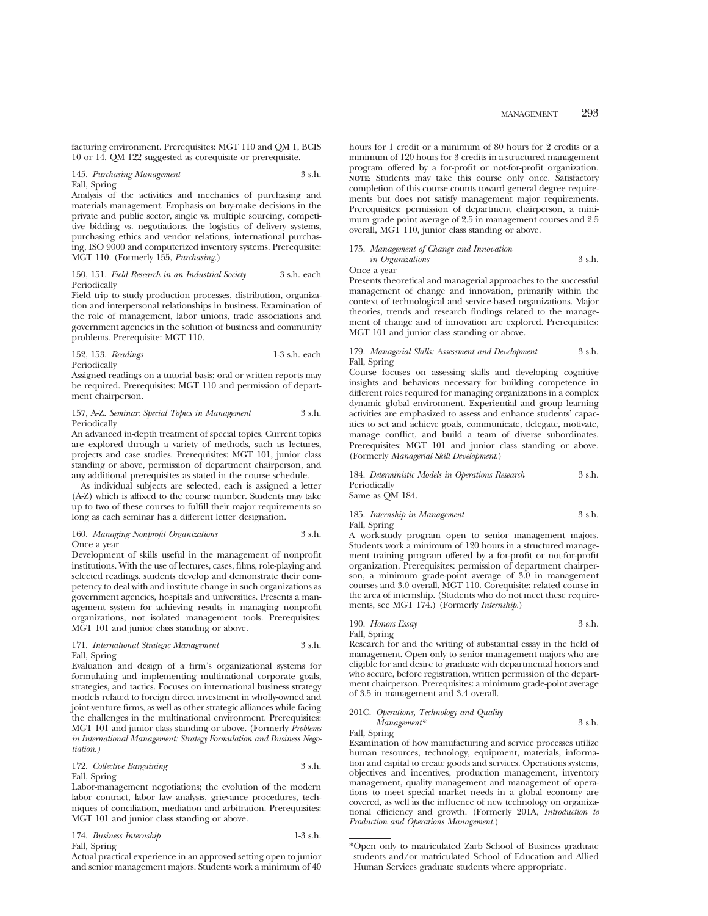facturing environment. Prerequisites: MGT 110 and QM 1, BCIS 10 or 14. QM 122 suggested as corequisite or prerequisite.

### 145. *Purchasing Management* 3 s.h. Fall, Spring

Analysis of the activities and mechanics of purchasing and materials management. Emphasis on buy-make decisions in the private and public sector, single vs. multiple sourcing, competitive bidding vs. negotiations, the logistics of delivery systems, purchasing ethics and vendor relations, international purchasing, ISO 9000 and computerized inventory systems. Prerequisite: MGT 110. (Formerly 155, *Purchasing.*)

#### 150, 151. *Field Research in an Industrial Society* 3 s.h. each Periodically

Field trip to study production processes, distribution, organization and interpersonal relationships in business. Examination of the role of management, labor unions, trade associations and government agencies in the solution of business and community problems. Prerequisite: MGT 110.

| 152, 153. Readings | $1-3$ s.h. each |
|--------------------|-----------------|
| Periodically       |                 |

Assigned readings on a tutorial basis; oral or written reports may be required. Prerequisites: MGT 110 and permission of department chairperson.

# 157, A-Z. *Seminar: Special Topics in Management* 3 s.h. Periodically

An advanced in-depth treatment of special topics. Current topics are explored through a variety of methods, such as lectures, projects and case studies. Prerequisites: MGT 101, junior class standing or above, permission of department chairperson, and any additional prerequisites as stated in the course schedule.

As individual subjects are selected, each is assigned a letter (A-Z) which is affixed to the course number. Students may take up to two of these courses to fulfill their major requirements so long as each seminar has a different letter designation.

# 160. *Managing Nonprofit Organizations* 3 s.h. Once a year

Development of skills useful in the management of nonprofit institutions. With the use of lectures, cases, films, role-playing and selected readings, students develop and demonstrate their competency to deal with and institute change in such organizations as government agencies, hospitals and universities. Presents a management system for achieving results in managing nonprofit organizations, not isolated management tools. Prerequisites: MGT 101 and junior class standing or above.

# 171. *International Strategic Management* 3 s.h. Fall, Spring

Evaluation and design of a firm's organizational systems for formulating and implementing multinational corporate goals, strategies, and tactics. Focuses on international business strategy models related to foreign direct investment in wholly-owned and joint-venture firms, as well as other strategic alliances while facing the challenges in the multinational environment. Prerequisites: MGT 101 and junior class standing or above. (Formerly *Problems in International Management: Strategy Formulation and Business Negotiation.)*

# 172. *Collective Bargaining* 3 s.h. Fall, Spring

Labor-management negotiations; the evolution of the modern labor contract, labor law analysis, grievance procedures, techniques of conciliation, mediation and arbitration. Prerequisites: MGT 101 and junior class standing or above.

| 174. Business Internship | $1-3$ s.h. |
|--------------------------|------------|
| Fall, Spring             |            |

Actual practical experience in an approved setting open to junior and senior management majors. Students work a minimum of 40 hours for 1 credit or a minimum of 80 hours for 2 credits or a minimum of 120 hours for 3 credits in a structured management program offered by a for-profit or not-for-profit organization. **NOTE:** Students may take this course only once. Satisfactory completion of this course counts toward general degree requirements but does not satisfy management major requirements. Prerequisites: permission of department chairperson, a minimum grade point average of 2.5 in management courses and 2.5 overall, MGT 110, junior class standing or above.

# 175. *Management of Change and Innovation in Organizations* 3 s.h. Once a year

Presents theoretical and managerial approaches to the successful management of change and innovation, primarily within the context of technological and service-based organizations. Major theories, trends and research findings related to the management of change and of innovation are explored. Prerequisites: MGT 101 and junior class standing or above.

# 179. *Managerial Skills: Assessment and Development* 3 s.h. Fall, Spring

Course focuses on assessing skills and developing cognitive insights and behaviors necessary for building competence in different roles required for managing organizations in a complex dynamic global environment. Experiential and group learning activities are emphasized to assess and enhance students' capacities to set and achieve goals, communicate, delegate, motivate, manage conflict, and build a team of diverse subordinates. Prerequisites: MGT 101 and junior class standing or above. (Formerly *Managerial Skill Development*.)

# 184. *Deterministic Models in Operations Research* 3 s.h. Periodically

Same as QM 184.

# 185. *Internship in Management* 3 s.h. Fall, Spring

A work-study program open to senior management majors. Students work a minimum of 120 hours in a structured management training program offered by a for-profit or not-for-profit organization. Prerequisites: permission of department chairperson, a minimum grade-point average of 3.0 in management courses and 3.0 overall, MGT 110. Corequisite: related course in the area of internship. (Students who do not meet these requirements, see MGT 174.) (Formerly *Internship.*)

# 190. *Honors Essay* 3 s.h.

Fall, Spring Research for and the writing of substantial essay in the field of management. Open only to senior management majors who are eligible for and desire to graduate with departmental honors and who secure, before registration, written permission of the department chairperson. Prerequisites: a minimum grade-point average of 3.5 in management and 3.4 overall.

# 201C. *Operations, Technology and Quality*

*Management\** 3 s.h. Fall, Spring

Examination of how manufacturing and service processes utilize human resources, technology, equipment, materials, information and capital to create goods and services. Operations systems, objectives and incentives, production management, inventory management, quality management and management of operations to meet special market needs in a global economy are covered, as well as the influence of new technology on organizational efficiency and growth. (Formerly 201A, *Introduction to Production and Operations Management.*)

<sup>\*</sup>Open only to matriculated Zarb School of Business graduate students and/or matriculated School of Education and Allied Human Services graduate students where appropriate.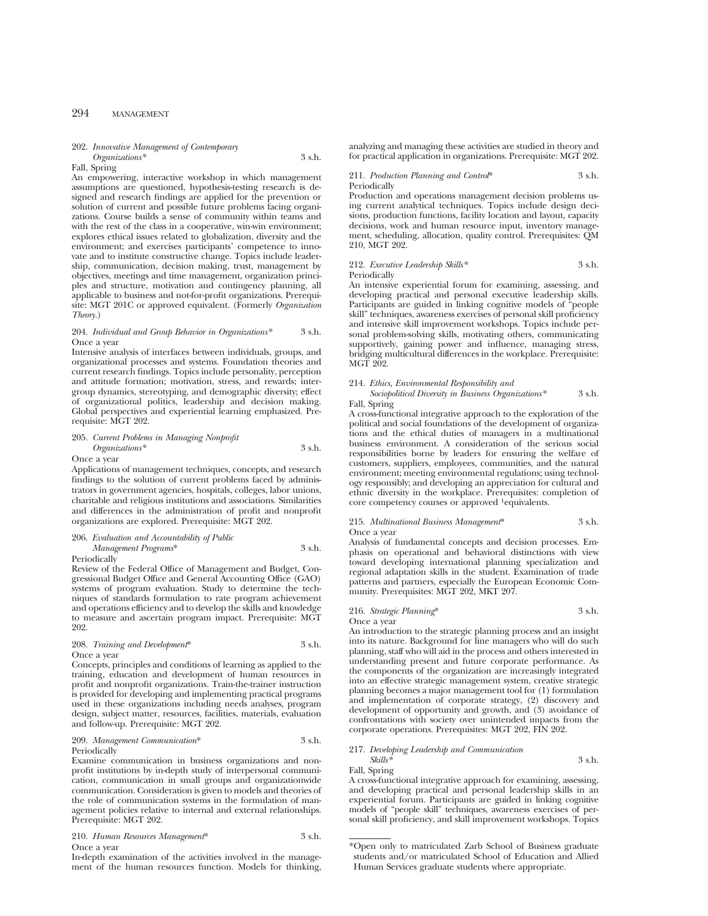#### 202. *Innovative Management of Contemporary Organizations\** 3 s.h.

# Fall, Spring

An empowering, interactive workshop in which management assumptions are questioned, hypothesis-testing research is designed and research findings are applied for the prevention or solution of current and possible future problems facing organizations. Course builds a sense of community within teams and with the rest of the class in a cooperative, win-win environment; explores ethical issues related to globalization, diversity and the environment; and exercises participants' competence to innovate and to institute constructive change. Topics include leadership, communication, decision making, trust, management by objectives, meetings and time management, organization principles and structure, motivation and contingency planning, all applicable to business and not-for-profit organizations. Prerequisite: MGT 201C or approved equivalent. (Formerly *Organization Theory.*)

# 204. *Individual and Group Behavior in Organizations\** 3 s.h. Once a year

Intensive analysis of interfaces between individuals, groups, and organizational processes and systems. Foundation theories and current research findings. Topics include personality, perception and attitude formation; motivation, stress, and rewards; intergroup dynamics, stereotyping, and demographic diversity; effect of organizational politics, leadership and decision making. Global perspectives and experiential learning emphasized. Prerequisite: MGT 202.

### 205. *Current Problems in Managing Nonprofit Organizations\** 3 s.h.

Once a year

Applications of management techniques, concepts, and research findings to the solution of current problems faced by administrators in government agencies, hospitals, colleges, labor unions, charitable and religious institutions and associations. Similarities and differences in the administration of profit and nonprofit organizations are explored. Prerequisite: MGT 202.

# 206. *Evaluation and Accountability of Public Management Programs*\* 3 s.h.

Periodically

Review of the Federal Office of Management and Budget, Congressional Budget Office and General Accounting Office (GAO) systems of program evaluation. Study to determine the techniques of standards formulation to rate program achievement and operations efficiency and to develop the skills and knowledge to measure and ascertain program impact. Prerequisite: MGT 202.

# 208. *Training and Development*\* 3 s.h. Once a year

Concepts, principles and conditions of learning as applied to the training, education and development of human resources in profit and nonprofit organizations. Train-the-trainer instruction is provided for developing and implementing practical programs used in these organizations including needs analyses, program design, subject matter, resources, facilities, materials, evaluation and follow-up. Prerequisite: MGT 202.

#### 209. *Management Communication*\* 3 s.h. Periodically

Examine communication in business organizations and nonprofit institutions by in-depth study of interpersonal communication, communication in small groups and organizationwide communication. Consideration is given to models and theories of the role of communication systems in the formulation of management policies relative to internal and external relationships. Prerequisite: MGT 202.

210. *Human Resources Management*\* 3 s.h. Once a year

In-depth examination of the activities involved in the management of the human resources function. Models for thinking, analyzing and managing these activities are studied in theory and for practical application in organizations. Prerequisite: MGT 202.

#### 211. *Production Planning and Control*\* 3 s.h. Periodically

Production and operations management decision problems using current analytical techniques. Topics include design decisions, production functions, facility location and layout, capacity decisions, work and human resource input, inventory management, scheduling, allocation, quality control. Prerequisites: QM 210, MGT 202.

#### 212. *Executive Leadership Skills\** 3 s.h. Periodically

An intensive experiential forum for examining, assessing, and developing practical and personal executive leadership skills. Participants are guided in linking cognitive models of "people skill" techniques, awareness exercises of personal skill proficiency and intensive skill improvement workshops. Topics include personal problem-solving skills, motivating others, communicating supportively, gaining power and influence, managing stress, bridging multicultural differences in the workplace. Prerequisite: MGT 202.

# 214. *Ethics, Environmental Responsibility and*

*Sociopolitical Diversity in Business Organizations\** 3 s.h. Fall, Spring

A cross-functional integrative approach to the exploration of the political and social foundations of the development of organizations and the ethical duties of managers in a multinational business environment. A consideration of the serious social responsibilities borne by leaders for ensuring the welfare of customers, suppliers, employees, communities, and the natural environment; meeting environmental regulations; using technology responsibly; and developing an appreciation for cultural and ethnic diversity in the workplace. Prerequisites: completion of core competency courses or approved 1equivalents.

# 215. *Multinational Business Management*\* 3 s.h. Once a year

Analysis of fundamental concepts and decision processes. Emphasis on operational and behavioral distinctions with view toward developing international planning specialization and regional adaptation skills in the student. Examination of trade patterns and partners, especially the European Economic Community. Prerequisites: MGT 202, MKT 207.

#### 216. *Strategic Planning*\* 3 s.h. Once a year

An introduction to the strategic planning process and an insight into its nature. Background for line managers who will do such planning, staff who will aid in the process and others interested in understanding present and future corporate performance. As the components of the organization are increasingly integrated into an effective strategic management system, creative strategic planning becomes a major management tool for (1) formulation and implementation of corporate strategy, (2) discovery and development of opportunity and growth, and (3) avoidance of confrontations with society over unintended impacts from the corporate operations. Prerequisites: MGT 202, FIN 202.

# 217. *Developing Leadership and Communication*

*Skills\** 3 s.h. Fall, Spring

A cross-functional integrative approach for examining, assessing, and developing practical and personal leadership skills in an experiential forum. Participants are guided in linking cognitive models of "people skill" techniques, awareness exercises of personal skill proficiency, and skill improvement workshops. Topics

<sup>\*</sup>Open only to matriculated Zarb School of Business graduate students and/or matriculated School of Education and Allied Human Services graduate students where appropriate.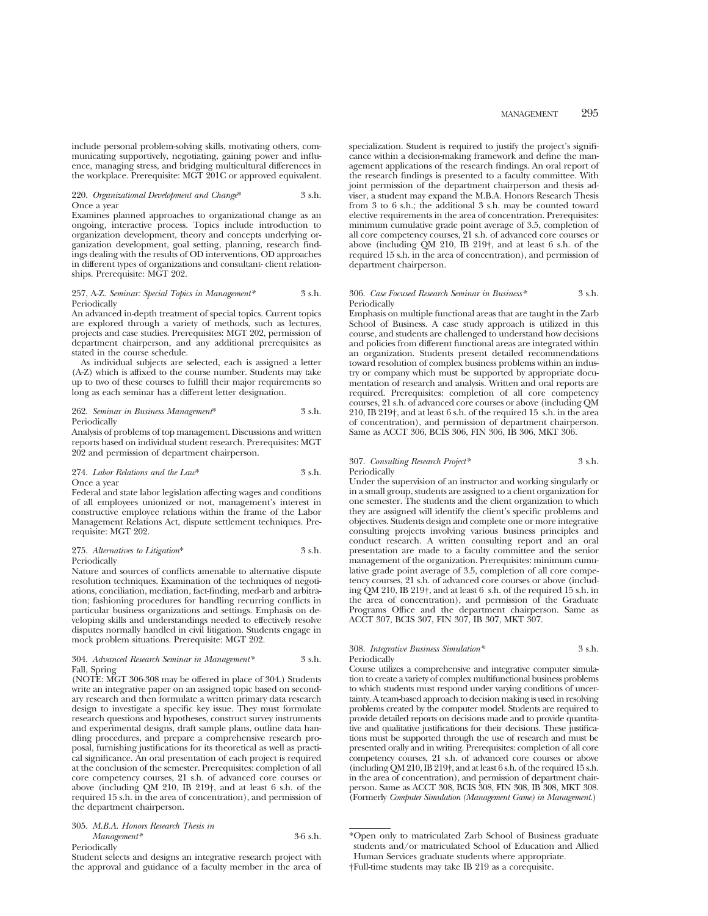include personal problem-solving skills, motivating others, communicating supportively, negotiating, gaining power and influence, managing stress, and bridging multicultural differences in the workplace. Prerequisite: MGT 201C or approved equivalent.

### 220. *Organizational Development and Change*\* 3 s.h. Once a year

Examines planned approaches to organizational change as an ongoing, interactive process. Topics include introduction to organization development, theory and concepts underlying organization development, goal setting, planning, research findings dealing with the results of OD interventions, OD approaches in different types of organizations and consultant- client relationships. Prerequisite: MGT 202.

### 257, A-Z. *Seminar: Special Topics in Management\** 3 s.h. Periodically

An advanced in-depth treatment of special topics. Current topics are explored through a variety of methods, such as lectures, projects and case studies. Prerequisites: MGT 202, permission of department chairperson, and any additional prerequisites as stated in the course schedule.

As individual subjects are selected, each is assigned a letter (A-Z) which is affixed to the course number. Students may take up to two of these courses to fulfill their major requirements so long as each seminar has a different letter designation.

262. *Seminar in Business Management*\* 3 s.h. Periodically

Analysis of problems of top management. Discussions and written reports based on individual student research. Prerequisites: MGT 202 and permission of department chairperson.

#### 274. *Labor Relations and the Law*\* 3 s.h. Once a year

Federal and state labor legislation affecting wages and conditions of all employees unionized or not, management's interest in constructive employee relations within the frame of the Labor Management Relations Act, dispute settlement techniques. Prerequisite: MGT 202.

275. *Alternatives to Litigation*\* 3 s.h. Periodically

Nature and sources of conflicts amenable to alternative dispute resolution techniques. Examination of the techniques of negotiations, conciliation, mediation, fact-finding, med-arb and arbitration; fashioning procedures for handling recurring conflicts in particular business organizations and settings. Emphasis on developing skills and understandings needed to effectively resolve disputes normally handled in civil litigation. Students engage in mock problem situations. Prerequisite: MGT 202.

# 304. *Advanced Research Seminar in Management\** 3 s.h. Fall, Spring

(NOTE: MGT 306-308 may be offered in place of 304.) Students write an integrative paper on an assigned topic based on secondary research and then formulate a written primary data research design to investigate a specific key issue. They must formulate research questions and hypotheses, construct survey instruments and experimental designs, draft sample plans, outline data handling procedures, and prepare a comprehensive research proposal, furnishing justifications for its theoretical as well as practical significance. An oral presentation of each project is required at the conclusion of the semester. Prerequisites: completion of all core competency courses, 21 s.h. of advanced core courses or above (including QM 210, IB 219†, and at least 6 s.h. of the required 15 s.h. in the area of concentration), and permission of the department chairperson.

305. *M.B.A. Honors Research Thesis in Management\** 3-6 s.h. **Periodically** 

specialization. Student is required to justify the project's significance within a decision-making framework and define the management applications of the research findings. An oral report of the research findings is presented to a faculty committee. With joint permission of the department chairperson and thesis adviser, a student may expand the M.B.A. Honors Research Thesis from 3 to 6 s.h.; the additional 3 s.h. may be counted toward elective requirements in the area of concentration. Prerequisites: minimum cumulative grade point average of 3.5, completion of all core competency courses, 21 s.h. of advanced core courses or above (including  $\dot{Q}M$  210, IB 219†, and at least 6 s.h. of the required 15 s.h. in the area of concentration), and permission of department chairperson.

#### 306. *Case Focused Research Seminar in Business\** 3 s.h. Periodically

Emphasis on multiple functional areas that are taught in the Zarb School of Business. A case study approach is utilized in this course, and students are challenged to understand how decisions and policies from different functional areas are integrated within an organization. Students present detailed recommendations toward resolution of complex business problems within an industry or company which must be supported by appropriate documentation of research and analysis. Written and oral reports are required. Prerequisites: completion of all core competency courses, 21 s.h. of advanced core courses or above (including QM 210, IB 219†, and at least 6 s.h. of the required 15 s.h. in the area of concentration), and permission of department chairperson. Same as ACCT 306, BCIS 306, FIN 306, IB 306, MKT 306.

# 307. *Consulting Research Project\** 3 s.h. Periodically

Under the supervision of an instructor and working singularly or in a small group, students are assigned to a client organization for one semester. The students and the client organization to which they are assigned will identify the client's specific problems and objectives. Students design and complete one or more integrative consulting projects involving various business principles and conduct research. A written consulting report and an oral presentation are made to a faculty committee and the senior management of the organization. Prerequisites: minimum cumulative grade point average of 3.5, completion of all core competency courses, 21 s.h. of advanced core courses or above (including QM 210, IB 219†, and at least 6 s.h. of the required 15 s.h. in the area of concentration), and permission of the Graduate Programs Office and the department chairperson. Same as ACCT 307, BCIS 307, FIN 307, IB 307, MKT 307.

# 308. *Integrative Business Simulation\** 3 s.h. **Periodically**

Course utilizes a comprehensive and integrative computer simulation to create a variety of complex multifunctional business problems to which students must respond under varying conditions of uncertainty. A team-based approach to decision making is used in resolving problems created by the computer model. Students are required to provide detailed reports on decisions made and to provide quantitative and qualitative justifications for their decisions. These justifications must be supported through the use of research and must be presented orally and in writing. Prerequisites: completion of all core competency courses, 21 s.h. of advanced core courses or above (including QM 210, IB 219†, and at least 6 s.h. of the required 15 s.h. in the area of concentration), and permission of department chairperson. Same as ACCT 308, BCIS 308, FIN 308, IB 308, MKT 308. (Formerly *Computer Simulation (Management Game) in Management.*)

<sup>\*</sup>Open only to matriculated Zarb School of Business graduate students and/or matriculated School of Education and Allied Human Services graduate students where appropriate. †Full-time students may take IB 219 as a corequisite.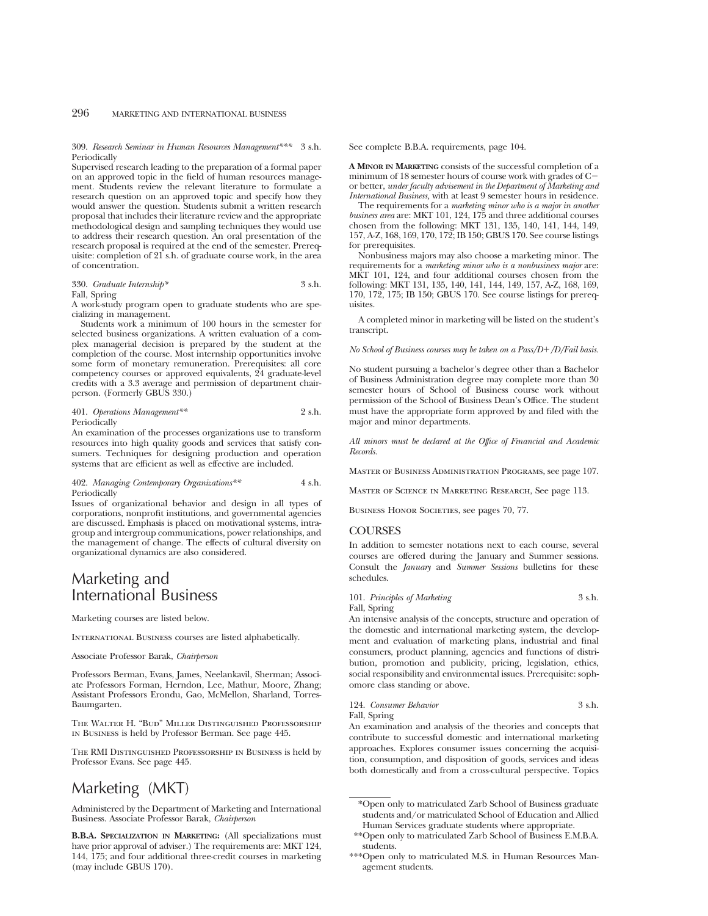309. *Research Seminar in Human Resources Management\*\*\** 3 s.h. Periodically

Supervised research leading to the preparation of a formal paper on an approved topic in the field of human resources management. Students review the relevant literature to formulate a research question on an approved topic and specify how they would answer the question. Students submit a written research proposal that includes their literature review and the appropriate methodological design and sampling techniques they would use to address their research question. An oral presentation of the research proposal is required at the end of the semester. Prerequisite: completion of 21 s.h. of graduate course work, in the area of concentration.

330. *Graduate Internship\** 3 s.h. Fall, Spring

A work-study program open to graduate students who are specializing in management.

Students work a minimum of 100 hours in the semester for selected business organizations. A written evaluation of a complex managerial decision is prepared by the student at the completion of the course. Most internship opportunities involve some form of monetary remuneration. Prerequisites: all core competency courses or approved equivalents, 24 graduate-level credits with a 3.3 average and permission of department chairperson. (Formerly GBUS 330.)

# 401. *Operations Management\*\** 2 s.h. Periodically

An examination of the processes organizations use to transform resources into high quality goods and services that satisfy consumers. Techniques for designing production and operation systems that are efficient as well as effective are included.

## 402. *Managing Contemporary Organizations\*\** 4 s.h. Periodically

Issues of organizational behavior and design in all types of corporations, nonprofit institutions, and governmental agencies are discussed. Emphasis is placed on motivational systems, intragroup and intergroup communications, power relationships, and the management of change. The effects of cultural diversity on organizational dynamics are also considered.

# Marketing and International Business

Marketing courses are listed below.

International Business courses are listed alphabetically.

Associate Professor Barak, *Chairperson*

Professors Berman, Evans, James, Neelankavil, Sherman; Associate Professors Forman, Herndon, Lee, Mathur, Moore, Zhang; Assistant Professors Erondu, Gao, McMellon, Sharland, Torres-Baumgarten.

The Walter H. "Bud" Miller Distinguished Professorship in Business is held by Professor Berman. See page 445.

The RMI Distinguished Professorship in Business is held by Professor Evans. See page 445.

# Marketing (MKT)

Administered by the Department of Marketing and International Business. Associate Professor Barak, *Chairperson*

**B.B.A. SPECIALIZATION IN MARKETING:** (All specializations must have prior approval of adviser.) The requirements are: MKT 124, 144, 175; and four additional three-credit courses in marketing (may include GBUS 170).

See complete B.B.A. requirements, page 104.

**A MINOR IN MARKETING** consists of the successful completion of a minimum of 18 semester hours of course work with grades of Cor better, *under faculty advisement in the Department of Marketing and International Business,* with at least 9 semester hours in residence.

The requirements for a *marketing minor who is a major in another business area* are: MKT 101, 124, 175 and three additional courses chosen from the following: MKT 131, 135, 140, 141, 144, 149, 157, A-Z, 168, 169, 170, 172; IB 150; GBUS 170. See course listings for prerequisites.

Nonbusiness majors may also choose a marketing minor. The requirements for a *marketing minor who is a nonbusiness major* are: MKT 101, 124, and four additional courses chosen from the following: MKT 131, 135, 140, 141, 144, 149, 157, A-Z, 168, 169, 170, 172, 175; IB 150; GBUS 170. See course listings for prerequisites.

A completed minor in marketing will be listed on the student's transcript.

*No School of Business courses may be taken on a Pass/D+/D/Fail basis.* 

No student pursuing a bachelor's degree other than a Bachelor of Business Administration degree may complete more than 30 semester hours of School of Business course work without permission of the School of Business Dean's Office. The student must have the appropriate form approved by and filed with the major and minor departments.

*All minors must be declared at the Office of Financial and Academic Records.*

Master of Business Administration Programs, see page 107.

Master of Science in Marketing Research, See page 113.

BUSINESS HONOR SOCIETIES, see pages 70, 77.

# COURSES

In addition to semester notations next to each course, several courses are offered during the January and Summer sessions. Consult the *January* and *Summer Sessions* bulletins for these schedules.

101. *Principles of Marketing* 3 s.h. Fall, Spring

An intensive analysis of the concepts, structure and operation of the domestic and international marketing system, the development and evaluation of marketing plans, industrial and final consumers, product planning, agencies and functions of distribution, promotion and publicity, pricing, legislation, ethics, social responsibility and environmental issues. Prerequisite: sophomore class standing or above.

| 124. Consumer Behavior                                                                                                                                                                                                             | 3 s.h. |
|------------------------------------------------------------------------------------------------------------------------------------------------------------------------------------------------------------------------------------|--------|
| Fall, Spring                                                                                                                                                                                                                       |        |
| $\mathcal{A}$ , and the contract of the contract of the contract of the contract of the contract of the contract of the contract of the contract of the contract of the contract of the contract of the contract of the contract o |        |

An examination and analysis of the theories and concepts that contribute to successful domestic and international marketing approaches. Explores consumer issues concerning the acquisition, consumption, and disposition of goods, services and ideas both domestically and from a cross-cultural perspective. Topics

<sup>\*</sup>Open only to matriculated Zarb School of Business graduate students and/or matriculated School of Education and Allied Human Services graduate students where appropriate.

<sup>\*\*</sup>Open only to matriculated Zarb School of Business E.M.B.A. students.

<sup>\*\*\*</sup>Open only to matriculated M.S. in Human Resources Management students.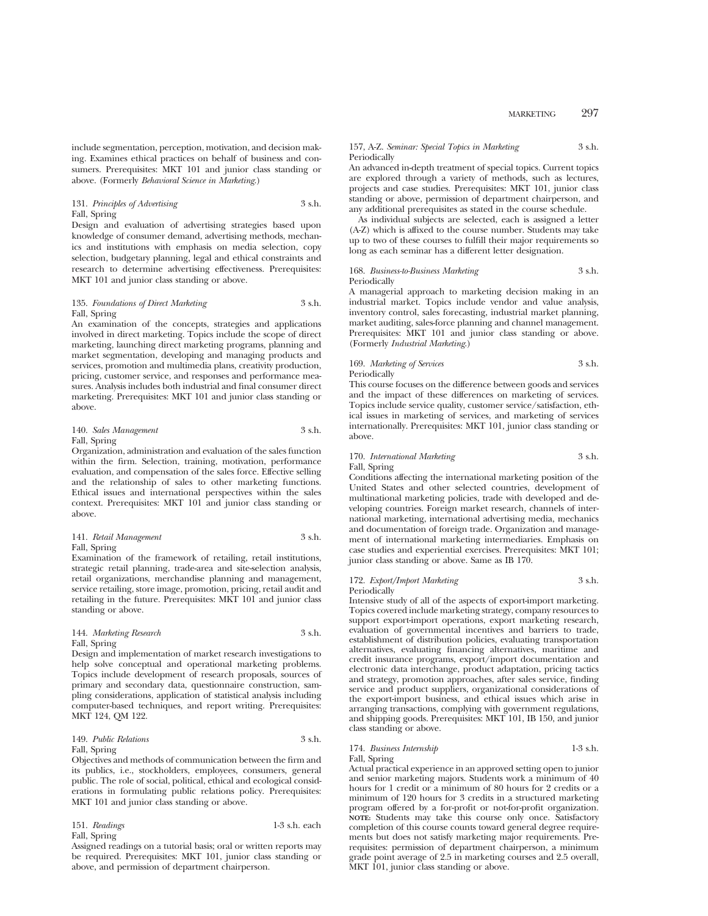include segmentation, perception, motivation, and decision making. Examines ethical practices on behalf of business and consumers. Prerequisites: MKT 101 and junior class standing or above. (Formerly *Behavioral Science in Marketing*.)

# 131. *Principles of Advertising* 3 s.h. Fall, Spring

Design and evaluation of advertising strategies based upon knowledge of consumer demand, advertising methods, mechanics and institutions with emphasis on media selection, copy selection, budgetary planning, legal and ethical constraints and research to determine advertising effectiveness. Prerequisites: MKT 101 and junior class standing or above.

# 135. *Foundations of Direct Marketing* 3 s.h. Fall, Spring

An examination of the concepts, strategies and applications involved in direct marketing. Topics include the scope of direct marketing, launching direct marketing programs, planning and market segmentation, developing and managing products and services, promotion and multimedia plans, creativity production, pricing, customer service, and responses and performance measures. Analysis includes both industrial and final consumer direct marketing. Prerequisites: MKT 101 and junior class standing or above.

# 140. *Sales Management* 3 s.h. Fall, Spring

Organization, administration and evaluation of the sales function within the firm. Selection, training, motivation, performance evaluation, and compensation of the sales force. Effective selling and the relationship of sales to other marketing functions. Ethical issues and international perspectives within the sales context. Prerequisites: MKT 101 and junior class standing or above.

# 141. *Retail Management* 3 s.h. Fall, Spring

Examination of the framework of retailing, retail institutions, strategic retail planning, trade-area and site-selection analysis, retail organizations, merchandise planning and management, service retailing, store image, promotion, pricing, retail audit and retailing in the future. Prerequisites: MKT 101 and junior class standing or above.

# 144. *Marketing Research* 3 s.h. Fall, Spring

Design and implementation of market research investigations to help solve conceptual and operational marketing problems. Topics include development of research proposals, sources of primary and secondary data, questionnaire construction, sampling considerations, application of statistical analysis including computer-based techniques, and report writing. Prerequisites: MKT 124, QM 122.

# 149. *Public Relations* 3 s.h. Fall, Spring

Objectives and methods of communication between the firm and its publics, i.e., stockholders, employees, consumers, general public. The role of social, political, ethical and ecological considerations in formulating public relations policy. Prerequisites: MKT 101 and junior class standing or above.

151. *Readings* 1-3 s.h. each Fall, Spring

Assigned readings on a tutorial basis; oral or written reports may be required. Prerequisites: MKT 101, junior class standing or above, and permission of department chairperson.

# 157, A-Z. *Seminar: Special Topics in Marketing* 3 s.h. Periodically

An advanced in-depth treatment of special topics. Current topics are explored through a variety of methods, such as lectures, projects and case studies. Prerequisites: MKT 101, junior class standing or above, permission of department chairperson, and any additional prerequisites as stated in the course schedule.

As individual subjects are selected, each is assigned a letter (A-Z) which is affixed to the course number. Students may take up to two of these courses to fulfill their major requirements so long as each seminar has a different letter designation.

# 168. *Business-to-Business Marketing* 3 s.h. Periodically

A managerial approach to marketing decision making in an industrial market. Topics include vendor and value analysis, inventory control, sales forecasting, industrial market planning, market auditing, sales-force planning and channel management. Prerequisites: MKT 101 and junior class standing or above. (Formerly *Industrial Marketing*.)

# 169. *Marketing of Services* 3 s.h. Periodically

This course focuses on the difference between goods and services and the impact of these differences on marketing of services. Topics include service quality, customer service/satisfaction, ethical issues in marketing of services, and marketing of services internationally. Prerequisites: MKT 101, junior class standing or above.

# 170. *International Marketing* 3 s.h. Fall, Spring

Conditions affecting the international marketing position of the United States and other selected countries, development of multinational marketing policies, trade with developed and developing countries. Foreign market research, channels of international marketing, international advertising media, mechanics and documentation of foreign trade. Organization and management of international marketing intermediaries. Emphasis on case studies and experiential exercises. Prerequisites: MKT 101; junior class standing or above. Same as IB 170.

# 172. *Export/Import Marketing* 3 s.h. **Periodically**

Intensive study of all of the aspects of export-import marketing. Topics covered include marketing strategy, company resources to support export-import operations, export marketing research, evaluation of governmental incentives and barriers to trade, establishment of distribution policies, evaluating transportation alternatives, evaluating financing alternatives, maritime and credit insurance programs, export/import documentation and electronic data interchange, product adaptation, pricing tactics and strategy, promotion approaches, after sales service, finding service and product suppliers, organizational considerations of the export-import business, and ethical issues which arise in arranging transactions, complying with government regulations, and shipping goods. Prerequisites: MKT 101, IB 150, and junior class standing or above.

# 174. *Business Internship* 1-3 s.h.

Fall, Spring Actual practical experience in an approved setting open to junior and senior marketing majors. Students work a minimum of 40 hours for 1 credit or a minimum of 80 hours for 2 credits or a minimum of 120 hours for 3 credits in a structured marketing program offered by a for-profit or not-for-profit organization. **NOTE:** Students may take this course only once. Satisfactory completion of this course counts toward general degree requirements but does not satisfy marketing major requirements. Prerequisites: permission of department chairperson, a minimum grade point average of 2.5 in marketing courses and 2.5 overall, MKT 101, junior class standing or above.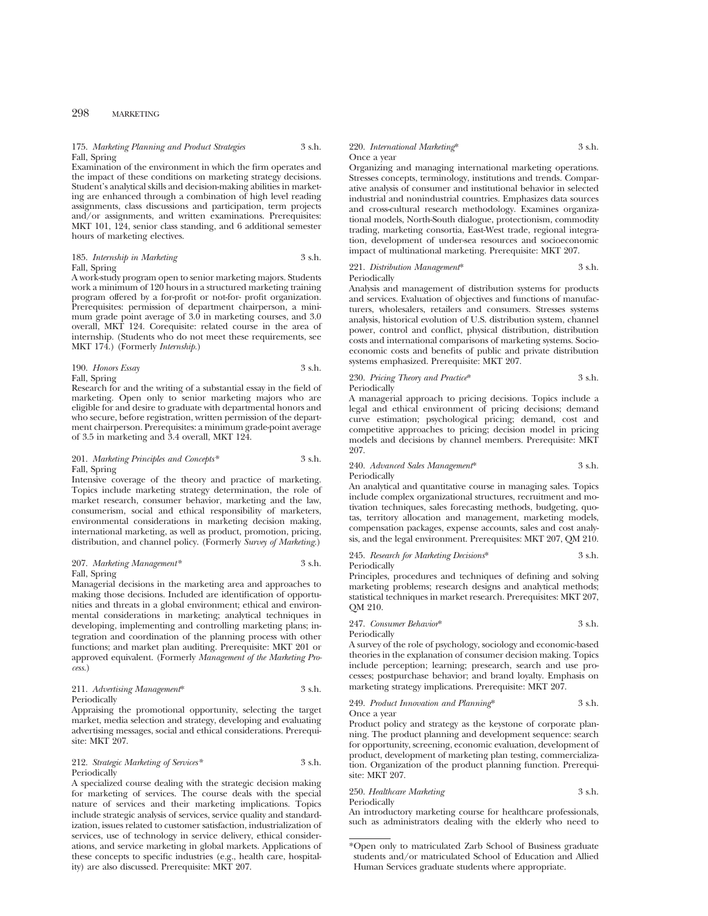# 175. *Marketing Planning and Product Strategies* 3 s.h. Fall, Spring

Examination of the environment in which the firm operates and the impact of these conditions on marketing strategy decisions. Student's analytical skills and decision-making abilities in marketing are enhanced through a combination of high level reading assignments, class discussions and participation, term projects and/or assignments, and written examinations. Prerequisites: MKT 101, 124, senior class standing, and 6 additional semester hours of marketing electives.

# 185. *Internship in Marketing* 3 s.h. Fall, Spring

A work-study program open to senior marketing majors. Students work a minimum of 120 hours in a structured marketing training program offered by a for-profit or not-for- profit organization. Prerequisites: permission of department chairperson, a minimum grade point average of 3.0 in marketing courses, and 3.0 overall, MKT 124. Corequisite: related course in the area of internship. (Students who do not meet these requirements, see MKT 174.) (Formerly *Internship.*)

# 190. *Honors Essay* 3 s.h. Fall, Spring

Research for and the writing of a substantial essay in the field of marketing. Open only to senior marketing majors who are eligible for and desire to graduate with departmental honors and who secure, before registration, written permission of the department chairperson. Prerequisites: a minimum grade-point average of 3.5 in marketing and 3.4 overall, MKT 124.

# 201. *Marketing Principles and Concepts\** 3 s.h. Fall, Spring

Intensive coverage of the theory and practice of marketing. Topics include marketing strategy determination, the role of market research, consumer behavior, marketing and the law, consumerism, social and ethical responsibility of marketers, environmental considerations in marketing decision making, international marketing, as well as product, promotion, pricing, distribution, and channel policy. (Formerly *Survey of Marketing.*)

# 207. *Marketing Management\** 3 s.h. Fall, Spring

Managerial decisions in the marketing area and approaches to making those decisions. Included are identification of opportunities and threats in a global environment; ethical and environmental considerations in marketing; analytical techniques in developing, implementing and controlling marketing plans; integration and coordination of the planning process with other functions; and market plan auditing. Prerequisite: MKT 201 or approved equivalent. (Formerly *Management of the Marketing Process.*)

211. *Advertising Management*\* 3 s.h. Periodically

Appraising the promotional opportunity, selecting the target market, media selection and strategy, developing and evaluating advertising messages, social and ethical considerations. Prerequisite: MKT 207.

# 212. *Strategic Marketing of Services\** 3 s.h. Periodically

A specialized course dealing with the strategic decision making for marketing of services. The course deals with the special nature of services and their marketing implications. Topics include strategic analysis of services, service quality and standardization, issues related to customer satisfaction, industrialization of services, use of technology in service delivery, ethical considerations, and service marketing in global markets. Applications of these concepts to specific industries (e.g., health care, hospitality) are also discussed. Prerequisite: MKT 207.

### 220. *International Marketing*\* 3 s.h. Once a year

Organizing and managing international marketing operations. Stresses concepts, terminology, institutions and trends. Comparative analysis of consumer and institutional behavior in selected industrial and nonindustrial countries. Emphasizes data sources and cross-cultural research methodology. Examines organizational models, North-South dialogue, protectionism, commodity trading, marketing consortia, East-West trade, regional integration, development of under-sea resources and socioeconomic impact of multinational marketing. Prerequisite: MKT 207.

# 221. *Distribution Management*\* 3 s.h.

Periodically

Analysis and management of distribution systems for products and services. Evaluation of objectives and functions of manufacturers, wholesalers, retailers and consumers. Stresses systems analysis, historical evolution of U.S. distribution system, channel power, control and conflict, physical distribution, distribution costs and international comparisons of marketing systems. Socioeconomic costs and benefits of public and private distribution systems emphasized. Prerequisite: MKT 207.

230. *Pricing Theory and Practice*\* 3 s.h. Periodically

A managerial approach to pricing decisions. Topics include a legal and ethical environment of pricing decisions; demand curve estimation; psychological pricing; demand, cost and competitive approaches to pricing; decision model in pricing models and decisions by channel members. Prerequisite: MKT 207.

240. *Advanced Sales Management*\* 3 s.h. Periodically

An analytical and quantitative course in managing sales. Topics include complex organizational structures, recruitment and motivation techniques, sales forecasting methods, budgeting, quotas, territory allocation and management, marketing models, compensation packages, expense accounts, sales and cost analysis, and the legal environment. Prerequisites: MKT 207, QM 210.

245. *Research for Marketing Decisions*\* 3 s.h. Periodically

Principles, procedures and techniques of defining and solving marketing problems; research designs and analytical methods; statistical techniques in market research. Prerequisites: MKT 207, QM 210.

247. *Consumer Behavior*\* 3 s.h.

Periodically

A survey of the role of psychology, sociology and economic-based theories in the explanation of consumer decision making. Topics include perception; learning; presearch, search and use processes; postpurchase behavior; and brand loyalty. Emphasis on marketing strategy implications. Prerequisite: MKT 207.

#### 249. *Product Innovation and Planning*\* 3 s.h. Once a year

Product policy and strategy as the keystone of corporate planning. The product planning and development sequence: search for opportunity, screening, economic evaluation, development of product, development of marketing plan testing, commercialization. Organization of the product planning function. Prerequisite: MKT 207.

# 250. *Healthcare Marketing* 3 s.h. Periodically

An introductory marketing course for healthcare professionals, such as administrators dealing with the elderly who need to

<sup>\*</sup>Open only to matriculated Zarb School of Business graduate students and/or matriculated School of Education and Allied Human Services graduate students where appropriate.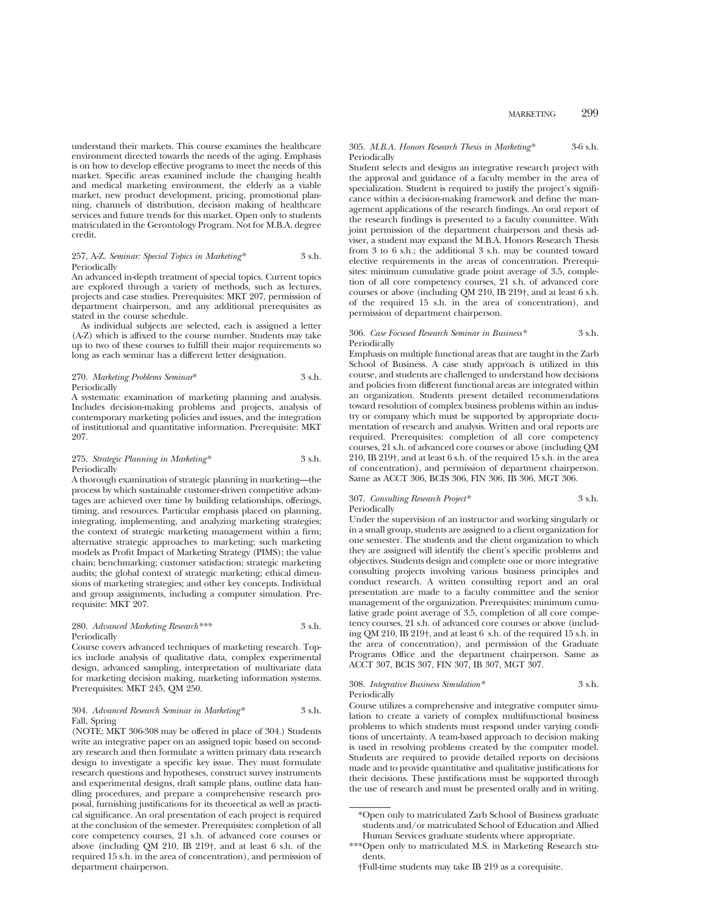understand their markets. This course examines the healthcare environment directed towards the needs of the aging. Emphasis is on how to develop effective programs to meet the needs of this market. Specific areas examined include the changing health and medical marketing environment, the elderly as a viable market, new product development, pricing, promotional planning, channels of distribution, decision making of healthcare services and future trends for this market. Open only to students matriculated in the Gerontology Program. Not for M.B.A. degree credit.

### 257, A-Z. *Seminar: Special Topics in Marketing\** 3 s.h. Periodically

An advanced in-depth treatment of special topics. Current topics are explored through a variety of methods, such as lectures, projects and case studies. Prerequisites: MKT 207, permission of department chairperson, and any additional prerequisites as stated in the course schedule.

As individual subjects are selected, each is assigned a letter (A-Z) which is affixed to the course number. Students may take up to two of these courses to fulfill their major requirements so long as each seminar has a different letter designation.

# 270. *Marketing Problems Seminar*\* 3 s.h. Periodically

A systematic examination of marketing planning and analysis. Includes decision-making problems and projects, analysis of contemporary marketing policies and issues, and the integration of institutional and quantitative information. Prerequisite: MKT 207.

# 275. *Strategic Planning in Marketing\** 3 s.h. Periodically

A thorough examination of strategic planning in marketing—the process by which sustainable customer-driven competitive advantages are achieved over time by building relationships, offerings, timing, and resources. Particular emphasis placed on planning, integrating, implementing, and analyzing marketing strategies; the context of strategic marketing management within a firm; alternative strategic approaches to marketing; such marketing models as Profit Impact of Marketing Strategy (PIMS); the value chain; benchmarking; customer satisfaction; strategic marketing audits; the global context of strategic marketing; ethical dimensions of marketing strategies; and other key concepts. Individual and group assignments, including a computer simulation. Prerequisite: MKT 207.

# 280. *Advanced Marketing Research\*\*\** 3 s.h. Periodically

Course covers advanced techniques of marketing research. Topics include analysis of qualitative data, complex experimental design, advanced sampling, interpretation of multivariate data for marketing decision making, marketing information systems. Prerequisites: MKT 245, QM 250.

# 304. *Advanced Research Seminar in Marketing\** 3 s.h. Fall, Spring

(NOTE: MKT 306-308 may be offered in place of 304.) Students write an integrative paper on an assigned topic based on secondary research and then formulate a written primary data research design to investigate a specific key issue. They must formulate research questions and hypotheses, construct survey instruments and experimental designs, draft sample plans, outline data handling procedures, and prepare a comprehensive research proposal, furnishing justifications for its theoretical as well as practical significance. An oral presentation of each project is required at the conclusion of the semester. Prerequisites: completion of all core competency courses, 21 s.h. of advanced core courses or above (including QM 210, IB 219†, and at least 6 s.h. of the required 15 s.h. in the area of concentration), and permission of department chairperson.

# 305. *M.B.A. Honors Research Thesis in Marketing\** 3-6 s.h. Periodically

Student selects and designs an integrative research project with the approval and guidance of a faculty member in the area of specialization. Student is required to justify the project's significance within a decision-making framework and define the management applications of the research findings. An oral report of the research findings is presented to a faculty committee. With joint permission of the department chairperson and thesis adviser, a student may expand the M.B.A. Honors Research Thesis from 3 to 6 s.h.; the additional 3 s.h. may be counted toward elective requirements in the areas of concentration. Prerequisites: minimum cumulative grade point average of 3.5, completion of all core competency courses, 21 s.h. of advanced core courses or above (including QM 210, IB 219†, and at least 6 s.h. of the required 15 s.h. in the area of concentration), and permission of department chairperson.

# 306. *Case Focused Research Seminar in Business\** 3 s.h. Periodically

Emphasis on multiple functional areas that are taught in the Zarb School of Business. A case study approach is utilized in this course, and students are challenged to understand how decisions and policies from different functional areas are integrated within an organization. Students present detailed recommendations toward resolution of complex business problems within an industry or company which must be supported by appropriate documentation of research and analysis. Written and oral reports are required. Prerequisites: completion of all core competency courses, 21 s.h. of advanced core courses or above (including QM 210, IB 219†, and at least 6 s.h. of the required 15 s.h. in the area of concentration), and permission of department chairperson. Same as ACCT 306, BCIS 306, FIN 306, IB 306, MGT 306.

# 307. *Consulting Research Project\** 3 s.h. Periodically

Under the supervision of an instructor and working singularly or in a small group, students are assigned to a client organization for one semester. The students and the client organization to which they are assigned will identify the client's specific problems and objectives. Students design and complete one or more integrative consulting projects involving various business principles and conduct research. A written consulting report and an oral presentation are made to a faculty committee and the senior management of the organization. Prerequisites: minimum cumulative grade point average of 3.5, completion of all core competency courses, 21 s.h. of advanced core courses or above (including QM 210, IB 219†, and at least 6 s.h. of the required 15 s.h. in the area of concentration), and permission of the Graduate Programs Office and the department chairperson. Same as ACCT 307, BCIS 307, FIN 307, IB 307, MGT 307.

308. *Integrative Business Simulation\** 3 s.h. Periodically

Course utilizes a comprehensive and integrative computer simulation to create a variety of complex multifunctional business problems to which students must respond under varying conditions of uncertainty. A team-based approach to decision making is used in resolving problems created by the computer model. Students are required to provide detailed reports on decisions made and to provide quantitative and qualitative justifications for their decisions. These justifications must be supported through the use of research and must be presented orally and in writing.

<sup>\*</sup>Open only to matriculated Zarb School of Business graduate students and/or matriculated School of Education and Allied Human Services graduate students where appropriate.

<sup>\*\*\*</sup>Open only to matriculated M.S. in Marketing Research students.

<sup>†</sup>Full-time students may take IB 219 as a corequisite.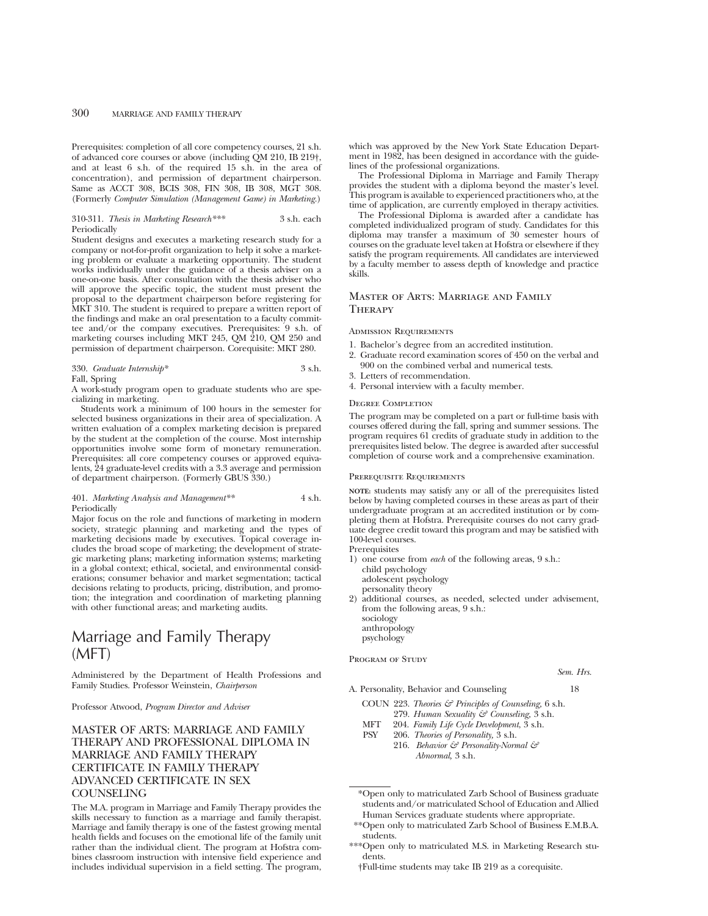Prerequisites: completion of all core competency courses, 21 s.h. of advanced core courses or above (including QM 210, IB 219†, and at least 6 s.h. of the required 15 s.h. in the area of concentration), and permission of department chairperson. Same as ACCT 308, BCIS 308, FIN 308, IB 308, MGT 308. (Formerly *Computer Simulation (Management Game) in Marketing.*)

# 310-311. *Thesis in Marketing Research\*\*\** 3 s.h. each Periodically

Student designs and executes a marketing research study for a company or not-for-profit organization to help it solve a marketing problem or evaluate a marketing opportunity. The student works individually under the guidance of a thesis adviser on a one-on-one basis. After consultation with the thesis adviser who will approve the specific topic, the student must present the proposal to the department chairperson before registering for MKT 310. The student is required to prepare a written report of the findings and make an oral presentation to a faculty committee and/or the company executives. Prerequisites: 9 s.h. of marketing courses including MKT 245, QM 210, QM 250 and permission of department chairperson. Corequisite: MKT 280.

# 330. *Graduate Internship\** 3 s.h. Fall, Spring

A work-study program open to graduate students who are specializing in marketing.

Students work a minimum of 100 hours in the semester for selected business organizations in their area of specialization. A written evaluation of a complex marketing decision is prepared by the student at the completion of the course. Most internship opportunities involve some form of monetary remuneration. Prerequisites: all core competency courses or approved equivalents, 24 graduate-level credits with a 3.3 average and permission of department chairperson. (Formerly GBUS 330.)

# 401. *Marketing Analysis and Management\*\** 4 s.h. Periodically

Major focus on the role and functions of marketing in modern society, strategic planning and marketing and the types of marketing decisions made by executives. Topical coverage includes the broad scope of marketing; the development of strategic marketing plans; marketing information systems; marketing in a global context; ethical, societal, and environmental considerations; consumer behavior and market segmentation; tactical decisions relating to products, pricing, distribution, and promotion; the integration and coordination of marketing planning with other functional areas; and marketing audits.

# Marriage and Family Therapy  $(MFI)$

Administered by the Department of Health Professions and Family Studies. Professor Weinstein, *Chairperson*

Professor Atwood, *Program Director and Adviser*

# MASTER OF ARTS: MARRIAGE AND FAMILY THERAPY AND PROFESSIONAL DIPLOMA IN MARRIAGE AND FAMILY THERAPY CERTIFICATE IN FAMILY THERAPY ADVANCED CERTIFICATE IN SEX **COUNSELING**

The M.A. program in Marriage and Family Therapy provides the skills necessary to function as a marriage and family therapist. Marriage and family therapy is one of the fastest growing mental health fields and focuses on the emotional life of the family unit rather than the individual client. The program at Hofstra combines classroom instruction with intensive field experience and includes individual supervision in a field setting. The program, which was approved by the New York State Education Department in 1982, has been designed in accordance with the guidelines of the professional organizations.

The Professional Diploma in Marriage and Family Therapy provides the student with a diploma beyond the master's level. This program is available to experienced practitioners who, at the time of application, are currently employed in therapy activities.

The Professional Diploma is awarded after a candidate has completed individualized program of study. Candidates for this diploma may transfer a maximum of 30 semester hours of courses on the graduate level taken at Hofstra or elsewhere if they satisfy the program requirements. All candidates are interviewed by a faculty member to assess depth of knowledge and practice skills.

# Master of Arts: Marriage and Family **THERAPY**

# Admission Requirements

- 1. Bachelor's degree from an accredited institution.
- 2. Graduate record examination scores of 450 on the verbal and 900 on the combined verbal and numerical tests.
- 3. Letters of recommendation.
- 4. Personal interview with a faculty member.

#### Degree Completion

The program may be completed on a part or full-time basis with courses offered during the fall, spring and summer sessions. The program requires 61 credits of graduate study in addition to the prerequisites listed below. The degree is awarded after successful completion of course work and a comprehensive examination.

#### Prerequisite Requirements

**NOTE:** students may satisfy any or all of the prerequisites listed below by having completed courses in these areas as part of their undergraduate program at an accredited institution or by completing them at Hofstra. Prerequisite courses do not carry graduate degree credit toward this program and may be satisfied with 100-level courses.

Prerequisites

1) one course from *each* of the following areas, 9 s.h.: child psychology adolescent psychology personality theory

2) additional courses, as needed, selected under advisement, from the following areas, 9 s.h.: sociology

anthropology psychology PROGRAM OF STUDY

*Sem. Hrs.*

A. Personality, Behavior and Counseling 18

COUN 223. *Theories & Principles of Counseling,* 6 s.h. 279. *Human Sexuality & Counseling,* 3 s.h.

- MFT 204. *Family Life Cycle Development*, 3 s.h.
- PSY 206. *Theories of Personality,* 3 s.h.
	- 216. *Behavior & Personality-Normal & Abnormal,* 3 s.h.

\*Open only to matriculated Zarb School of Business graduate students and/or matriculated School of Education and Allied Human Services graduate students where appropriate.

- \*\*Open only to matriculated Zarb School of Business E.M.B.A. students.
- \*\*\*Open only to matriculated M.S. in Marketing Research students.
	- †Full-time students may take IB 219 as a corequisite.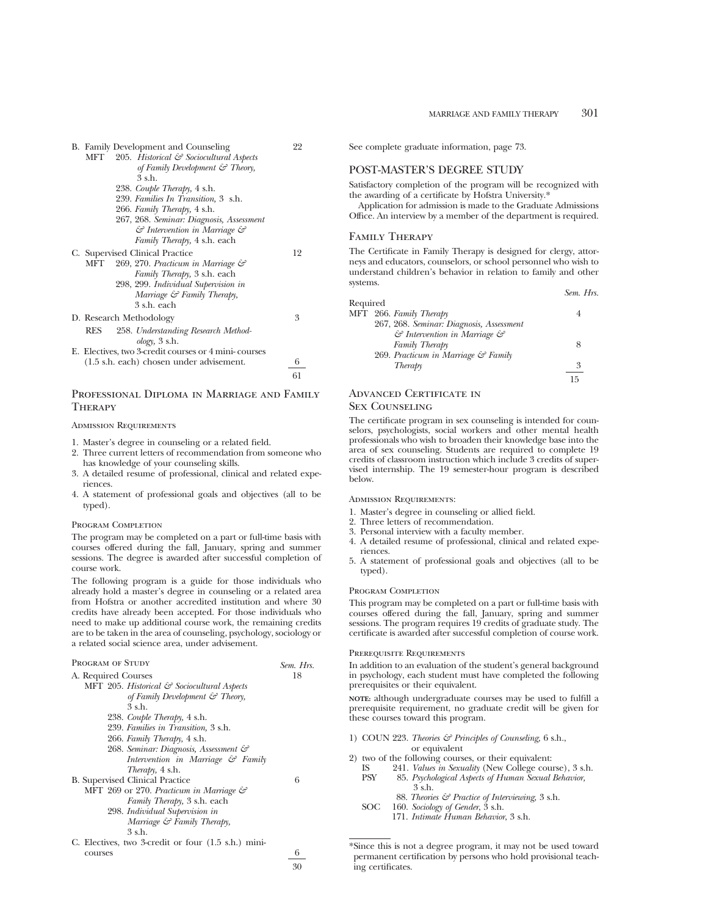*Sem. Hrs.*

| B. Family Development and Counseling                 | 22 |
|------------------------------------------------------|----|
| 205. Historical & Sociocultural Aspects<br>MFT       |    |
| of Family Development $\mathcal{C}$ Theory,          |    |
| 3 s.h.                                               |    |
| 238. Couple Therapy, 4 s.h.                          |    |
| 239. Families In Transition, 3 s.h.                  |    |
| 266. Family Therapy, 4 s.h.                          |    |
| 267, 268. Seminar: Diagnosis, Assessment             |    |
| & Intervention in Marriage &                         |    |
| Family Therapy, 4 s.h. each                          |    |
| C. Supervised Clinical Practice                      | 12 |
| 269, 270. Practicum in Marriage &<br>MFT             |    |
| <i>Family Therapy</i> , 3 s.h. each                  |    |
| 298, 299. Individual Supervision in                  |    |
| Marriage & Family Therapy,                           |    |
| 3 s.h. each                                          |    |
| D. Research Methodology                              | 3  |
| 258. Understanding Research Method-<br>RES           |    |
| $\omega$ logy, 3 s.h.                                |    |
| E. Electives, two 3-credit courses or 4 mini-courses |    |
| (1.5 s.h. each) chosen under advisement.             | 6  |
|                                                      | 61 |

# PROFESSIONAL DIPLOMA IN MARRIAGE AND FAMILY **THERAPY**

# Admission Requirements

- 1. Master's degree in counseling or a related field.
- 2. Three current letters of recommendation from someone who has knowledge of your counseling skills.
- 3. A detailed resume of professional, clinical and related experiences.
- 4. A statement of professional goals and objectives (all to be typed).

#### PROGRAM COMPLETION

The program may be completed on a part or full-time basis with courses offered during the fall, January, spring and summer sessions. The degree is awarded after successful completion of course work.

The following program is a guide for those individuals who already hold a master's degree in counseling or a related area from Hofstra or another accredited institution and where 30 credits have already been accepted. For those individuals who need to make up additional course work, the remaining credits are to be taken in the area of counseling, psychology, sociology or a related social science area, under advisement.

| PROGRAM OF STUDY                                    | Sem. Hrs. |
|-----------------------------------------------------|-----------|
| A. Required Courses                                 | 18        |
| MFT 205. Historical & Sociocultural Aspects         |           |
| of Family Development $\mathcal{F}$ Theory,         |           |
| 3 s.h.                                              |           |
| 238. Couple Therapy, 4 s.h.                         |           |
| 239. Families in Transition, 3 s.h.                 |           |
| 266. Family Therapy, 4 s.h.                         |           |
| 268. Seminar: Diagnosis, Assessment &               |           |
| Intervention in Marriage $\mathcal{C}$ Family       |           |
| <i>Therapy</i> , 4 s.h.                             |           |
| <b>B.</b> Supervised Clinical Practice              | 6         |
| MFT 269 or 270. Practicum in Marriage &             |           |
| <i>Family Therapy</i> , 3 s.h. each                 |           |
| 298. Individual Supervision in                      |           |
| Marriage $\mathcal G$ Family Therapy,               |           |
| 3 s.h.                                              |           |
| C. Electives, two 3-credit or four (1.5 s.h.) mini- |           |
| courses                                             | 6         |
|                                                     |           |

See complete graduate information, page 73.

# POST-MASTER'S DEGREE STUDY

Satisfactory completion of the program will be recognized with the awarding of a certificate by Hofstra University.\*

Application for admission is made to the Graduate Admissions Office. An interview by a member of the department is required.

# Family Therapy

The Certificate in Family Therapy is designed for clergy, attorneys and educators, counselors, or school personnel who wish to understand children's behavior in relation to family and other systems.

| Required |                                                    |    |
|----------|----------------------------------------------------|----|
|          | MFT 266. Family Therapy                            |    |
|          | 267, 268. Seminar: Diagnosis, Assessment           |    |
|          | $\mathcal G$ Intervention in Marriage $\mathcal G$ |    |
|          | Family Therapy                                     | 8  |
|          | 269. Practicum in Marriage & Family                |    |
|          | Therapy                                            | 3  |
|          |                                                    | 15 |
|          |                                                    |    |

# Advanced Certificate in

# Sex Counseling

The certificate program in sex counseling is intended for counselors, psychologists, social workers and other mental health professionals who wish to broaden their knowledge base into the area of sex counseling. Students are required to complete 19 credits of classroom instruction which include 3 credits of supervised internship. The 19 semester-hour program is described below.

# ADMISSION REQUIREMENTS:

- 1. Master's degree in counseling or allied field.
- 2. Three letters of recommendation.
- 3. Personal interview with a faculty member.
- 4. A detailed resume of professional, clinical and related experiences.
- 5. A statement of professional goals and objectives (all to be typed).

#### PROGRAM COMPLETION

This program may be completed on a part or full-time basis with courses offered during the fall, January, spring and summer sessions. The program requires 19 credits of graduate study. The certificate is awarded after successful completion of course work.

# Prerequisite Requirements

In addition to an evaluation of the student's general background in psychology, each student must have completed the following prerequisites or their equivalent.

**NOTE:** although undergraduate courses may be used to fulfill a prerequisite requirement, no graduate credit will be given for these courses toward this program.

- 1) COUN 223. *Theories & Principles of Counseling,* 6 s.h., or equivalent
- 2) two of the following courses, or their equivalent:<br>IS 241. Values in Sexuality (New College cou
	- 241. *Values in Sexuality* (New College course), 3 s.h. PSY 85. *Psychological Aspects of Human Sexual Behavior,*
		- 3 s.h.
	- 88. *Theories & Practice of Interviewing,* 3 s.h. SOC 160. *Sociology of Gender*, 3 s.h.
		- 171. *Intimate Human Behavior*, 3 s.h.

30

<sup>\*</sup>Since this is not a degree program, it may not be used toward permanent certification by persons who hold provisional teaching certificates.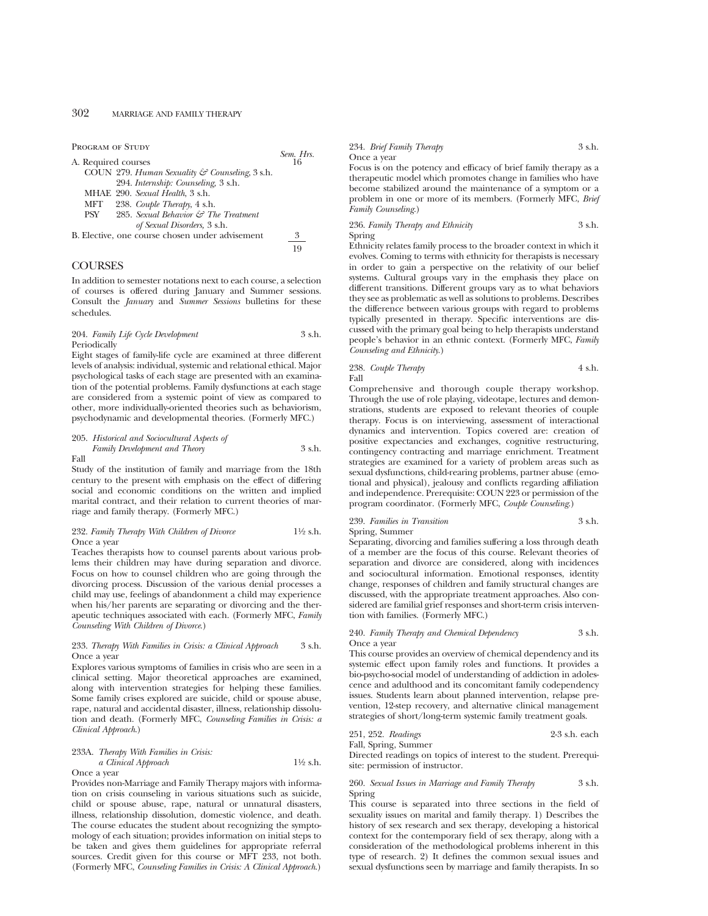PROGRAM OF STUDY

|     |                                                 | $SEM-FTS$ |
|-----|-------------------------------------------------|-----------|
|     | A. Required courses                             | 16        |
|     | COUN 279. Human Sexuality & Counseling, 3 s.h.  |           |
|     | 294. Internship: Counseling, 3 s.h.             |           |
|     | MHAE 290. Sexual Health, 3 s.h.                 |           |
| MFT | 238. Couple Therapy, 4 s.h.                     |           |
| PSY | 285. Sexual Behavior & The Treatment            |           |
|     | of Sexual Disorders, 3 s.h.                     |           |
|     | B. Elective, one course chosen under advisement | 3         |
|     |                                                 | 19        |
|     |                                                 |           |

*Sem. Hrs.*

# **COURSES**

In addition to semester notations next to each course, a selection of courses is offered during January and Summer sessions. Consult the *January* and *Summer Sessions* bulletins for these schedules.

# 204. *Family Life Cycle Development* 3 s.h. Periodically

Eight stages of family-life cycle are examined at three different levels of analysis: individual, systemic and relational ethical. Major psychological tasks of each stage are presented with an examination of the potential problems. Family dysfunctions at each stage are considered from a systemic point of view as compared to other, more individually-oriented theories such as behaviorism, psychodynamic and developmental theories. (Formerly MFC.)

205. *Historical and Sociocultural Aspects of Family Development and Theory* 3 s.h. Fall

Study of the institution of family and marriage from the 18th century to the present with emphasis on the effect of differing social and economic conditions on the written and implied marital contract, and their relation to current theories of marriage and family therapy. (Formerly MFC.)

# 232. *Family Therapy With Children of Divorce* 11⁄2 s.h. Once a year

Teaches therapists how to counsel parents about various problems their children may have during separation and divorce. Focus on how to counsel children who are going through the divorcing process. Discussion of the various denial processes a child may use, feelings of abandonment a child may experience when his/her parents are separating or divorcing and the therapeutic techniques associated with each. (Formerly MFC, *Family Counseling With Children of Divorce*.)

# 233. *Therapy With Families in Crisis: a Clinical Approach* 3 s.h. Once a year

Explores various symptoms of families in crisis who are seen in a clinical setting. Major theoretical approaches are examined, along with intervention strategies for helping these families. Some family crises explored are suicide, child or spouse abuse, rape, natural and accidental disaster, illness, relationship dissolution and death. (Formerly MFC, *Counseling Families in Crisis: a Clinical Approach*.)

# 233A. *Therapy With Families in Crisis: a Clinical Approach* 11⁄2 s.h. Once a year

Provides non-Marriage and Family Therapy majors with information on crisis counseling in various situations such as suicide, child or spouse abuse, rape, natural or unnatural disasters, illness, relationship dissolution, domestic violence, and death. The course educates the student about recognizing the symptomology of each situation; provides information on initial steps to be taken and gives them guidelines for appropriate referral sources. Credit given for this course or MFT 233, not both. (Formerly MFC, *Counseling Families in Crisis: A Clinical Approach*.)

### 234. *Brief Family Therapy* 3 s.h. Once a year

Focus is on the potency and efficacy of brief family therapy as a therapeutic model which promotes change in families who have become stabilized around the maintenance of a symptom or a problem in one or more of its members. (Formerly MFC, *Brief Family Counseling*.)

236. *Family Therapy and Ethnicity* 3 s.h. Spring

Ethnicity relates family process to the broader context in which it evolves. Coming to terms with ethnicity for therapists is necessary in order to gain a perspective on the relativity of our belief systems. Cultural groups vary in the emphasis they place on different transitions. Different groups vary as to what behaviors they see as problematic as well as solutions to problems. Describes the difference between various groups with regard to problems typically presented in therapy. Specific interventions are discussed with the primary goal being to help therapists understand people's behavior in an ethnic context. (Formerly MFC, *Family Counseling and Ethnicity*.)

# 238. *Couple Therapy* 4 s.h. Fall

Comprehensive and thorough couple therapy workshop. Through the use of role playing, videotape, lectures and demonstrations, students are exposed to relevant theories of couple therapy. Focus is on interviewing, assessment of interactional dynamics and intervention. Topics covered are: creation of positive expectancies and exchanges, cognitive restructuring, contingency contracting and marriage enrichment. Treatment strategies are examined for a variety of problem areas such as sexual dysfunctions, child-rearing problems, partner abuse (emotional and physical), jealousy and conflicts regarding affiliation and independence. Prerequisite: COUN 223 or permission of the program coordinator. (Formerly MFC, *Couple Counseling*.)

# 239. *Families in Transition* 3 s.h.

Spring, Summer Separating, divorcing and families suffering a loss through death of a member are the focus of this course. Relevant theories of separation and divorce are considered, along with incidences and sociocultural information. Emotional responses, identity change, responses of children and family structural changes are discussed, with the appropriate treatment approaches. Also considered are familial grief responses and short-term crisis intervention with families. (Formerly MFC.)

## 240. *Family Therapy and Chemical Dependency* 3 s.h. Once a year

This course provides an overview of chemical dependency and its systemic effect upon family roles and functions. It provides a bio-psycho-social model of understanding of addiction in adolescence and adulthood and its concomitant family codependency issues. Students learn about planned intervention, relapse prevention, 12-step recovery, and alternative clinical management strategies of short/long-term systemic family treatment goals.

### 251, 252. *Readings* 2-3 s.h. each Fall, Spring, Summer

Directed readings on topics of interest to the student. Prerequisite: permission of instructor.

# 260. *Sexual Issues in Marriage and Family Therapy* 3 s.h. Spring

This course is separated into three sections in the field of sexuality issues on marital and family therapy. 1) Describes the history of sex research and sex therapy, developing a historical context for the contemporary field of sex therapy, along with a consideration of the methodological problems inherent in this type of research. 2) It defines the common sexual issues and sexual dysfunctions seen by marriage and family therapists. In so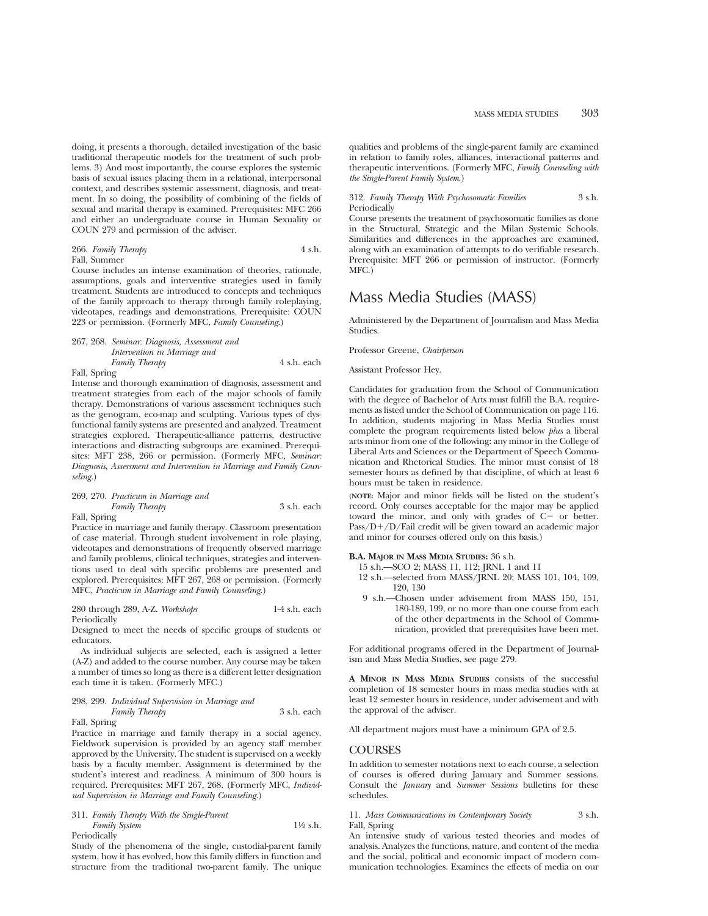doing, it presents a thorough, detailed investigation of the basic traditional therapeutic models for the treatment of such problems. 3) And most importantly, the course explores the systemic basis of sexual issues placing them in a relational, interpersonal context, and describes systemic assessment, diagnosis, and treatment. In so doing, the possibility of combining of the fields of sexual and marital therapy is examined. Prerequisites: MFC 266 and either an undergraduate course in Human Sexuality or COUN 279 and permission of the adviser.

# 266. *Family Therapy* 4 s.h. Fall, Summer

Course includes an intense examination of theories, rationale, assumptions, goals and interventive strategies used in family treatment. Students are introduced to concepts and techniques of the family approach to therapy through family roleplaying, videotapes, readings and demonstrations. Prerequisite: COUN 223 or permission. (Formerly MFC, *Family Counseling*.)

# 267, 268. *Seminar: Diagnosis, Assessment and Intervention in Marriage and Family Therapy*  $4 \text{ s.h.}$  each Fall, Spring

Intense and thorough examination of diagnosis, assessment and treatment strategies from each of the major schools of family therapy. Demonstrations of various assessment techniques such as the genogram, eco-map and sculpting. Various types of dysfunctional family systems are presented and analyzed. Treatment strategies explored. Therapeutic-alliance patterns, destructive interactions and distracting subgroups are examined. Prerequisites: MFT 238, 266 or permission. (Formerly MFC, *Seminar: Diagnosis, Assessment and Intervention in Marriage and Family Counseling*.)

# 269, 270. *Practicum in Marriage and Family Therapy* 3 s.h. each Fall, Spring

Practice in marriage and family therapy. Classroom presentation of case material. Through student involvement in role playing, videotapes and demonstrations of frequently observed marriage and family problems, clinical techniques, strategies and interventions used to deal with specific problems are presented and explored. Prerequisites: MFT 267, 268 or permission. (Formerly MFC, *Practicum in Marriage and Family Counseling*.)

280 through 289, A-Z. *Workshops* 1-4 s.h. each Periodically

Designed to meet the needs of specific groups of students or educators.

As individual subjects are selected, each is assigned a letter (A-Z) and added to the course number. Any course may be taken a number of times so long as there is a different letter designation each time it is taken. (Formerly MFC.)

# 298, 299. *Individual Supervision in Marriage and*

*Family Therapy* 3 s.h. each

Fall, Spring

Practice in marriage and family therapy in a social agency. Fieldwork supervision is provided by an agency staff member approved by the University. The student is supervised on a weekly basis by a faculty member. Assignment is determined by the student's interest and readiness. A minimum of 300 hours is required. Prerequisites: MFT 267, 268. (Formerly MFC, *Individual Supervision in Marriage and Family Counseling*.)

311. *Family Therapy With the Single-Parent Family System* 1<sup>1</sup>/2 s.h. Periodically

Study of the phenomena of the single, custodial-parent family system, how it has evolved, how this family differs in function and structure from the traditional two-parent family. The unique qualities and problems of the single-parent family are examined in relation to family roles, alliances, interactional patterns and therapeutic interventions. (Formerly MFC, *Family Counseling with the Single-Parent Family System*.)

# 312. *Family Therapy With Psychosomatic Families* 3 s.h. Periodically

Course presents the treatment of psychosomatic families as done in the Structural, Strategic and the Milan Systemic Schools. Similarities and differences in the approaches are examined, along with an examination of attempts to do verifiable research. Prerequisite: MFT 266 or permission of instructor. (Formerly MFC.)

# Mass Media Studies (MASS)

Administered by the Department of Journalism and Mass Media Studies.

Professor Greene, *Chairperson*

Assistant Professor Hey.

Candidates for graduation from the School of Communication with the degree of Bachelor of Arts must fulfill the B.A. requirements as listed under the School of Communication on page 116. In addition, students majoring in Mass Media Studies must complete the program requirements listed below *plus* a liberal arts minor from one of the following: any minor in the College of Liberal Arts and Sciences or the Department of Speech Communication and Rhetorical Studies. The minor must consist of 18 semester hours as defined by that discipline, of which at least 6 hours must be taken in residence.

**(NOTE:** Major and minor fields will be listed on the student's record. Only courses acceptable for the major may be applied toward the minor, and only with grades of  $C-$  or better.  $Pass/D+/D/Fail credit will be given toward an academic major$ and minor for courses offered only on this basis.)

# **B.A. MAJOR IN MASS MEDIA STUDIES:** 36 s.h.

15 s.h.—SCO 2; MASS 11, 112; JRNL 1 and 11

- 12 s.h.—selected from MASS/JRNL 20; MASS 101, 104, 109, 120, 130
- 9 s.h.—Chosen under advisement from MASS 150, 151, 180-189, 199, or no more than one course from each of the other departments in the School of Communication, provided that prerequisites have been met.

For additional programs offered in the Department of Journalism and Mass Media Studies, see page 279.

**A MINOR IN MASS MEDIA STUDIES** consists of the successful completion of 18 semester hours in mass media studies with at least 12 semester hours in residence, under advisement and with the approval of the adviser.

All department majors must have a minimum GPA of 2.5.

# **COURSES**

In addition to semester notations next to each course, a selection of courses is offered during January and Summer sessions. Consult the *January* and *Summer Sessions* bulletins for these schedules.

11. *Mass Communications in Contemporary Society* 3 s.h. Fall, Spring

An intensive study of various tested theories and modes of analysis. Analyzes the functions, nature, and content of the media and the social, political and economic impact of modern communication technologies. Examines the effects of media on our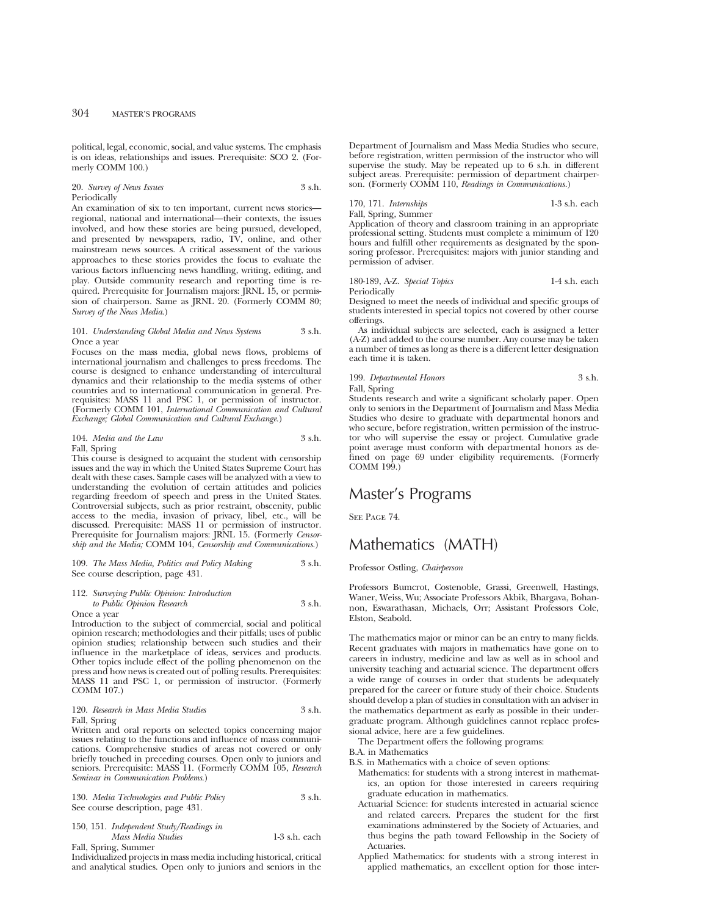political, legal, economic, social, and value systems. The emphasis is on ideas, relationships and issues. Prerequisite: SCO 2. (Formerly COMM 100.)

#### 20. *Survey of News Issues* 3 s.h. Periodically

An examination of six to ten important, current news stories regional, national and international—their contexts, the issues involved, and how these stories are being pursued, developed, and presented by newspapers, radio, TV, online, and other mainstream news sources. A critical assessment of the various approaches to these stories provides the focus to evaluate the various factors influencing news handling, writing, editing, and play. Outside community research and reporting time is required. Prerequisite for Journalism majors: JRNL 15, or permission of chairperson. Same as JRNL 20. (Formerly COMM 80; *Survey of the News Media*.)

# 101. *Understanding Global Media and News Systems* 3 s.h. Once a year

Focuses on the mass media, global news flows, problems of international journalism and challenges to press freedoms. The course is designed to enhance understanding of intercultural dynamics and their relationship to the media systems of other countries and to international communication in general. Prerequisites: MASS 11 and PSC 1, or permission of instructor. (Formerly COMM 101, *International Communication and Cultural Exchange; Global Communication and Cultural Exchange.*)

# 104. *Media and the Law* 3 s.h. Fall, Spring

This course is designed to acquaint the student with censorship issues and the way in which the United States Supreme Court has dealt with these cases. Sample cases will be analyzed with a view to understanding the evolution of certain attitudes and policies regarding freedom of speech and press in the United States. Controversial subjects, such as prior restraint, obscenity, public access to the media, invasion of privacy, libel, etc., will be discussed. Prerequisite: MASS 11 or permission of instructor. Prerequisite for Journalism majors: JRNL 15. (Formerly *Censorship and the Media;* COMM 104, *Censorship and Communications.*)

# 109. *The Mass Media, Politics and Policy Making* 3 s.h. See course description, page 431.

# 112. *Surveying Public Opinion: Introduction to Public Opinion Research* 3 s.h.

Once a year

Introduction to the subject of commercial, social and political opinion research; methodologies and their pitfalls; uses of public opinion studies; relationship between such studies and their influence in the marketplace of ideas, services and products. Other topics include effect of the polling phenomenon on the press and how news is created out of polling results. Prerequisites: MASS 11 and PSC 1, or permission of instructor. (Formerly COMM 107.)

120. *Research in Mass Media Studies* 3 s.h. Fall, Spring

Written and oral reports on selected topics concerning major issues relating to the functions and influence of mass communications. Comprehensive studies of areas not covered or only briefly touched in preceding courses. Open only to juniors and seniors. Prerequisite: MASS 11. (Formerly COMM 105, *Research Seminar in Communication Problems*.)

|  |                                   | 130. Media Technologies and Public Policy | 3 s.h. |  |
|--|-----------------------------------|-------------------------------------------|--------|--|
|  | See course description, page 431. |                                           |        |  |

# 150, 151. *Independent Study/Readings in Mass Media Studies* 1-3 s.h. each Fall, Spring, Summer

Individualized projects in mass media including historical, critical and analytical studies. Open only to juniors and seniors in the Department of Journalism and Mass Media Studies who secure, before registration, written permission of the instructor who will supervise the study. May be repeated up to 6 s.h. in different subject areas. Prerequisite: permission of department chairperson. (Formerly COMM 110, *Readings in Communications.*)

# 170, 171. *Internships* 1-3 s.h. each Fall, Spring, Summer

Application of theory and classroom training in an appropriate professional setting. Students must complete a minimum of 120 hours and fulfill other requirements as designated by the sponsoring professor. Prerequisites: majors with junior standing and permission of adviser.

# 180-189, A-Z. *Special Topics* 1-4 s.h. each Periodically

Designed to meet the needs of individual and specific groups of students interested in special topics not covered by other course offerings.

As individual subjects are selected, each is assigned a letter (A-Z) and added to the course number. Any course may be taken a number of times as long as there is a different letter designation each time it is taken.

# 199. *Departmental Honors* 3 s.h.

Fall, Spring

Students research and write a significant scholarly paper. Open only to seniors in the Department of Journalism and Mass Media Studies who desire to graduate with departmental honors and who secure, before registration, written permission of the instructor who will supervise the essay or project. Cumulative grade point average must conform with departmental honors as defined on page 69 under eligibility requirements. (Formerly COMM 199.)

# Master's Programs

SEE PAGE 74.

# Mathematics (MATH)

Professor Ostling, *Chairperson*

Professors Bumcrot, Costenoble, Grassi, Greenwell, Hastings, Waner, Weiss, Wu; Associate Professors Akbik, Bhargava, Bohannon, Eswarathasan, Michaels, Orr; Assistant Professors Cole, Elston, Seabold.

The mathematics major or minor can be an entry to many fields. Recent graduates with majors in mathematics have gone on to careers in industry, medicine and law as well as in school and university teaching and actuarial science. The department offers a wide range of courses in order that students be adequately prepared for the career or future study of their choice. Students should develop a plan of studies in consultation with an adviser in the mathematics department as early as possible in their undergraduate program. Although guidelines cannot replace professional advice, here are a few guidelines.

The Department offers the following programs:

#### B.A. in Mathematics

B.S. in Mathematics with a choice of seven options:

- Mathematics: for students with a strong interest in mathematics, an option for those interested in careers requiring graduate education in mathematics.
- Actuarial Science: for students interested in actuarial science and related careers. Prepares the student for the first examinations adminstered by the Society of Actuaries, and thus begins the path toward Fellowship in the Society of Actuaries.
- Applied Mathematics: for students with a strong interest in applied mathematics, an excellent option for those inter-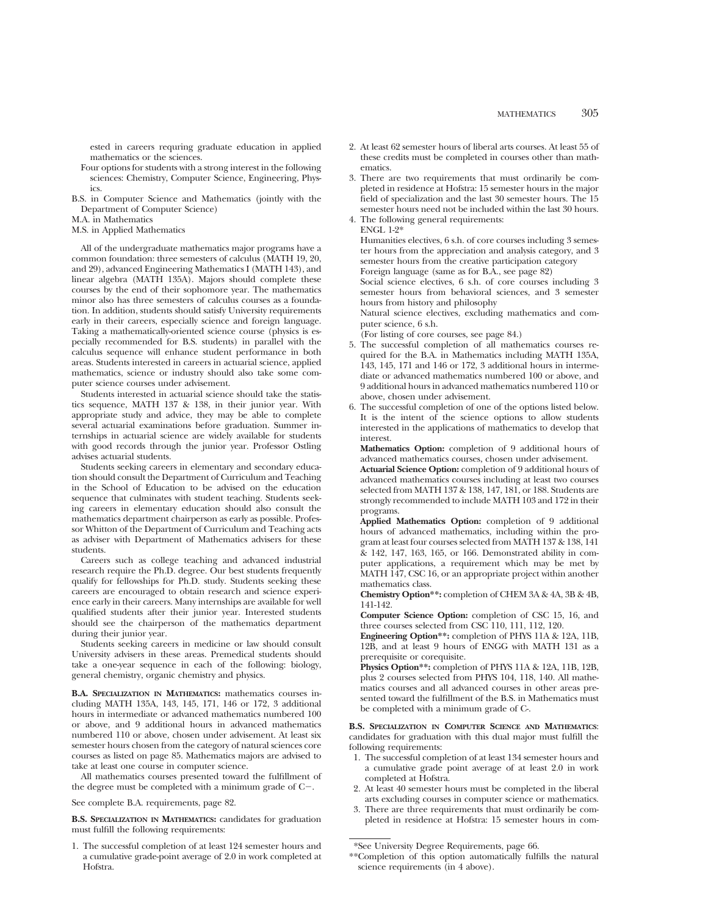ested in careers requring graduate education in applied mathematics or the sciences.

- Four options for students with a strong interest in the following sciences: Chemistry, Computer Science, Engineering, Physics.
- B.S. in Computer Science and Mathematics (jointly with the Department of Computer Science)
- M.A. in Mathematics
- M.S. in Applied Mathematics

All of the undergraduate mathematics major programs have a common foundation: three semesters of calculus (MATH 19, 20, and 29), advanced Engineering Mathematics I (MATH 143), and linear algebra (MATH 135A). Majors should complete these courses by the end of their sophomore year. The mathematics minor also has three semesters of calculus courses as a foundation. In addition, students should satisfy University requirements early in their careers, especially science and foreign language. Taking a mathematically-oriented science course (physics is especially recommended for B.S. students) in parallel with the calculus sequence will enhance student performance in both areas. Students interested in careers in actuarial science, applied mathematics, science or industry should also take some computer science courses under advisement.

Students interested in actuarial science should take the statistics sequence, MATH 137 & 138, in their junior year. With appropriate study and advice, they may be able to complete several actuarial examinations before graduation. Summer internships in actuarial science are widely available for students with good records through the junior year. Professor Ostling advises actuarial students.

Students seeking careers in elementary and secondary education should consult the Department of Curriculum and Teaching in the School of Education to be advised on the education sequence that culminates with student teaching. Students seeking careers in elementary education should also consult the mathematics department chairperson as early as possible. Professor Whitton of the Department of Curriculum and Teaching acts as adviser with Department of Mathematics advisers for these students.

Careers such as college teaching and advanced industrial research require the Ph.D. degree. Our best students frequently qualify for fellowships for Ph.D. study. Students seeking these careers are encouraged to obtain research and science experience early in their careers. Many internships are available for well qualified students after their junior year. Interested students should see the chairperson of the mathematics department during their junior year.

Students seeking careers in medicine or law should consult University advisers in these areas. Premedical students should take a one-year sequence in each of the following: biology, general chemistry, organic chemistry and physics.

**B.A. SPECIALIZATION IN MATHEMATICS:** mathematics courses including MATH 135A, 143, 145, 171, 146 or 172, 3 additional hours in intermediate or advanced mathematics numbered 100 or above, and 9 additional hours in advanced mathematics numbered 110 or above, chosen under advisement. At least six semester hours chosen from the category of natural sciences core courses as listed on page 85. Mathematics majors are advised to take at least one course in computer science.

All mathematics courses presented toward the fulfillment of the degree must be completed with a minimum grade of  $C-$ .

See complete B.A. requirements, page 82.

**B.S. SPECIALIZATION IN MATHEMATICS:** candidates for graduation must fulfill the following requirements:

1. The successful completion of at least 124 semester hours and a cumulative grade-point average of 2.0 in work completed at Hofstra.

- 2. At least 62 semester hours of liberal arts courses. At least 55 of these credits must be completed in courses other than mathematics.
- 3. There are two requirements that must ordinarily be completed in residence at Hofstra: 15 semester hours in the major field of specialization and the last 30 semester hours. The 15 semester hours need not be included within the last 30 hours.
- 4. The following general requirements: ENGL 1-2\*

Humanities electives, 6 s.h. of core courses including 3 semester hours from the appreciation and analysis category, and 3 semester hours from the creative participation category Foreign language (same as for B.A., see page 82)

Social science electives, 6 s.h. of core courses including 3 semester hours from behavioral sciences, and 3 semester hours from history and philosophy

Natural science electives, excluding mathematics and computer science, 6 s.h.

- (For listing of core courses, see page 84.)
- 5. The successful completion of all mathematics courses required for the B.A. in Mathematics including MATH 135A, 143, 145, 171 and 146 or 172, 3 additional hours in intermediate or advanced mathematics numbered 100 or above, and 9 additional hours in advanced mathematics numbered 110 or above, chosen under advisement.
- 6. The successful completion of one of the options listed below. It is the intent of the science options to allow students interested in the applications of mathematics to develop that interest.

**Mathematics Option:** completion of 9 additional hours of advanced mathematics courses, chosen under advisement.

**Actuarial Science Option:** completion of 9 additional hours of advanced mathematics courses including at least two courses selected from MATH 137 & 138, 147, 181, or 188. Students are strongly recommended to include MATH 103 and 172 in their programs.

**Applied Mathematics Option:** completion of 9 additional hours of advanced mathematics, including within the program at least four courses selected from MATH 137 & 138, 141 & 142, 147, 163, 165, or 166. Demonstrated ability in computer applications, a requirement which may be met by MATH 147, CSC 16, or an appropriate project within another mathematics class.

**Chemistry Option\*\*:** completion of CHEM 3A & 4A, 3B & 4B, 141-142.

**Computer Science Option:** completion of CSC 15, 16, and three courses selected from CSC 110, 111, 112, 120.

**Engineering Option\*\*:** completion of PHYS 11A & 12A, 11B, 12B, and at least 9 hours of ENGG with MATH 131 as a prerequisite or corequisite.

**Physics Option\*\*:** completion of PHYS 11A & 12A, 11B, 12B, plus 2 courses selected from PHYS 104, 118, 140. All mathematics courses and all advanced courses in other areas presented toward the fulfillment of the B.S. in Mathematics must be completed with a minimum grade of C-.

**B.S. SPECIALIZATION IN COMPUTER SCIENCE AND MATHEMATICS**: candidates for graduation with this dual major must fulfill the following requirements:

- 1. The successful completion of at least 134 semester hours and a cumulative grade point average of at least 2.0 in work completed at Hofstra.
- 2. At least 40 semester hours must be completed in the liberal arts excluding courses in computer science or mathematics.
- 3. There are three requirements that must ordinarily be completed in residence at Hofstra: 15 semester hours in com-

<sup>\*</sup>See University Degree Requirements, page 66.

<sup>\*\*</sup>Completion of this option automatically fulfills the natural science requirements (in 4 above).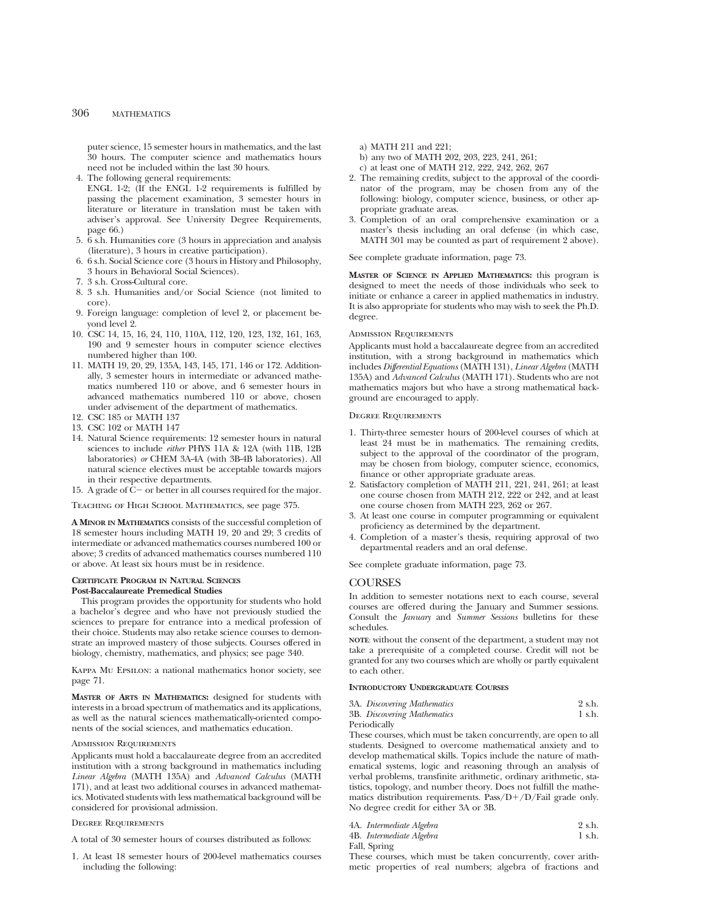puter science, 15 semester hours in mathematics, and the last 30 hours. The computer science and mathematics hours need not be included within the last 30 hours.

4. The following general requirements:

ENGL 1-2; (If the ENGL 1-2 requirements is fulfilled by passing the placement examination, 3 semester hours in literature or literature in translation must be taken with adviser's approval. See University Degree Requirements, page 66.)

- 5. 6 s.h. Humanities core (3 hours in appreciation and analysis (literature), 3 hours in creative participation).
- 6. 6 s.h. Social Science core (3 hours in History and Philosophy, 3 hours in Behavioral Social Sciences).
- 7. 3 s.h. Cross-Cultural core.
- 8. 3 s.h. Humanities and/or Social Science (not limited to core).
- 9. Foreign language: completion of level 2, or placement beyond level 2.
- 10. CSC 14, 15, 16, 24, 110, 110A, 112, 120, 123, 132, 161, 163, 190 and 9 semester hours in computer science electives numbered higher than 100.
- 11. MATH 19, 20, 29, 135A, 143, 145, 171, 146 or 172. Additionally, 3 semester hours in intermediate or advanced mathematics numbered 110 or above, and 6 semester hours in advanced mathematics numbered 110 or above, chosen under advisement of the department of mathematics.
- 12. CSC 185 or MATH 137
- 13. CSC 102 or MATH 147
- 14. Natural Science requirements: 12 semester hours in natural sciences to include *either* PHYS 11A & 12A (with 11B, 12B laboratories) *or* CHEM 3A-4A (with 3B-4B laboratories). All natural science electives must be acceptable towards majors in their respective departments.
- 15. A grade of  $C-$  or better in all courses required for the major.

Teaching of High School Mathematics, see page 375.

**A MINOR IN MATHEMATICS** consists of the successful completion of 18 semester hours including MATH 19, 20 and 29; 3 credits of intermediate or advanced mathematics courses numbered 100 or above; 3 credits of advanced mathematics courses numbered 110 or above. At least six hours must be in residence.

# **CERTIFICATE PROGRAM IN NATURAL SCIENCES Post-Baccalaureate Premedical Studies**

This program provides the opportunity for students who hold a bachelor's degree and who have not previously studied the sciences to prepare for entrance into a medical profession of their choice. Students may also retake science courses to demonstrate an improved mastery of those subjects. Courses offered in biology, chemistry, mathematics, and physics; see page 340.

Kappa Mu Epsilon: a national mathematics honor society, see page 71.

**MASTER OF ARTS IN MATHEMATICS:** designed for students with interests in a broad spectrum of mathematics and its applications, as well as the natural sciences mathematically-oriented components of the social sciences, and mathematics education.

# Admission Requirements

Applicants must hold a baccalaureate degree from an accredited institution with a strong background in mathematics including *Linear Algebra* (MATH 135A) and *Advanced Calculus* (MATH 171), and at least two additional courses in advanced mathematics. Motivated students with less mathematical background will be considered for provisional admission.

# Degree Requirements

A total of 30 semester hours of courses distributed as follows:

1. At least 18 semester hours of 200-level mathematics courses including the following:

- a) MATH 211 and 221;
- b) any two of MATH 202, 203, 223, 241, 261;
- c) at least one of MATH 212, 222, 242, 262, 267
- 2. The remaining credits, subject to the approval of the coordinator of the program, may be chosen from any of the following: biology, computer science, business, or other appropriate graduate areas.
- 3. Completion of an oral comprehensive examination or a master's thesis including an oral defense (in which case, MATH 301 may be counted as part of requirement 2 above).

See complete graduate information, page 73.

**MASTER OF SCIENCE IN APPLIED MATHEMATICS:** this program is designed to meet the needs of those individuals who seek to initiate or enhance a career in applied mathematics in industry. It is also appropriate for students who may wish to seek the Ph.D. degree.

# Admission Requirements

Applicants must hold a baccalaureate degree from an accredited institution, with a strong background in mathematics which includes *Differential Equations* (MATH 131), *Linear Algebra* (MATH 135A) and *Advanced Calculus* (MATH 171). Students who are not mathematics majors but who have a strong mathematical background are encouraged to apply.

# Degree Requirements

- 1. Thirty-three semester hours of 200-level courses of which at least 24 must be in mathematics. The remaining credits, subject to the approval of the coordinator of the program, may be chosen from biology, computer science, economics, finance or other appropriate graduate areas.
- 2. Satisfactory completion of MATH 211, 221, 241, 261; at least one course chosen from MATH 212, 222 or 242, and at least one course chosen from MATH 223, 262 or 267.
- 3. At least one course in computer programming or equivalent proficiency as determined by the department.
- 4. Completion of a master's thesis, requiring approval of two departmental readers and an oral defense.

See complete graduate information, page 73.

# **COURSES**

In addition to semester notations next to each course, several courses are offered during the January and Summer sessions. Consult the *January* and *Summer Sessions* bulletins for these schedules.

**NOTE**: without the consent of the department, a student may not take a prerequisite of a completed course. Credit will not be granted for any two courses which are wholly or partly equivalent to each other.

# **INTRODUCTORY UNDERGRADUATE COURSES**

| 3A. Discovering Mathematics | 2 s.h. |
|-----------------------------|--------|
| 3B. Discovering Mathematics | 1 s.h. |
| Periodicallv                |        |

These courses, which must be taken concurrently, are open to all students. Designed to overcome mathematical anxiety and to develop mathematical skills. Topics include the nature of mathematical systems, logic and reasoning through an analysis of verbal problems, transfinite arithmetic, ordinary arithmetic, statistics, topology, and number theory. Does not fulfill the mathematics distribution requirements. Pass/ $D+/D/F$ ail grade only. No degree credit for either 3A or 3B.

| 4A. Intermediate Algebra | 2 s.h. |
|--------------------------|--------|
| 4B. Intermediate Algebra | 1 s.h. |

Fall, Spring

These courses, which must be taken concurrently, cover arithmetic properties of real numbers; algebra of fractions and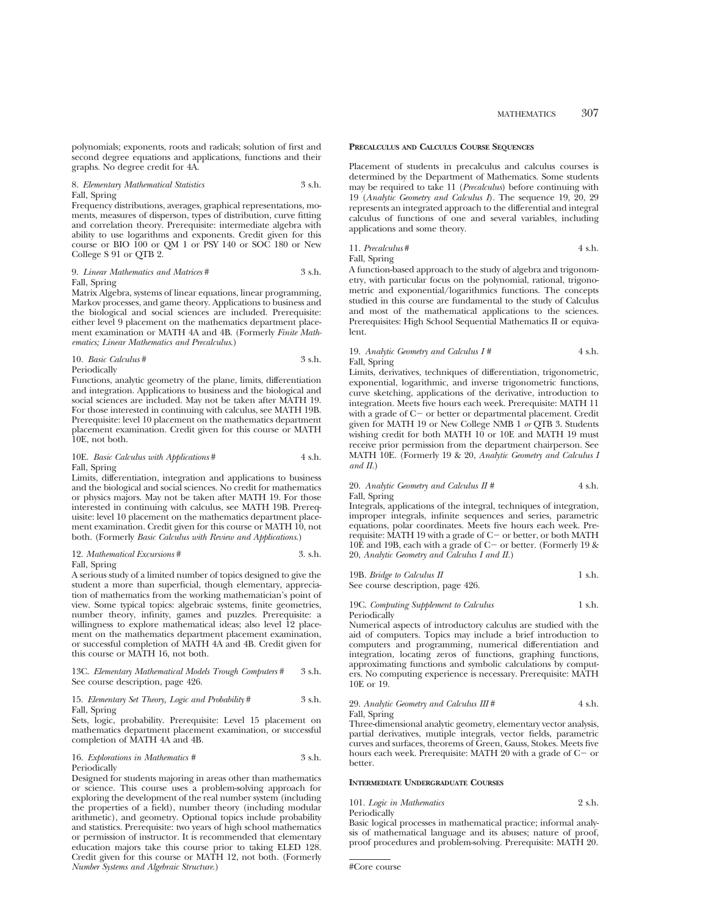polynomials; exponents, roots and radicals; solution of first and second degree equations and applications, functions and their graphs. No degree credit for 4A.

# 8. *Elementary Mathematical Statistics* 3 s.h. Fall, Spring

Frequency distributions, averages, graphical representations, moments, measures of disperson, types of distribution, curve fitting and correlation theory. Prerequisite: intermediate algebra with ability to use logarithms and exponents. Credit given for this course or BIO 100 or QM 1 or PSY 140 or SOC 180 or New College S 91 or QTB 2.

9. *Linear Mathematics and Matrices* # 3 s.h. Fall, Spring

Matrix Algebra, systems of linear equations, linear programming, Markov processes, and game theory. Applications to business and the biological and social sciences are included. Prerequisite: either level 9 placement on the mathematics department placement examination or MATH 4A and 4B. (Formerly *Finite Mathematics; Linear Mathematics and Precalculus*.)

10. *Basic Calculus* # 3 s.h. Periodically

Functions, analytic geometry of the plane, limits, differentiation and integration. Applications to business and the biological and social sciences are included. May not be taken after MATH 19. For those interested in continuing with calculus, see MATH 19B. Prerequisite: level 10 placement on the mathematics department placement examination. Credit given for this course or MATH 10E, not both.

# 10E. *Basic Calculus with Applications* # 4 s.h. Fall, Spring

Limits, differentiation, integration and applications to business and the biological and social sciences. No credit for mathematics or physics majors. May not be taken after MATH 19. For those interested in continuing with calculus, see MATH 19B. Prerequisite: level 10 placement on the mathematics department placement examination. Credit given for this course or MATH 10, not both. (Formerly *Basic Calculus with Review and Applications*.)

# 12. *Mathematical Excursions* # 3. s.h. Fall, Spring

A serious study of a limited number of topics designed to give the student a more than superficial, though elementary, appreciation of mathematics from the working mathematician's point of view. Some typical topics: algebraic systems, finite geometries, number theory, infinity, games and puzzles. Prerequisite: a willingness to explore mathematical ideas; also level 12 placement on the mathematics department placement examination, or successful completion of MATH 4A and 4B. Credit given for this course or MATH 16, not both.

13C. *Elementary Mathematical Models Trough Computers* # 3 s.h. See course description, page 426.

# 15. *Elementary Set Theory, Logic and Probability* # 3 s.h. Fall, Spring

Sets, logic, probability. Prerequisite: Level 15 placement on mathematics department placement examination, or successful completion of MATH 4A and 4B.

#### 16. *Explorations in Mathematics* # 3 s.h. Periodically

Designed for students majoring in areas other than mathematics or science. This course uses a problem-solving approach for exploring the development of the real number system (including the properties of a field), number theory (including modular arithmetic), and geometry. Optional topics include probability and statistics. Prerequisite: two years of high school mathematics or permission of instructor. It is recommended that elementary education majors take this course prior to taking ELED 128. Credit given for this course or MATH 12, not both. (Formerly *Number Systems and Algebraic Structure.*)

# **PRECALCULUS AND CALCULUS COURSE SEQUENCES**

Placement of students in precalculus and calculus courses is determined by the Department of Mathematics. Some students may be required to take 11 (*Precalculus*) before continuing with 19 (*Analytic Geometry and Calculus I*). The sequence 19, 20, 29 represents an integrated approach to the differential and integral calculus of functions of one and several variables, including applications and some theory.

11. *Precalculus#* 4 s.h. Fall, Spring

A function-based approach to the study of algebra and trigonometry, with particular focus on the polynomial, rational, trigonometric and exponential/logarithmics functions. The concepts studied in this course are fundamental to the study of Calculus and most of the mathematical applications to the sciences. Prerequisites: High School Sequential Mathematics II or equivalent.

# 19. *Analytic Geometry and Calculus I #* 4 s.h. Fall, Spring

Limits, derivatives, techniques of differentiation, trigonometric, exponential, logarithmic, and inverse trigonometric functions, curve sketching, applications of the derivative, introduction to integration. Meets five hours each week. Prerequisite: MATH 11 with a grade of  $C-$  or better or departmental placement. Credit given for MATH 19 or New College NMB 1 *or* QTB 3. Students wishing credit for both MATH  $10$  or  $10E$  and MATH 19 must receive prior permission from the department chairperson. See MATH 10E. (Formerly 19 & 20, *Analytic Geometry and Calculus I and II.*)

20. *Analytic Geometry and Calculus II #* 4 s.h. Fall, Spring

Integrals, applications of the integral, techniques of integration, improper integrals, infinite sequences and series, parametric equations, polar coordinates. Meets five hours each week. Prerequisite: MATH 19 with a grade of  $C-$  or better, or both MATH 10E and 19B, each with a grade of C- or better. (Formerly 19  $\&$ 20, *Analytic Geometry and Calculus I and II.*)

19B. *Bridge to Calculus II* 1 s.h. See course description, page 426.

# 19C. *Computing Supplement to Calculus* 1 s.h. Periodically

Numerical aspects of introductory calculus are studied with the aid of computers. Topics may include a brief introduction to computers and programming, numerical differentiation and integration, locating zeros of functions, graphing functions, approximating functions and symbolic calculations by computers. No computing experience is necessary. Prerequisite: MATH 10E or 19.

29. *Analytic Geometry and Calculus III* # 4 s.h. Fall, Spring

Three-dimensional analytic geometry, elementary vector analysis, partial derivatives, mutiple integrals, vector fields, parametric curves and surfaces, theorems of Green, Gauss, Stokes. Meets five hours each week. Prerequisite: MATH 20 with a grade of  $C-$  or better.

# **INTERMEDIATE UNDERGRADUATE COURSES**

| 101. Logic in Mathematics | 2 s.h. |
|---------------------------|--------|
| Periodically              |        |

Basic logical processes in mathematical practice; informal analysis of mathematical language and its abuses; nature of proof, proof procedures and problem-solving. Prerequisite: MATH 20.

<sup>#</sup>Core course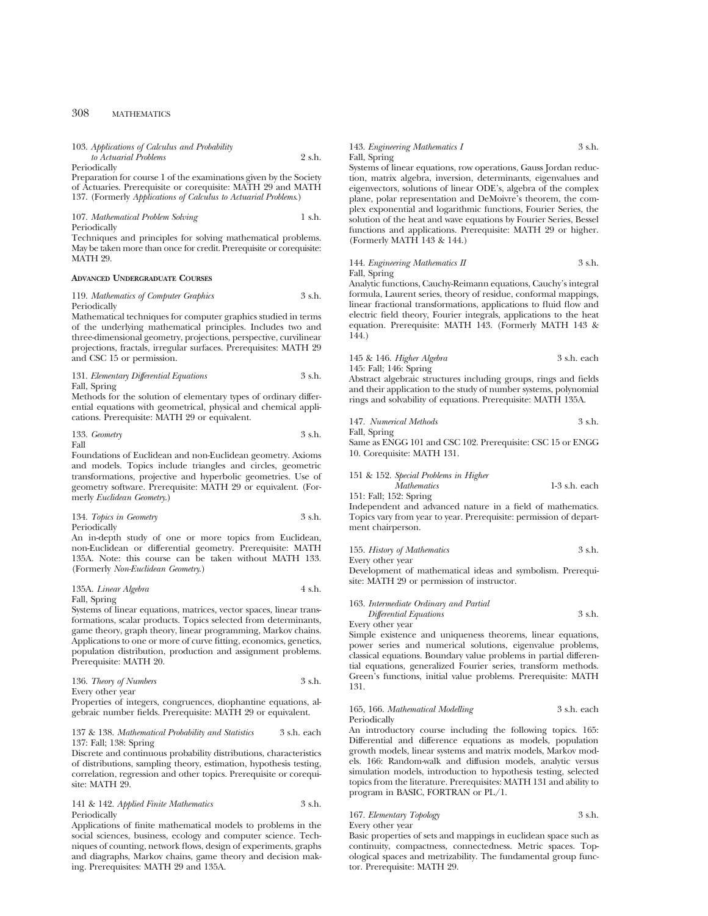| 103. Applications of Calculus and Probability |        |
|-----------------------------------------------|--------|
| to Actuarial Problems                         | 2 s.h. |

Periodically

Preparation for course 1 of the examinations given by the Society of Actuaries. Prerequisite or corequisite: MATH 29 and MATH 137. (Formerly *Applications of Calculus to Actuarial Problems*.)

107. *Mathematical Problem Solving* 1 s.h. Periodically

Techniques and principles for solving mathematical problems. May be taken more than once for credit. Prerequisite or corequisite: MATH 29.

#### **ADVANCED UNDERGRADUATE COURSES**

119. *Mathematics of Computer Graphics* 3 s.h. Periodically

Mathematical techniques for computer graphics studied in terms of the underlying mathematical principles. Includes two and three-dimensional geometry, projections, perspective, curvilinear projections, fractals, irregular surfaces. Prerequisites: MATH 29 and CSC 15 or permission.

131. *Elementary Differential Equations* 3 s.h. Fall, Spring

Methods for the solution of elementary types of ordinary differential equations with geometrical, physical and chemical applications. Prerequisite: MATH 29 or equivalent.

133. *Geometry* 3 s.h. Fall

Foundations of Euclidean and non-Euclidean geometry. Axioms

and models. Topics include triangles and circles, geometric transformations, projective and hyperbolic geometries. Use of geometry software. Prerequisite: MATH 29 or equivalent. (Formerly *Euclidean Geometry*.)

134. *Topics in Geometry* 3 s.h. Periodically

An in-depth study of one or more topics from Euclidean, non-Euclidean or differential geometry. Prerequisite: MATH 135A. Note: this course can be taken without MATH 133. (Formerly *Non-Euclidean Geometry*.)

135A. *Linear Algebra* 4 s.h. Fall, Spring

Systems of linear equations, matrices, vector spaces, linear transformations, scalar products. Topics selected from determinants, game theory, graph theory, linear programming, Markov chains. Applications to one or more of curve fitting, economics, genetics, population distribution, production and assignment problems. Prerequisite: MATH 20.

| 136. Theory of Numbers | 3 s.h. |
|------------------------|--------|
| Every other year       |        |

Properties of integers, congruences, diophantine equations, algebraic number fields. Prerequisite: MATH 29 or equivalent.

# 137 & 138. *Mathematical Probability and Statistics* 3 s.h. each 137: Fall; 138: Spring

Discrete and continuous probability distributions, characteristics of distributions, sampling theory, estimation, hypothesis testing, correlation, regression and other topics. Prerequisite or corequisite: MATH 29.

141 & 142. *Applied Finite Mathematics* 3 s.h. Periodically

Applications of finite mathematical models to problems in the social sciences, business, ecology and computer science. Techniques of counting, network flows, design of experiments, graphs and diagraphs, Markov chains, game theory and decision making. Prerequisites: MATH 29 and 135A.

# 143. *Engineering Mathematics I* 3 s.h. Fall, Spring

Systems of linear equations, row operations, Gauss Jordan reduction, matrix algebra, inversion, determinants, eigenvalues and eigenvectors, solutions of linear ODE's, algebra of the complex plane, polar representation and DeMoivre's theorem, the complex exponential and logarithmic functions, Fourier Series, the solution of the heat and wave equations by Fourier Series, Bessel functions and applications. Prerequisite: MATH 29 or higher. (Formerly MATH 143 & 144.)

```
144. Engineering Mathematics II 3 s.h.
Fall, Spring
```
Analytic functions, Cauchy-Reimann equations, Cauchy's integral formula, Laurent series, theory of residue, conformal mappings, linear fractional transformations, applications to fluid flow and electric field theory, Fourier integrals, applications to the heat equation. Prerequisite: MATH 143. (Formerly MATH 143 & 144.)

# 145 & 146. *Higher Algebra* 3 s.h. each 145: Fall; 146: Spring

Abstract algebraic structures including groups, rings and fields and their application to the study of number systems, polynomial rings and solvability of equations. Prerequisite: MATH 135A.

147. *Numerical Methods* 3 s.h.

Fall, Spring Same as ENGG 101 and CSC 102. Prerequisite: CSC 15 or ENGG 10. Corequisite: MATH 131.

# 151 & 152. *Special Problems in Higher*

*Mathematics* 1-3 s.h. each 151: Fall; 152: Spring

Independent and advanced nature in a field of mathematics. Topics vary from year to year. Prerequisite: permission of department chairperson.

# 155. *History of Mathematics* 3 s.h.

Every other year

Development of mathematical ideas and symbolism. Prerequisite: MATH 29 or permission of instructor.

# 163. *Intermediate Ordinary and Partial Differential Equations* 3 s.h.

Every other year

Simple existence and uniqueness theorems, linear equations, power series and numerical solutions, eigenvalue problems, classical equations. Boundary value problems in partial differential equations, generalized Fourier series, transform methods. Green's functions, initial value problems. Prerequisite: MATH 131.

# 165, 166. *Mathematical Modelling* 3 s.h. each Periodically

An introductory course including the following topics. 165: Differential and difference equations as models, population growth models, linear systems and matrix models, Markov models. 166: Random-walk and diffusion models, analytic versus simulation models, introduction to hypothesis testing, selected topics from the literature. Prerequisites: MATH 131 and ability to program in BASIC, FORTRAN or PL/1.

# 167. *Elementary Topology* 3 s.h.

Every other year

Basic properties of sets and mappings in euclidean space such as continuity, compactness, connectedness. Metric spaces. Topological spaces and metrizability. The fundamental group functor. Prerequisite: MATH 29.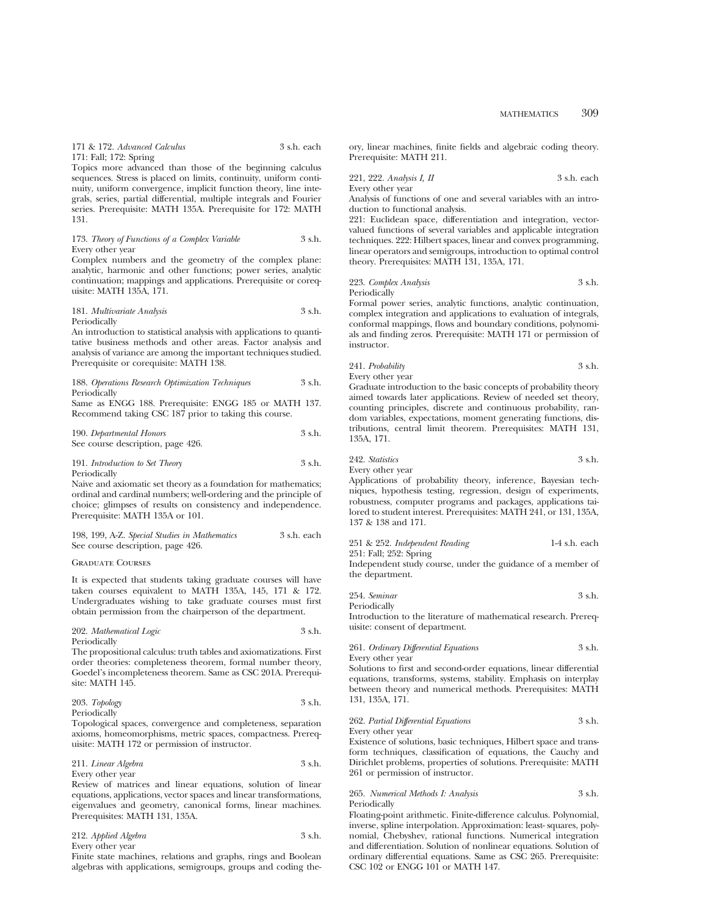171 & 172. *Advanced Calculus* 3 s.h. each 171: Fall; 172: Spring

Topics more advanced than those of the beginning calculus sequences. Stress is placed on limits, continuity, uniform continuity, uniform convergence, implicit function theory, line integrals, series, partial differential, multiple integrals and Fourier series. Prerequisite: MATH 135A. Prerequisite for 172: MATH 131.

# 173. *Theory of Functions of a Complex Variable* 3 s.h. Every other year

Complex numbers and the geometry of the complex plane: analytic, harmonic and other functions; power series, analytic continuation; mappings and applications. Prerequisite or corequisite: MATH 135A, 171.

# 181. *Multivariate Analysis* 3 s.h. Periodically

An introduction to statistical analysis with applications to quantitative business methods and other areas. Factor analysis and analysis of variance are among the important techniques studied. Prerequisite or corequisite: MATH 138.

#### 188. *Operations Research Optimization Techniques* 3 s.h. Periodically

Same as ENGG 188. Prerequisite: ENGG 185 or MATH 137. Recommend taking CSC 187 prior to taking this course.

# 190. *Departmental Honors* 3 s.h. See course description, page 426.

#### 191. *Introduction to Set Theory* 3 s.h. Periodically

Naive and axiomatic set theory as a foundation for mathematics; ordinal and cardinal numbers; well-ordering and the principle of choice; glimpses of results on consistency and independence.

| 198, 199, A-Z. Special Studies in Mathematics | 3 s.h. each |
|-----------------------------------------------|-------------|
| See course description, page 426.             |             |

# Graduate Courses

Prerequisite: MATH 135A or 101.

It is expected that students taking graduate courses will have taken courses equivalent to MATH 135A, 145, 171 & 172. Undergraduates wishing to take graduate courses must first obtain permission from the chairperson of the department.

# 202. *Mathematical Logic* 3 s.h. Periodically

The propositional calculus: truth tables and axiomatizations. First order theories: completeness theorem, formal number theory, Goedel's incompleteness theorem. Same as CSC 201A. Prerequisite: MATH 145.

# 203. *Topology* 3 s.h. Periodically

Topological spaces, convergence and completeness, separation axioms, homeomorphisms, metric spaces, compactness. Prerequisite: MATH 172 or permission of instructor.

# 211. *Linear Algebra* 3 s.h. Every other year

Review of matrices and linear equations, solution of linear equations, applications, vector spaces and linear transformations, eigenvalues and geometry, canonical forms, linear machines. Prerequisites: MATH 131, 135A.

| 212. Applied Algebra | 3 s.h. |
|----------------------|--------|
| Every other year     |        |

Finite state machines, relations and graphs, rings and Boolean algebras with applications, semigroups, groups and coding theory, linear machines, finite fields and algebraic coding theory. Prerequisite: MATH 211.

221, 222. *Analysis I, II* 3 s.h. each Every other year

Analysis of functions of one and several variables with an introduction to functional analysis.

221: Euclidean space, differentiation and integration, vectorvalued functions of several variables and applicable integration techniques. 222: Hilbert spaces, linear and convex programming, linear operators and semigroups, introduction to optimal control theory. Prerequisites: MATH 131, 135A, 171.

# 223. *Complex Analysis* 3 s.h. Periodically

Formal power series, analytic functions, analytic continuation, complex integration and applications to evaluation of integrals, conformal mappings, flows and boundary conditions, polynomials and finding zeros. Prerequisite: MATH 171 or permission of instructor.

241. *Probability* 3 s.h. Every other year

Graduate introduction to the basic concepts of probability theory aimed towards later applications. Review of needed set theory, counting principles, discrete and continuous probability, random variables, expectations, moment generating functions, distributions, central limit theorem. Prerequisites: MATH 131, 135A, 171.

242. *Statistics* 3 s.h.

Every other year

Applications of probability theory, inference, Bayesian techniques, hypothesis testing, regression, design of experiments, robustness, computer programs and packages, applications tailored to student interest. Prerequisites: MATH 241, or 131, 135A, 137 & 138 and 171.

# 251 & 252. *Independent Reading* 1-4 s.h. each

251: Fall; 252: Spring

Independent study course, under the guidance of a member of the department.

254. *Seminar* 3 s.h. Periodically

Introduction to the literature of mathematical research. Prerequisite: consent of department.

261. *Ordinary Differential Equations* 3 s.h. Every other year

Solutions to first and second-order equations, linear differential equations, transforms, systems, stability. Emphasis on interplay between theory and numerical methods. Prerequisites: MATH 131, 135A, 171.

# 262. *Partial Differential Equations* 3 s.h. Every other year

Existence of solutions, basic techniques, Hilbert space and transform techniques, classification of equations, the Cauchy and Dirichlet problems, properties of solutions. Prerequisite: MATH 261 or permission of instructor.

# 265. *Numerical Methods I: Analysis* 3 s.h. Periodically

Floating-point arithmetic. Finite-difference calculus. Polynomial, inverse, spline interpolation. Approximation: least- squares, polynomial, Chebyshev, rational functions. Numerical integration and differentiation. Solution of nonlinear equations. Solution of ordinary differential equations. Same as CSC 265. Prerequisite: CSC 102 or ENGG 101 or MATH 147.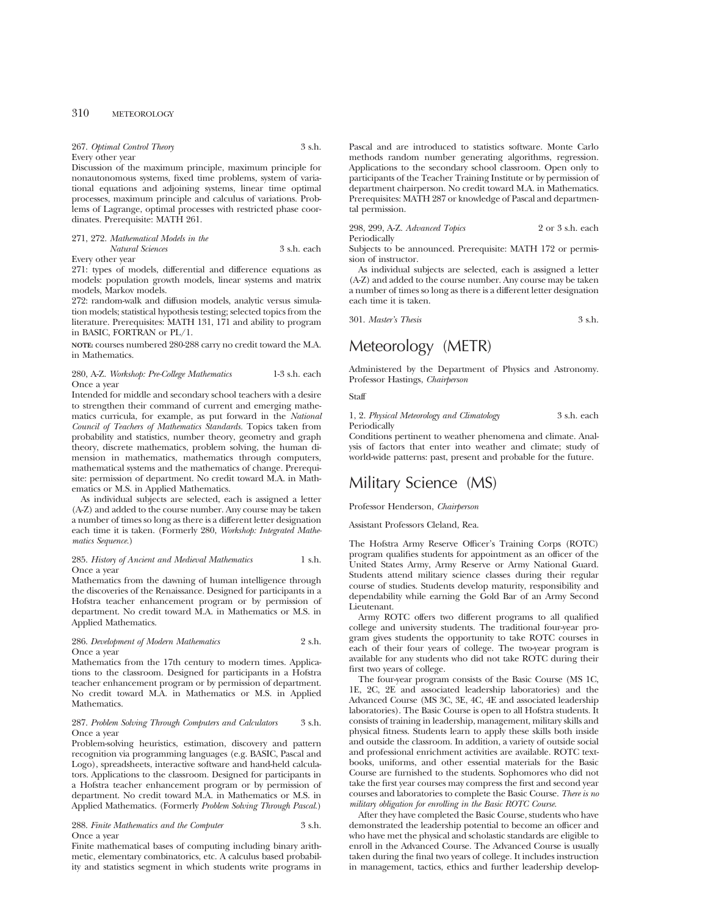| 267. Optimal Control Theory | 3 s.h. |
|-----------------------------|--------|
| Every other year            |        |

Discussion of the maximum principle, maximum principle for nonautonomous systems, fixed time problems, system of variational equations and adjoining systems, linear time optimal processes, maximum principle and calculus of variations. Problems of Lagrange, optimal processes with restricted phase coordinates. Prerequisite: MATH 261.

### 271, 272. *Mathematical Models in the Natural Sciences* 3 s.h. each

Every other year

271: types of models, differential and difference equations as models: population growth models, linear systems and matrix models, Markov models.

272: random-walk and diffusion models, analytic versus simulation models; statistical hypothesis testing; selected topics from the literature. Prerequisites: MATH 131, 171 and ability to program in BASIC, FORTRAN or PL/1.

**NOTE:** courses numbered 280-288 carry no credit toward the M.A. in Mathematics.

# 280, A-Z. *Workshop: Pre-College Mathematics* 1-3 s.h. each Once a year

Intended for middle and secondary school teachers with a desire to strengthen their command of current and emerging mathematics curricula, for example, as put forward in the *National Council of Teachers of Mathematics Standards.* Topics taken from probability and statistics, number theory, geometry and graph theory, discrete mathematics, problem solving, the human dimension in mathematics, mathematics through computers, mathematical systems and the mathematics of change. Prerequisite: permission of department. No credit toward M.A. in Mathematics or M.S. in Applied Mathematics.

As individual subjects are selected, each is assigned a letter (A-Z) and added to the course number. Any course may be taken a number of times so long as there is a different letter designation each time it is taken. (Formerly 280, *Workshop: Integrated Mathematics Sequence.*)

# 285. *History of Ancient and Medieval Mathematics* 1 s.h. Once a year

Mathematics from the dawning of human intelligence through the discoveries of the Renaissance. Designed for participants in a Hofstra teacher enhancement program or by permission of department. No credit toward M.A. in Mathematics or M.S. in Applied Mathematics.

# 286. *Development of Modern Mathematics* 2 s.h. Once a year

Mathematics from the 17th century to modern times. Applications to the classroom. Designed for participants in a Hofstra teacher enhancement program or by permission of department. No credit toward M.A. in Mathematics or M.S. in Applied Mathematics.

# 287. *Problem Solving Through Computers and Calculators* 3 s.h. Once a year

Problem-solving heuristics, estimation, discovery and pattern recognition via programming languages (e.g. BASIC, Pascal and Logo), spreadsheets, interactive software and hand-held calculators. Applications to the classroom. Designed for participants in a Hofstra teacher enhancement program or by permission of department. No credit toward M.A. in Mathematics or M.S. in Applied Mathematics. (Formerly *Problem Solving Through Pascal.*)

288. *Finite Mathematics and the Computer* 3 s.h. Once a year

Finite mathematical bases of computing including binary arithmetic, elementary combinatorics, etc. A calculus based probability and statistics segment in which students write programs in

Pascal and are introduced to statistics software. Monte Carlo methods random number generating algorithms, regression. Applications to the secondary school classroom. Open only to participants of the Teacher Training Institute or by permission of department chairperson. No credit toward M.A. in Mathematics. Prerequisites: MATH 287 or knowledge of Pascal and departmental permission.

298, 299, A-Z. *Advanced Topics* 2 or 3 s.h. each Periodically

Subjects to be announced. Prerequisite: MATH 172 or permission of instructor.

As individual subjects are selected, each is assigned a letter (A-Z) and added to the course number. Any course may be taken a number of times so long as there is a different letter designation each time it is taken.

301. *Master's Thesis* 3 s.h.

# Meteorology (METR)

Administered by the Department of Physics and Astronomy. Professor Hastings, *Chairperson*

**Staff** 

1, 2. *Physical Meteorology and Climatology* 3 s.h. each Periodically

Conditions pertinent to weather phenomena and climate. Analysis of factors that enter into weather and climate; study of world-wide patterns: past, present and probable for the future.

# Military Science (MS)

Professor Henderson, *Chairperson*

Assistant Professors Cleland, Rea.

The Hofstra Army Reserve Officer's Training Corps (ROTC) program qualifies students for appointment as an officer of the United States Army, Army Reserve or Army National Guard. Students attend military science classes during their regular course of studies. Students develop maturity, responsibility and dependability while earning the Gold Bar of an Army Second Lieutenant.

Army ROTC offers two different programs to all qualified college and university students. The traditional four-year program gives students the opportunity to take ROTC courses in each of their four years of college. The two-year program is available for any students who did not take ROTC during their first two years of college.

The four-year program consists of the Basic Course (MS 1C, 1E, 2C, 2E and associated leadership laboratories) and the Advanced Course (MS 3C, 3E, 4C, 4E and associated leadership laboratories). The Basic Course is open to all Hofstra students. It consists of training in leadership, management, military skills and physical fitness. Students learn to apply these skills both inside and outside the classroom. In addition, a variety of outside social and professional enrichment activities are available. ROTC textbooks, uniforms, and other essential materials for the Basic Course are furnished to the students. Sophomores who did not take the first year courses may compress the first and second year courses and laboratories to complete the Basic Course. *There is no military obligation for enrolling in the Basic ROTC Course.*

After they have completed the Basic Course, students who have demonstrated the leadership potential to become an officer and who have met the physical and scholastic standards are eligible to enroll in the Advanced Course. The Advanced Course is usually taken during the final two years of college. It includes instruction in management, tactics, ethics and further leadership develop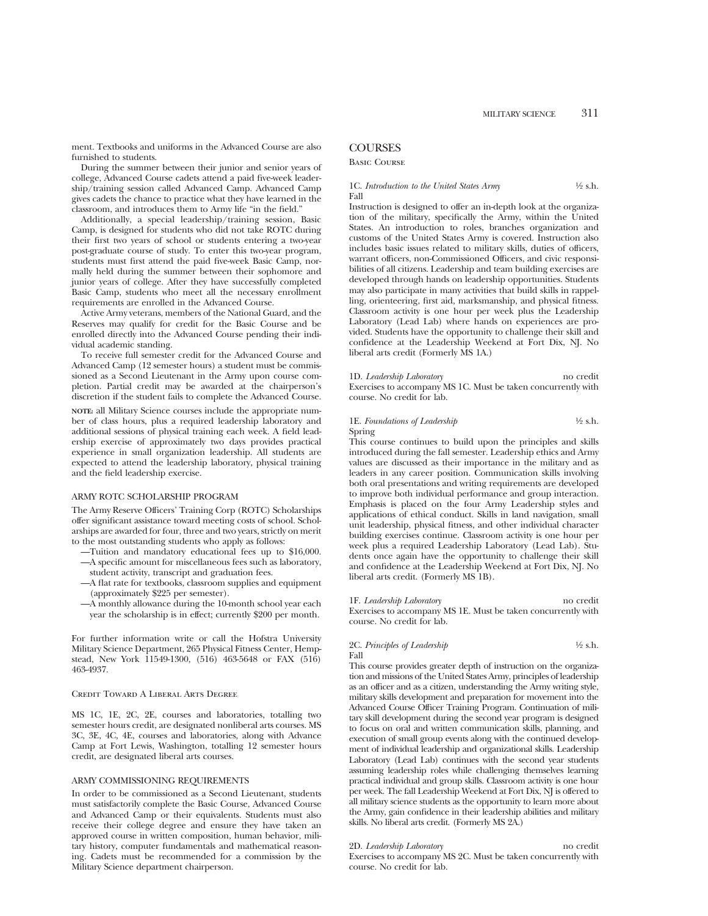ment. Textbooks and uniforms in the Advanced Course are also furnished to students.

During the summer between their junior and senior years of college, Advanced Course cadets attend a paid five-week leadership/training session called Advanced Camp. Advanced Camp gives cadets the chance to practice what they have learned in the classroom, and introduces them to Army life "in the field."

Additionally, a special leadership/training session, Basic Camp, is designed for students who did not take ROTC during their first two years of school or students entering a two-year post-graduate course of study. To enter this two-year program, students must first attend the paid five-week Basic Camp, normally held during the summer between their sophomore and junior years of college. After they have successfully completed Basic Camp, students who meet all the necessary enrollment requirements are enrolled in the Advanced Course.

Active Army veterans, members of the National Guard, and the Reserves may qualify for credit for the Basic Course and be enrolled directly into the Advanced Course pending their individual academic standing.

To receive full semester credit for the Advanced Course and Advanced Camp (12 semester hours) a student must be commissioned as a Second Lieutenant in the Army upon course completion. Partial credit may be awarded at the chairperson's discretion if the student fails to complete the Advanced Course.

**NOTE:** all Military Science courses include the appropriate number of class hours, plus a required leadership laboratory and additional sessions of physical training each week. A field leadership exercise of approximately two days provides practical experience in small organization leadership. All students are expected to attend the leadership laboratory, physical training and the field leadership exercise.

### ARMY ROTC SCHOLARSHIP PROGRAM

The Army Reserve Officers' Training Corp (ROTC) Scholarships offer significant assistance toward meeting costs of school. Scholarships are awarded for four, three and two years, strictly on merit to the most outstanding students who apply as follows:

- —Tuition and mandatory educational fees up to \$16,000. —A specific amount for miscellaneous fees such as laboratory,
- student activity, transcript and graduation fees. —A flat rate for textbooks, classroom supplies and equipment
- (approximately \$225 per semester). —A monthly allowance during the 10-month school year each
- year the scholarship is in effect; currently \$200 per month.

For further information write or call the Hofstra University Military Science Department, 265 Physical Fitness Center, Hempstead, New York 11549-1300, (516) 463-5648 or FAX (516) 463-4937.

#### Credit Toward A Liberal Arts Degree

MS 1C, 1E, 2C, 2E, courses and laboratories, totalling two semester hours credit, are designated nonliberal arts courses. MS 3C, 3E, 4C, 4E, courses and laboratories, along with Advance Camp at Fort Lewis, Washington, totalling 12 semester hours credit, are designated liberal arts courses.

# ARMY COMMISSIONING REQUIREMENTS

In order to be commissioned as a Second Lieutenant, students must satisfactorily complete the Basic Course, Advanced Course and Advanced Camp or their equivalents. Students must also receive their college degree and ensure they have taken an approved course in written composition, human behavior, military history, computer fundamentals and mathematical reasoning. Cadets must be recommended for a commission by the Military Science department chairperson.

# **COURSES**

Basic Course

# 1C. *Introduction to the United States Army* 1/2 s.h. Fall

Instruction is designed to offer an in-depth look at the organization of the military, specifically the Army, within the United States. An introduction to roles, branches organization and customs of the United States Army is covered. Instruction also includes basic issues related to military skills, duties of officers, warrant officers, non-Commissioned Officers, and civic responsibilities of all citizens. Leadership and team building exercises are developed through hands on leadership opportunities. Students may also participate in many activities that build skills in rappelling, orienteering, first aid, marksmanship, and physical fitness. Classroom activity is one hour per week plus the Leadership Laboratory (Lead Lab) where hands on experiences are provided. Students have the opportunity to challenge their skill and confidence at the Leadership Weekend at Fort Dix, NJ. No liberal arts credit (Formerly MS 1A.)

# 1D. *Leadership Laboratory* no credit

Exercises to accompany MS 1C. Must be taken concurrently with course. No credit for lab.

# 1E. *Foundations of Leadership* <sup>1/2</sup> s.h. Spring

This course continues to build upon the principles and skills introduced during the fall semester. Leadership ethics and Army values are discussed as their importance in the military and as leaders in any career position. Communication skills involving both oral presentations and writing requirements are developed to improve both individual performance and group interaction. Emphasis is placed on the four Army Leadership styles and applications of ethical conduct. Skills in land navigation, small unit leadership, physical fitness, and other individual character building exercises continue. Classroom activity is one hour per week plus a required Leadership Laboratory (Lead Lab). Students once again have the opportunity to challenge their skill and confidence at the Leadership Weekend at Fort Dix, NJ. No liberal arts credit. (Formerly MS 1B).

1F. *Leadership Laboratory* no credit Exercises to accompany MS 1E. Must be taken concurrently with course. No credit for lab.

### 2C. *Principles of Leadership*  $\frac{1}{2}$  s.h. Fall

This course provides greater depth of instruction on the organization and missions of the United States Army, principles of leadership as an officer and as a citizen, understanding the Army writing style, military skills development and preparation for movement into the Advanced Course Officer Training Program. Continuation of military skill development during the second year program is designed to focus on oral and written communication skills, planning, and execution of small group events along with the continued development of individual leadership and organizational skills. Leadership Laboratory (Lead Lab) continues with the second year students assuming leadership roles while challenging themselves learning practical individual and group skills. Classroom activity is one hour per week. The fall Leadership Weekend at Fort Dix, NJ is offered to all military science students as the opportunity to learn more about the Army, gain confidence in their leadership abilities and military skills. No liberal arts credit. (Formerly MS 2A.)

# 2D. *Leadership Laboratory* no credit

Exercises to accompany MS 2C. Must be taken concurrently with course. No credit for lab.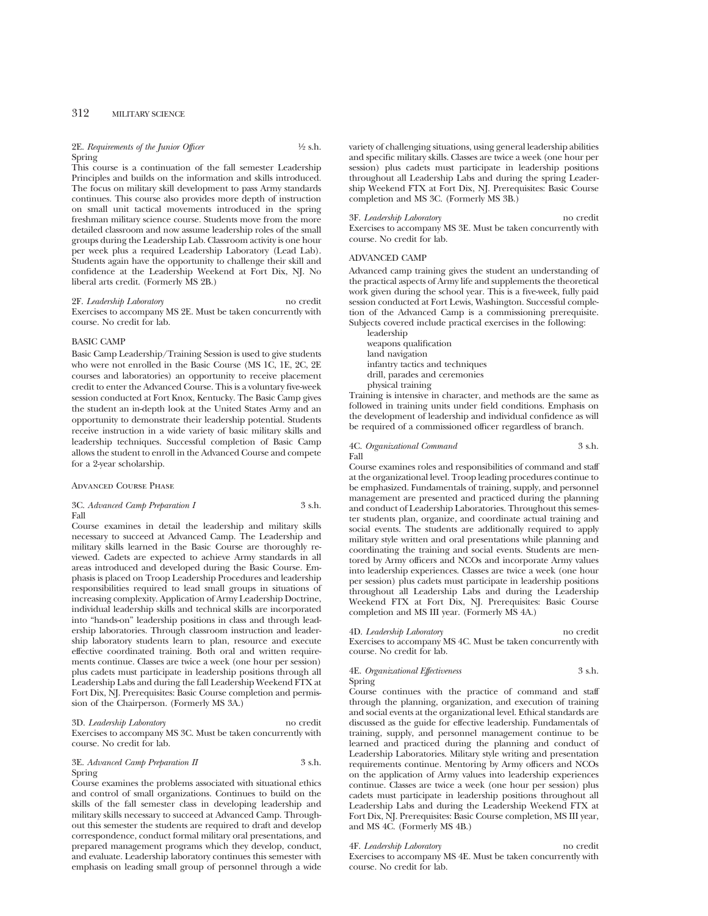### 2E. *Requirements of the Junior Officer*  $\frac{1}{2}$  s.h. Spring

This course is a continuation of the fall semester Leadership Principles and builds on the information and skills introduced. The focus on military skill development to pass Army standards continues. This course also provides more depth of instruction on small unit tactical movements introduced in the spring freshman military science course. Students move from the more detailed classroom and now assume leadership roles of the small groups during the Leadership Lab. Classroom activity is one hour per week plus a required Leadership Laboratory (Lead Lab). Students again have the opportunity to challenge their skill and confidence at the Leadership Weekend at Fort Dix, NJ. No liberal arts credit. (Formerly MS 2B.)

# 2F. *Leadership Laboratory* no credit Exercises to accompany MS 2E. Must be taken concurrently with course. No credit for lab.

# BASIC CAMP

Basic Camp Leadership/Training Session is used to give students who were not enrolled in the Basic Course (MS 1C, 1E, 2C, 2E courses and laboratories) an opportunity to receive placement credit to enter the Advanced Course. This is a voluntary five-week session conducted at Fort Knox, Kentucky. The Basic Camp gives the student an in-depth look at the United States Army and an opportunity to demonstrate their leadership potential. Students receive instruction in a wide variety of basic military skills and leadership techniques. Successful completion of Basic Camp allows the student to enroll in the Advanced Course and compete for a 2-year scholarship.

### Advanced Course Phase

# 3C. *Advanced Camp Preparation I* 3 s.h. Fall

Course examines in detail the leadership and military skills necessary to succeed at Advanced Camp. The Leadership and military skills learned in the Basic Course are thoroughly reviewed. Cadets are expected to achieve Army standards in all areas introduced and developed during the Basic Course. Emphasis is placed on Troop Leadership Procedures and leadership responsibilities required to lead small groups in situations of increasing complexity. Application of Army Leadership Doctrine, individual leadership skills and technical skills are incorporated into "hands-on" leadership positions in class and through leadership laboratories. Through classroom instruction and leadership laboratory students learn to plan, resource and execute effective coordinated training. Both oral and written requirements continue. Classes are twice a week (one hour per session) plus cadets must participate in leadership positions through all Leadership Labs and during the fall Leadership Weekend FTX at Fort Dix, NJ. Prerequisites: Basic Course completion and permission of the Chairperson. (Formerly MS 3A.)

### 3D. *Leadership Laboratory* no credit

Exercises to accompany MS 3C. Must be taken concurrently with course. No credit for lab.

# 3E. *Advanced Camp Preparation II* 3 s.h. Spring

Course examines the problems associated with situational ethics and control of small organizations. Continues to build on the skills of the fall semester class in developing leadership and military skills necessary to succeed at Advanced Camp. Throughout this semester the students are required to draft and develop correspondence, conduct formal military oral presentations, and prepared management programs which they develop, conduct, and evaluate. Leadership laboratory continues this semester with emphasis on leading small group of personnel through a wide variety of challenging situations, using general leadership abilities and specific military skills. Classes are twice a week (one hour per session) plus cadets must participate in leadership positions throughout all Leadership Labs and during the spring Leadership Weekend FTX at Fort Dix, NJ. Prerequisites: Basic Course completion and MS 3C. (Formerly MS 3B.)

3F. *Leadership Laboratory* no credit Exercises to accompany MS 3E. Must be taken concurrently with course. No credit for lab.

#### ADVANCED CAMP

Advanced camp training gives the student an understanding of the practical aspects of Army life and supplements the theoretical work given during the school year. This is a five-week, fully paid session conducted at Fort Lewis, Washington. Successful completion of the Advanced Camp is a commissioning prerequisite. Subjects covered include practical exercises in the following:

leadership weapons qualification land navigation infantry tactics and techniques drill, parades and ceremonies physical training

Training is intensive in character, and methods are the same as followed in training units under field conditions. Emphasis on the development of leadership and individual confidence as will be required of a commissioned officer regardless of branch.

#### 4C. *Organizational Command* 3 s.h. Fall

Course examines roles and responsibilities of command and staff at the organizational level. Troop leading procedures continue to be emphasized. Fundamentals of training, supply, and personnel management are presented and practiced during the planning and conduct of Leadership Laboratories. Throughout this semester students plan, organize, and coordinate actual training and social events. The students are additionally required to apply military style written and oral presentations while planning and coordinating the training and social events. Students are mentored by Army officers and NCOs and incorporate Army values into leadership experiences. Classes are twice a week (one hour per session) plus cadets must participate in leadership positions throughout all Leadership Labs and during the Leadership Weekend FTX at Fort Dix, NJ. Prerequisites: Basic Course completion and MS III year. (Formerly MS 4A.)

4D. *Leadership Laboratory* no credit Exercises to accompany MS 4C. Must be taken concurrently with course. No credit for lab.

# 4E. *Organizational Effectiveness* 3 s.h. Spring

Course continues with the practice of command and staff through the planning, organization, and execution of training and social events at the organizational level. Ethical standards are discussed as the guide for effective leadership. Fundamentals of training, supply, and personnel management continue to be learned and practiced during the planning and conduct of Leadership Laboratories. Military style writing and presentation requirements continue. Mentoring by Army officers and NCOs on the application of Army values into leadership experiences continue. Classes are twice a week (one hour per session) plus cadets must participate in leadership positions throughout all Leadership Labs and during the Leadership Weekend FTX at Fort Dix, NJ. Prerequisites: Basic Course completion, MS III year, and MS 4C. (Formerly MS 4B.)

#### 4F. *Leadership Laboratory* no credit

Exercises to accompany MS 4E. Must be taken concurrently with course. No credit for lab.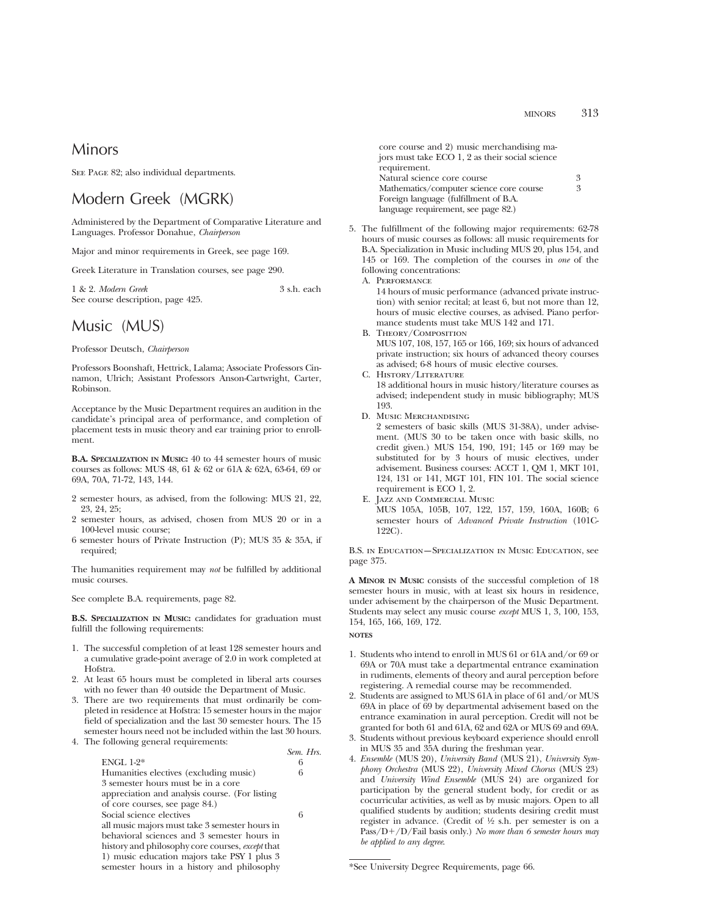# Minors

SEE PAGE 82; also individual departments.

# Modern Greek (MGRK)

Administered by the Department of Comparative Literature and Languages. Professor Donahue, *Chairperson*

Major and minor requirements in Greek, see page 169.

Greek Literature in Translation courses, see page 290.

1 & 2. *Modern Greek* 3 s.h. each See course description, page 425.

# Music (MUS)

Professor Deutsch, *Chairperson*

Professors Boonshaft, Hettrick, Lalama; Associate Professors Cinnamon, Ulrich; Assistant Professors Anson-Cartwright, Carter, Robinson.

Acceptance by the Music Department requires an audition in the candidate's principal area of performance, and completion of placement tests in music theory and ear training prior to enrollment.

**B.A. SPECIALIZATION IN MUSIC:** 40 to 44 semester hours of music courses as follows: MUS 48, 61 & 62 or 61A & 62A, 63-64, 69 or 69A, 70A, 71-72, 143, 144.

- 2 semester hours, as advised, from the following: MUS 21, 22, 23, 24, 25;
- 2 semester hours, as advised, chosen from MUS 20 or in a 100-level music course;
- 6 semester hours of Private Instruction (P); MUS 35 & 35A, if required;

The humanities requirement may *not* be fulfilled by additional music courses.

See complete B.A. requirements, page 82.

**B.S. SPECIALIZATION IN MUSIC:** candidates for graduation must fulfill the following requirements:

- 1. The successful completion of at least 128 semester hours and a cumulative grade-point average of 2.0 in work completed at Hofstra.
- 2. At least 65 hours must be completed in liberal arts courses with no fewer than 40 outside the Department of Music.
- 3. There are two requirements that must ordinarily be completed in residence at Hofstra: 15 semester hours in the major field of specialization and the last 30 semester hours. The 15 semester hours need not be included within the last 30 hours.
- 4. The following general requirements:

|                                                  | Sem. Hrs. |
|--------------------------------------------------|-----------|
| $ENGL 1-2*$                                      | 6         |
| Humanities electives (excluding music)           | 6         |
| 3 semester hours must be in a core               |           |
| appreciation and analysis course. (For listing   |           |
| of core courses, see page 84.)                   |           |
| Social science electives                         | 6         |
| all music majors must take 3 semester hours in   |           |
| behavioral sciences and 3 semester hours in      |           |
| history and philosophy core courses, except that |           |
| 1) music education majors take PSY 1 plus 3      |           |
| semester hours in a history and philosophy       |           |

core course and 2) music merchandising majors must take ECO 1, 2 as their social science requirement. Natural science core course 3<br>Mathematics/computer science core course 3 Mathematics/computer science core course Foreign language (fulfillment of B.A. language requirement, see page 82.)

- 5. The fulfillment of the following major requirements: 62-78 hours of music courses as follows: all music requirements for B.A. Specialization in Music including MUS 20, plus 154, and 145 or 169. The completion of the courses in *one* of the following concentrations:
	- A. Performance

14 hours of music performance (advanced private instruction) with senior recital; at least 6, but not more than 12, hours of music elective courses, as advised. Piano performance students must take MUS 142 and 171.

- B. Theory/Composition MUS 107, 108, 157, 165 or 166, 169; six hours of advanced private instruction; six hours of advanced theory courses as advised; 6-8 hours of music elective courses.
- C. History/Literature 18 additional hours in music history/literature courses as advised; independent study in music bibliography; MUS 193.
- D. Music Merchandising

2 semesters of basic skills (MUS 31-38A), under advisement. (MUS 30 to be taken once with basic skills, no credit given.) MUS 154, 190, 191; 145 or 169 may be substituted for by 3 hours of music electives, under advisement. Business courses: ACCT 1, QM 1, MKT 101, 124, 131 or 141, MGT 101, FIN 101. The social science requirement is ECO 1, 2.

E. Jazz and Commercial Music MUS 105A, 105B, 107, 122, 157, 159, 160A, 160B; 6 semester hours of *Advanced Private Instruction* (101C-122C).

B.S. in Education—Specialization in Music Education, see page 375.

**A MINOR IN MUSIC** consists of the successful completion of 18 semester hours in music, with at least six hours in residence, under advisement by the chairperson of the Music Department. Students may select any music course *except* MUS 1, 3, 100, 153, 154, 165, 166, 169, 172.

- **NOTES**
- 1. Students who intend to enroll in MUS 61 or 61A and/or 69 or 69A or 70A must take a departmental entrance examination in rudiments, elements of theory and aural perception before registering. A remedial course may be recommended.
- 2. Students are assigned to MUS 61A in place of 61 and/or MUS 69A in place of 69 by departmental advisement based on the entrance examination in aural perception. Credit will not be granted for both 61 and 61A, 62 and 62A or MUS 69 and 69A.
- 3. Students without previous keyboard experience should enroll in MUS 35 and 35A during the freshman year.
- 4. *Ensemble* (MUS 20), *University Band* (MUS 21), *University Symphony Orchestra* (MUS 22), *University Mixed Chorus* (MUS 23) and *University Wind Ensemble* (MUS 24) are organized for participation by the general student body, for credit or as cocurricular activities, as well as by music majors. Open to all qualified students by audition; students desiring credit must register in advance. (Credit of 1⁄2 s.h. per semester is on a Pass/D+/D/Fail basis only.) *No more than 6 semester hours may be applied to any degree*.

<sup>\*</sup>See University Degree Requirements, page 66.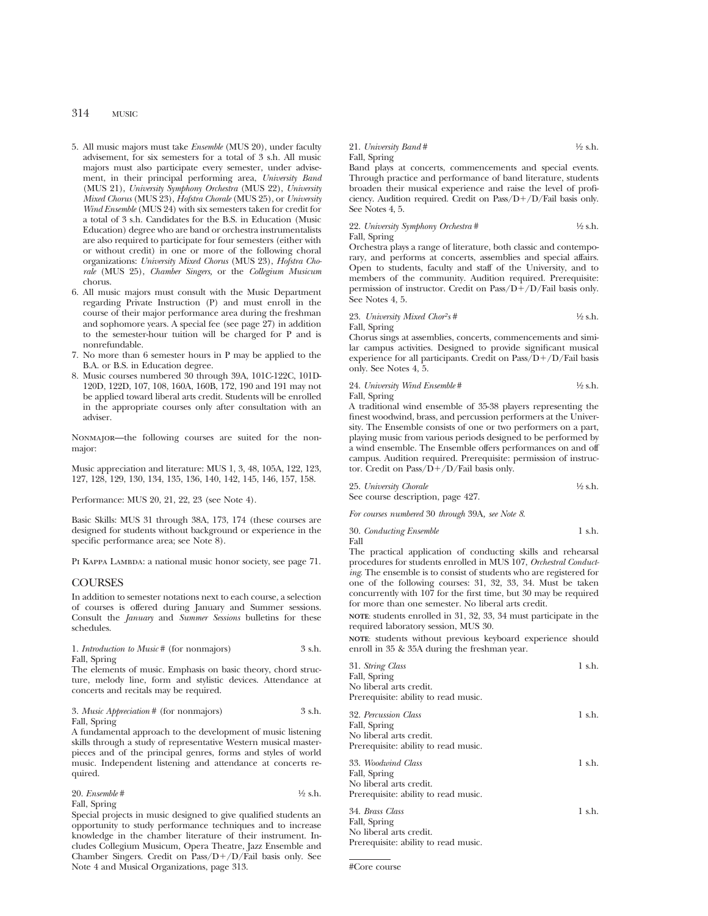# 314 MUSIC

- 5. All music majors must take *Ensemble* (MUS 20), under faculty advisement, for six semesters for a total of 3 s.h. All music majors must also participate every semester, under advisement, in their principal performing area, *University Band* (MUS 21), *University Symphony Orchestra* (MUS 22), *University Mixed Chorus* (MUS 23), *Hofstra Chorale* (MUS 25), or *University Wind Ensemble* (MUS 24) with six semesters taken for credit for a total of 3 s.h. Candidates for the B.S. in Education (Music Education) degree who are band or orchestra instrumentalists are also required to participate for four semesters (either with or without credit) in one or more of the following choral organizations: *University Mixed Chorus* (MUS 23), *Hofstra Chorale* (MUS 25), *Chamber Singers,* or the *Collegium Musicum* chorus.
- 6. All music majors must consult with the Music Department regarding Private Instruction (P) and must enroll in the course of their major performance area during the freshman and sophomore years. A special fee (see page 27) in addition to the semester-hour tuition will be charged for P and is nonrefundable.
- 7. No more than 6 semester hours in P may be applied to the B.A. or B.S. in Education degree.
- 8. Music courses numbered 30 through 39A, 101C-122C, 101D-120D, 122D, 107, 108, 160A, 160B, 172, 190 and 191 may not be applied toward liberal arts credit. Students will be enrolled in the appropriate courses only after consultation with an adviser.

Nonmajor—the following courses are suited for the nonmajor:

Music appreciation and literature: MUS 1, 3, 48, 105A, 122, 123, 127, 128, 129, 130, 134, 135, 136, 140, 142, 145, 146, 157, 158.

Performance: MUS 20, 21, 22, 23 (see Note 4).

Basic Skills: MUS 31 through 38A, 173, 174 (these courses are designed for students without background or experience in the specific performance area; see Note 8).

PI KAPPA LAMBDA: a national music honor society, see page 71.

# **COURSES**

In addition to semester notations next to each course, a selection of courses is offered during January and Summer sessions. Consult the *January* and *Summer Sessions* bulletins for these schedules.

1. *Introduction to Music* # (for nonmajors) 3 s.h. Fall, Spring

The elements of music. Emphasis on basic theory, chord structure, melody line, form and stylistic devices. Attendance at concerts and recitals may be required.

# 3. *Music Appreciation* # (for nonmajors) 3 s.h. Fall, Spring

A fundamental approach to the development of music listening skills through a study of representative Western musical masterpieces and of the principal genres, forms and styles of world music. Independent listening and attendance at concerts required.

| 20. Ensemble # | $\frac{1}{2}$ s.h. |
|----------------|--------------------|
| Fall, Spring   |                    |

Special projects in music designed to give qualified students an opportunity to study performance techniques and to increase knowledge in the chamber literature of their instrument. Includes Collegium Musicum, Opera Theatre, Jazz Ensemble and Chamber Singers. Credit on  $Pass/D+/D/Fail$  basis only. See Note 4 and Musical Organizations, page 313.

### 21. *University Band* #  $\frac{1}{2}$  s.h. Fall, Spring

Band plays at concerts, commencements and special events. Through practice and performance of band literature, students broaden their musical experience and raise the level of proficiency. Audition required. Credit on  $Pass/D+/D/Fail$  basis only. See Notes 4, 5.

22. *University Symphony Orchestra* # 1⁄2 s.h. Fall, Spring

Orchestra plays a range of literature, both classic and contemporary, and performs at concerts, assemblies and special affairs. Open to students, faculty and staff of the University, and to members of the community. Audition required. Prerequisite: permission of instructor. Credit on  $Pass/D+/D/Fail$  basis only. See Notes 4, 5.

23. *University Mixed Chor<sup>2</sup>s* # 
$$
\frac{1}{2}
$$
 s.h.

Fall, Spring

Chorus sings at assemblies, concerts, commencements and similar campus activities. Designed to provide significant musical experience for all participants. Credit on  $Pass/D+/D/Fall$  basis only. See Notes 4, 5.

24. *University Wind Ensemble* # 1⁄2 s.h. Fall, Spring

A traditional wind ensemble of 35-38 players representing the finest woodwind, brass, and percussion performers at the University. The Ensemble consists of one or two performers on a part, playing music from various periods designed to be performed by a wind ensemble. The Ensemble offers performances on and off campus. Audition required. Prerequisite: permission of instructor. Credit on Pass/ $D+/D$ /Fail basis only.

| 25. University Chorale            | $\frac{1}{2}$ s.h. |
|-----------------------------------|--------------------|
| See course description, page 427. |                    |

*For courses numbered* 30 *through* 39A*, see Note 8*.

|      | 30. Conducting Ensemble | 1 s.h. |
|------|-------------------------|--------|
| Fall |                         |        |

The practical application of conducting skills and rehearsal procedures for students enrolled in MUS 107, *Orchestral Conducting*. The ensemble is to consist of students who are registered for one of the following courses: 31, 32, 33, 34. Must be taken concurrently with 107 for the first time, but 30 may be required for more than one semester. No liberal arts credit.

**NOTE**: students enrolled in 31, 32, 33, 34 must participate in the required laboratory session, MUS 30.

**NOTE**: students without previous keyboard experience should enroll in 35 & 35A during the freshman year.

| 31. String Class                     | 1 s.h. |
|--------------------------------------|--------|
| Fall, Spring                         |        |
| No liberal arts credit.              |        |
| Prerequisite: ability to read music. |        |
| 32. Percussion Class                 | 1 s.h. |
| Fall, Spring                         |        |
| No liberal arts credit.              |        |
| Prerequisite: ability to read music. |        |
| 33. Woodwind Class                   | 1 s.h. |
| Fall, Spring                         |        |
| No liberal arts credit.              |        |
| Prerequisite: ability to read music. |        |
| 34. Brass Class                      | 1 s.h. |
| Fall, Spring                         |        |
| No liberal arts credit.              |        |
|                                      |        |

Prerequisite: ability to read music.

#Core course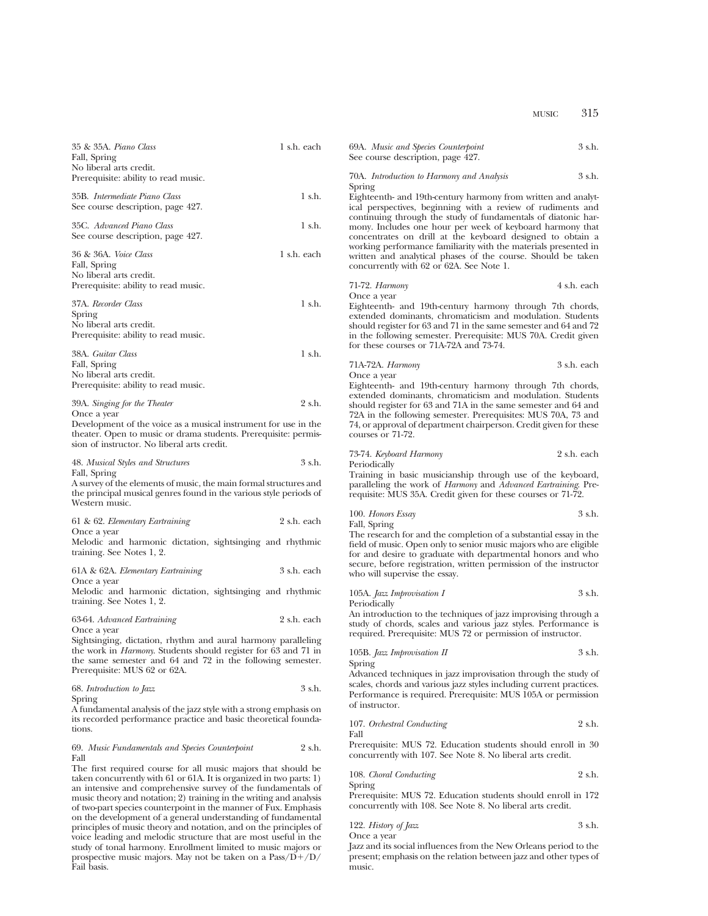| 35 & 35A. Piano Class<br>Fall, Spring<br>No liberal arts credit.<br>Prerequisite: ability to read music.                                                                                                                         | 1 s.h. each |
|----------------------------------------------------------------------------------------------------------------------------------------------------------------------------------------------------------------------------------|-------------|
| 35B. Intermediate Piano Class<br>See course description, page 427.                                                                                                                                                               | 1 s.h.      |
| 35C. Advanced Piano Class<br>See course description, page 427.                                                                                                                                                                   | 1 s.h.      |
| 36 & 36A. Voice Class<br>Fall, Spring<br>No liberal arts credit.<br>Prerequisite: ability to read music.                                                                                                                         | 1 s.h. each |
| 37A. Recorder Class<br>Spring<br>No liberal arts credit.<br>Prerequisite: ability to read music.                                                                                                                                 | $1$ s.h.    |
| 38A. Guitar Class<br>Fall, Spring<br>No liberal arts credit.<br>Prerequisite: ability to read music.                                                                                                                             | $1$ s.h.    |
| 39A. Singing for the Theater<br>Once a year<br>Development of the voice as a musical instrument for use in the<br>theater. Open to music or drama students. Prerequisite: permis-<br>sion of instructor. No liberal arts credit. | 2 s.h.      |
| 48. Musical Styles and Structures<br>Fall, Spring<br>A member of the officer on the of merced of the media formed atmospherical and                                                                                              | 3 s.h.      |

A survey of the elements of music, the main formal structures and the principal musical genres found in the various style periods of Western music.

| 61 & 62. Elementary Eartraining                                                                                                                                                                                                       | 2 s.h. each |
|---------------------------------------------------------------------------------------------------------------------------------------------------------------------------------------------------------------------------------------|-------------|
| Once a year<br>Melodic and harmonic dictation, sightsinging and rhythmic<br>training. See Notes 1, 2.                                                                                                                                 |             |
| 61A & 62A. Elementary Eartraining<br>Once a year                                                                                                                                                                                      | 3 s.h. each |
| Melodic and harmonic dictation, sightsinging and rhythmic<br>training. See Notes 1, 2.                                                                                                                                                |             |
| 63-64. Advanced Eartraining<br>Once a year                                                                                                                                                                                            | 2 s.h. each |
| Sightsinging, dictation, rhythm and aural harmony paralleling<br>the work in <i>Harmony</i> . Students should register for 63 and 71 in<br>the same semester and 64 and 72 in the following semester.<br>Prerequisite: MUS 62 or 62A. |             |
| 68. Introduction to Jazz                                                                                                                                                                                                              | 3 s.h.      |
| Spring<br>A fundamental analysis of the jazz style with a strong emphasis on<br>its recorded performance practice and basic theoretical founda-<br>tions.                                                                             |             |
| 69. Music Fundamentals and Species Counterpoint                                                                                                                                                                                       | 2 s.h.      |

Fall The first required course for all music majors that should be taken concurrently with 61 or 61A. It is organized in two parts: 1) an intensive and comprehensive survey of the fundamentals of music theory and notation; 2) training in the writing and analysis of two-part species counterpoint in the manner of Fux. Emphasis on the development of a general understanding of fundamental principles of music theory and notation, and on the principles of voice leading and melodic structure that are most useful in the study of tonal harmony. Enrollment limited to music majors or prospective music majors. May not be taken on a  $Pass/D+/D/$ Fail basis.

69A. *Music and Species Counterpoint* 3 s.h. See course description, page 427. 70A. *Introduction to Harmony and Analysis* 3 s.h. Spring Eighteenth- and 19th-century harmony from written and analytical perspectives, beginning with a review of rudiments and continuing through the study of fundamentals of diatonic harmony. Includes one hour per week of keyboard harmony that concentrates on drill at the keyboard designed to obtain a working performance familiarity with the materials presented in written and analytical phases of the course. Should be taken concurrently with 62 or 62A. See Note 1. 71-72. *Harmony* 4 s.h. each Once a year Eighteenth- and 19th-century harmony through 7th chords, extended dominants, chromaticism and modulation. Students should register for 63 and 71 in the same semester and 64 and 72 in the following semester. Prerequisite: MUS 70A. Credit given for these courses or 71A-72A and 73-74. 71A-72A. *Harmony* 3 s.h. each Once a year Eighteenth- and 19th-century harmony through 7th chords, extended dominants, chromaticism and modulation. Students should register for 63 and 71A in the same semester and 64 and 72A in the following semester. Prerequisites: MUS 70A, 73 and 74, or approval of department chairperson. Credit given for these courses or 71-72. 73-74. *Keyboard Harmony* 2 s.h. each Periodically Training in basic musicianship through use of the keyboard, paralleling the work of *Harmony* and *Advanced Eartraining*. Prerequisite: MUS 35A. Credit given for these courses or 71-72. 100. *Honors Essay* 3 s.h. Fall, Spring The research for and the completion of a substantial essay in the field of music. Open only to senior music majors who are eligible for and desire to graduate with departmental honors and who secure, before registration, written permission of the instructor who will supervise the essay. 105A. *Jazz Improvisation I* 3 s.h. Periodically An introduction to the techniques of jazz improvising through a

study of chords, scales and various jazz styles. Performance is required. Prerequisite: MUS 72 or permission of instructor.

105B. *Jazz Improvisation II* 3 s.h. Spring

Advanced techniques in jazz improvisation through the study of scales, chords and various jazz styles including current practices. Performance is required. Prerequisite: MUS 105A or permission of instructor.

107. *Orchestral Conducting* 2 s.h. Fall

Prerequisite: MUS 72. Education students should enroll in 30 concurrently with 107. See Note 8. No liberal arts credit.

108. *Choral Conducting* 2 s.h. Spring

Prerequisite: MUS 72. Education students should enroll in 172 concurrently with 108. See Note 8. No liberal arts credit.

122. *History of Jazz* 3 s.h. Once a year

Jazz and its social influences from the New Orleans period to the present; emphasis on the relation between jazz and other types of music.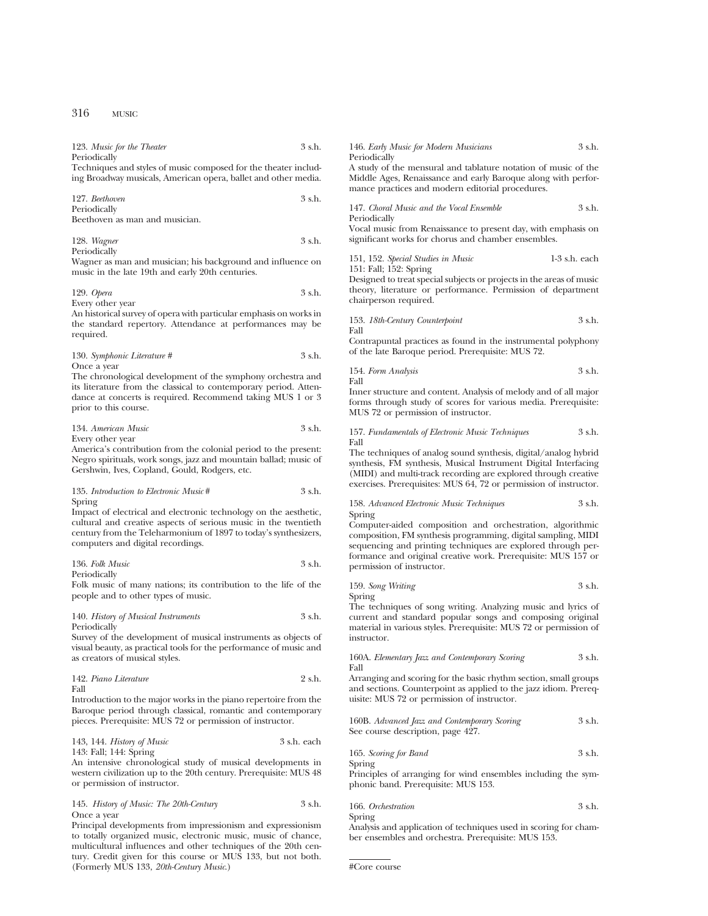| 123. Music for the Theater | 3 s.h. |
|----------------------------|--------|
| Periodically               |        |

Techniques and styles of music composed for the theater including Broadway musicals, American opera, ballet and other media.

127. *Beethoven* 3 s.h. Periodically

Beethoven as man and musician.

128. *Wagner* 3 s.h. Periodically

Wagner as man and musician; his background and influence on music in the late 19th and early 20th centuries.

| 129. Opera       | 3 s.h. |
|------------------|--------|
| Every other year |        |

An historical survey of opera with particular emphasis on works in the standard repertory. Attendance at performances may be required.

130. *Symphonic Literature #* 3 s.h. Once a year

The chronological development of the symphony orchestra and its literature from the classical to contemporary period. Attendance at concerts is required. Recommend taking MUS 1 or 3 prior to this course.

| 134. American Music | 3 s.h. |
|---------------------|--------|
| Every other year    |        |

America's contribution from the colonial period to the present: Negro spirituals, work songs, jazz and mountain ballad; music of Gershwin, Ives, Copland, Gould, Rodgers, etc.

# 135. *Introduction to Electronic Music* # 3 s.h. Spring

Impact of electrical and electronic technology on the aesthetic, cultural and creative aspects of serious music in the twentieth century from the Teleharmonium of 1897 to today's synthesizers, computers and digital recordings.

136. *Folk Music* 3 s.h. Periodically

Folk music of many nations; its contribution to the life of the people and to other types of music.

140. *History of Musical Instruments* 3 s.h. Periodically

Survey of the development of musical instruments as objects of visual beauty, as practical tools for the performance of music and as creators of musical styles.

| 142. Piano Literature | 2 s.h. |
|-----------------------|--------|
| Fall                  |        |

Introduction to the major works in the piano repertoire from the Baroque period through classical, romantic and contemporary pieces. Prerequisite: MUS 72 or permission of instructor.

143, 144. *History of Music* 3 s.h. each 143: Fall; 144: Spring

An intensive chronological study of musical developments in western civilization up to the 20th century. Prerequisite: MUS 48 or permission of instructor.

|             | 145. History of Music: The 20th-Century | 3 s.h. |
|-------------|-----------------------------------------|--------|
| Once a vear |                                         |        |

Principal developments from impressionism and expressionism to totally organized music, electronic music, music of chance, multicultural influences and other techniques of the 20th century. Credit given for this course or MUS 133, but not both. (Formerly MUS 133, *20th-Century Music*.)

| 146. Early Music for Modern Musicians                          | 3 s.h. |
|----------------------------------------------------------------|--------|
| Periodically                                                   |        |
| A study of the measural and tablature notation of music of the |        |

A study of the mensural and tablature notation of music of the Middle Ages, Renaissance and early Baroque along with performance practices and modern editorial procedures.

147. *Choral Music and the Vocal Ensemble* 3 s.h.

Periodically

Vocal music from Renaissance to present day, with emphasis on significant works for chorus and chamber ensembles.

| 151, 152. Special Studies in Music | $1-3$ s.h. each |
|------------------------------------|-----------------|
| 151: Fall; 152: Spring             |                 |

Designed to treat special subjects or projects in the areas of music theory, literature or performance. Permission of department chairperson required.

153. *18th-Century Counterpoint* 3 s.h. Fall

Contrapuntal practices as found in the instrumental polyphony of the late Baroque period. Prerequisite: MUS 72.

154. *Form Analysis* 3 s.h. Fall

Inner structure and content. Analysis of melody and of all major forms through study of scores for various media. Prerequisite: MUS 72 or permission of instructor.

157. *Fundamentals of Electronic Music Techniques* 3 s.h. Fall

The techniques of analog sound synthesis, digital/analog hybrid synthesis, FM synthesis, Musical Instrument Digital Interfacing (MIDI) and multi-track recording are explored through creative exercises. Prerequisites: MUS 64, 72 or permission of instructor.

# 158. *Advanced Electronic Music Techniques* 3 s.h. Spring

Computer-aided composition and orchestration, algorithmic composition, FM synthesis programming, digital sampling, MIDI sequencing and printing techniques are explored through performance and original creative work. Prerequisite: MUS 157 or permission of instructor.

159. *Song Writing* 3 s.h.

Spring

The techniques of song writing. Analyzing music and lyrics of current and standard popular songs and composing original material in various styles. Prerequisite: MUS 72 or permission of instructor.

160A. *Elementary Jazz and Contemporary Scoring* 3 s.h. Fall

Arranging and scoring for the basic rhythm section, small groups and sections. Counterpoint as applied to the jazz idiom. Prerequisite: MUS 72 or permission of instructor.

| 160B. Advanced Jazz and Contemporary Scoring | 3 s.h. |
|----------------------------------------------|--------|
| See course description, page 427.            |        |

165. *Scoring for Band* 3 s.h. Spring

Principles of arranging for wind ensembles including the symphonic band. Prerequisite: MUS 153.

| 166. Orchestration | 3 s.h. |
|--------------------|--------|
| Spring             |        |

Analysis and application of techniques used in scoring for chamber ensembles and orchestra. Prerequisite: MUS 153.

#Core course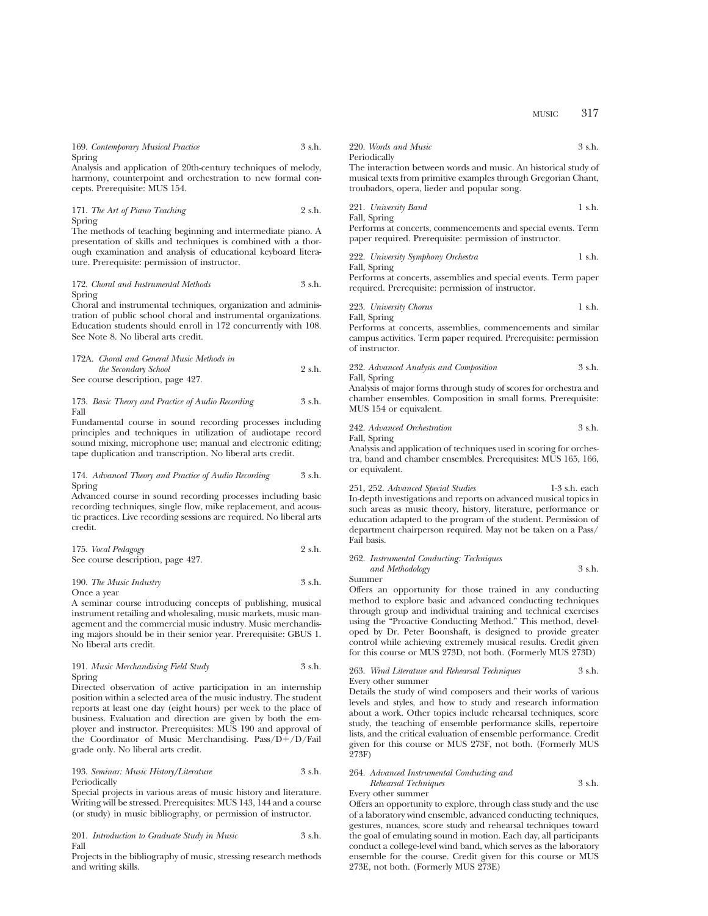| 169. Contemporary Musical Practice | 3 s.h. |
|------------------------------------|--------|
| Spring                             |        |

Analysis and application of 20th-century techniques of melody, harmony, counterpoint and orchestration to new formal concepts. Prerequisite: MUS 154.

171. *The Art of Piano Teaching* 2 s.h. Spring

The methods of teaching beginning and intermediate piano. A presentation of skills and techniques is combined with a thorough examination and analysis of educational keyboard literature. Prerequisite: permission of instructor.

# 172. *Choral and Instrumental Methods* 3 s.h. Spring

Choral and instrumental techniques, organization and administration of public school choral and instrumental organizations. Education students should enroll in 172 concurrently with 108. See Note 8. No liberal arts credit.

# 172A. *Choral and General Music Methods in the Secondary School* 2 s.h. See course description, page 427.

# 173. *Basic Theory and Practice of Audio Recording* 3 s.h. Fall

Fundamental course in sound recording processes including principles and techniques in utilization of audiotape record sound mixing, microphone use; manual and electronic editing; tape duplication and transcription. No liberal arts credit.

# 174. *Advanced Theory and Practice of Audio Recording* 3 s.h. Spring

Advanced course in sound recording processes including basic recording techniques, single flow, mike replacement, and acoustic practices. Live recording sessions are required. No liberal arts credit.

| 175. Vocal Pedagogy               | 2 s.h. |
|-----------------------------------|--------|
| See course description, page 427. |        |

# 190. *The Music Industry* 3 s.h. Once a year

A seminar course introducing concepts of publishing, musical instrument retailing and wholesaling, music markets, music management and the commercial music industry. Music merchandising majors should be in their senior year. Prerequisite: GBUS 1. No liberal arts credit.

191. *Music Merchandising Field Study* 3 s.h. Spring

Directed observation of active participation in an internship position within a selected area of the music industry. The student reports at least one day (eight hours) per week to the place of business. Evaluation and direction are given by both the employer and instructor. Prerequisites: MUS 190 and approval of the Coordinator of Music Merchandising.  $Pass/D+/D/Fail$ grade only. No liberal arts credit.

# 193. *Seminar: Music History/Literature* 3 s.h. Periodically

Special projects in various areas of music history and literature. Writing will be stressed. Prerequisites: MUS 143, 144 and a course (or study) in music bibliography, or permission of instructor.

201. *Introduction to Graduate Study in Music* 3 s.h. Fall

Projects in the bibliography of music, stressing research methods and writing skills.

220. *Words and Music* 3 s.h. Periodically

The interaction between words and music. An historical study of musical texts from primitive examples through Gregorian Chant, troubadors, opera, lieder and popular song.

221. *University Band* 1 s.h. Fall, Spring

Performs at concerts, commencements and special events. Term paper required. Prerequisite: permission of instructor.

222. *University Symphony Orchestra* 1 s.h. Fall, Spring

Performs at concerts, assemblies and special events. Term paper required. Prerequisite: permission of instructor.

223. *University Chorus* 1 s.h. Fall, Spring

Performs at concerts, assemblies, commencements and similar campus activities. Term paper required. Prerequisite: permission of instructor.

232. *Advanced Analysis and Composition* 3 s.h. Fall, Spring

Analysis of major forms through study of scores for orchestra and chamber ensembles. Composition in small forms. Prerequisite: MUS 154 or equivalent.

242. *Advanced Orchestration* 3 s.h.

Fall, Spring

Analysis and application of techniques used in scoring for orchestra, band and chamber ensembles. Prerequisites: MUS 165, 166, or equivalent.

251, 252. *Advanced Special Studies* 1-3 s.h. each In-depth investigations and reports on advanced musical topics in such areas as music theory, history, literature, performance or education adapted to the program of the student. Permission of department chairperson required. May not be taken on a Pass/ Fail basis.

262. *Instrumental Conducting: Techniques and Methodology* 3 s.h. Summer

Offers an opportunity for those trained in any conducting method to explore basic and advanced conducting techniques through group and individual training and technical exercises using the "Proactive Conducting Method." This method, developed by Dr. Peter Boonshaft, is designed to provide greater control while achieving extremely musical results. Credit given for this course or MUS 273D, not both. (Formerly MUS 273D)

# 263. *Wind Literature and Rehearsal Techniques* 3 s.h. Every other summer

Details the study of wind composers and their works of various levels and styles, and how to study and research information about a work. Other topics include rehearsal techniques, score study, the teaching of ensemble performance skills, repertoire lists, and the critical evaluation of ensemble performance. Credit given for this course or MUS 273F, not both. (Formerly MUS 273F)

# 264. *Advanced Instrumental Conducting and Rehearsal Techniques* 3 s.h.

Every other summer

Offers an opportunity to explore, through class study and the use of a laboratory wind ensemble, advanced conducting techniques, gestures, nuances, score study and rehearsal techniques toward the goal of emulating sound in motion. Each day, all participants conduct a college-level wind band, which serves as the laboratory ensemble for the course. Credit given for this course or MUS 273E, not both. (Formerly MUS 273E)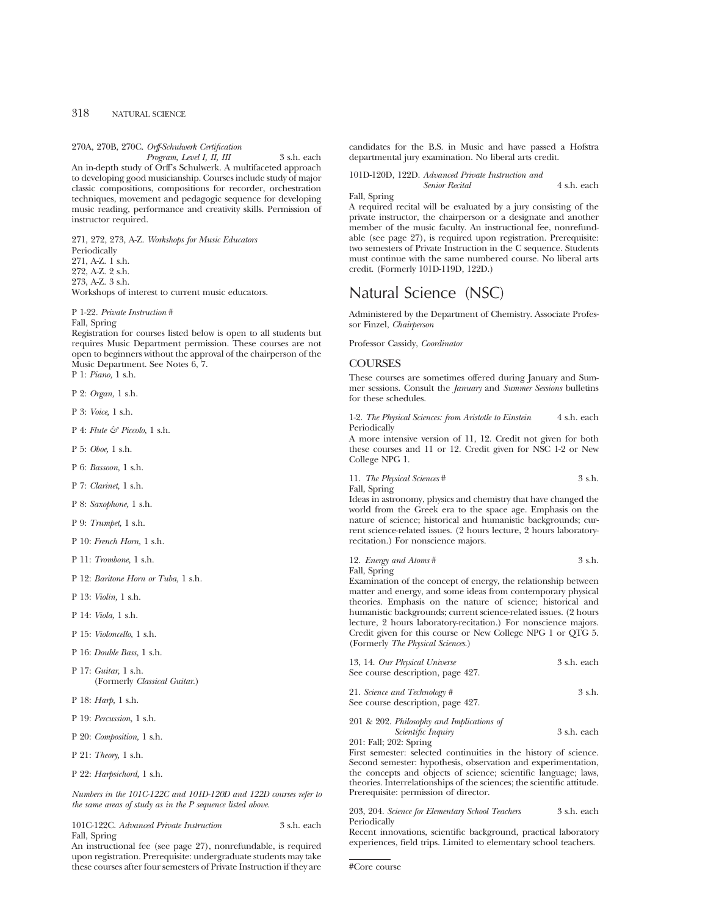# 270A, 270B, 270C. *Orff-Schulwerk Certification*

*Program, Level I, II, III* 3 s.h. each An in-depth study of Orff's Schulwerk. A multifaceted approach to developing good musicianship. Courses include study of major classic compositions, compositions for recorder, orchestration techniques, movement and pedagogic sequence for developing music reading, performance and creativity skills. Permission of instructor required.

271, 272, 273, A-Z. *Workshops for Music Educators* Periodically 271, A-Z. 1 s.h. 272, A-Z. 2 s.h. 273, A-Z. 3 s.h. Workshops of interest to current music educators.

### P 1-22. *Private Instruction* #

Fall, Spring

Registration for courses listed below is open to all students but requires Music Department permission. These courses are not open to beginners without the approval of the chairperson of the Music Department. See Notes 6, 7.

P 1: *Piano,* 1 s.h.

P 2: *Organ,* 1 s.h.

P 3: *Voice,* 1 s.h.

P 4: *Flute & Piccolo,* 1 s.h.

P 5: *Oboe,* 1 s.h.

P 6: *Bassoon,* 1 s.h.

P 7: *Clarinet,* 1 s.h.

P 8: *Saxophone,* 1 s.h.

P 9: *Trumpet,* 1 s.h.

P 10: *French Horn,* 1 s.h.

P 11: *Trombone,* 1 s.h.

P 12: *Baritone Horn or Tuba,* 1 s.h.

P 13: *Violin,* 1 s.h.

P 14: *Viola,* 1 s.h.

P 15: *Violoncello,* 1 s.h.

P 16: *Double Bass,* 1 s.h.

P 17: *Guitar,* 1 s.h. (Formerly *Classical Guitar.*)

P 18: *Harp,* 1 s.h.

P 19: *Percussion,* 1 s.h.

P 20: *Composition,* 1 s.h.

P 21: *Theory,* 1 s.h.

P 22: *Harpsichord,* 1 s.h.

*Numbers in the 101C-122C and 101D-120D and 122D courses refer to the same areas of study as in the P sequence listed above.*

101C-122C. *Advanced Private Instruction* 3 s.h. each Fall, Spring

An instructional fee (see page 27), nonrefundable, is required upon registration. Prerequisite: undergraduate students may take these courses after four semesters of Private Instruction if they are candidates for the B.S. in Music and have passed a Hofstra departmental jury examination. No liberal arts credit.

101D-120D, 122D. *Advanced Private Instruction and Senior Recital* 4 s.h. each

# Fall, Spring

A required recital will be evaluated by a jury consisting of the private instructor, the chairperson or a designate and another member of the music faculty. An instructional fee, nonrefundable (see page 27), is required upon registration. Prerequisite: two semesters of Private Instruction in the C sequence. Students must continue with the same numbered course. No liberal arts credit. (Formerly 101D-119D, 122D.)

# Natural Science (NSC)

Administered by the Department of Chemistry. Associate Professor Finzel, *Chairperson*

Professor Cassidy, *Coordinator*

# **COURSES**

These courses are sometimes offered during January and Summer sessions. Consult the *January* and *Summer Sessions* bulletins for these schedules.

1-2. *The Physical Sciences: from Aristotle to Einstein* 4 s.h. each Periodically

A more intensive version of 11, 12. Credit not given for both these courses and 11 or 12. Credit given for NSC 1-2 or New College NPG 1.

| 11. The Physical Sciences #                                     | 3 s.h. |
|-----------------------------------------------------------------|--------|
| Fall, Spring                                                    |        |
| Ideas in astronomy, physics and chemistry that have changed the |        |

world from the Greek era to the space age. Emphasis on the nature of science; historical and humanistic backgrounds; current science-related issues. (2 hours lecture, 2 hours laboratoryrecitation.) For nonscience majors.

12. *Energy and Atoms* # 3 s.h. Fall, Spring

Examination of the concept of energy, the relationship between matter and energy, and some ideas from contemporary physical theories. Emphasis on the nature of science; historical and humanistic backgrounds; current science-related issues. (2 hours lecture, 2 hours laboratory-recitation.) For nonscience majors. Credit given for this course or New College NPG 1 or QTG 5. (Formerly *The Physical Sciences*.)

| 13, 14. Our Physical Universe<br>See course description, page 427. | 3 s.h. each |
|--------------------------------------------------------------------|-------------|
| 21. Science and Technology #<br>See course description, page 427.  | 3 s.h.      |
|                                                                    |             |

201 & 202. *Philosophy and Implications of Scientific Inquiry* 3 s.h. each 201: Fall; 202: Spring

First semester: selected continuities in the history of science. Second semester: hypothesis, observation and experimentation, the concepts and objects of science; scientific language; laws, theories. Interrelationships of the sciences; the scientific attitude. Prerequisite: permission of director.

203, 204. *Science for Elementary School Teachers* 3 s.h. each Periodically

Recent innovations, scientific background, practical laboratory experiences, field trips. Limited to elementary school teachers.

#Core course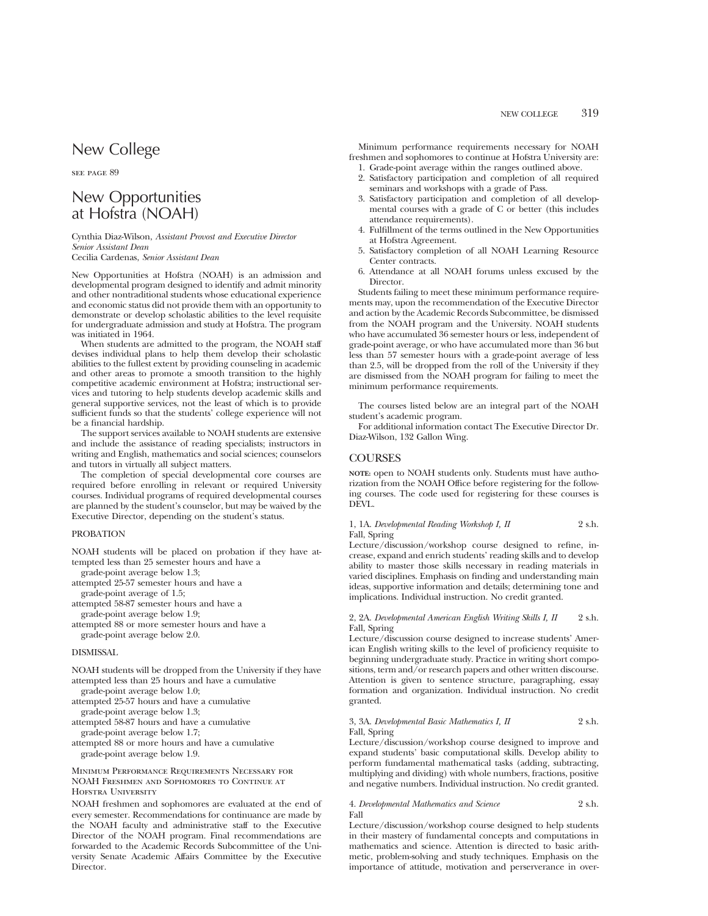# New College

see page 89

# New Opportunities at Hofstra (NOAH)

Cynthia Diaz-Wilson, *Assistant Provost and Executive Director Senior Assistant Dean* Cecilia Cardenas, *Senior Assistant Dean*

New Opportunities at Hofstra (NOAH) is an admission and developmental program designed to identify and admit minority and other nontraditional students whose educational experience and economic status did not provide them with an opportunity to demonstrate or develop scholastic abilities to the level requisite for undergraduate admission and study at Hofstra. The program was initiated in 1964.

When students are admitted to the program, the NOAH staff devises individual plans to help them develop their scholastic abilities to the fullest extent by providing counseling in academic and other areas to promote a smooth transition to the highly competitive academic environment at Hofstra; instructional services and tutoring to help students develop academic skills and general supportive services, not the least of which is to provide sufficient funds so that the students' college experience will not be a financial hardship.

The support services available to NOAH students are extensive and include the assistance of reading specialists; instructors in writing and English, mathematics and social sciences; counselors and tutors in virtually all subject matters.

The completion of special developmental core courses are required before enrolling in relevant or required University courses. Individual programs of required developmental courses are planned by the student's counselor, but may be waived by the Executive Director, depending on the student's status.

# PROBATION

NOAH students will be placed on probation if they have attempted less than 25 semester hours and have a

grade-point average below 1.3;

attempted 25-57 semester hours and have a

grade-point average of 1.5;

attempted 58-87 semester hours and have a grade-point average below 1.9;

attempted 88 or more semester hours and have a grade-point average below 2.0.

# DISMISSAL

NOAH students will be dropped from the University if they have attempted less than 25 hours and have a cumulative

grade-point average below 1.0;

attempted 25-57 hours and have a cumulative grade-point average below 1.3;

attempted 58-87 hours and have a cumulative

grade-point average below 1.7;

attempted 88 or more hours and have a cumulative grade-point average below 1.9.

# Minimum Performance Requirements Necessary for NOAH Freshmen and Sophomores to Continue at HOFSTRA UNIVERSITY

NOAH freshmen and sophomores are evaluated at the end of every semester. Recommendations for continuance are made by the NOAH faculty and administrative staff to the Executive Director of the NOAH program. Final recommendations are forwarded to the Academic Records Subcommittee of the University Senate Academic Affairs Committee by the Executive Director.

Minimum performance requirements necessary for NOAH freshmen and sophomores to continue at Hofstra University are:

- 1. Grade-point average within the ranges outlined above.
- 2. Satisfactory participation and completion of all required seminars and workshops with a grade of Pass.
- 3. Satisfactory participation and completion of all developmental courses with a grade of C or better (this includes attendance requirements).
- 4. Fulfillment of the terms outlined in the New Opportunities at Hofstra Agreement.
- 5. Satisfactory completion of all NOAH Learning Resource Center contracts.
- 6. Attendance at all NOAH forums unless excused by the Director.

Students failing to meet these minimum performance requirements may, upon the recommendation of the Executive Director and action by the Academic Records Subcommittee, be dismissed from the NOAH program and the University. NOAH students who have accumulated 36 semester hours or less, independent of grade-point average, or who have accumulated more than 36 but less than 57 semester hours with a grade-point average of less than 2.5, will be dropped from the roll of the University if they are dismissed from the NOAH program for failing to meet the minimum performance requirements.

The courses listed below are an integral part of the NOAH student's academic program.

For additional information contact The Executive Director Dr. Diaz-Wilson, 132 Gallon Wing.

# **COURSES**

**NOTE:** open to NOAH students only. Students must have authorization from the NOAH Office before registering for the following courses. The code used for registering for these courses is DEVL.

1, 1A. *Developmental Reading Workshop I, II* 2 s.h. Fall, Spring

Lecture/discussion/workshop course designed to refine, increase, expand and enrich students' reading skills and to develop ability to master those skills necessary in reading materials in varied disciplines. Emphasis on finding and understanding main ideas, supportive information and details; determining tone and implications. Individual instruction. No credit granted.

# 2, 2A. *Developmental American English Writing Skills I, II* 2 s.h. Fall, Spring

Lecture/discussion course designed to increase students' American English writing skills to the level of proficiency requisite to beginning undergraduate study. Practice in writing short compositions, term and/or research papers and other written discourse. Attention is given to sentence structure, paragraphing, essay formation and organization. Individual instruction. No credit granted.

# 3, 3A. *Developmental Basic Mathematics I, II* 2 s.h. Fall, Spring

Lecture/discussion/workshop course designed to improve and expand students' basic computational skills. Develop ability to perform fundamental mathematical tasks (adding, subtracting, multiplying and dividing) with whole numbers, fractions, positive and negative numbers. Individual instruction. No credit granted.

# 4. *Developmental Mathematics and Science* 2 s.h. Fall

Lecture/discussion/workshop course designed to help students in their mastery of fundamental concepts and computations in mathematics and science. Attention is directed to basic arithmetic, problem-solving and study techniques. Emphasis on the importance of attitude, motivation and perserverance in over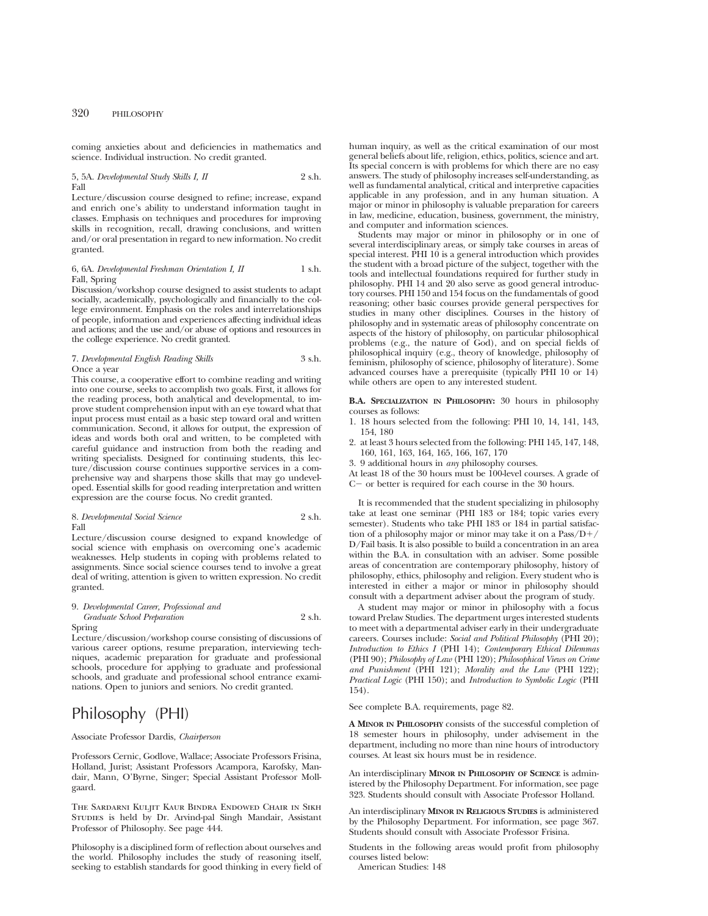coming anxieties about and deficiencies in mathematics and science. Individual instruction. No credit granted.

5, 5A. *Developmental Study Skills I, II* 2 s.h. Fall

Lecture/discussion course designed to refine; increase, expand and enrich one's ability to understand information taught in classes. Emphasis on techniques and procedures for improving skills in recognition, recall, drawing conclusions, and written and/or oral presentation in regard to new information. No credit granted.

# 6, 6A. *Developmental Freshman Orientation I, II* 1 s.h. Fall, Spring

Discussion/workshop course designed to assist students to adapt socially, academically, psychologically and financially to the college environment. Emphasis on the roles and interrelationships of people, information and experiences affecting individual ideas and actions; and the use and/or abuse of options and resources in the college experience. No credit granted.

### 7. *Developmental English Reading Skills* 3 s.h. Once a year

This course, a cooperative effort to combine reading and writing into one course, seeks to accomplish two goals. First, it allows for the reading process, both analytical and developmental, to improve student comprehension input with an eye toward what that input process must entail as a basic step toward oral and written communication. Second, it allows for output, the expression of ideas and words both oral and written, to be completed with careful guidance and instruction from both the reading and writing specialists. Designed for continuing students, this lecture/discussion course continues supportive services in a comprehensive way and sharpens those skills that may go undeveloped. Essential skills for good reading interpretation and written expression are the course focus. No credit granted.

8. *Developmental Social Science* 2 s.h. Fall

Lecture/discussion course designed to expand knowledge of social science with emphasis on overcoming one's academic weaknesses. Help students in coping with problems related to assignments. Since social science courses tend to involve a great deal of writing, attention is given to written expression. No credit granted.

### 9. *Developmental Career, Professional and Graduate School Preparation* 2 s.h. Spring

Lecture/discussion/workshop course consisting of discussions of various career options, resume preparation, interviewing techniques, academic preparation for graduate and professional schools, procedure for applying to graduate and professional schools, and graduate and professional school entrance examinations. Open to juniors and seniors. No credit granted.

# Philosophy (PHI)

# Associate Professor Dardis, *Chairperson*

Professors Cernic, Godlove, Wallace; Associate Professors Frisina, Holland, Jurist; Assistant Professors Acampora, Karofsky, Mandair, Mann, O'Byrne, Singer; Special Assistant Professor Mollgaard.

The Sardarni Kuljit Kaur Bindra Endowed Chair in Sikh Studies is held by Dr. Arvind-pal Singh Mandair, Assistant Professor of Philosophy. See page 444.

Philosophy is a disciplined form of reflection about ourselves and the world. Philosophy includes the study of reasoning itself, seeking to establish standards for good thinking in every field of human inquiry, as well as the critical examination of our most general beliefs about life, religion, ethics, politics, science and art. Its special concern is with problems for which there are no easy answers. The study of philosophy increases self-understanding, as well as fundamental analytical, critical and interpretive capacities applicable in any profession, and in any human situation. A major or minor in philosophy is valuable preparation for careers in law, medicine, education, business, government, the ministry, and computer and information sciences.

Students may major or minor in philosophy or in one of several interdisciplinary areas, or simply take courses in areas of special interest.  $\dot{P}H1 10$  is a general introduction which provides the student with a broad picture of the subject, together with the tools and intellectual foundations required for further study in philosophy. PHI 14 and 20 also serve as good general introductory courses. PHI 150 and 154 focus on the fundamentals of good reasoning; other basic courses provide general perspectives for studies in many other disciplines. Courses in the history of philosophy and in systematic areas of philosophy concentrate on aspects of the history of philosophy, on particular philosophical problems (e.g., the nature of God), and on special fields of philosophical inquiry (e.g., theory of knowledge, philosophy of feminism, philosophy of science, philosophy of literature). Some advanced courses have a prerequisite (typically PHI 10 or 14) while others are open to any interested student.

**B.A. SPECIALIZATION IN PHILOSOPHY:** 30 hours in philosophy courses as follows:

- 1. 18 hours selected from the following: PHI 10, 14, 141, 143, 154, 180
- 2. at least 3 hours selected from the following: PHI 145, 147, 148, 160, 161, 163, 164, 165, 166, 167, 170
- 3. 9 additional hours in *any* philosophy courses.

At least 18 of the 30 hours must be 100-level courses. A grade of  $C-$  or better is required for each course in the 30 hours.

It is recommended that the student specializing in philosophy take at least one seminar (PHI 183 or 184; topic varies every semester). Students who take PHI 183 or 184 in partial satisfaction of a philosophy major or minor may take it on a  $Pass/D+$ / D/Fail basis. It is also possible to build a concentration in an area within the B.A. in consultation with an adviser. Some possible areas of concentration are contemporary philosophy, history of philosophy, ethics, philosophy and religion. Every student who is interested in either a major or minor in philosophy should consult with a department adviser about the program of study.

A student may major or minor in philosophy with a focus toward Prelaw Studies. The department urges interested students to meet with a departmental adviser early in their undergraduate careers. Courses include: *Social and Political Philosophy* (PHI 20); *Introduction to Ethics I* (PHI 14); *Contemporary Ethical Dilemmas* (PHI 90); *Philosophy of Law* (PHI 120); *Philosophical Views on Crime and Punishment* (PHI 121); *Morality and the Law* (PHI 122); *Practical Logic* (PHI 150); and *Introduction to Symbolic Logic* (PHI 154).

See complete B.A. requirements, page 82.

**A MINOR IN PHILOSOPHY** consists of the successful completion of 18 semester hours in philosophy, under advisement in the department, including no more than nine hours of introductory courses. At least six hours must be in residence.

An interdisciplinary **MINOR IN PHILOSOPHY OF SCIENCE** is administered by the Philosophy Department. For information, see page 323. Students should consult with Associate Professor Holland.

An interdisciplinary **MINOR IN RELIGIOUS STUDIES** is administered by the Philosophy Department. For information, see page 367. Students should consult with Associate Professor Frisina.

Students in the following areas would profit from philosophy courses listed below:

American Studies: 148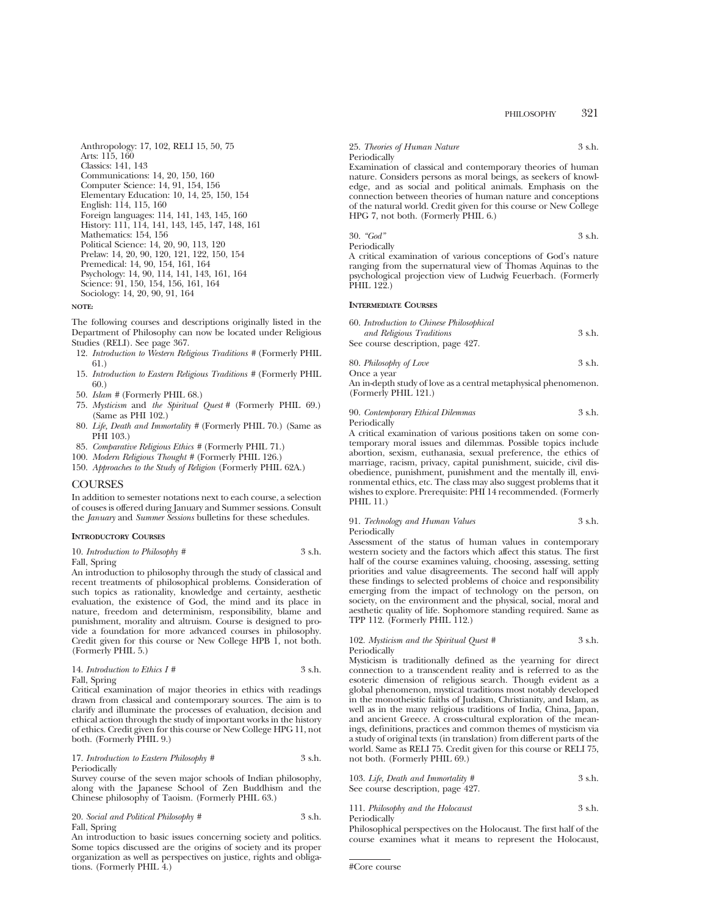Anthropology: 17, 102, RELI 15, 50, 75 Arts: 115, 160 Classics: 141, 143 Communications: 14, 20, 150, 160 Computer Science: 14, 91, 154, 156 Elementary Education: 10, 14, 25, 150, 154 English: 114, 115, 160 Foreign languages: 114, 141, 143, 145, 160 History: 111, 114, 141, 143, 145, 147, 148, 161 Mathematics: 154, 156 Political Science: 14, 20, 90, 113, 120 Prelaw: 14, 20, 90, 120, 121, 122, 150, 154 Premedical: 14, 90, 154, 161, 164 Psychology: 14, 90, 114, 141, 143, 161, 164 Science: 91, 150, 154, 156, 161, 164 Sociology: 14, 20, 90, 91, 164

# **NOTE:**

The following courses and descriptions originally listed in the Department of Philosophy can now be located under Religious Studies (RELI). See page 367.

- 12. *Introduction to Western Religious Traditions #* (Formerly PHIL 61.)
- 15. *Introduction to Eastern Religious Traditions #* (Formerly PHIL 60.)
- 50. *Islam #* (Formerly PHIL 68.)
- 75. *Mysticism* and *the Spiritual Quest #* (Formerly PHIL 69.) (Same as PHI 102.)
- 80. *Life, Death and Immortality #* (Formerly PHIL 70.) (Same as PHI 103.)
- 85. *Comparative Religious Ethics #* (Formerly PHIL 71.)
- 100. *Modern Religious Thought #* (Formerly PHIL 126.)
- 150. *Approaches to the Study of Religion* (Formerly PHIL 62A.)

# COURSES

In addition to semester notations next to each course, a selection of couses is offered during January and Summer sessions. Consult the *January* and *Summer Sessions* bulletins for these schedules.

# **INTRODUCTORY COURSES**

10. *Introduction to Philosophy* # 3 s.h.

Fall, Spring

An introduction to philosophy through the study of classical and recent treatments of philosophical problems. Consideration of such topics as rationality, knowledge and certainty, aesthetic evaluation, the existence of God, the mind and its place in nature, freedom and determinism, responsibility, blame and punishment, morality and altruism. Course is designed to provide a foundation for more advanced courses in philosophy. Credit given for this course or New College HPB 1, not both. (Formerly PHIL 5.)

| 14. Introduction to Ethics $I \#$ | 3 s.h. |
|-----------------------------------|--------|
| Fall, Spring                      |        |

Critical examination of major theories in ethics with readings drawn from classical and contemporary sources. The aim is to clarify and illuminate the processes of evaluation, decision and ethical action through the study of important works in the history of ethics. Credit given for this course or New College HPG 11, not both. (Formerly PHIL 9.)

#### 17. *Introduction to Eastern Philosophy* # 3 s.h. Periodically

Survey course of the seven major schools of Indian philosophy, along with the Japanese School of Zen Buddhism and the Chinese philosophy of Taoism. (Formerly PHIL 63.)

20. *Social and Political Philosophy* # 3 s.h. Fall, Spring

An introduction to basic issues concerning society and politics. Some topics discussed are the origins of society and its proper organization as well as perspectives on justice, rights and obligations. (Formerly PHIL 4.)

25. *Theories of Human Nature* 3 s.h. Periodically

Examination of classical and contemporary theories of human nature. Considers persons as moral beings, as seekers of knowledge, and as social and political animals. Emphasis on the connection between theories of human nature and conceptions of the natural world. Credit given for this course or New College HPG 7, not both. (Formerly PHIL 6.)

$$
30. \text{ } "God"
$$

A critical examination of various conceptions of God's nature ranging from the supernatural view of Thomas Aquinas to the psychological projection view of Ludwig Feuerbach. (Formerly PHIL 122.)

### **INTERMEDIATE COURSES**

Periodically

| 60. Introduction to Chinese Philosophical |        |
|-------------------------------------------|--------|
| and Religious Traditions                  | 3 s.h. |
| See course description, page 427.         |        |

80. *Philosophy of Love* 3 s.h. Once a year

An in-depth study of love as a central metaphysical phenomenon. (Formerly PHIL 121.)

90. *Contemporary Ethical Dilemmas* 3 s.h. Periodically

A critical examination of various positions taken on some contemporary moral issues and dilemmas. Possible topics include abortion, sexism, euthanasia, sexual preference, the ethics of marriage, racism, privacy, capital punishment, suicide, civil disobedience, punishment, punishment and the mentally ill, environmental ethics, etc. The class may also suggest problems that it wishes to explore. Prerequisite: PHI 14 recommended. (Formerly PHIL 11.)

#### 91. *Technology and Human Values* 3 s.h. Periodically

Assessment of the status of human values in contemporary western society and the factors which affect this status. The first half of the course examines valuing, choosing, assessing, setting priorities and value disagreements. The second half will apply these findings to selected problems of choice and responsibility emerging from the impact of technology on the person, on society, on the environment and the physical, social, moral and aesthetic quality of life. Sophomore standing required. Same as TPP 112. (Formerly PHIL 112.)

# 102. *Mysticism and the Spiritual Quest #* 3 s.h. Periodically

Mysticism is traditionally defined as the yearning for direct connection to a transcendent reality and is referred to as the esoteric dimension of religious search. Though evident as a global phenomenon, mystical traditions most notably developed in the monotheistic faiths of Judaism, Christianity, and Islam, as well as in the many religious traditions of India, China, Japan, and ancient Greece. A cross-cultural exploration of the meanings, definitions, practices and common themes of mysticism via a study of original texts (in translation) from different parts of the world. Same as RELI 75. Credit given for this course or RELI 75,

103. *Life, Death and Immortality #* 3 s.h. See course description, page 427.

111. *Philosophy and the Holocaust* 3 s.h. Periodically

Philosophical perspectives on the Holocaust. The first half of the course examines what it means to represent the Holocaust,

not both. (Formerly PHIL 69.)

<sup>#</sup>Core course